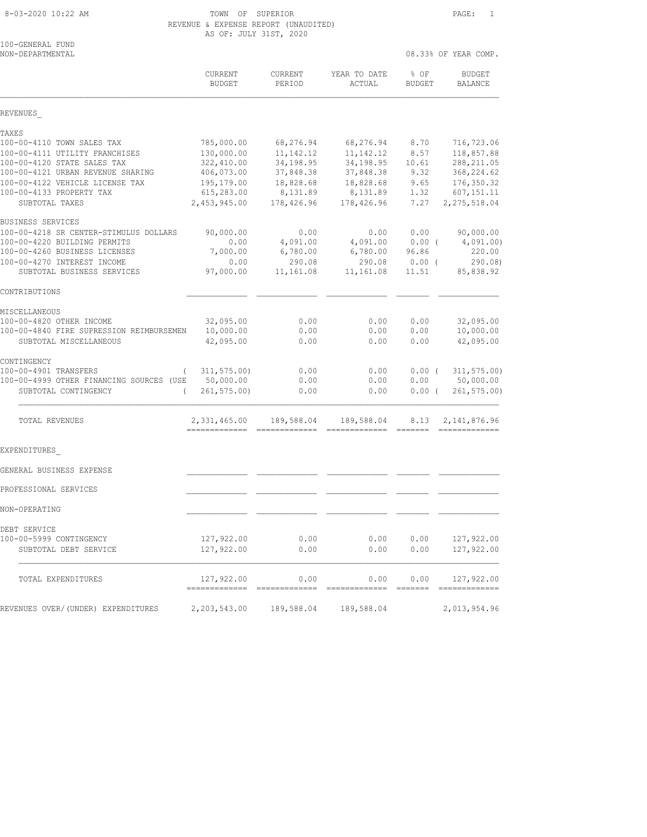|                                          | REVENUE & EXPENSE REPORT (UNAUDITED)<br>AS OF: JULY 31ST, 2020 |                          |                        |                      |                                 |  |
|------------------------------------------|----------------------------------------------------------------|--------------------------|------------------------|----------------------|---------------------------------|--|
| 100-GENERAL FUND<br>NON-DEPARTMENTAL     |                                                                |                          |                        | 08.33% OF YEAR COMP. |                                 |  |
|                                          | <b>CURRENT</b><br><b>BUDGET</b>                                | <b>CURRENT</b><br>PERIOD | YEAR TO DATE<br>ACTUAL | $8$ OF<br>BUDGET     | <b>BUDGET</b><br><b>BALANCE</b> |  |
| REVENUES                                 |                                                                |                          |                        |                      |                                 |  |
| TAXES                                    |                                                                |                          |                        |                      |                                 |  |
| 100-00-4110 TOWN SALES TAX               | 785,000.00                                                     | 68,276.94                | 68,276.94              | 8.70                 | 716,723.06                      |  |
| 100-00-4111 UTILITY FRANCHISES           | 130,000.00                                                     | 11, 142. 12              | 11, 142. 12            | 8.57                 | 118,857.88                      |  |
| 100-00-4120 STATE SALES TAX              | 322,410.00                                                     | 34,198.95                | 34,198.95              | 10.61                | 288, 211.05                     |  |
| 100-00-4121 URBAN REVENUE SHARING        | 406,073.00                                                     | 37,848.38                | 37,848.38              | 9.32                 | 368, 224.62                     |  |
| 100-00-4122 VEHICLE LICENSE TAX          | 195,179.00                                                     | 18,828.68                | 18,828.68              | 9.65                 | 176, 350.32                     |  |
| 100-00-4133 PROPERTY TAX                 | 615,283.00                                                     | 8,131.89                 | 8,131.89               | 1.32                 | 607, 151.11                     |  |
| SUBTOTAL TAXES                           | 2,453,945.00                                                   | 178,426.96               | 178,426.96             | 7.27                 | 2, 275, 518.04                  |  |
| <b>BUSINESS SERVICES</b>                 |                                                                |                          |                        |                      |                                 |  |
| 100-00-4218 SR CENTER-STIMULUS DOLLARS   | 90,000.00                                                      | 0.00                     | 0.00                   | 0.00                 | 90,000.00                       |  |
| 100-00-4220 BUILDING PERMITS             | 0.00                                                           | 4,091.00                 | 4,091.00               | $0.00$ (             | 4,091.00)                       |  |
| 100-00-4260 BUSINESS LICENSES            | 7,000.00                                                       | 6,780.00                 | 6,780.00               | 96.86                | 220.00                          |  |
| 100-00-4270 INTEREST INCOME              | 0.00                                                           | 290.08                   | 290.08                 | 0.00(                | 290.08                          |  |
| SUBTOTAL BUSINESS SERVICES               | 97,000.00                                                      | 11,161.08                | 11,161.08              | 11.51                | 85,838.92                       |  |
| CONTRIBUTIONS                            |                                                                |                          |                        |                      |                                 |  |
| <b>MISCELLANEOUS</b>                     |                                                                |                          |                        |                      |                                 |  |
| 100-00-4820 OTHER INCOME                 | 32,095.00                                                      | 0.00                     | 0.00                   | 0.00                 | 32,095.00                       |  |
| 100-00-4840 FIRE SUPRESSION REIMBURSEMEN | 10,000.00                                                      | 0.00                     | 0.00                   | 0.00                 | 10,000.00                       |  |
| SUBTOTAL MISCELLANEOUS                   | 42,095.00                                                      | 0.00                     | 0.00                   | 0.00                 | 42,095.00                       |  |
|                                          |                                                                |                          |                        |                      |                                 |  |

| CONTINGENCY<br>100-00-4901 TRANSFERS               | 311,575.00) | 0.00 | 0.00                                                 |          | $0.00$ ( $311,575.00$ ) |
|----------------------------------------------------|-------------|------|------------------------------------------------------|----------|-------------------------|
| 100-00-4999 OTHER FINANCING SOURCES (USE 50,000.00 |             | 0.00 | 0.00                                                 |          | $0.00$ 50,000.00        |
| SUBTOTAL CONTINGENCY                               | 261,575.00) | 0.00 | 0.00                                                 | $0.00$ ( | 261, 575.00             |
| <b>TOTAL REVENUES</b>                              |             |      | 2,331,465.00 189,588.04 189,588.04 8.13 2,141,876.96 |          |                         |
| EXPENDITURES                                       |             |      |                                                      |          |                         |
| GENERAL BUSINESS EXPENSE                           |             |      |                                                      |          |                         |
| PROFESSIONAL SERVICES                              |             |      |                                                      |          |                         |
| NON-OPERATING                                      |             |      |                                                      |          |                         |
| DEBT SERVICE                                       |             |      |                                                      |          |                         |
| 100-00-5999 CONTINGENCY                            | 127,922.00  | 0.00 | 0.00                                                 | 0.00     | 127,922.00              |
| SUBTOTAL DEBT SERVICE                              | 127,922.00  | 0.00 | 0.00                                                 | 0.00     | 127,922.00              |
| <b>TOTAL EXPENDITURES</b>                          | 127,922.00  | 0.00 | 0.00                                                 | 0.00     | 127,922.00              |
| REVENUES OVER/(UNDER) EXPENDITURES                 |             |      |                                                      |          | 2,013,954.96            |
|                                                    |             |      |                                                      |          |                         |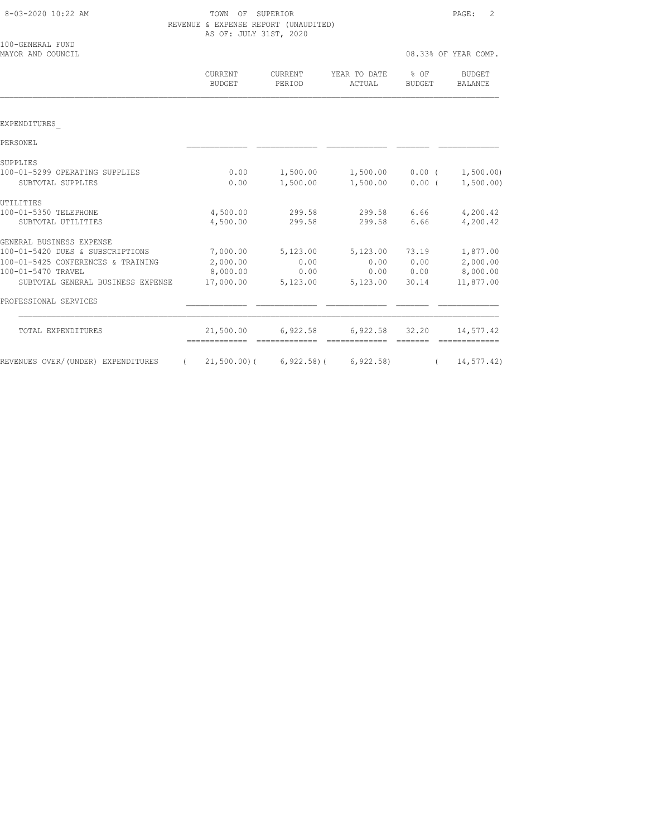| 8-03-2020 10:22 AM |  |  |
|--------------------|--|--|
|--------------------|--|--|

TOWN OF SUPERIOR **Example 2** 2 REVENUE & EXPENSE REPORT (UNAUDITED) AS OF: JULY 31ST, 2020

08.33% OF YEAR COM

| MAYOR AND COUNCIL                              |                                 |                          |                        |                | U8.33% OF YEAR COMP.     |
|------------------------------------------------|---------------------------------|--------------------------|------------------------|----------------|--------------------------|
|                                                | <b>CURRENT</b><br><b>BUDGET</b> | <b>CURRENT</b><br>PERIOD | YEAR TO DATE<br>ACTUAL | % OF<br>BUDGET | BUDGET<br><b>BALANCE</b> |
| EXPENDITURES                                   |                                 |                          |                        |                |                          |
| PERSONEL                                       |                                 |                          |                        |                |                          |
| SUPPLIES                                       |                                 |                          |                        |                |                          |
| 100-01-5299 OPERATING SUPPLIES                 | 0.00                            | 1,500.00                 | $1,500.00$ 0.00 (      |                | 1,500.00)                |
| SUBTOTAL SUPPLIES                              | 0.00                            | 1,500.00                 | 1,500.00 0.00 (        |                | 1,500.00)                |
| UTILITIES                                      |                                 |                          |                        |                |                          |
| 100-01-5350 TELEPHONE                          | 4,500.00                        | 299.58                   |                        | 299.58 6.66    | 4,200.42                 |
| SUBTOTAL UTILITIES                             | 4,500.00                        | 299.58                   | 299.58                 | 6.66           | 4,200.42                 |
| GENERAL BUSINESS EXPENSE                       |                                 |                          |                        |                |                          |
| 100-01-5420 DUES & SUBSCRIPTIONS               | 7,000.00                        | 5,123.00                 | 5,123.00               | 73.19          | 1,877.00                 |
| 100-01-5425 CONFERENCES & TRAINING             | 2,000.00                        | 0.00                     | 0.00                   | 0.00           | 2,000.00                 |
| 100-01-5470 TRAVEL                             | 8,000.00                        | 0.00                     | 0.00                   | 0.00           | 8,000.00                 |
| SUBTOTAL GENERAL BUSINESS EXPENSE              | 17,000.00                       | 5,123.00                 | 5,123.00               | 30.14          | 11,877.00                |
| PROFESSIONAL SERVICES                          |                                 |                          |                        |                |                          |
| TOTAL EXPENDITURES                             | 21,500.00                       | 6,922.58                 | 6,922.58               | 32.20          | 14,577.42                |
| REVENUES OVER/(UNDER) EXPENDITURES<br>$\left($ | 21,500.00)(                     | $6,922.58$ ) (           | 6, 922.58              | $\left($       | 14, 577.42)              |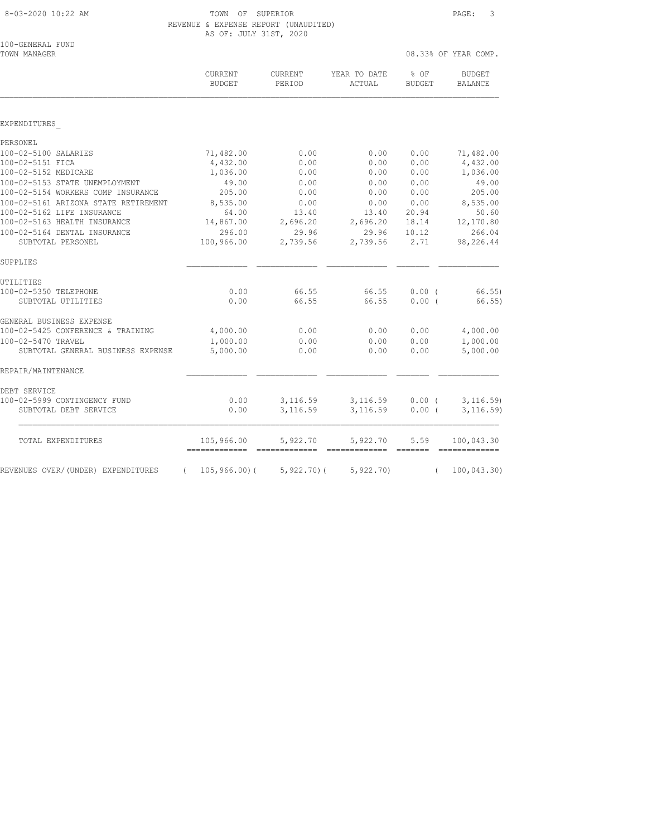| 8-03-2020 10:22 AM |
|--------------------|
|--------------------|

TOWN OF SUPERIOR **Example 20:22 AM TOWN OF SUPERIOR**  $\qquad 3$  REVENUE & EXPENSE REPORT (UNAUDITED) AS OF: JULY 31ST, 2020

| TOWN MANAGER                         |                                           |                                 |                                                                                                                                                                                                                                                                                                                                                                                                                                                                                            | 08.33% OF YEAR COMP.  |                                                                                                                                                                                                                                                                                                                                                                                                                                                                                                      |
|--------------------------------------|-------------------------------------------|---------------------------------|--------------------------------------------------------------------------------------------------------------------------------------------------------------------------------------------------------------------------------------------------------------------------------------------------------------------------------------------------------------------------------------------------------------------------------------------------------------------------------------------|-----------------------|------------------------------------------------------------------------------------------------------------------------------------------------------------------------------------------------------------------------------------------------------------------------------------------------------------------------------------------------------------------------------------------------------------------------------------------------------------------------------------------------------|
|                                      | CURRENT<br><b>BUDGET</b>                  | <b>CURRENT</b><br>PERIOD        | YEAR TO DATE<br>ACTUAL                                                                                                                                                                                                                                                                                                                                                                                                                                                                     | % OF<br><b>BUDGET</b> | <b>BUDGET</b><br><b>BALANCE</b>                                                                                                                                                                                                                                                                                                                                                                                                                                                                      |
|                                      |                                           |                                 |                                                                                                                                                                                                                                                                                                                                                                                                                                                                                            |                       |                                                                                                                                                                                                                                                                                                                                                                                                                                                                                                      |
| EXPENDITURES                         |                                           |                                 |                                                                                                                                                                                                                                                                                                                                                                                                                                                                                            |                       |                                                                                                                                                                                                                                                                                                                                                                                                                                                                                                      |
| PERSONEL                             |                                           |                                 |                                                                                                                                                                                                                                                                                                                                                                                                                                                                                            |                       |                                                                                                                                                                                                                                                                                                                                                                                                                                                                                                      |
| 100-02-5100 SALARIES                 | 71,482.00                                 | 0.00                            | 0.00                                                                                                                                                                                                                                                                                                                                                                                                                                                                                       | 0.00                  | 71,482.00                                                                                                                                                                                                                                                                                                                                                                                                                                                                                            |
| 100-02-5151 FICA                     | 4,432.00                                  | 0.00                            | 0.00                                                                                                                                                                                                                                                                                                                                                                                                                                                                                       | 0.00                  | 4,432.00                                                                                                                                                                                                                                                                                                                                                                                                                                                                                             |
| 100-02-5152 MEDICARE                 | 1,036.00                                  | 0.00                            | 0.00                                                                                                                                                                                                                                                                                                                                                                                                                                                                                       | 0.00                  | 1,036.00                                                                                                                                                                                                                                                                                                                                                                                                                                                                                             |
| 100-02-5153 STATE UNEMPLOYMENT       | 49.00                                     | 0.00                            | 0.00                                                                                                                                                                                                                                                                                                                                                                                                                                                                                       | 0.00                  | 49.00                                                                                                                                                                                                                                                                                                                                                                                                                                                                                                |
| 100-02-5154 WORKERS COMP INSURANCE   | 205.00                                    | 0.00                            | 0.00                                                                                                                                                                                                                                                                                                                                                                                                                                                                                       | 0.00                  | 205.00                                                                                                                                                                                                                                                                                                                                                                                                                                                                                               |
| 100-02-5161 ARIZONA STATE RETIREMENT | 8,535.00                                  | 0.00                            | 0.00                                                                                                                                                                                                                                                                                                                                                                                                                                                                                       | 0.00                  | 8,535.00                                                                                                                                                                                                                                                                                                                                                                                                                                                                                             |
| 100-02-5162 LIFE INSURANCE           | 64.00                                     | 13.40                           | 13.40                                                                                                                                                                                                                                                                                                                                                                                                                                                                                      | 20.94                 | 50.60                                                                                                                                                                                                                                                                                                                                                                                                                                                                                                |
| 100-02-5163 HEALTH INSURANCE         | 14,867.00                                 | 2,696.20                        | 2,696.20                                                                                                                                                                                                                                                                                                                                                                                                                                                                                   | 18.14                 | 12,170.80                                                                                                                                                                                                                                                                                                                                                                                                                                                                                            |
| 100-02-5164 DENTAL INSURANCE         | 296.00                                    | 29.96                           | 29.96                                                                                                                                                                                                                                                                                                                                                                                                                                                                                      | 10.12                 | 266.04                                                                                                                                                                                                                                                                                                                                                                                                                                                                                               |
| SUBTOTAL PERSONEL                    | 100,966.00                                | 2,739.56                        | 2,739.56                                                                                                                                                                                                                                                                                                                                                                                                                                                                                   | 2.71                  | 98,226.44                                                                                                                                                                                                                                                                                                                                                                                                                                                                                            |
| SUPPLIES                             |                                           |                                 |                                                                                                                                                                                                                                                                                                                                                                                                                                                                                            |                       |                                                                                                                                                                                                                                                                                                                                                                                                                                                                                                      |
| UTILITIES                            |                                           |                                 |                                                                                                                                                                                                                                                                                                                                                                                                                                                                                            |                       |                                                                                                                                                                                                                                                                                                                                                                                                                                                                                                      |
| 100-02-5350 TELEPHONE                | 0.00                                      | 66.55                           | 66.55                                                                                                                                                                                                                                                                                                                                                                                                                                                                                      | 0.00(                 | 66.55)                                                                                                                                                                                                                                                                                                                                                                                                                                                                                               |
| SUBTOTAL UTILITIES                   | 0.00                                      | 66.55                           | 66.55                                                                                                                                                                                                                                                                                                                                                                                                                                                                                      | 0.00(                 | 66.55)                                                                                                                                                                                                                                                                                                                                                                                                                                                                                               |
| GENERAL BUSINESS EXPENSE             |                                           |                                 |                                                                                                                                                                                                                                                                                                                                                                                                                                                                                            |                       |                                                                                                                                                                                                                                                                                                                                                                                                                                                                                                      |
| 100-02-5425 CONFERENCE & TRAINING    | 4,000.00                                  | 0.00                            | 0.00                                                                                                                                                                                                                                                                                                                                                                                                                                                                                       | 0.00                  | 4,000.00                                                                                                                                                                                                                                                                                                                                                                                                                                                                                             |
| 100-02-5470 TRAVEL                   | 1,000.00                                  | 0.00                            | 0.00                                                                                                                                                                                                                                                                                                                                                                                                                                                                                       | 0.00                  | 1,000.00                                                                                                                                                                                                                                                                                                                                                                                                                                                                                             |
| SUBTOTAL GENERAL BUSINESS EXPENSE    | 5,000.00                                  | 0.00                            | 0.00                                                                                                                                                                                                                                                                                                                                                                                                                                                                                       | 0.00                  | 5,000.00                                                                                                                                                                                                                                                                                                                                                                                                                                                                                             |
| REPAIR/MAINTENANCE                   |                                           |                                 |                                                                                                                                                                                                                                                                                                                                                                                                                                                                                            |                       |                                                                                                                                                                                                                                                                                                                                                                                                                                                                                                      |
| DEBT SERVICE                         |                                           |                                 |                                                                                                                                                                                                                                                                                                                                                                                                                                                                                            |                       |                                                                                                                                                                                                                                                                                                                                                                                                                                                                                                      |
| 100-02-5999 CONTINGENCY FUND         | 0.00                                      | 3,116.59                        | 3,116.59                                                                                                                                                                                                                                                                                                                                                                                                                                                                                   | 0.00(                 | 3, 116.59                                                                                                                                                                                                                                                                                                                                                                                                                                                                                            |
| SUBTOTAL DEBT SERVICE                | 0.00                                      | 3,116.59                        | 3,116.59                                                                                                                                                                                                                                                                                                                                                                                                                                                                                   | 0.00(                 | 3, 116.59                                                                                                                                                                                                                                                                                                                                                                                                                                                                                            |
| TOTAL EXPENDITURES                   | 105,966.00<br>------------- ------------- | 5,922.70                        | 5,922.70<br>$\begin{array}{cccccccccc} \multicolumn{2}{c}{{\color{red}c}} & \multicolumn{2}{c}{{\color{red}c}} & \multicolumn{2}{c}{{\color{red}c}} & \multicolumn{2}{c}{{\color{red}c}} & \multicolumn{2}{c}{{\color{red}c}} & \multicolumn{2}{c}{{\color{red}c}} & \multicolumn{2}{c}{{\color{red}c}} & \multicolumn{2}{c}{{\color{red}c}} & \multicolumn{2}{c}{{\color{red}c}} & \multicolumn{2}{c}{{\color{red}c}} & \multicolumn{2}{c}{{\color{red}c}} & \multicolumn{2}{c}{{\color{$ | 5.59                  | 100,043.30<br>$\begin{array}{cccccccccc} \multicolumn{2}{c}{} & \multicolumn{2}{c}{} & \multicolumn{2}{c}{} & \multicolumn{2}{c}{} & \multicolumn{2}{c}{} & \multicolumn{2}{c}{} & \multicolumn{2}{c}{} & \multicolumn{2}{c}{} & \multicolumn{2}{c}{} & \multicolumn{2}{c}{} & \multicolumn{2}{c}{} & \multicolumn{2}{c}{} & \multicolumn{2}{c}{} & \multicolumn{2}{c}{} & \multicolumn{2}{c}{} & \multicolumn{2}{c}{} & \multicolumn{2}{c}{} & \multicolumn{2}{c}{} & \multicolumn{2}{c}{} & \mult$ |
| REVENUES OVER/(UNDER) EXPENDITURES   | $\sqrt{2}$                                | $105, 966.00$ ( $5, 922.70$ ) ( | 5,922.70                                                                                                                                                                                                                                                                                                                                                                                                                                                                                   | $\sqrt{2}$            | 100,043.30                                                                                                                                                                                                                                                                                                                                                                                                                                                                                           |
|                                      |                                           |                                 |                                                                                                                                                                                                                                                                                                                                                                                                                                                                                            |                       |                                                                                                                                                                                                                                                                                                                                                                                                                                                                                                      |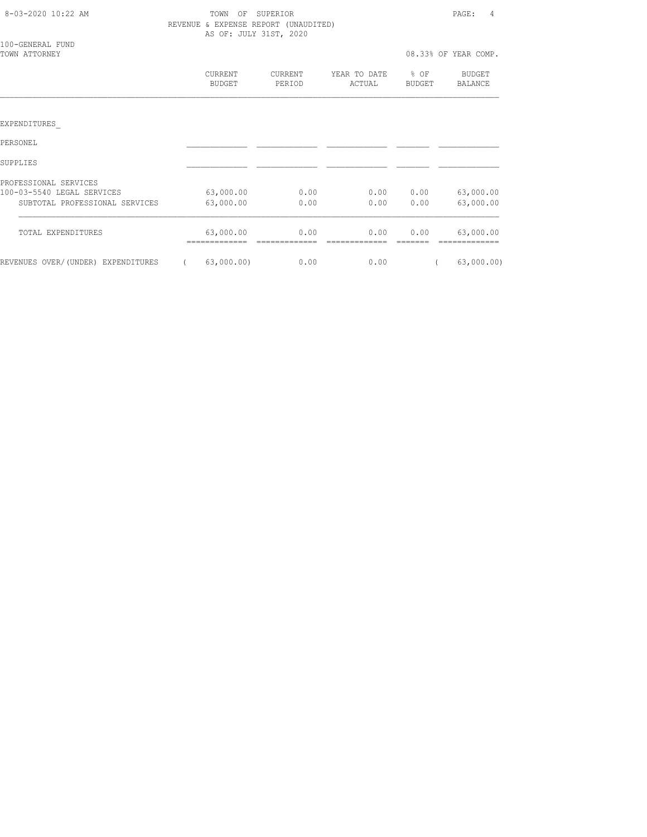| 8-03-2020 10:22 AM                 | TOWN<br>OF<br>AS OF: JULY 31ST, 2020 | SUPERIOR<br>REVENUE & EXPENSE REPORT (UNAUDITED) |                        |                  | PAGE:<br>4           |
|------------------------------------|--------------------------------------|--------------------------------------------------|------------------------|------------------|----------------------|
| 100-GENERAL FUND<br>TOWN ATTORNEY  |                                      |                                                  |                        |                  | 08.33% OF YEAR COMP. |
|                                    | CURRENT<br><b>BUDGET</b>             | CURRENT<br>PERIOD                                | YEAR TO DATE<br>ACTUAL | $8$ OF<br>BUDGET | BUDGET<br>BALANCE    |
|                                    |                                      |                                                  |                        |                  |                      |
| EXPENDITURES                       |                                      |                                                  |                        |                  |                      |
| PERSONEL                           |                                      |                                                  |                        |                  |                      |
| SUPPLIES                           |                                      |                                                  |                        |                  |                      |
| PROFESSIONAL SERVICES              |                                      |                                                  |                        |                  |                      |
| 100-03-5540 LEGAL SERVICES         | 63,000.00                            | 0.00                                             |                        | 0.00 0.00        | 63,000.00            |
| SUBTOTAL PROFESSIONAL SERVICES     | 63,000.00                            | 0.00                                             | 0.00                   | 0.00             | 63,000.00            |
| TOTAL EXPENDITURES                 | 63,000.00<br>__________              | 0.00                                             | 0.00                   | 0.00             | 63,000.00            |
| REVENUES OVER/(UNDER) EXPENDITURES | 63,000.00)                           | 0.00                                             | 0.00                   |                  | 63,000.00)           |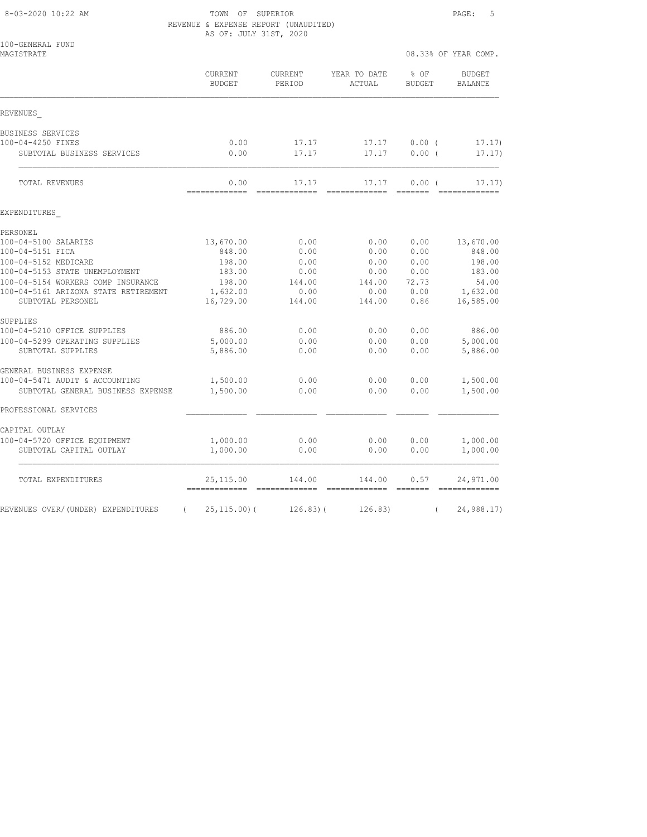8-03-2020 10:22 AM TOWN OF SUPERIOR PAGE: 5 REVENUE & EXPENSE REPORT (UNAUDITED) AS OF: JULY 31ST, 2020

|  |  |                        | & EXPENSE REPORT (UNAUDITED) |
|--|--|------------------------|------------------------------|
|  |  | AS OF: JULY 31ST, 2020 |                              |

| MAGISTRATE                                                          |                             |                          |                                                                                                                                                                                                                                                                                                                                                                                                                                                                                                     | 08.33% OF YEAR COMP.                                                                                                                                                                                                                                                                                                                                                                                                                                                                           |                                 |
|---------------------------------------------------------------------|-----------------------------|--------------------------|-----------------------------------------------------------------------------------------------------------------------------------------------------------------------------------------------------------------------------------------------------------------------------------------------------------------------------------------------------------------------------------------------------------------------------------------------------------------------------------------------------|------------------------------------------------------------------------------------------------------------------------------------------------------------------------------------------------------------------------------------------------------------------------------------------------------------------------------------------------------------------------------------------------------------------------------------------------------------------------------------------------|---------------------------------|
|                                                                     | CURRENT<br><b>BUDGET</b>    | CURRENT<br>PERIOD        | YEAR TO DATE<br>ACTUAL                                                                                                                                                                                                                                                                                                                                                                                                                                                                              | % OF<br><b>BUDGET</b>                                                                                                                                                                                                                                                                                                                                                                                                                                                                          | <b>BUDGET</b><br><b>BALANCE</b> |
| REVENUES                                                            |                             |                          |                                                                                                                                                                                                                                                                                                                                                                                                                                                                                                     |                                                                                                                                                                                                                                                                                                                                                                                                                                                                                                |                                 |
| BUSINESS SERVICES                                                   |                             |                          |                                                                                                                                                                                                                                                                                                                                                                                                                                                                                                     |                                                                                                                                                                                                                                                                                                                                                                                                                                                                                                |                                 |
| 100-04-4250 FINES                                                   | 0.00                        | 17.17                    | 17.17                                                                                                                                                                                                                                                                                                                                                                                                                                                                                               | $0.00$ (                                                                                                                                                                                                                                                                                                                                                                                                                                                                                       | 17.17)                          |
| SUBTOTAL BUSINESS SERVICES                                          | 0.00                        | 17.17                    | 17.17                                                                                                                                                                                                                                                                                                                                                                                                                                                                                               | 0.00(                                                                                                                                                                                                                                                                                                                                                                                                                                                                                          | 17.17)                          |
| TOTAL REVENUES                                                      | 0.00<br>=============       | 17.17<br>============    | 17.17<br>-----------                                                                                                                                                                                                                                                                                                                                                                                                                                                                                | 0.00(<br>=======                                                                                                                                                                                                                                                                                                                                                                                                                                                                               | 17.17)<br>-------------         |
| EXPENDITURES                                                        |                             |                          |                                                                                                                                                                                                                                                                                                                                                                                                                                                                                                     |                                                                                                                                                                                                                                                                                                                                                                                                                                                                                                |                                 |
| PERSONEL                                                            |                             |                          |                                                                                                                                                                                                                                                                                                                                                                                                                                                                                                     |                                                                                                                                                                                                                                                                                                                                                                                                                                                                                                |                                 |
| 100-04-5100 SALARIES                                                | 13,670.00                   | 0.00                     | 0.00                                                                                                                                                                                                                                                                                                                                                                                                                                                                                                | 0.00                                                                                                                                                                                                                                                                                                                                                                                                                                                                                           | 13,670.00                       |
| 100-04-5151 FICA                                                    | 848.00                      | 0.00                     | 0.00                                                                                                                                                                                                                                                                                                                                                                                                                                                                                                | 0.00                                                                                                                                                                                                                                                                                                                                                                                                                                                                                           | 848.00                          |
| 100-04-5152 MEDICARE                                                | 198.00                      | 0.00                     | 0.00                                                                                                                                                                                                                                                                                                                                                                                                                                                                                                | 0.00                                                                                                                                                                                                                                                                                                                                                                                                                                                                                           | 198.00                          |
| 100-04-5153 STATE UNEMPLOYMENT                                      | 183.00                      | 0.00                     | 0.00                                                                                                                                                                                                                                                                                                                                                                                                                                                                                                | 0.00                                                                                                                                                                                                                                                                                                                                                                                                                                                                                           | 183.00                          |
| 100-04-5154 WORKERS COMP INSURANCE                                  | 198.00                      | 144.00                   | 144.00                                                                                                                                                                                                                                                                                                                                                                                                                                                                                              | 72.73                                                                                                                                                                                                                                                                                                                                                                                                                                                                                          | 54.00                           |
| 100-04-5161 ARIZONA STATE RETIREMENT<br>SUBTOTAL PERSONEL           | 1,632.00<br>16,729.00       | 0.00<br>144.00           | 0.00<br>144.00                                                                                                                                                                                                                                                                                                                                                                                                                                                                                      | 0.00<br>0.86                                                                                                                                                                                                                                                                                                                                                                                                                                                                                   | 1,632.00<br>16,585.00           |
| SUPPLIES                                                            |                             |                          |                                                                                                                                                                                                                                                                                                                                                                                                                                                                                                     |                                                                                                                                                                                                                                                                                                                                                                                                                                                                                                |                                 |
| 100-04-5210 OFFICE SUPPLIES                                         | 886.00                      | 0.00                     | 0.00                                                                                                                                                                                                                                                                                                                                                                                                                                                                                                | 0.00                                                                                                                                                                                                                                                                                                                                                                                                                                                                                           | 886.00                          |
| 100-04-5299 OPERATING SUPPLIES                                      | 5,000.00                    | 0.00                     | 0.00                                                                                                                                                                                                                                                                                                                                                                                                                                                                                                | 0.00                                                                                                                                                                                                                                                                                                                                                                                                                                                                                           | 5,000.00                        |
| SUBTOTAL SUPPLIES                                                   | 5,886.00                    | 0.00                     | 0.00                                                                                                                                                                                                                                                                                                                                                                                                                                                                                                | 0.00                                                                                                                                                                                                                                                                                                                                                                                                                                                                                           | 5,886.00                        |
| GENERAL BUSINESS EXPENSE                                            |                             |                          |                                                                                                                                                                                                                                                                                                                                                                                                                                                                                                     |                                                                                                                                                                                                                                                                                                                                                                                                                                                                                                |                                 |
| 100-04-5471 AUDIT & ACCOUNTING<br>SUBTOTAL GENERAL BUSINESS EXPENSE | 1,500.00<br>1,500.00        | 0.00<br>0.00             | 0.00<br>0.00                                                                                                                                                                                                                                                                                                                                                                                                                                                                                        | 0.00<br>0.00                                                                                                                                                                                                                                                                                                                                                                                                                                                                                   | 1,500.00<br>1,500.00            |
| PROFESSIONAL SERVICES                                               |                             |                          |                                                                                                                                                                                                                                                                                                                                                                                                                                                                                                     |                                                                                                                                                                                                                                                                                                                                                                                                                                                                                                |                                 |
| CAPITAL OUTLAY                                                      |                             |                          |                                                                                                                                                                                                                                                                                                                                                                                                                                                                                                     |                                                                                                                                                                                                                                                                                                                                                                                                                                                                                                |                                 |
| 100-04-5720 OFFICE EQUIPMENT                                        | 1,000.00                    | 0.00                     | 0.00                                                                                                                                                                                                                                                                                                                                                                                                                                                                                                | 0.00                                                                                                                                                                                                                                                                                                                                                                                                                                                                                           | 1,000.00                        |
| SUBTOTAL CAPITAL OUTLAY                                             | 1,000.00                    | 0.00                     | 0.00                                                                                                                                                                                                                                                                                                                                                                                                                                                                                                | 0.00                                                                                                                                                                                                                                                                                                                                                                                                                                                                                           | 1,000.00                        |
| TOTAL EXPENDITURES                                                  | 25,115.00<br>-------------- | 144.00<br>-------------- | 144.00<br>$\begin{minipage}{0.99\linewidth} \begin{tabular}{l} \multicolumn{2}{l}{} & \multicolumn{2}{l}{} & \multicolumn{2}{l}{} \\ \multicolumn{2}{l}{} & \multicolumn{2}{l}{} & \multicolumn{2}{l}{} \\ \multicolumn{2}{l}{} & \multicolumn{2}{l}{} & \multicolumn{2}{l}{} \\ \multicolumn{2}{l}{} & \multicolumn{2}{l}{} & \multicolumn{2}{l}{} \\ \multicolumn{2}{l}{} & \multicolumn{2}{l}{} & \multicolumn{2}{l}{} \\ \multicolumn{2}{l}{} & \multicolumn{2}{l}{} & \multicolumn{2}{l}{} \\$ | 0.57<br>$\begin{array}{cccccccccc} \multicolumn{2}{c}{} & \multicolumn{2}{c}{} & \multicolumn{2}{c}{} & \multicolumn{2}{c}{} & \multicolumn{2}{c}{} & \multicolumn{2}{c}{} & \multicolumn{2}{c}{} & \multicolumn{2}{c}{} & \multicolumn{2}{c}{} & \multicolumn{2}{c}{} & \multicolumn{2}{c}{} & \multicolumn{2}{c}{} & \multicolumn{2}{c}{} & \multicolumn{2}{c}{} & \multicolumn{2}{c}{} & \multicolumn{2}{c}{} & \multicolumn{2}{c}{} & \multicolumn{2}{c}{} & \multicolumn{2}{c}{} & \mult$ | 24,971.00                       |
| REVENUES OVER/(UNDER) EXPENDITURES<br>$\left($                      | $25, 115.00$ (              | 126.83(                  | 126.83)                                                                                                                                                                                                                                                                                                                                                                                                                                                                                             |                                                                                                                                                                                                                                                                                                                                                                                                                                                                                                | 24,988.17)                      |
|                                                                     |                             |                          |                                                                                                                                                                                                                                                                                                                                                                                                                                                                                                     |                                                                                                                                                                                                                                                                                                                                                                                                                                                                                                |                                 |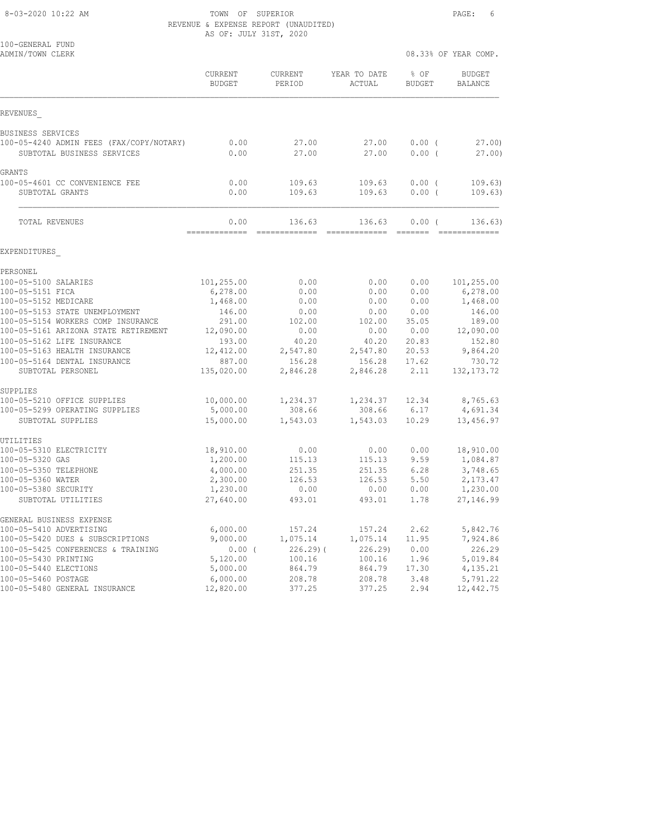8-03-2020 10:22 AM **TOWN OF SUPERIOR** PAGE: 6 REVENUE & EXPENSE REPORT (UNAUDITED)

|                                                                        | AS OF: JULY 31ST, 2020   |                    |                        |                       |                                 |
|------------------------------------------------------------------------|--------------------------|--------------------|------------------------|-----------------------|---------------------------------|
| 100-GENERAL FUND<br>ADMIN/TOWN CLERK                                   |                          |                    |                        |                       | 08.33% OF YEAR COMP.            |
|                                                                        | CURRENT<br><b>BUDGET</b> | CURRENT<br>PERIOD  | YEAR TO DATE<br>ACTUAL | % OF<br><b>BUDGET</b> | <b>BUDGET</b><br><b>BALANCE</b> |
| REVENUES                                                               |                          |                    |                        |                       |                                 |
| BUSINESS SERVICES                                                      |                          |                    |                        |                       |                                 |
| 100-05-4240 ADMIN FEES (FAX/COPY/NOTARY)<br>SUBTOTAL BUSINESS SERVICES | 0.00<br>0.00             | 27.00<br>27.00     | 27.00<br>27.00         | $0.00$ (<br>0.00(     | 27.00<br>27.00)                 |
| GRANTS                                                                 |                          |                    |                        |                       |                                 |
| 100-05-4601 CC CONVENIENCE FEE                                         | 0.00                     | 109.63             | 109.63                 | 0.00(                 | 109.63)                         |
| SUBTOTAL GRANTS                                                        | 0.00                     | 109.63             | 109.63                 | $0.00$ (              | 109.63)                         |
| TOTAL REVENUES                                                         | 0.00                     | 136.63             | 136.63                 | 0.00(                 | 136.63)                         |
| EXPENDITURES                                                           | ============             | =============      |                        |                       |                                 |
| PERSONEL                                                               |                          |                    |                        |                       |                                 |
| 100-05-5100 SALARIES                                                   | 101,255.00               | 0.00               | 0.00                   | 0.00                  | 101,255.00                      |
| 100-05-5151 FICA                                                       | 6,278.00                 | 0.00               | 0.00                   | 0.00                  | 6, 278.00                       |
| 100-05-5152 MEDICARE                                                   | 1,468.00                 | 0.00               | 0.00                   | 0.00                  | 1,468.00                        |
| 100-05-5153 STATE UNEMPLOYMENT                                         | 146.00                   | 0.00               | 0.00                   | 0.00                  | 146.00                          |
| 100-05-5154 WORKERS COMP INSURANCE                                     | 291.00                   | 102.00             | 102.00                 | 35.05                 | 189.00                          |
| 100-05-5161 ARIZONA STATE RETIREMENT                                   | 12,090.00                | 0.00               | 0.00                   | 0.00                  | 12,090.00                       |
| 100-05-5162 LIFE INSURANCE                                             | 193.00                   | 40.20              | 40.20                  | 20.83                 | 152.80                          |
| 100-05-5163 HEALTH INSURANCE                                           | 12,412.00                | 2,547.80           | 2,547.80               | 20.53                 | 9,864.20                        |
| 100-05-5164 DENTAL INSURANCE<br>SUBTOTAL PERSONEL                      | 887.00<br>135,020.00     | 156.28<br>2,846.28 | 156.28<br>2,846.28     | 17.62<br>2.11         | 730.72<br>132, 173. 72          |
|                                                                        |                          |                    |                        |                       |                                 |
| SUPPLIES<br>100-05-5210 OFFICE SUPPLIES                                | 10,000.00                | 1,234.37           | 1,234.37               | 12.34                 | 8,765.63                        |
| 100-05-5299 OPERATING SUPPLIES                                         | 5,000.00                 | 308.66             | 308.66                 | 6.17                  | 4,691.34                        |
| SUBTOTAL SUPPLIES                                                      | 15,000.00                | 1,543.03           | 1,543.03               | 10.29                 | 13,456.97                       |
| UTILITIES                                                              |                          |                    |                        |                       |                                 |
| 100-05-5310 ELECTRICITY                                                | 18,910.00                | 0.00               | 0.00                   | 0.00                  | 18,910.00                       |
| 100-05-5320 GAS                                                        | 1,200.00                 | 115.13             | 115.13                 | 9.59                  | 1,084.87                        |
| 100-05-5350 TELEPHONE                                                  | 4,000.00                 | 251.35             | 251.35                 | 6.28                  | 3,748.65                        |
| 100-05-5360 WATER                                                      | 2,300.00                 | 126.53             | 126.53                 | 5.50                  | 2, 173.47                       |
| 100-05-5380 SECURITY                                                   | 1,230.00                 | 0.00               | 0.00                   | 0.00                  | 1,230.00                        |
| SUBTOTAL UTILITIES                                                     | 27,640.00                | 493.01             | 493.01                 | 1.78                  | 27,146.99                       |
| GENERAL BUSINESS EXPENSE                                               |                          |                    |                        |                       |                                 |
| 100-05-5410 ADVERTISING                                                | 6,000.00                 | 157.24             | 157.24                 | 2.62                  | 5,842.76                        |
| 100-05-5420 DUES & SUBSCRIPTIONS                                       | 9,000.00                 | 1,075.14           | 1,075.14               | 11.95                 | 7,924.86                        |
| 100-05-5425 CONFERENCES & TRAINING                                     | $0.00$ (                 | $226.29$ (         | 226.29)                | 0.00                  | 226.29                          |
| 100-05-5430 PRINTING                                                   | 5,120.00                 | 100.16             | 100.16                 | 1.96                  | 5,019.84                        |

100-05-5440 ELECTIONS 5,000.00 864.79 864.79 17.30 4,135.21 100-05-5460 POSTAGE 6,000.00 208.78 208.78 3.48 5,791.22 100-05-5480 GENERAL INSURANCE 12,820.00 377.25 377.25 2.94 12,442.75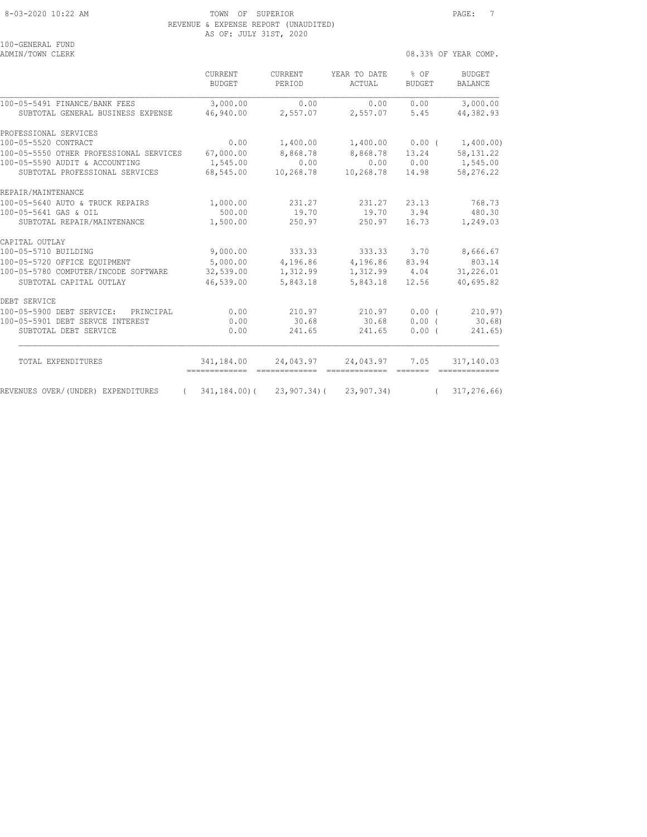8-03-2020 10:22 AM TOWN OF SUPERIOR PAGE: 7 REVENUE & EXPENSE REPORT (UNAUDITED) AS OF: JULY 31ST, 2020

| TAA GEMENUT LAMD<br>ADMIN/TOWN CLERK             |                                               |                   |                                                     | 08.33% OF YEAR COMP.    |                          |  |
|--------------------------------------------------|-----------------------------------------------|-------------------|-----------------------------------------------------|-------------------------|--------------------------|--|
|                                                  | CURRENT<br><b>BUDGET</b>                      | CURRENT<br>PERIOD | YEAR TO DATE<br>ACTUAL                              | $8$ OF<br><b>BUDGET</b> | BUDGET<br><b>BALANCE</b> |  |
| 100-05-5491 FINANCE/BANK FEES                    | 3,000.00                                      | 0.00              | 0.00                                                | 0.00                    | 3,000.00                 |  |
| SUBTOTAL GENERAL BUSINESS EXPENSE                | 46,940.00                                     | 2,557.07          | 2,557.07 5.45                                       |                         | 44,382.93                |  |
| PROFESSIONAL SERVICES                            |                                               |                   |                                                     |                         |                          |  |
| 100-05-5520 CONTRACT                             | 0.00                                          | 1,400.00          | 1,400.00                                            | $0.00$ (                | 1,400.00)                |  |
| 100-05-5550 OTHER PROFESSIONAL SERVICES          | 67,000.00                                     | 8,868.78          | 8,868.78                                            | 13.24                   | 58, 131.22               |  |
| 100-05-5590 AUDIT & ACCOUNTING                   | 1,545.00                                      | 0.00              | 0.00                                                | 0.00                    | 1,545.00                 |  |
| SUBTOTAL PROFESSIONAL SERVICES                   | 68,545.00                                     | 10,268.78         | 10,268.78                                           | 14.98                   | 58,276.22                |  |
| REPAIR/MAINTENANCE                               |                                               |                   |                                                     |                         |                          |  |
| 100-05-5640 AUTO & TRUCK REPAIRS                 | 1,000.00                                      | 231.27            |                                                     | 231.27 23.13            | 768.73                   |  |
| 100-05-5641 GAS & OIL                            | 500.00                                        | 19.70             | 19.70 3.94                                          |                         | 480.30                   |  |
| SUBTOTAL REPAIR/MAINTENANCE                      | 1,500.00                                      | 250.97            | 250.97                                              | 16.73                   | 1,249.03                 |  |
| CAPITAL OUTLAY                                   |                                               |                   |                                                     |                         |                          |  |
| 100-05-5710 BUILDING                             | 9,000.00                                      | 333.33            | 333.33 3.70                                         |                         | 8,666.67                 |  |
| 100-05-5720 OFFICE EQUIPMENT                     | 5,000.00                                      | 4,196.86          | 4,196.86                                            | 83.94                   | 803.14                   |  |
| 100-05-5780 COMPUTER/INCODE SOFTWARE             | 32,539.00                                     | 1,312.99          | 1,312.99                                            | 4.04                    | 31,226.01                |  |
| SUBTOTAL CAPITAL OUTLAY                          | 46,539.00                                     | 5,843.18          | 5,843.18                                            | 12.56                   | 40,695.82                |  |
| DEBT SERVICE                                     |                                               |                   |                                                     |                         |                          |  |
| 100-05-5900 DEBT SERVICE:<br>PRINCIPAL           | 0.00                                          | 210.97            | 210.97                                              | 0.00(                   | 210.97)                  |  |
| 100-05-5901 DEBT SERVCE INTEREST                 | 0.00                                          | 30.68             | 30.68                                               | 0.00(                   | 30.68                    |  |
| SUBTOTAL DEBT SERVICE                            | 0.00                                          | 241.65            | 241.65                                              | $0.00$ (                | 241.65)                  |  |
| TOTAL EXPENDITURES                               | 341,184.00<br>=============================== | 24,043.97         | 24,043.97<br>====================================== | 7.05                    | 317,140.03               |  |
| REVENUES OVER/(UNDER) EXPENDITURES<br>$\sqrt{2}$ |                                               |                   | $341, 184, 00$ ( $23, 907, 34$ ( $23, 907, 34$ )    | $\sqrt{2}$              | 317,276.66)              |  |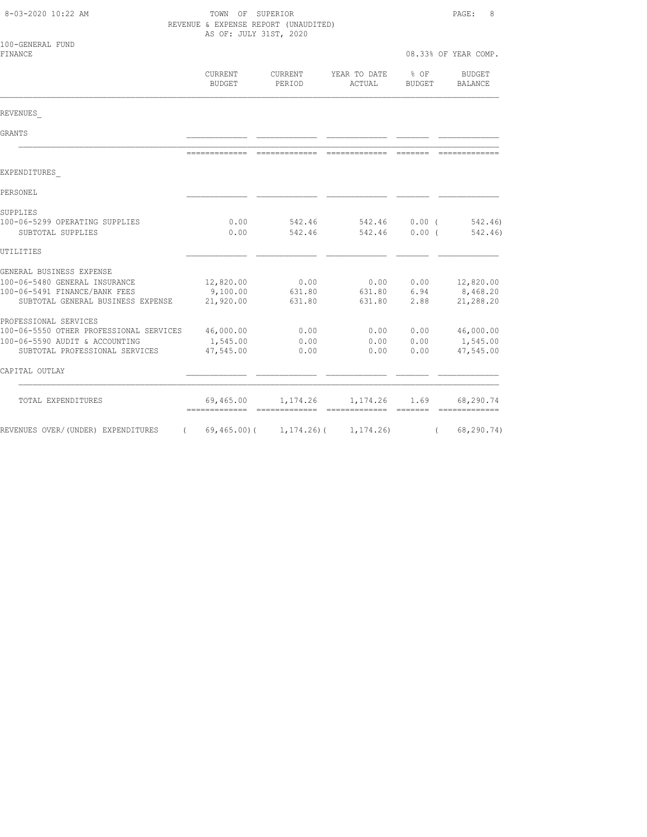| 8-03-2020 10:22 AM                                                 | TOWN OF SUPERIOR<br>REVENUE & EXPENSE REPORT (UNAUDITED)<br>AS OF: JULY 31ST, 2020 |                                 |                        |                                                                                                                                                                                                                                                                                                                                                                                                                                                                                        | PAGE:<br>8            |  |
|--------------------------------------------------------------------|------------------------------------------------------------------------------------|---------------------------------|------------------------|----------------------------------------------------------------------------------------------------------------------------------------------------------------------------------------------------------------------------------------------------------------------------------------------------------------------------------------------------------------------------------------------------------------------------------------------------------------------------------------|-----------------------|--|
| 100-GENERAL FUND<br>FINANCE                                        |                                                                                    |                                 |                        |                                                                                                                                                                                                                                                                                                                                                                                                                                                                                        | 08.33% OF YEAR COMP.  |  |
|                                                                    | CURRENT<br><b>BUDGET</b>                                                           | <b>CURRENT</b><br>PERIOD        | YEAR TO DATE<br>ACTUAL | % OF<br><b>BUDGET</b>                                                                                                                                                                                                                                                                                                                                                                                                                                                                  | BUDGET<br>BALANCE     |  |
| REVENUES                                                           |                                                                                    |                                 |                        |                                                                                                                                                                                                                                                                                                                                                                                                                                                                                        |                       |  |
| GRANTS                                                             |                                                                                    |                                 |                        |                                                                                                                                                                                                                                                                                                                                                                                                                                                                                        |                       |  |
|                                                                    | --------------                                                                     | =============================== |                        | $\begin{array}{cccccccccc} \multicolumn{2}{c}{} & \multicolumn{2}{c}{} & \multicolumn{2}{c}{} & \multicolumn{2}{c}{} & \multicolumn{2}{c}{} & \multicolumn{2}{c}{} & \multicolumn{2}{c}{} & \multicolumn{2}{c}{} & \multicolumn{2}{c}{} & \multicolumn{2}{c}{} & \multicolumn{2}{c}{} & \multicolumn{2}{c}{} & \multicolumn{2}{c}{} & \multicolumn{2}{c}{} & \multicolumn{2}{c}{} & \multicolumn{2}{c}{} & \multicolumn{2}{c}{} & \multicolumn{2}{c}{} & \multicolumn{2}{c}{} & \mult$ |                       |  |
| EXPENDITURES                                                       |                                                                                    |                                 |                        |                                                                                                                                                                                                                                                                                                                                                                                                                                                                                        |                       |  |
| PERSONEL                                                           |                                                                                    |                                 |                        |                                                                                                                                                                                                                                                                                                                                                                                                                                                                                        |                       |  |
| SUPPLIES                                                           |                                                                                    |                                 |                        |                                                                                                                                                                                                                                                                                                                                                                                                                                                                                        |                       |  |
| 100-06-5299 OPERATING SUPPLIES<br>SUBTOTAL SUPPLIES                | 0.00<br>0.00                                                                       | 542.46<br>542.46                | 542.46<br>542.46       | $0.00$ (<br>0.00(                                                                                                                                                                                                                                                                                                                                                                                                                                                                      | 542.46)<br>542.46)    |  |
| UTILITIES                                                          |                                                                                    |                                 |                        |                                                                                                                                                                                                                                                                                                                                                                                                                                                                                        |                       |  |
| GENERAL BUSINESS EXPENSE                                           |                                                                                    |                                 |                        |                                                                                                                                                                                                                                                                                                                                                                                                                                                                                        |                       |  |
| 100-06-5480 GENERAL INSURANCE                                      | 12,820.00                                                                          | 0.00                            | 0.00                   | 0.00                                                                                                                                                                                                                                                                                                                                                                                                                                                                                   | 12,820.00             |  |
| 100-06-5491 FINANCE/BANK FEES<br>SUBTOTAL GENERAL BUSINESS EXPENSE | 9,100.00<br>21,920.00                                                              | 631.80<br>631.80                | 631.80<br>631.80       | 6.94<br>2.88                                                                                                                                                                                                                                                                                                                                                                                                                                                                           | 8,468.20<br>21,288.20 |  |
|                                                                    |                                                                                    |                                 |                        |                                                                                                                                                                                                                                                                                                                                                                                                                                                                                        |                       |  |
| PROFESSIONAL SERVICES<br>100-06-5550 OTHER PROFESSIONAL SERVICES   | 46,000.00                                                                          | 0.00                            | 0.00                   | 0.00                                                                                                                                                                                                                                                                                                                                                                                                                                                                                   | 46,000.00             |  |
| 100-06-5590 AUDIT & ACCOUNTING                                     | 1,545.00                                                                           | 0.00                            | 0.00                   | 0.00                                                                                                                                                                                                                                                                                                                                                                                                                                                                                   | 1,545.00              |  |
| SUBTOTAL PROFESSIONAL SERVICES                                     | 47,545.00                                                                          | 0.00                            | 0.00                   | 0.00                                                                                                                                                                                                                                                                                                                                                                                                                                                                                   | 47,545.00             |  |
| CAPITAL OUTLAY                                                     |                                                                                    |                                 |                        |                                                                                                                                                                                                                                                                                                                                                                                                                                                                                        |                       |  |
| TOTAL EXPENDITURES                                                 | 69,465.00                                                                          | 1,174.26                        | 1,174.26               | 1.69<br>_______                                                                                                                                                                                                                                                                                                                                                                                                                                                                        | 68,290.74             |  |
| REVENUES OVER/(UNDER) EXPENDITURES<br>$\left($                     | $69,465.00$ (                                                                      | $1, 174.26$ ) (                 | 1, 174.26              | $\left($                                                                                                                                                                                                                                                                                                                                                                                                                                                                               | 68,290.74)            |  |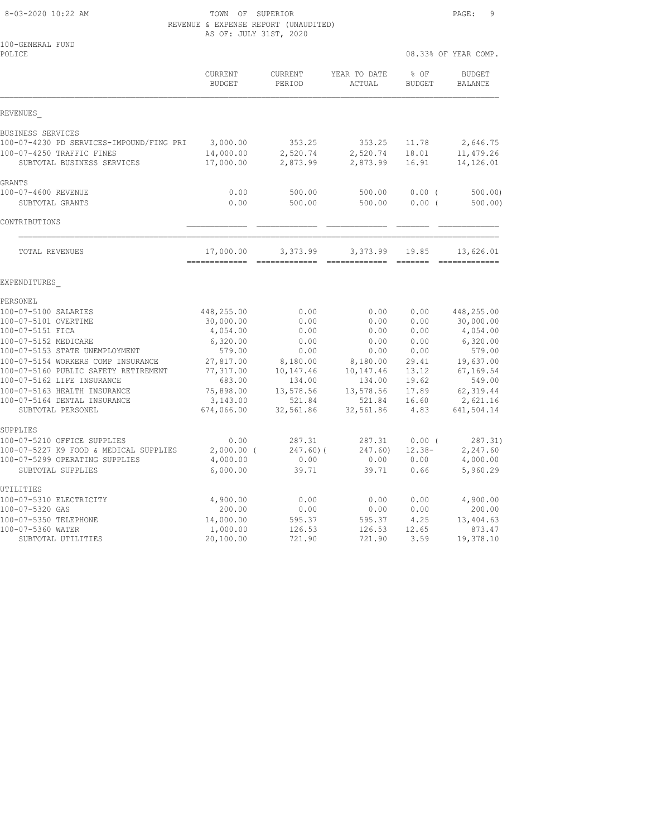8-03-2020 10:22 AM TOWN OF SUPERIOR PAGE: 9 REVENUE & EXPENSE REPORT (UNAUDITED) AS OF: JULY 31ST, 2020

| 100-GENERAL FUND<br>POLICE                                           |                                 |                                           |                        |                       | 08.33% OF YEAR COMP.            |
|----------------------------------------------------------------------|---------------------------------|-------------------------------------------|------------------------|-----------------------|---------------------------------|
|                                                                      | <b>CURRENT</b><br><b>BUDGET</b> | <b>CURRENT</b><br>PERIOD                  | YEAR TO DATE<br>ACTUAL | % OF<br><b>BUDGET</b> | <b>BUDGET</b><br><b>BALANCE</b> |
| REVENUES                                                             |                                 |                                           |                        |                       |                                 |
| BUSINESS SERVICES                                                    |                                 |                                           |                        |                       |                                 |
| 100-07-4230 PD SERVICES-IMPOUND/FING PRI                             | 3,000.00                        | 353.25                                    | 353.25                 | 11.78                 | 2,646.75                        |
| 100-07-4250 TRAFFIC FINES<br>SUBTOTAL BUSINESS SERVICES              | 14,000.00<br>17,000.00          | 2,520.74<br>2,873.99                      | 2,520.74<br>2,873.99   | 18.01<br>16.91        | 11,479.26<br>14,126.01          |
| GRANTS                                                               |                                 |                                           |                        |                       |                                 |
| 100-07-4600 REVENUE                                                  | 0.00                            | 500.00                                    | 500.00                 | 0.00(                 | 500.00                          |
| SUBTOTAL GRANTS                                                      | 0.00                            | 500.00                                    | 500.00                 | 0.00(                 | 500.00)                         |
| CONTRIBUTIONS                                                        |                                 |                                           |                        |                       |                                 |
| TOTAL REVENUES                                                       | 17,000.00                       | 3,373.99<br>-------------- -------------- | 3,373.99               | 19.85                 | 13,626.01<br>--------------     |
| EXPENDITURES                                                         |                                 |                                           |                        |                       |                                 |
| PERSONEL                                                             |                                 |                                           |                        |                       |                                 |
| 100-07-5100 SALARIES                                                 | 448,255.00                      | 0.00                                      | 0.00                   | 0.00                  | 448,255.00                      |
| 100-07-5101 OVERTIME                                                 | 30,000.00                       | 0.00                                      | 0.00                   | 0.00                  | 30,000.00                       |
| 100-07-5151 FICA                                                     | 4,054.00                        | 0.00                                      | 0.00                   | 0.00                  | 4,054.00                        |
| 100-07-5152 MEDICARE                                                 | 6,320.00                        | 0.00                                      | 0.00                   | 0.00                  | 6,320.00                        |
| 100-07-5153 STATE UNEMPLOYMENT<br>100-07-5154 WORKERS COMP INSURANCE | 579.00<br>27,817.00             | 0.00<br>8,180.00                          | 0.00<br>8,180.00       | 0.00<br>29.41         | 579.00<br>19,637.00             |
| 100-07-5160 PUBLIC SAFETY RETIREMENT                                 | 77,317.00                       | 10,147.46                                 | 10,147.46              | 13.12                 | 67, 169.54                      |
| 100-07-5162 LIFE INSURANCE                                           | 683.00                          | 134.00                                    | 134.00                 | 19.62                 | 549.00                          |
| 100-07-5163 HEALTH INSURANCE                                         | 75,898.00                       | 13,578.56                                 | 13,578.56              | 17.89                 | 62, 319.44                      |
| 100-07-5164 DENTAL INSURANCE                                         | 3,143.00                        | 521.84                                    | 521.84                 | 16.60                 | 2,621.16                        |
| SUBTOTAL PERSONEL                                                    | 674,066.00                      | 32,561.86                                 | 32,561.86              | 4.83                  | 641,504.14                      |
| SUPPLIES                                                             |                                 |                                           |                        |                       |                                 |
| 100-07-5210 OFFICE SUPPLIES                                          | 0.00                            | 287.31                                    | 287.31                 | 0.00(                 | 287.31)                         |
| 100-07-5227 K9 FOOD & MEDICAL SUPPLIES                               | $2,000.00$ (                    | $247.60$ ) (                              | 247.60)                | $12.38 -$             | 2,247.60                        |
| 100-07-5299 OPERATING SUPPLIES                                       | 4,000.00                        | 0.00                                      | 0.00                   | 0.00                  | 4,000.00                        |
| SUBTOTAL SUPPLIES                                                    | 6,000.00                        | 39.71                                     | 39.71                  | 0.66                  | 5,960.29                        |
| UTILITIES                                                            |                                 |                                           |                        |                       |                                 |
| 100-07-5310 ELECTRICITY                                              | 4,900.00                        | 0.00                                      | 0.00                   | 0.00                  | 4,900.00                        |
| 100-07-5320 GAS                                                      | 200.00                          | 0.00                                      | 0.00                   | 0.00                  | 200.00                          |
| 100-07-5350 TELEPHONE<br>100-07-5360 WATER                           | 14,000.00<br>1,000.00           | 595.37<br>126.53                          | 595.37<br>126.53       | 4.25<br>12.65         | 13,404.63<br>873.47             |
| SUBTOTAL UTILITIES                                                   | 20,100.00                       | 721.90                                    | 721.90                 | 3.59                  | 19,378.10                       |
|                                                                      |                                 |                                           |                        |                       |                                 |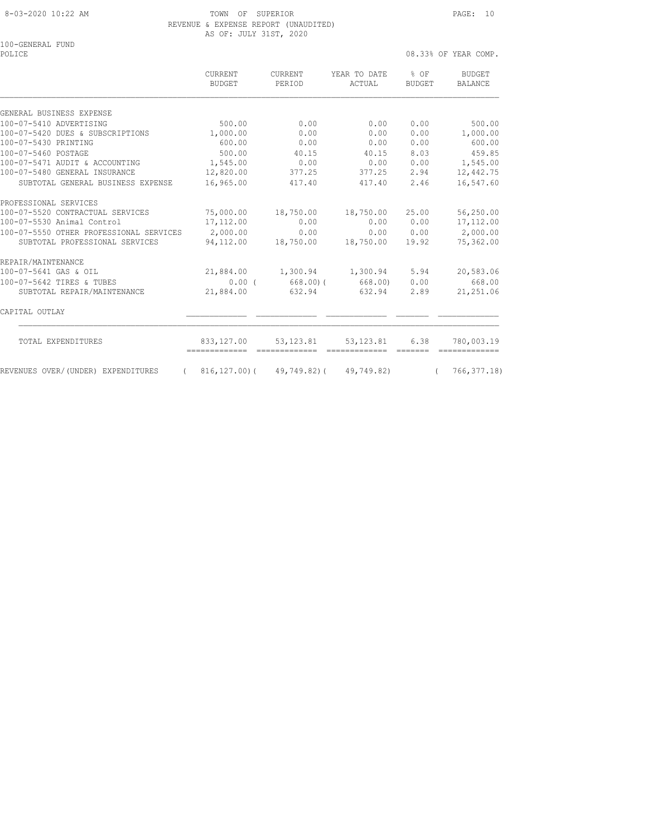### 8-03-2020 10:22 AM TOWN OF SUPERIOR PAGE: 10 REVENUE & EXPENSE REPORT (UNAUDITED) AS OF: JULY 31ST, 2020

100-GENERAL FUND POLICE 08.33% OF YEAR COMP.

 CURRENT CURRENT YEAR TO DATE % OF BUDGET BUDGET PERIOD ACTUAL BUDGET BALANCE GENERAL BUSINESS EXPENSE 100-07-5410 ADVERTISING 500.00 0.00 0.00 0.00 500.00 100-07-5420 DUES & SUBSCRIPTIONS 1,000.00 0.00 0.00 0.00 1,000.00 100-07-5430 PRINTING 600.00 0.00 0.00 0.00 600.00 100-07-5460 POSTAGE 500.00 40.15 40.15 8.03 459.85 100-07-5471 AUDIT & ACCOUNTING 1,545.00 0.00 0.00 0.00 1,545.00 100-07-5480 GENERAL INSURANCE 12,820.00 377.25 377.25 2.94 12,442.75 SUBTOTAL GENERAL BUSINESS EXPENSE 16,965.00 417.40 417.40 2.46 16,547.60 PROFESSIONAL SERVICES<br>100-07-5520 CONTRACTUAL SERVICES 100-07-5520 CONTRACTUAL SERVICES 75,000.00 18,750.00 18,750.00 25.00 56,250.00 100-07-5530 Animal Control 17,112.00 0.00 0.00 0.00 17,112.00 100-07-5550 OTHER PROFESSIONAL SERVICES 2,000.00 0.00 0.00 0.00 2,000.00 SUBTOTAL PROFESSIONAL SERVICES 94,112.00 18,750.00 18,750.00 19.92 75,362.00 REPAIR/MAINTENANCE 100-07-5641 GAS & OIL 21,884.00 1,300.94 1,300.94 5.94 20,583.06 100-07-5642 TIRES & TUBES 0.00 ( 668.00)( 668.00) 0.00 668.00 SUBTOTAL REPAIR/MAINTENANCE 21,884.00 632.94 632.94 2.89 21,251.06 CAPITAL OUTLAY \_\_\_\_\_\_\_\_\_\_\_\_\_ \_\_\_\_\_\_\_\_\_\_\_\_\_ \_\_\_\_\_\_\_\_\_\_\_\_\_ \_\_\_\_\_\_\_ \_\_\_\_\_\_\_\_\_\_\_\_\_

| TOTAL EXPENDITURES                 | 833,127.00   | 53,123.81   | 53,123.81  | 6.38 | 780,003.19  |
|------------------------------------|--------------|-------------|------------|------|-------------|
| REVENUES OVER/(UNDER) EXPENDITURES | 816,127,00)( | 49,749,82)( | 49,749.82) |      | 766,377.18) |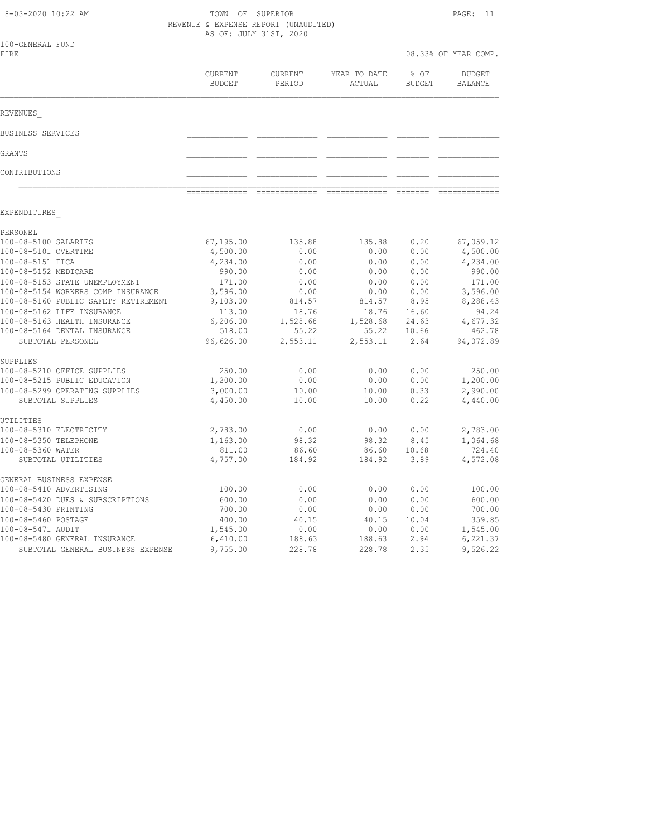|                          | AS OF: JULY 31ST, 2020                                                                                                                          |                                                                                                   |                                                                                                   |                                                                                           |
|--------------------------|-------------------------------------------------------------------------------------------------------------------------------------------------|---------------------------------------------------------------------------------------------------|---------------------------------------------------------------------------------------------------|-------------------------------------------------------------------------------------------|
|                          |                                                                                                                                                 |                                                                                                   |                                                                                                   | 08.33% OF YEAR COMP.                                                                      |
| CURRENT<br><b>BUDGET</b> | CURRENT<br>PERIOD                                                                                                                               | YEAR TO DATE<br>ACTUAL                                                                            | % OF<br><b>BUDGET</b>                                                                             | <b>BUDGET</b><br>BALANCE                                                                  |
|                          |                                                                                                                                                 |                                                                                                   |                                                                                                   |                                                                                           |
|                          |                                                                                                                                                 |                                                                                                   |                                                                                                   |                                                                                           |
|                          |                                                                                                                                                 |                                                                                                   |                                                                                                   |                                                                                           |
|                          |                                                                                                                                                 |                                                                                                   |                                                                                                   |                                                                                           |
| -------------            |                                                                                                                                                 |                                                                                                   |                                                                                                   | -------------                                                                             |
|                          |                                                                                                                                                 |                                                                                                   |                                                                                                   |                                                                                           |
|                          | 135.88                                                                                                                                          | 135.88                                                                                            | 0.20                                                                                              | 67,059.12                                                                                 |
|                          | 0.00                                                                                                                                            | 0.00                                                                                              | 0.00                                                                                              | 4,500.00                                                                                  |
| 4,234.00                 | 0.00                                                                                                                                            | 0.00                                                                                              | 0.00                                                                                              | 4,234.00                                                                                  |
| 990.00                   | 0.00                                                                                                                                            | 0.00                                                                                              | 0.00                                                                                              | 990.00                                                                                    |
| 171.00                   | 0.00                                                                                                                                            | 0.00                                                                                              | 0.00                                                                                              | 171.00                                                                                    |
| 3,596.00                 | 0.00                                                                                                                                            | 0.00                                                                                              | 0.00                                                                                              | 3,596.00                                                                                  |
|                          |                                                                                                                                                 |                                                                                                   |                                                                                                   | 8,288.43                                                                                  |
|                          |                                                                                                                                                 |                                                                                                   |                                                                                                   | 94.24                                                                                     |
|                          |                                                                                                                                                 |                                                                                                   |                                                                                                   | 4,677.32<br>462.78                                                                        |
| 96,626.00                | 2,553.11                                                                                                                                        | 2,553.11                                                                                          | 2.64                                                                                              | 94,072.89                                                                                 |
|                          |                                                                                                                                                 |                                                                                                   |                                                                                                   |                                                                                           |
| 250.00                   | 0.00                                                                                                                                            | 0.00                                                                                              | 0.00                                                                                              | 250.00                                                                                    |
| 1,200.00                 | 0.00                                                                                                                                            | 0.00                                                                                              | 0.00                                                                                              | 1,200.00                                                                                  |
| 3,000.00                 | 10.00                                                                                                                                           | 10.00                                                                                             | 0.33                                                                                              | 2,990.00                                                                                  |
| 4,450.00                 | 10.00                                                                                                                                           | 10.00                                                                                             | 0.22                                                                                              | 4,440.00                                                                                  |
|                          |                                                                                                                                                 |                                                                                                   |                                                                                                   |                                                                                           |
|                          |                                                                                                                                                 |                                                                                                   |                                                                                                   | 2,783.00<br>1,064.68                                                                      |
|                          |                                                                                                                                                 |                                                                                                   |                                                                                                   | 724.40                                                                                    |
| 4,757.00                 | 184.92                                                                                                                                          | 184.92                                                                                            | 3.89                                                                                              | 4,572.08                                                                                  |
|                          |                                                                                                                                                 |                                                                                                   |                                                                                                   |                                                                                           |
| 100.00                   | 0.00                                                                                                                                            | 0.00                                                                                              | 0.00                                                                                              | 100.00                                                                                    |
| 600.00                   | 0.00                                                                                                                                            | 0.00                                                                                              | 0.00                                                                                              | 600.00                                                                                    |
|                          |                                                                                                                                                 |                                                                                                   |                                                                                                   | 700.00                                                                                    |
|                          |                                                                                                                                                 |                                                                                                   |                                                                                                   | 359.85                                                                                    |
|                          |                                                                                                                                                 |                                                                                                   |                                                                                                   | 1,545.00                                                                                  |
|                          |                                                                                                                                                 |                                                                                                   |                                                                                                   | 6,221.37                                                                                  |
|                          | 67,195.00<br>4,500.00<br>9,103.00<br>113.00<br>6,206.00<br>518.00<br>2,783.00<br>1,163.00<br>811.00<br>700.00<br>400.00<br>1,545.00<br>6,410.00 | 814.57<br>18.76<br>1,528.68<br>55.22<br>0.00<br>98.32<br>86.60<br>0.00<br>40.15<br>0.00<br>188.63 | 814.57<br>18.76<br>1,528.68<br>55.22<br>0.00<br>98.32<br>86.60<br>0.00<br>40.15<br>0.00<br>188.63 | 8.95<br>16.60<br>24.63<br>10.66<br>0.00<br>8.45<br>10.68<br>0.00<br>10.04<br>0.00<br>2.94 |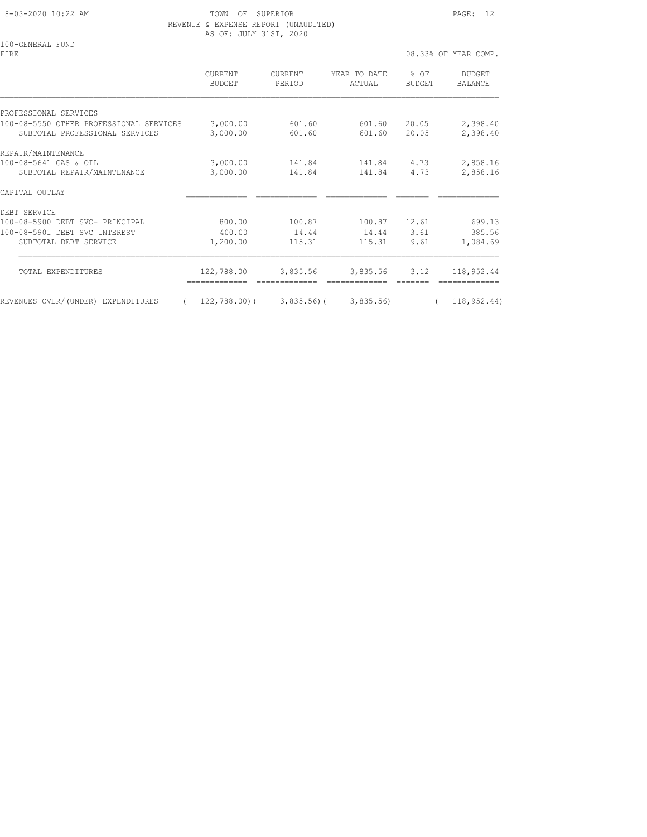8-03-2020 10:22 AM TOWN OF SUPERIOR PAGE: 12 REVENUE & EXPENSE REPORT (UNAUDITED) AS OF: JULY 31ST, 2020

100-GENERAL FUND<br>FIRE

FIRE  $08.33\%$  OF YEAR COMP.

|                                                                           | CURRENT<br><b>BUDGET</b> | CURRENT<br>PERIOD | YEAR TO DATE<br>ACTUAL | % OF<br><b>BUDGET</b> | BUDGET<br><b>BALANCE</b> |
|---------------------------------------------------------------------------|--------------------------|-------------------|------------------------|-----------------------|--------------------------|
| PROFESSIONAL SERVICES                                                     |                          |                   |                        |                       |                          |
| 100-08-5550 OTHER PROFESSIONAL SERVICES<br>SUBTOTAL PROFESSIONAL SERVICES | 3,000.00<br>3,000.00     | 601.60<br>601.60  | 601.60<br>601.60       | 20.05<br>20.05        | 2,398.40<br>2,398.40     |
| REPAIR/MAINTENANCE                                                        |                          |                   |                        |                       |                          |
| 100-08-5641 GAS & OIL<br>SUBTOTAL REPAIR/MAINTENANCE                      | 3,000.00<br>3,000.00     | 141.84<br>141.84  | 141.84<br>141.84       | 4.73<br>4.73          | 2,858.16<br>2,858.16     |
| CAPITAL OUTLAY                                                            |                          |                   |                        |                       |                          |
| DEBT SERVICE                                                              |                          |                   |                        |                       |                          |
| 100-08-5900 DEBT SVC- PRINCIPAL                                           | 800.00                   | 100.87            | 100.87                 | 12.61                 | 699.13                   |
| 100-08-5901 DEBT SVC INTEREST                                             | 400.00                   | 14.44             | 14.44                  | 3.61                  | 385.56                   |
| SUBTOTAL DEBT SERVICE                                                     | 1,200.00                 | 115.31            | 115.31                 | 9.61                  | 1,084.69                 |
| TOTAL EXPENDITURES                                                        | 122,788.00               | 3,835.56          | 3,835.56 3.12          |                       | 118,952.44               |
| REVENUES OVER/(UNDER) EXPENDITURES                                        | 122,788.00)(             | $3,835.56$ )(     | 3,835.56               | $\left($              | 118, 952.44)             |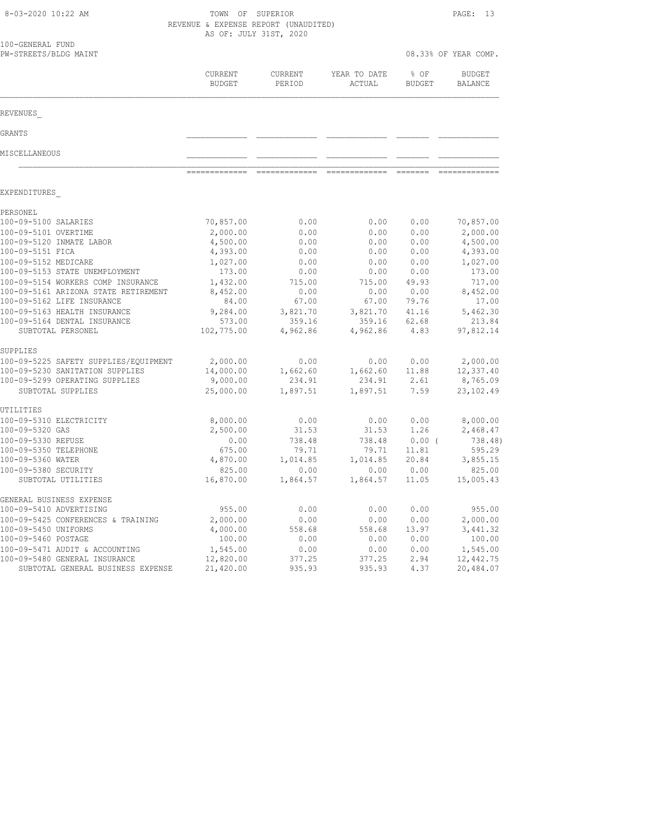| 8-03-2020 10:22 AM                                                | TOWN OF SUPERIOR<br>REVENUE & EXPENSE REPORT (UNAUDITED) | AS OF: JULY 31ST, 2020   |                        |                       | PAGE:<br>-13             |
|-------------------------------------------------------------------|----------------------------------------------------------|--------------------------|------------------------|-----------------------|--------------------------|
| 100-GENERAL FUND<br>PW-STREETS/BLDG MAINT                         |                                                          |                          |                        |                       | 08.33% OF YEAR COMP.     |
|                                                                   | CURRENT<br><b>BUDGET</b>                                 | <b>CURRENT</b><br>PERIOD | YEAR TO DATE<br>ACTUAL | % OF<br><b>BUDGET</b> | <b>BUDGET</b><br>BALANCE |
| REVENUES                                                          |                                                          |                          |                        |                       |                          |
| GRANTS                                                            |                                                          |                          |                        |                       |                          |
| MISCELLANEOUS                                                     |                                                          |                          |                        |                       |                          |
|                                                                   |                                                          |                          |                        |                       |                          |
| EXPENDITURES                                                      |                                                          |                          |                        |                       |                          |
| PERSONEL                                                          |                                                          |                          |                        |                       |                          |
| 100-09-5100 SALARIES                                              | 70,857.00                                                | 0.00                     | 0.00                   | 0.00                  | 70,857.00                |
| 100-09-5101 OVERTIME                                              | 2,000.00                                                 | 0.00                     | 0.00                   | 0.00                  | 2,000.00                 |
| 100-09-5120 INMATE LABOR<br>100-09-5151 FICA                      | 4,500.00                                                 | 0.00                     | 0.00                   | 0.00                  | 4,500.00                 |
| 100-09-5152 MEDICARE                                              | 4,393.00<br>1,027.00                                     | 0.00<br>0.00             | 0.00<br>0.00           | 0.00<br>0.00          | 4,393.00<br>1,027.00     |
| 100-09-5153 STATE UNEMPLOYMENT                                    | 173.00                                                   | 0.00                     | 0.00                   | 0.00                  | 173.00                   |
| 100-09-5154 WORKERS COMP INSURANCE                                | 1,432.00                                                 | 715.00                   | 715.00                 | 49.93                 | 717.00                   |
| 100-09-5161 ARIZONA STATE RETIREMENT                              | 8,452.00                                                 | 0.00                     | 0.00                   | 0.00                  | 8,452.00                 |
| 100-09-5162 LIFE INSURANCE                                        | 84.00                                                    | 67.00                    | 67.00                  | 79.76                 | 17.00                    |
| 100-09-5163 HEALTH INSURANCE                                      | 9,284.00                                                 | 3,821.70                 | 3,821.70               | 41.16                 | 5,462.30                 |
| 100-09-5164 DENTAL INSURANCE                                      | 573.00                                                   | 359.16                   | 359.16                 | 62.68                 | 213.84                   |
| SUBTOTAL PERSONEL                                                 | 102,775.00                                               | 4,962.86                 | 4,962.86               | 4.83                  | 97,812.14                |
| SUPPLIES                                                          |                                                          |                          |                        |                       |                          |
| 100-09-5225 SAFETY SUPPLIES/EQUIPMENT                             | 2,000.00                                                 | 0.00                     | 0.00                   | 0.00                  | 2,000.00                 |
| 100-09-5230 SANITATION SUPPLIES<br>100-09-5299 OPERATING SUPPLIES | 14,000.00<br>9,000.00                                    | 1,662.60<br>234.91       | 1,662.60<br>234.91     | 11.88<br>2.61         | 12,337.40<br>8,765.09    |
| SUBTOTAL SUPPLIES                                                 | 25,000.00                                                | 1,897.51                 | 1,897.51               | 7.59                  | 23, 102.49               |
|                                                                   |                                                          |                          |                        |                       |                          |
| UTILITIES                                                         |                                                          |                          |                        |                       |                          |
| 100-09-5310 ELECTRICITY<br>100-09-5320 GAS                        | 8,000.00<br>2,500.00                                     | 0.00<br>31.53            | 0.00                   | 0.00<br>1.26          | 8,000.00                 |
| 100-09-5330 REFUSE                                                | 0.00                                                     | 738.48                   | 31.53<br>738.48        | $0.00$ (              | 2,468.47<br>738.48)      |
| 100-09-5350 TELEPHONE                                             | 675.00                                                   | 79.71                    | 79.71                  | 11.81                 | 595.29                   |
| 100-09-5360 WATER                                                 | 4,870.00                                                 | 1,014.85                 | 1,014.85               | 20.84                 | 3,855.15                 |
| 100-09-5380 SECURITY                                              | 825.00                                                   | 0.00                     | 0.00                   | 0.00                  | 825.00                   |
| SUBTOTAL UTILITIES                                                | 16,870.00                                                | 1,864.57                 | 1,864.57               | 11.05                 | 15,005.43                |
| GENERAL BUSINESS EXPENSE                                          |                                                          |                          |                        |                       |                          |
| 100-09-5410 ADVERTISING                                           | 955.00                                                   | 0.00                     | 0.00                   | 0.00                  | 955.00                   |
| 100-09-5425 CONFERENCES & TRAINING                                | 2,000.00                                                 | 0.00                     | 0.00                   | 0.00                  | 2,000.00                 |
| 100-09-5450 UNIFORMS<br>100-09-5460 POSTAGE                       | 4,000.00                                                 | 558.68                   | 558.68<br>0.00         | 13.97                 | 3, 441.32                |
| 100-09-5471 AUDIT & ACCOUNTING                                    | 100.00<br>1,545.00                                       | 0.00<br>0.00             | 0.00                   | 0.00<br>0.00          | 100.00<br>1,545.00       |
| 100-09-5480 GENERAL INSURANCE                                     | 12,820.00                                                | 377.25                   | 377.25                 | 2.94                  | 12,442.75                |
| SUBTOTAL GENERAL BUSINESS EXPENSE                                 | 21,420.00                                                | 935.93                   | 935.93                 | 4.37                  | 20,484.07                |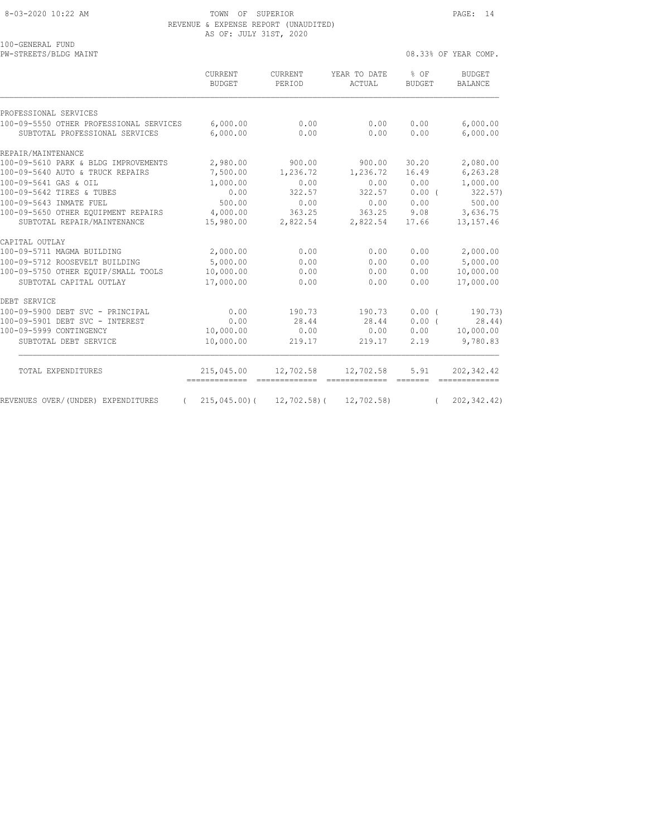8-03-2020 10:22 AM TOWN OF SUPERIOR PAGE: 14 REVENUE & EXPENSE REPORT (UNAUDITED) AS OF: JULY 31ST, 2020

100-GENERAL FUND<br>PW-STREETS/BLDG MAINT 08.33% OF YEAR COMP.

|                                                                           | CURRENT<br><b>BUDGET</b> | CURRENT<br>PERIOD | YEAR TO DATE<br>ACTUAL  | % OF<br><b>BUDGET</b> | <b>BUDGET</b><br><b>BALANCE</b> |
|---------------------------------------------------------------------------|--------------------------|-------------------|-------------------------|-----------------------|---------------------------------|
| PROFESSIONAL SERVICES                                                     |                          |                   |                         |                       |                                 |
| 100-09-5550 OTHER PROFESSIONAL SERVICES<br>SUBTOTAL PROFESSIONAL SERVICES | 6,000.00<br>6,000.00     | 0.00<br>0.00      | 0.00<br>0.00            | 0.00<br>0.00          | 6,000.00<br>6,000.00            |
| REPAIR/MAINTENANCE                                                        |                          |                   |                         |                       |                                 |
| 100-09-5610 PARK & BLDG IMPROVEMENTS                                      | 2,980.00                 | 900.00            | 900.00                  | 30.20                 | 2,080.00                        |
| 100-09-5640 AUTO & TRUCK REPAIRS                                          | 7,500.00                 | 1,236.72          | 1,236.72                | 16.49                 | 6,263.28                        |
| 100-09-5641 GAS & OIL                                                     | 1,000.00                 | 0.00              | 0.00                    | 0.00                  | 1,000.00                        |
| 100-09-5642 TIRES & TUBES                                                 | 0.00                     | 322.57            | 322.57                  | 0.00(                 | 322.57)                         |
| 100-09-5643 INMATE FUEL                                                   | 500.00                   | 0.00              | 0.00                    | 0.00                  | 500.00                          |
| 100-09-5650 OTHER EOUIPMENT REPAIRS                                       | 4,000.00                 | 363.25            | 363.25                  | 9.08                  | 3,636.75                        |
| SUBTOTAL REPAIR/MAINTENANCE                                               | 15,980.00                | 2,822.54          | 2,822.54                | 17.66                 | 13, 157.46                      |
| CAPITAL OUTLAY                                                            |                          |                   |                         |                       |                                 |
| 100-09-5711 MAGMA BUILDING                                                | 2,000.00                 | 0.00              | 0.00                    | 0.00                  | 2,000.00                        |
| 100-09-5712 ROOSEVELT BUILDING                                            | 5,000.00                 | 0.00              | 0.00                    | 0.00                  | 5,000.00                        |
| 100-09-5750 OTHER EOUIP/SMALL TOOLS                                       | 10,000.00                | 0.00              | 0.00                    | 0.00                  | 10,000.00                       |
| SUBTOTAL CAPITAL OUTLAY                                                   | 17,000.00                | 0.00              | 0.00                    | 0.00                  | 17,000.00                       |
| DEBT SERVICE                                                              |                          |                   |                         |                       |                                 |
| 100-09-5900 DEBT SVC - PRINCIPAL                                          | 0.00                     | 190.73            | 190.73                  | 0.00(                 | 190.73)                         |
| 100-09-5901 DEBT SVC - INTEREST                                           | 0.00                     | 28.44             | 28.44                   | 0.00(                 | 28.44)                          |
| 100-09-5999 CONTINGENCY                                                   | 10,000.00                | 0.00              | 0.00                    | 0.00                  | 10,000.00                       |
| SUBTOTAL DEBT SERVICE                                                     | 10,000.00                | 219.17            | 219.17                  | 2.19                  | 9,780.83                        |
| TOTAL EXPENDITURES                                                        | 215,045.00               | 12,702.58         | 12,702.58               | 5.91                  | 202,342.42                      |
| REVENUES OVER/(UNDER) EXPENDITURES                                        | $215,045,00$ ) (         |                   | 12,702.58) ( 12,702.58) |                       | 202, 342.42)                    |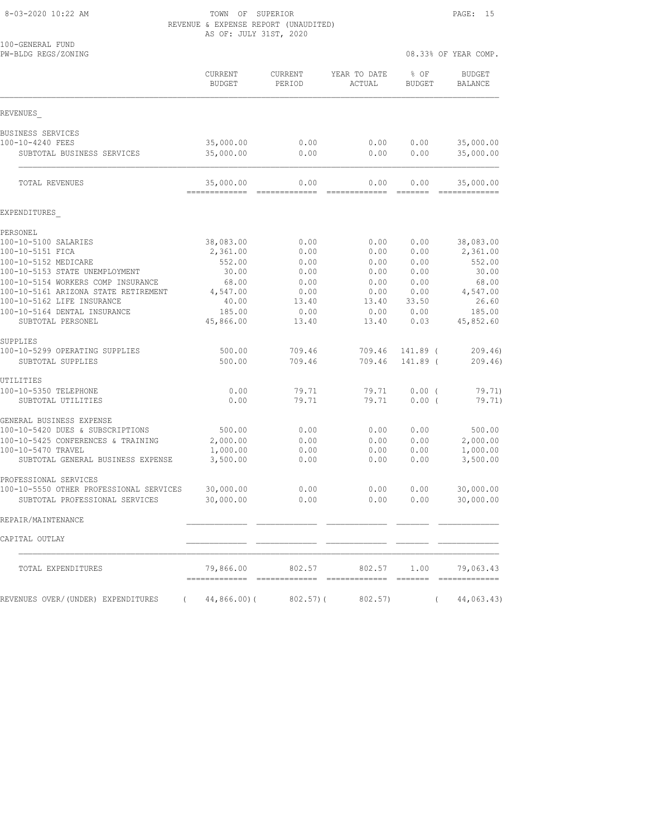8-03-2020 10:22 AM TOWN OF SUPERIOR PAGE: 15 REVENUE & EXPENSE REPORT (UNAUDITED) AS OF: JULY 31ST, 2020

| 100-GENERAL FUND<br>PW-BLDG REGS/ZONING                          |                                 |                   |                        | 08.33% OF YEAR COMP.  |                                 |  |  |
|------------------------------------------------------------------|---------------------------------|-------------------|------------------------|-----------------------|---------------------------------|--|--|
|                                                                  | <b>CURRENT</b><br><b>BUDGET</b> | CURRENT<br>PERIOD | YEAR TO DATE<br>ACTUAL | % OF<br><b>BUDGET</b> | <b>BUDGET</b><br><b>BALANCE</b> |  |  |
| REVENUES                                                         |                                 |                   |                        |                       |                                 |  |  |
| BUSINESS SERVICES                                                |                                 |                   |                        |                       |                                 |  |  |
| 100-10-4240 FEES<br>SUBTOTAL BUSINESS SERVICES                   | 35,000.00<br>35,000.00          | 0.00<br>0.00      | 0.00<br>0.00           | 0.00<br>0.00          | 35,000.00<br>35,000.00          |  |  |
| TOTAL REVENUES                                                   | 35,000.00<br>-------------      | 0.00<br>--------- | 0.00<br>sssssssss      | 0.00                  | 35,000.00                       |  |  |
| EXPENDITURES                                                     |                                 |                   |                        |                       |                                 |  |  |
| PERSONEL                                                         |                                 |                   |                        |                       |                                 |  |  |
| 100-10-5100 SALARIES                                             | 38,083.00                       | 0.00              | 0.00                   | 0.00                  | 38,083.00                       |  |  |
| 100-10-5151 FICA                                                 | 2,361.00                        | 0.00              | 0.00                   | 0.00                  | 2,361.00                        |  |  |
| 100-10-5152 MEDICARE<br>100-10-5153 STATE UNEMPLOYMENT           | 552.00<br>30.00                 | 0.00<br>0.00      | 0.00<br>0.00           | 0.00<br>0.00          | 552.00<br>30.00                 |  |  |
| 100-10-5154 WORKERS COMP INSURANCE                               | 68.00                           | 0.00              | 0.00                   | 0.00                  | 68.00                           |  |  |
| 100-10-5161 ARIZONA STATE RETIREMENT                             | 4,547.00                        | 0.00              | 0.00                   | 0.00                  | 4,547.00                        |  |  |
| 100-10-5162 LIFE INSURANCE                                       | 40.00                           | 13.40             | 13.40                  | 33.50                 | 26.60                           |  |  |
| 100-10-5164 DENTAL INSURANCE<br>SUBTOTAL PERSONEL                | 185.00<br>45,866.00             | 0.00<br>13.40     | 0.00<br>13.40          | 0.00<br>0.03          | 185.00<br>45,852.60             |  |  |
| SUPPLIES                                                         |                                 |                   |                        |                       |                                 |  |  |
| 100-10-5299 OPERATING SUPPLIES                                   | 500.00                          | 709.46            | 709.46                 | 141.89 (              | 209.46                          |  |  |
| SUBTOTAL SUPPLIES                                                | 500.00                          | 709.46            | 709.46                 | 141.89 (              | 209.46                          |  |  |
| UTILITIES                                                        |                                 |                   |                        |                       |                                 |  |  |
| 100-10-5350 TELEPHONE<br>SUBTOTAL UTILITIES                      | 0.00<br>0.00                    | 79.71<br>79.71    | 79.71<br>79.71         | $0.00$ (<br>0.00(     | 79.71)<br>79.71)                |  |  |
| GENERAL BUSINESS EXPENSE                                         |                                 |                   |                        |                       |                                 |  |  |
| 100-10-5420 DUES & SUBSCRIPTIONS                                 | 500.00                          | 0.00              | 0.00                   | 0.00                  | 500.00                          |  |  |
| 100-10-5425 CONFERENCES & TRAINING                               | 2,000.00                        | 0.00              | 0.00                   | 0.00                  | 2,000.00                        |  |  |
| 100-10-5470 TRAVEL<br>SUBTOTAL GENERAL BUSINESS EXPENSE          | 1,000.00<br>3,500.00            | 0.00<br>0.00      | 0.00<br>0.00           | 0.00<br>0.00          | 1,000.00<br>3,500.00            |  |  |
|                                                                  |                                 |                   |                        |                       |                                 |  |  |
| PROFESSIONAL SERVICES<br>100-10-5550 OTHER PROFESSIONAL SERVICES | 30,000.00                       | 0.00              | 0.00                   | 0.00                  | 30,000.00                       |  |  |
| SUBTOTAL PROFESSIONAL SERVICES                                   | 30,000.00                       | 0.00              | 0.00                   | 0.00                  | 30,000.00                       |  |  |
| REPAIR/MAINTENANCE                                               |                                 |                   |                        |                       |                                 |  |  |
| CAPITAL OUTLAY                                                   |                                 |                   |                        |                       |                                 |  |  |
| TOTAL EXPENDITURES                                               | 79,866.00                       | 802.57            | 802.57                 | 1.00                  | 79,063.43                       |  |  |
| REVENUES OVER/(UNDER) EXPENDITURES<br>$\sqrt{2}$                 | $44,866.00$ (                   | 802.57)(          | 802.57)                | $\left($              | 44,063.43)                      |  |  |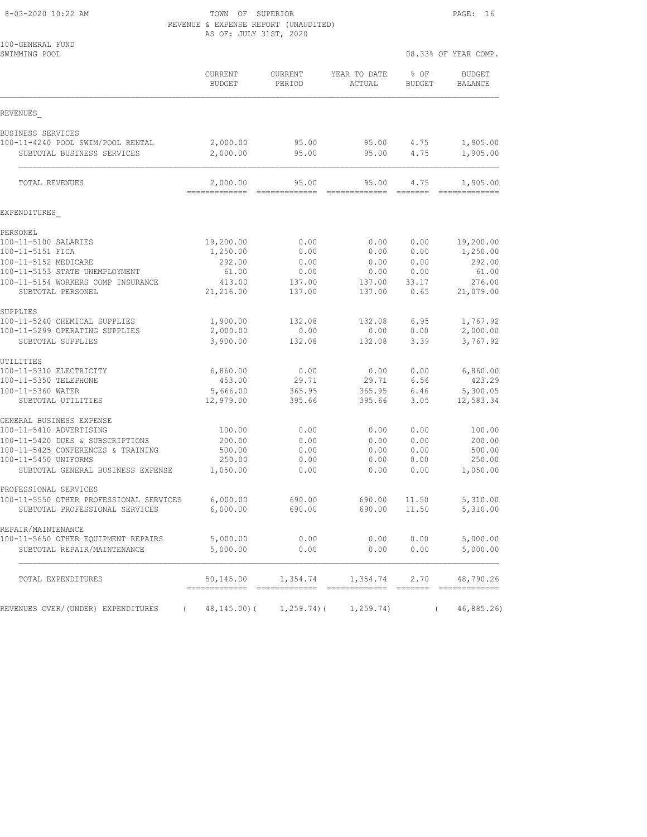#### 8-03-2020 10:22 AM TOWN OF SUPERIOR PAGE: 16 REVENUE & EXPENSE REPORT (UNAUDITED) AS OF: JULY 31ST, 2020

| 100-GENERAL FUND<br>SWIMMING POOL                                    |                            |                   |                         | 08.33% OF YEAR COMP.            |                                 |  |
|----------------------------------------------------------------------|----------------------------|-------------------|-------------------------|---------------------------------|---------------------------------|--|
|                                                                      | CURRENT<br><b>BUDGET</b>   | CURRENT<br>PERIOD | YEAR TO DATE<br>ACTUAL  | % OF<br><b>BUDGET</b>           | <b>BUDGET</b><br><b>BALANCE</b> |  |
| REVENUES                                                             |                            |                   |                         |                                 |                                 |  |
| BUSINESS SERVICES                                                    |                            |                   |                         |                                 |                                 |  |
| 100-11-4240 POOL SWIM/POOL RENTAL<br>SUBTOTAL BUSINESS SERVICES      | 2,000.00<br>2,000.00       | 95.00<br>95.00    | 95.00<br>95.00          | 4.75<br>4.75                    | 1,905.00<br>1,905.00            |  |
|                                                                      |                            |                   |                         |                                 |                                 |  |
| TOTAL REVENUES                                                       | 2,000.00<br>-------------- | 95.00             | 95.00<br>-------------- | 4.75<br>$=$ $=$ $=$ $=$ $=$ $=$ | 1,905.00<br>=============       |  |
| EXPENDITURES                                                         |                            |                   |                         |                                 |                                 |  |
| PERSONEL                                                             |                            |                   |                         |                                 |                                 |  |
| 100-11-5100 SALARIES                                                 | 19,200.00                  | 0.00              | 0.00                    | 0.00                            | 19,200.00                       |  |
| 100-11-5151 FICA                                                     | 1,250.00                   | 0.00              | 0.00                    | 0.00                            | 1,250.00                        |  |
| 100-11-5152 MEDICARE                                                 | 292.00                     | 0.00              | 0.00                    | 0.00                            | 292.00                          |  |
| 100-11-5153 STATE UNEMPLOYMENT<br>100-11-5154 WORKERS COMP INSURANCE | 61.00<br>413.00            | 0.00<br>137.00    | 0.00<br>137.00          | 0.00<br>33.17                   | 61.00<br>276.00                 |  |
| SUBTOTAL PERSONEL                                                    | 21,216.00                  | 137.00            | 137.00                  | 0.65                            | 21,079.00                       |  |
| SUPPLIES                                                             |                            |                   |                         |                                 |                                 |  |
| 100-11-5240 CHEMICAL SUPPLIES                                        | 1,900.00                   | 132.08            | 132.08                  | 6.95                            | 1,767.92                        |  |
| 100-11-5299 OPERATING SUPPLIES<br>SUBTOTAL SUPPLIES                  | 2,000.00<br>3,900.00       | 0.00<br>132.08    | 0.00<br>132.08          | 0.00<br>3.39                    | 2,000.00<br>3,767.92            |  |
| UTILITIES                                                            |                            |                   |                         |                                 |                                 |  |
| 100-11-5310 ELECTRICITY                                              | 6,860.00                   | 0.00              | 0.00                    | 0.00                            | 6,860.00                        |  |
| 100-11-5350 TELEPHONE                                                | 453.00                     | 29.71             | 29.71                   | 6.56                            | 423.29                          |  |
| 100-11-5360 WATER<br>SUBTOTAL UTILITIES                              | 5,666.00<br>12,979.00      | 365.95<br>395.66  | 365.95<br>395.66        | 6.46<br>3.05                    | 5,300.05<br>12,583.34           |  |
| GENERAL BUSINESS EXPENSE                                             |                            |                   |                         |                                 |                                 |  |
| 100-11-5410 ADVERTISING                                              | 100.00                     | 0.00              | 0.00                    | 0.00                            | 100.00                          |  |
| 100-11-5420 DUES & SUBSCRIPTIONS                                     | 200.00                     | 0.00              | 0.00                    | 0.00                            | 200.00                          |  |
| 100-11-5425 CONFERENCES & TRAINING                                   | 500.00                     | 0.00              | 0.00                    | 0.00                            | 500.00                          |  |
| 100-11-5450 UNIFORMS<br>SUBTOTAL GENERAL BUSINESS EXPENSE            | 250.00<br>1,050.00         | 0.00<br>0.00      | 0.00<br>0.00            | 0.00<br>0.00                    | 250.00<br>1,050.00              |  |
| PROFESSIONAL SERVICES                                                |                            |                   |                         |                                 |                                 |  |
| 100-11-5550 OTHER PROFESSIONAL SERVICES                              | 6,000.00                   | 690.00            | 690.00                  | 11.50                           | 5,310.00                        |  |
| SUBTOTAL PROFESSIONAL SERVICES                                       | 6,000.00                   | 690.00            | 690.00                  | 11.50                           | 5,310.00                        |  |
| REPAIR/MAINTENANCE                                                   |                            |                   |                         |                                 |                                 |  |
| 100-11-5650 OTHER EQUIPMENT REPAIRS                                  | 5,000.00                   | 0.00              | 0.00                    | 0.00                            | 5,000.00                        |  |
| SUBTOTAL REPAIR/MAINTENANCE                                          | 5,000.00                   | 0.00              | 0.00                    | 0.00                            | 5,000.00                        |  |
| TOTAL EXPENDITURES                                                   | 50,145.00                  | 1,354.74          | 1,354.74                | 2.70                            | 48,790.26                       |  |
| REVENUES OVER/(UNDER) EXPENDITURES<br>$\left($                       | 48,145.00)(                | 1,259.74) (       | 1, 259.74)              | $\left($                        | 46,885.26)                      |  |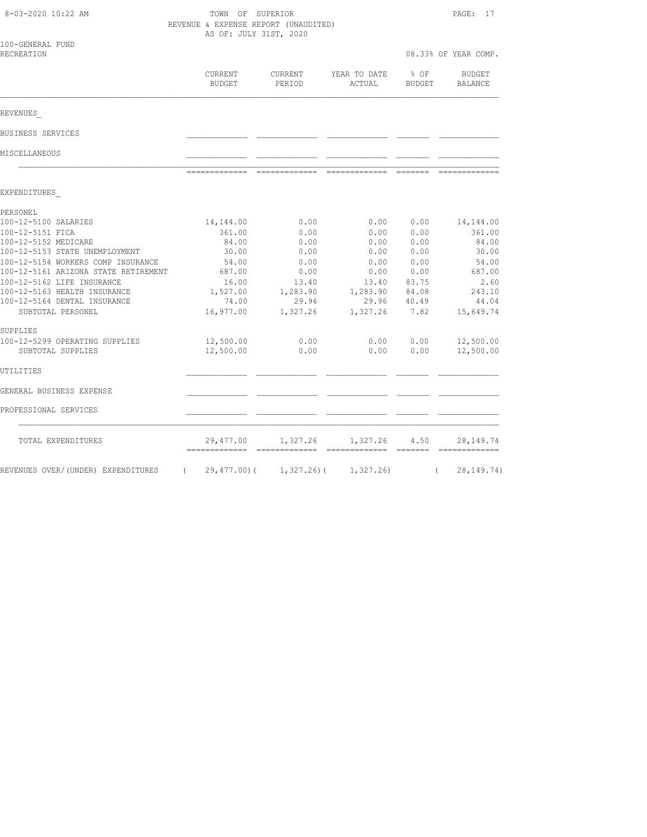| 8-03-2020 10:22 AM                   |                   | TOWN OF SUPERIOR<br>REVENUE & EXPENSE REPORT (UNAUDITED)<br>AS OF: JULY 31ST, 2020 |                        |                       |                            |  |
|--------------------------------------|-------------------|------------------------------------------------------------------------------------|------------------------|-----------------------|----------------------------|--|
| 100-GENERAL FUND<br>RECREATION       |                   |                                                                                    |                        |                       | 08.33% OF YEAR COMP.       |  |
|                                      | CURRENT<br>BUDGET | CURRENT<br>PERIOD                                                                  | YEAR TO DATE<br>ACTUAL | % OF<br><b>BUDGET</b> | <b>BUDGET</b><br>BALANCE   |  |
| REVENUES                             |                   |                                                                                    |                        |                       |                            |  |
| BUSINESS SERVICES                    |                   |                                                                                    |                        |                       |                            |  |
| MISCELLANEOUS                        |                   |                                                                                    |                        |                       |                            |  |
|                                      | =============     | - cooccooccooc                                                                     | --------------         | - =======             |                            |  |
| EXPENDITURES                         |                   |                                                                                    |                        |                       |                            |  |
| PERSONEL                             |                   |                                                                                    |                        |                       |                            |  |
| 100-12-5100 SALARIES                 | 14,144.00         | 0.00                                                                               | 0.00                   | 0.00                  | 14, 144.00                 |  |
| 100-12-5151 FICA                     | 361.00            | 0.00                                                                               | 0.00                   | 0.00                  | 361.00                     |  |
| 100-12-5152 MEDICARE                 | 84.00             | 0.00                                                                               | 0.00                   | 0.00                  | 84.00                      |  |
| 100-12-5153 STATE UNEMPLOYMENT       | 30.00             | 0.00                                                                               | 0.00                   | 0.00                  | 30.00                      |  |
| 100-12-5154 WORKERS COMP INSURANCE   | 54.00             | 0.00                                                                               | 0.00                   | 0.00                  | 54.00                      |  |
| 100-12-5161 ARIZONA STATE RETIREMENT | 687.00            | 0.00                                                                               | 0.00                   | 0.00                  | 687.00                     |  |
| 100-12-5162 LIFE INSURANCE           | 16.00             | 13.40                                                                              | 13.40                  | 83.75                 | 2.60                       |  |
| 100-12-5163 HEALTH INSURANCE         | 1,527.00          | 1,283.90                                                                           | 1,283.90               | 84.08                 | 243.10                     |  |
| 100-12-5164 DENTAL INSURANCE         | 74.00             | 29.96                                                                              | 29.96                  | 40.49                 | 44.04                      |  |
| SUBTOTAL PERSONEL                    | 16,977.00         | 1,327.26                                                                           | 1,327.26               | 7.82                  | 15,649.74                  |  |
| SUPPLIES                             |                   |                                                                                    |                        |                       |                            |  |
| 100-12-5299 OPERATING SUPPLIES       | 12,500.00         | 0.00                                                                               | 0.00                   | 0.00                  | 12,500.00                  |  |
| SUBTOTAL SUPPLIES                    | 12,500.00         | 0.00                                                                               | 0.00                   | 0.00                  | 12,500.00                  |  |
| UTILITIES                            |                   |                                                                                    |                        |                       |                            |  |
| GENERAL BUSINESS EXPENSE             |                   |                                                                                    |                        |                       |                            |  |
| PROFESSIONAL SERVICES                |                   |                                                                                    |                        |                       |                            |  |
| TOTAL EXPENDITURES                   | 29,477.00         | 1,327.26                                                                           | 1,327.26               | 4.50<br>---- -------  | 28, 149. 74                |  |
| REVENUES OVER/(UNDER) EXPENDITURES   | $\left($          | $29,477.00$ ( 1,327.26) ( 1,327.26)                                                |                        |                       | 28, 149. 74)<br>$\sqrt{2}$ |  |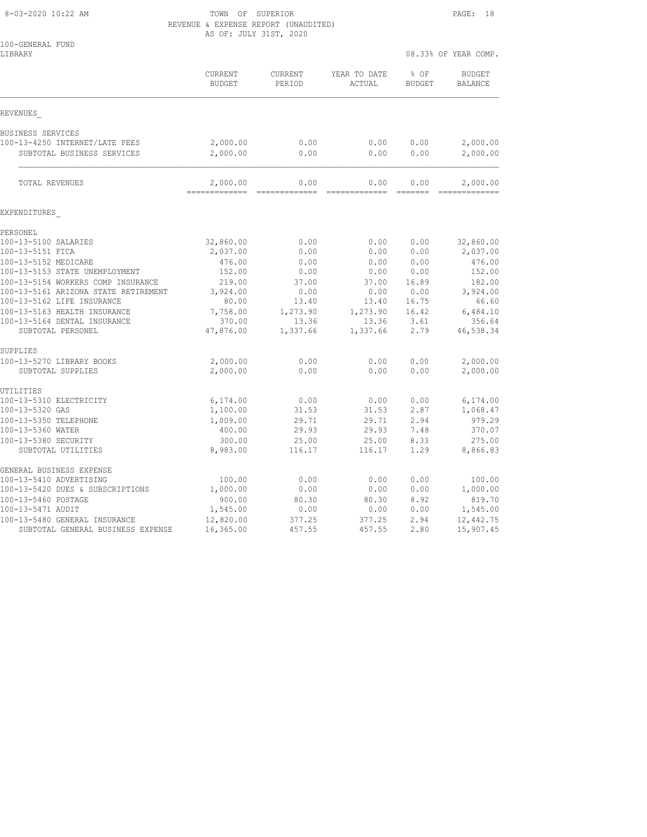#### 8-03-2020 10:22 AM TOWN OF SUPERIOR PAGE: 18 REVENUE & EXPENSE REPORT (UNAUDITED) AS OF: JULY 31ST, 2020

| 100-GENERAL FUND<br>LIBRARY                |                           |                       |                        |                       | 08.33% OF YEAR COMP.            |
|--------------------------------------------|---------------------------|-----------------------|------------------------|-----------------------|---------------------------------|
|                                            | CURRENT<br><b>BUDGET</b>  | CURRENT<br>PERIOD     | YEAR TO DATE<br>ACTUAL | % OF<br><b>BUDGET</b> | <b>BUDGET</b><br><b>BALANCE</b> |
| REVENUES                                   |                           |                       |                        |                       |                                 |
| BUSINESS SERVICES                          |                           |                       |                        |                       |                                 |
| 100-13-4250 INTERNET/LATE FEES             | 2,000.00                  | 0.00                  | 0.00                   | 0.00                  | 2,000.00                        |
| SUBTOTAL BUSINESS SERVICES                 | 2,000.00                  | 0.00                  | 0.00                   | 0.00                  | 2,000.00                        |
| TOTAL REVENUES                             | 2,000.00<br>============= | 0.00<br>============= | 0.00<br>=============  | 0.00<br>=======       | 2,000.00<br>-------------       |
| EXPENDITURES                               |                           |                       |                        |                       |                                 |
| PERSONEL                                   |                           |                       |                        |                       |                                 |
| 100-13-5100 SALARIES                       | 32,860.00                 | 0.00                  | 0.00                   | 0.00                  | 32,860.00                       |
| 100-13-5151 FICA                           | 2,037.00                  | 0.00                  | 0.00                   | 0.00                  | 2,037.00                        |
| 100-13-5152 MEDICARE                       | 476.00                    | 0.00                  | 0.00                   | 0.00                  | 476.00                          |
| 100-13-5153 STATE UNEMPLOYMENT             | 152.00                    | 0.00                  | 0.00                   | 0.00                  | 152.00                          |
| 100-13-5154 WORKERS COMP INSURANCE         | 219.00                    | 37.00                 | 37.00                  | 16.89                 | 182.00                          |
| 100-13-5161 ARIZONA STATE RETIREMENT       | 3,924.00                  | 0.00                  | 0.00                   | 0.00                  | 3,924.00                        |
| 100-13-5162 LIFE INSURANCE                 | 80.00                     | 13.40                 | 13.40                  | 16.75                 | 66.60                           |
| 100-13-5163 HEALTH INSURANCE               | 7,758.00                  | 1,273.90              | 1,273.90               | 16.42                 | 6,484.10                        |
| 100-13-5164 DENTAL INSURANCE               | 370.00                    | 13.36                 | 13.36                  | 3.61                  | 356.64                          |
| SUBTOTAL PERSONEL                          | 47,876.00                 | 1,337.66              | 1,337.66               | 2.79                  | 46,538.34                       |
| SUPPLIES                                   |                           |                       |                        |                       |                                 |
| 100-13-5270 LIBRARY BOOKS                  | 2,000.00                  | 0.00                  | 0.00                   | 0.00                  | 2,000.00                        |
| SUBTOTAL SUPPLIES                          | 2,000.00                  | 0.00                  | 0.00                   | 0.00                  | 2,000.00                        |
| UTILITIES                                  |                           |                       |                        |                       |                                 |
| 100-13-5310 ELECTRICITY                    | 6,174.00                  | 0.00                  | 0.00                   | 0.00                  | 6, 174.00                       |
| 100-13-5320 GAS                            | 1,100.00                  | 31.53                 | 31.53                  | 2.87                  | 1,068.47                        |
| 100-13-5350 TELEPHONE                      | 1,009.00                  | 29.71                 | 29.71                  | 2.94                  | 979.29                          |
| 100-13-5360 WATER                          | 400.00                    | 29.93                 | 29.93                  | 7.48                  | 370.07                          |
| 100-13-5380 SECURITY<br>SUBTOTAL UTILITIES | 300.00<br>8,983.00        | 25.00<br>116.17       | 25.00<br>116.17        | 8.33<br>1.29          | 275.00<br>8,866.83              |
| GENERAL BUSINESS EXPENSE                   |                           |                       |                        |                       |                                 |
| 100-13-5410 ADVERTISING                    | 100.00                    | 0.00                  | 0.00                   | 0.00                  | 100.00                          |
| 100-13-5420 DUES & SUBSCRIPTIONS           | 1,000.00                  | 0.00                  | 0.00                   | 0.00                  | 1,000.00                        |
| 100-13-5460 POSTAGE                        | 900.00                    | 80.30                 | 80.30                  | 8.92                  | 819.70                          |
| 100-13-5471 AUDIT                          | 1,545.00                  | 0.00                  | 0.00                   | 0.00                  | 1,545.00                        |
| 100-13-5480 GENERAL INSURANCE              | 12,820.00                 | 377.25                | 377.25                 | 2.94                  | 12,442.75                       |
| SUBTOTAL GENERAL BUSINESS EXPENSE          | 16,365.00                 | 457.55                | 457.55                 | 2.80                  | 15,907.45                       |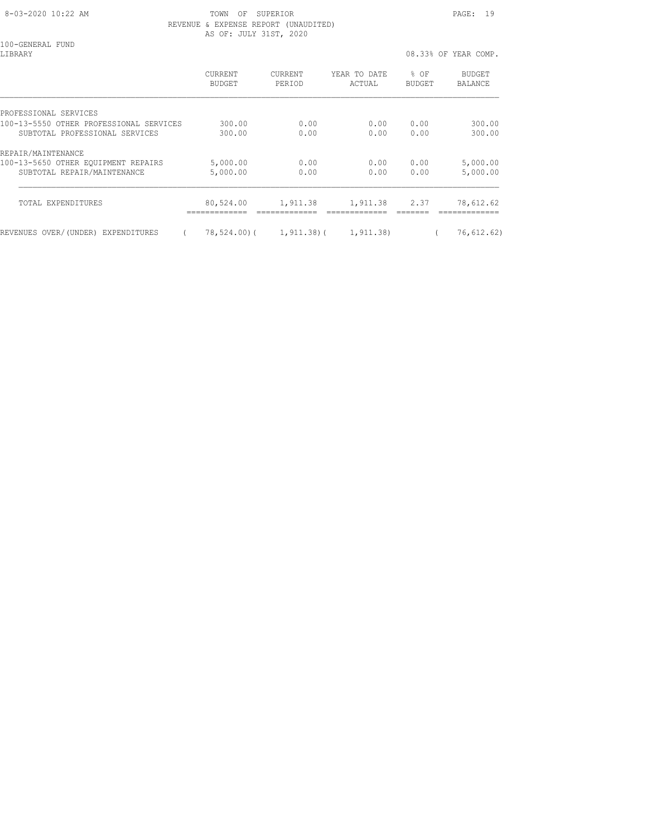8-03-2020 10:22 AM **TOWN OF SUPERIOR PAGE: 19**  REVENUE & EXPENSE REPORT (UNAUDITED) AS OF: JULY 31ST, 2020

100-GENERAL FUND<br>LIBRARY

08.33% OF YEAR COMP. CURRENT CURRENT YEAR TO DATE % OF BUDGET BUDGET PERIOD ACTUAL BUDGET BALANCE PROFESSIONAL SERVICES 100-13-5550 OTHER PROFESSIONAL SERVICES 300.00 0.00 0.00 0.00 300.00 SUBTOTAL PROFESSIONAL SERVICES 300.00 0.00 0.00 0.00 300.00 REPAIR/MAINTENANCE 100-13-5650 OTHER EQUIPMENT REPAIRS 5,000.00 0.00 0.00 0.00 5,000.00 SUBTOTAL REPAIR/MAINTENANCE 5,000.00 0.00 0.00 0.00 5,000.00  $\mathcal{L}_\text{max}$  TOTAL EXPENDITURES 80,524.00 1,911.38 1,911.38 2.37 78,612.62 ============= ============= ============= ======= ============= REVENUES OVER/(UNDER) EXPENDITURES ( 78,524.00)( 1,911.38)( 1,911.38) ( 76,612.62)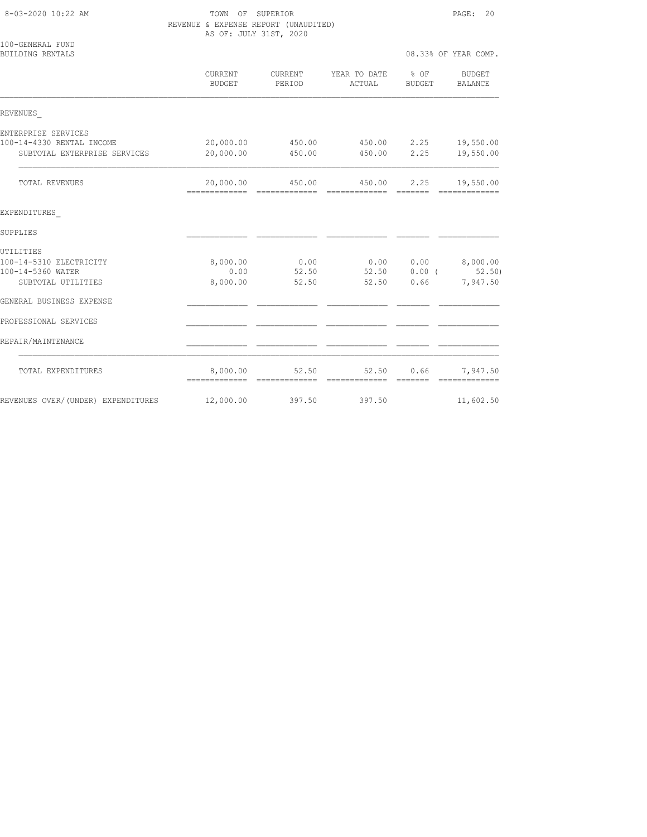#### 8-03-2020 10:22 AM TOWN OF SUPERIOR PAGE: 20 REVENUE & EXPENSE REPORT (UNAUDITED) AS OF: JULY 31ST, 2020

| 100-GENERAL FUND<br><b>BUILDING RENTALS</b> |                            |                   |                        |                 | 08.33% OF YEAR COMP.     |
|---------------------------------------------|----------------------------|-------------------|------------------------|-----------------|--------------------------|
|                                             | CURRENT<br><b>BUDGET</b>   | CURRENT<br>PERIOD | YEAR TO DATE<br>ACTUAL | % OF<br>BUDGET  | BUDGET<br><b>BALANCE</b> |
| REVENUES                                    |                            |                   |                        |                 |                          |
| ENTERPRISE SERVICES                         |                            |                   |                        |                 |                          |
| 100-14-4330 RENTAL INCOME                   | 20,000.00                  | 450.00            | 450.00 2.25            |                 | 19,550.00                |
| SUBTOTAL ENTERPRISE SERVICES                | 20,000.00                  | 450.00            | 450.00                 | 2.25            | 19,550.00                |
| TOTAL REVENUES                              | 20,000.00                  | 450.00            | 450.00                 | 2.25            | 19,550.00                |
| EXPENDITURES                                |                            |                   |                        |                 |                          |
| SUPPLIES                                    |                            |                   |                        |                 |                          |
| UTILITIES                                   |                            |                   |                        |                 |                          |
| 100-14-5310 ELECTRICITY                     | 8,000.00                   | 0.00              |                        |                 | $0.00$ $0.00$ $8,000.00$ |
| 100-14-5360 WATER                           | 0.00                       | 52.50             |                        | 52.50 0.00 (    | 52.50                    |
| SUBTOTAL UTILITIES                          | 8,000.00                   | 52.50             | 52.50                  | 0.66            | 7,947.50                 |
| GENERAL BUSINESS EXPENSE                    |                            |                   |                        |                 |                          |
| PROFESSIONAL SERVICES                       |                            |                   |                        |                 |                          |
| REPAIR/MAINTENANCE                          |                            |                   |                        |                 |                          |
| TOTAL EXPENDITURES                          | 8,000.00<br>-------------- | 52.50             | 52.50<br>============= | 0.66<br>======= | 7,947.50                 |
| REVENUES OVER/(UNDER) EXPENDITURES          | 12,000.00                  | 397.50            | 397.50                 |                 | 11,602.50                |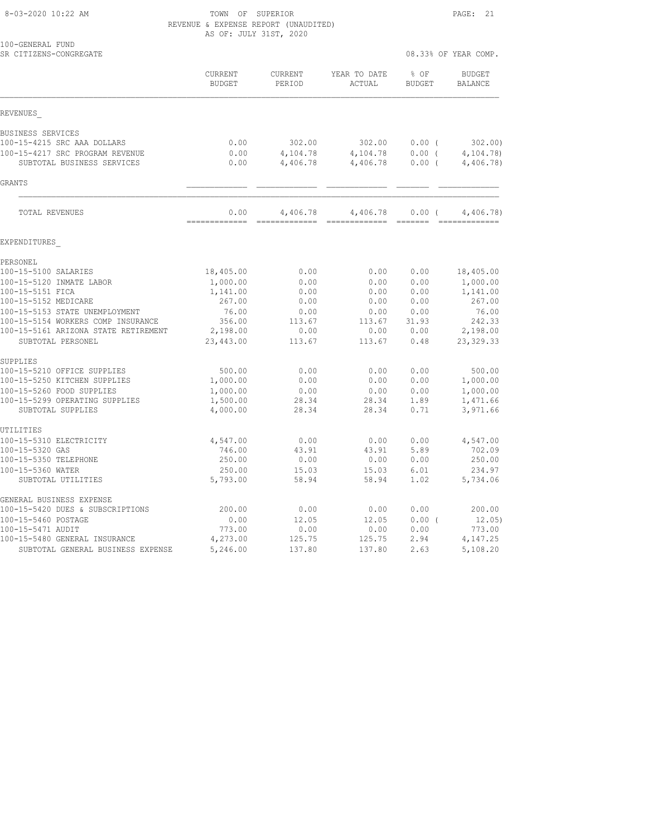8-03-2020 10:22 AM TOWN OF SUPERIOR PAGE: 21 REVENUE & EXPENSE REPORT (UNAUDITED) AS OF: JULY 31ST, 2020

| 100-GENERAL FUND<br>SR CITIZENS-CONGREGATE |                          |                   |                        |                       | 08.33% OF YEAR COMP.            |
|--------------------------------------------|--------------------------|-------------------|------------------------|-----------------------|---------------------------------|
|                                            | CURRENT<br><b>BUDGET</b> | CURRENT<br>PERIOD | YEAR TO DATE<br>ACTUAL | % OF<br><b>BUDGET</b> | <b>BUDGET</b><br><b>BALANCE</b> |
| REVENUES                                   |                          |                   |                        |                       |                                 |
| BUSINESS SERVICES                          |                          |                   |                        |                       |                                 |
| 100-15-4215 SRC AAA DOLLARS                | 0.00                     | 302.00            | 302.00                 | $0.00$ (              | 302.00                          |
| 100-15-4217 SRC PROGRAM REVENUE            | 0.00                     | 4,104.78          | 4,104.78               | 0.00(                 | 4, 104.78                       |
| SUBTOTAL BUSINESS SERVICES                 | 0.00                     | 4,406.78          | 4,406.78               | 0.00(                 | 4,406.78)                       |
| GRANTS                                     |                          |                   |                        |                       |                                 |
| TOTAL REVENUES                             | 0.00                     | 4,406.78          | 4,406.78               | 0.00(                 | 4,406.78)                       |
| EXPENDITURES                               |                          |                   |                        |                       |                                 |
| PERSONEL                                   |                          |                   |                        |                       |                                 |
| 100-15-5100 SALARIES                       | 18,405.00                | 0.00              | 0.00                   | 0.00                  | 18,405.00                       |
| 100-15-5120 INMATE LABOR                   | 1,000.00                 | 0.00              | 0.00                   | 0.00                  | 1,000.00                        |
| 100-15-5151 FICA                           | 1,141.00                 | 0.00              | 0.00                   | 0.00                  | 1,141.00                        |
| 100-15-5152 MEDICARE                       | 267.00                   | 0.00              | 0.00                   | 0.00                  | 267.00                          |
| 100-15-5153 STATE UNEMPLOYMENT             | 76.00                    | 0.00              | 0.00                   | 0.00                  | 76.00                           |
| 100-15-5154 WORKERS COMP INSURANCE         | 356.00                   | 113.67            | 113.67                 | 31.93                 | 242.33                          |
| 100-15-5161 ARIZONA STATE RETIREMENT       | 2,198.00                 | 0.00              | 0.00                   | 0.00                  | 2,198.00                        |
| SUBTOTAL PERSONEL                          | 23,443.00                | 113.67            | 113.67                 | 0.48                  | 23, 329.33                      |
| SUPPLIES                                   |                          |                   |                        |                       |                                 |
| 100-15-5210 OFFICE SUPPLIES                | 500.00                   | 0.00              | 0.00                   | 0.00                  | 500.00                          |
| 100-15-5250 KITCHEN SUPPLIES               | 1,000.00                 | 0.00              | 0.00                   | 0.00                  | 1,000.00                        |
| 100-15-5260 FOOD SUPPLIES                  | 1,000.00                 | 0.00              | 0.00                   | 0.00                  | 1,000.00                        |
| 100-15-5299 OPERATING SUPPLIES             | 1,500.00                 | 28.34             | 28.34                  | 1.89                  | 1,471.66                        |
| SUBTOTAL SUPPLIES                          | 4,000.00                 | 28.34             | 28.34                  | 0.71                  | 3,971.66                        |
| UTILITIES                                  |                          |                   |                        |                       |                                 |
| 100-15-5310 ELECTRICITY                    | 4,547.00                 | 0.00              | 0.00                   | 0.00                  | 4,547.00                        |
| 100-15-5320 GAS                            | 746.00                   | 43.91             | 43.91                  | 5.89                  | 702.09                          |
| 100-15-5350 TELEPHONE                      | 250.00                   | 0.00              | 0.00                   | 0.00                  | 250.00                          |
| 100-15-5360 WATER                          | 250.00                   | 15.03             | 15.03                  | 6.01                  | 234.97                          |
| SUBTOTAL UTILITIES                         | 5,793.00                 | 58.94             | 58.94                  | 1.02                  | 5,734.06                        |
| GENERAL BUSINESS EXPENSE                   |                          |                   |                        |                       |                                 |
| 100-15-5420 DUES & SUBSCRIPTIONS           | 200.00                   | 0.00              | 0.00                   | 0.00                  | 200.00                          |
| 100-15-5460 POSTAGE                        | 0.00                     | 12.05             | 12.05                  | 0.00(                 | 12.05)                          |
| 100-15-5471 AUDIT                          | 773.00                   | 0.00              | 0.00                   | 0.00                  | 773.00                          |
| 100-15-5480 GENERAL INSURANCE              | 4,273.00                 | 125.75            | 125.75                 | 2.94                  | 4,147.25                        |

SUBTOTAL GENERAL BUSINESS EXPENSE 5,246.00 137.80 137.80 2.63 5,108.20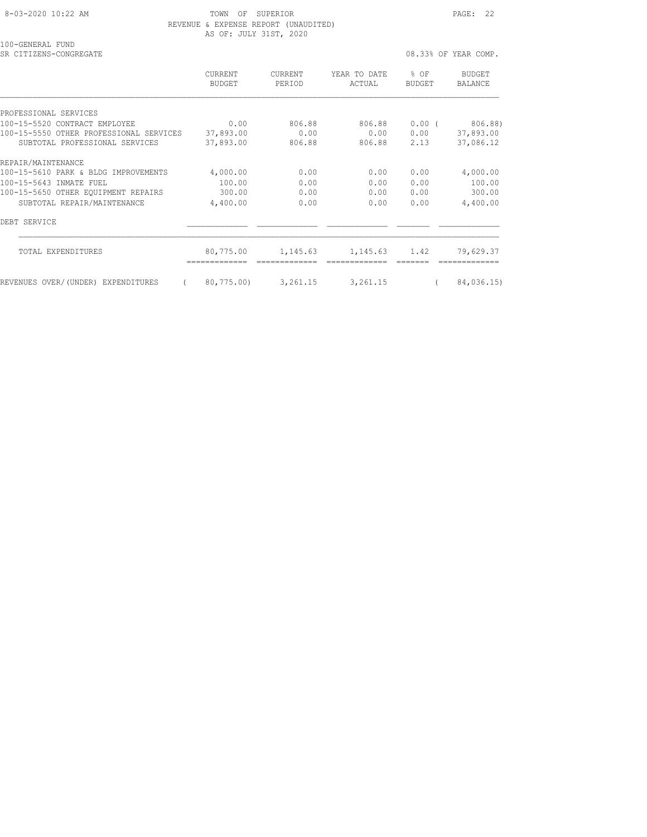8-03-2020 10:22 AM **TOWN OF SUPERIOR PAGE: 22**  REVENUE & EXPENSE REPORT (UNAUDITED) AS OF: JULY 31ST, 2020

100-GENERAL FUND

SR CITIZENS-CONGREGATE **1989** OB SASSES OF YEAR COMP.

 CURRENT CURRENT YEAR TO DATE % OF BUDGET BUDGET PERIOD ACTUAL BUDGET BALANCE PROFESSIONAL SERVICES 100-15-5520 CONTRACT EMPLOYEE 0.00 806.88 806.88 0.00 ( 806.88) 100-15-5550 OTHER PROFESSIONAL SERVICES 37,893.00 0.00 0.00 0.00 37,893.00 SUBTOTAL PROFESSIONAL SERVICES 37,893.00 806.88 806.88 2.13 37,086.12 REPAIR/MAINTENANCE<br>100-15-5610 PARK & BLDG IMPROVEMENTS 100-15-5610 PARK & BLDG IMPROVEMENTS 4,000.00 0.00 0.00 0.00 4,000.00 100-15-5643 INMATE FUEL 100.00 0.00 0.00 0.00 100.00 100-15-5650 OTHER EQUIPMENT REPAIRS 300.00 0.00 0.00 0.00 300.00 SUBTOTAL REPAIR/MAINTENANCE 4,400.00 0.00 0.00 0.00 4,400.00 DEBT SERVICE \_\_\_\_\_\_\_\_\_\_\_\_\_ \_\_\_\_\_\_\_\_\_\_\_\_\_ \_\_\_\_\_\_\_\_\_\_\_\_\_ \_\_\_\_\_\_\_ \_\_\_\_\_\_\_\_\_\_\_\_\_ TOTAL EXPENDITURES 80,775.00 1,145.63 1,145.63 1.42 79,629.37 ============= ============= ============= ======= ============= REVENUES OVER/(UNDER) EXPENDITURES ( 80,775.00) 3,261.15 3,261.15 ( 84,036.15)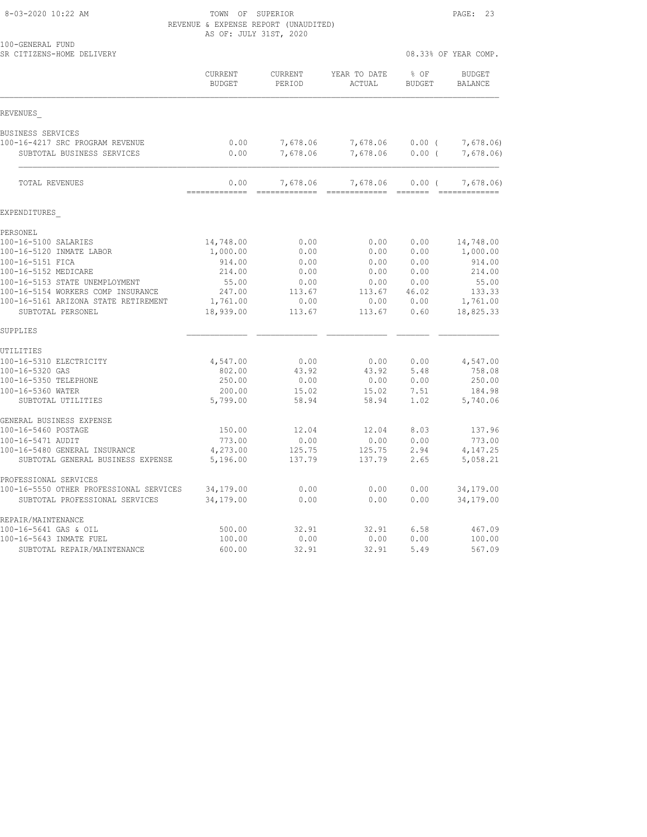8-03-2020 10:22 AM TOWN OF SUPERIOR PAGE: 23 REVENUE & EXPENSE REPORT (UNAUDITED) AS OF: JULY 31ST, 2020

| SR CITIZENS-HOME DELIVERY                                          |                          |                           |                           | 08.33% OF YEAR COMP.  |                                 |
|--------------------------------------------------------------------|--------------------------|---------------------------|---------------------------|-----------------------|---------------------------------|
|                                                                    | CURRENT<br><b>BUDGET</b> | <b>CURRENT</b><br>PERIOD  | YEAR TO DATE<br>ACTUAL    | % OF<br><b>BUDGET</b> | <b>BUDGET</b><br><b>BALANCE</b> |
| REVENUES                                                           |                          |                           |                           |                       |                                 |
| BUSINESS SERVICES                                                  |                          |                           |                           |                       |                                 |
| 100-16-4217 SRC PROGRAM REVENUE                                    | 0.00                     | 7,678.06                  | 7,678.06                  | $0.00$ (              | 7,678.06)                       |
| SUBTOTAL BUSINESS SERVICES                                         | 0.00                     | 7,678.06                  | 7,678.06                  | 0.00(                 | 7,678.06)                       |
| TOTAL REVENUES                                                     | 0.00<br>=============    | 7,678.06<br>------------- | 7,678.06<br>------------- | 0.00(<br>$---------$  | 7,678,06)<br>-------------      |
| EXPENDITURES                                                       |                          |                           |                           |                       |                                 |
| PERSONEL                                                           |                          |                           |                           |                       |                                 |
| 100-16-5100 SALARIES                                               | 14,748.00                | 0.00                      | 0.00                      | 0.00                  | 14,748.00                       |
| 100-16-5120 INMATE LABOR                                           | 1,000.00                 | 0.00                      | 0.00                      | 0.00                  | 1,000.00                        |
| 100-16-5151 FICA                                                   | 914.00                   | 0.00                      | 0.00                      | 0.00                  | 914.00                          |
| 100-16-5152 MEDICARE                                               | 214.00                   | 0.00                      | 0.00                      | 0.00                  | 214.00                          |
| 100-16-5153 STATE UNEMPLOYMENT                                     | 55.00                    | 0.00                      | 0.00                      | 0.00                  | 55.00                           |
| 100-16-5154 WORKERS COMP INSURANCE                                 | 247.00                   | 113.67                    | 113.67                    | 46.02                 | 133.33                          |
| 100-16-5161 ARIZONA STATE RETIREMENT<br>SUBTOTAL PERSONEL          | 1,761.00<br>18,939.00    | 0.00<br>113.67            | 0.00<br>113.67            | 0.00<br>0.60          | 1,761.00<br>18,825.33           |
| SUPPLIES                                                           |                          |                           |                           |                       |                                 |
| UTILITIES                                                          |                          |                           |                           |                       |                                 |
| 100-16-5310 ELECTRICITY                                            | 4,547.00                 | 0.00                      | 0.00                      | 0.00                  | 4,547.00                        |
| 100-16-5320 GAS                                                    | 802.00                   | 43.92                     | 43.92                     | 5.48                  | 758.08                          |
| 100-16-5350 TELEPHONE                                              | 250.00                   | 0.00                      | 0.00                      | 0.00                  | 250.00                          |
| 100-16-5360 WATER                                                  | 200.00                   | 15.02                     | 15.02                     | 7.51                  | 184.98                          |
| SUBTOTAL UTILITIES                                                 | 5,799.00                 | 58.94                     | 58.94                     | 1.02                  | 5,740.06                        |
| GENERAL BUSINESS EXPENSE                                           |                          |                           |                           |                       |                                 |
| 100-16-5460 POSTAGE                                                | 150.00                   | 12.04                     | 12.04                     | 8.03                  | 137.96                          |
| 100-16-5471 AUDIT                                                  | 773.00                   | 0.00                      | 0.00                      | 0.00                  | 773.00                          |
| 100-16-5480 GENERAL INSURANCE<br>SUBTOTAL GENERAL BUSINESS EXPENSE | 4,273.00<br>5,196.00     | 125.75<br>137.79          | 125.75<br>137.79          | 2.94<br>2.65          | 4, 147.25<br>5,058.21           |
| PROFESSIONAL SERVICES                                              |                          |                           |                           |                       |                                 |
| 100-16-5550 OTHER PROFESSIONAL SERVICES                            | 34,179.00                | 0.00                      | 0.00                      | 0.00                  | 34,179.00                       |
| SUBTOTAL PROFESSIONAL SERVICES                                     | 34,179.00                | 0.00                      | 0.00                      | 0.00                  | 34,179.00                       |
| REPAIR/MAINTENANCE                                                 |                          |                           |                           |                       |                                 |
| 100-16-5641 GAS & OIL                                              | 500.00                   | 32.91                     | 32.91                     | 6.58                  | 467.09                          |
| 100-16-5643 INMATE FUEL                                            | 100.00                   | 0.00                      | 0.00                      | 0.00                  | 100.00                          |
| SUBTOTAL REPAIR/MAINTENANCE                                        | 600.00                   | 32.91                     | 32.91                     | 5.49                  | 567.09                          |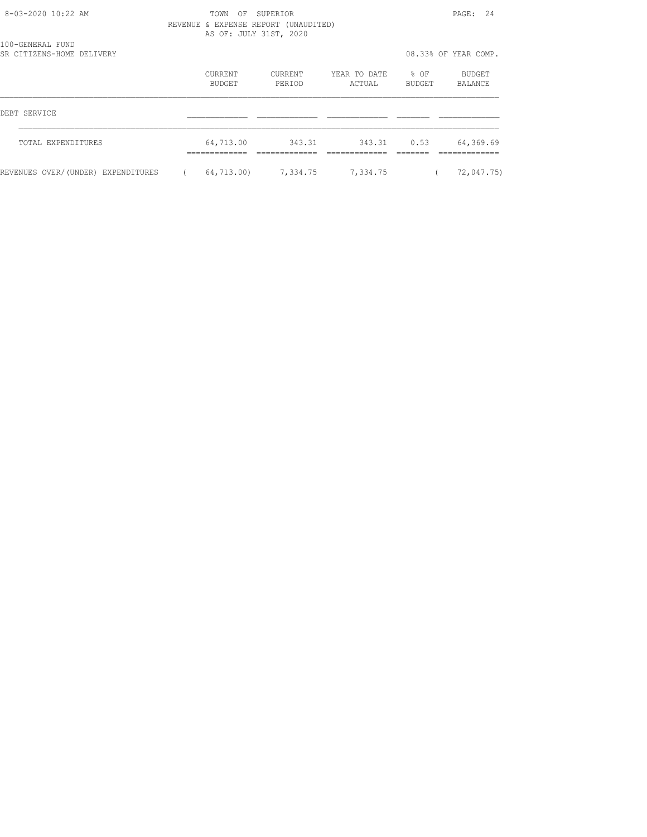| $8 - 03 - 2020$ 10:22 AM                      | SUPERTOR<br>TOWN<br>OF<br>REVENUE & EXPENSE REPORT<br>(UNAUDITED) |                          |                   |                        |                       | 2.4<br>$\texttt{PAGE}$ : |  |
|-----------------------------------------------|-------------------------------------------------------------------|--------------------------|-------------------|------------------------|-----------------------|--------------------------|--|
| 100-GENERAL FUND<br>SR CITIZENS-HOME DELIVERY |                                                                   | AS OF: JULY 31ST, 2020   |                   |                        |                       | 08.33% OF YEAR COMP.     |  |
|                                               |                                                                   | <b>CURRENT</b><br>BUDGET | CURRENT<br>PERIOD | YEAR TO DATE<br>ACTUAL | % OF<br><b>BUDGET</b> | BUDGET<br>BALANCE        |  |
| DEBT SERVICE                                  |                                                                   |                          |                   |                        |                       |                          |  |
| TOTAL EXPENDITURES                            |                                                                   | 64,713.00                | 343.31            | 343.31                 | 0.53                  | 64,369.69                |  |
| REVENUES OVER/(UNDER) EXPENDITURES            |                                                                   | 64,713.00)               | 7,334.75          | 7,334.75               |                       | 72,047.75)               |  |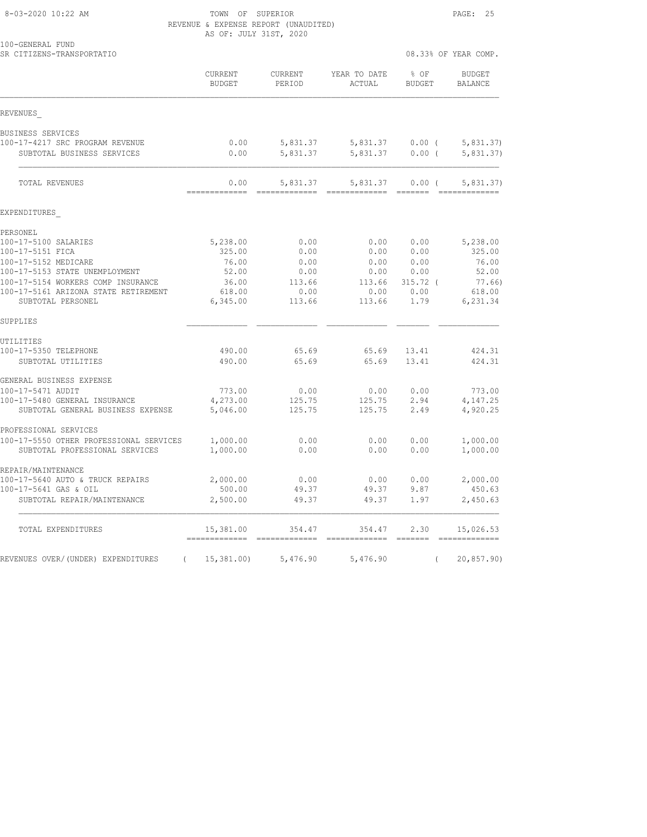#### 8-03-2020 10:22 AM TOWN OF SUPERIOR PAGE: 25 REVENUE & EXPENSE REPORT (UNAUDITED) AS OF: JULY 31ST, 2020

| 100-GENERAL FUND<br>SR CITIZENS-TRANSPORTATIO                              |                                             |                           |                                 | 08.33% OF YEAR COMP.  |                                            |  |
|----------------------------------------------------------------------------|---------------------------------------------|---------------------------|---------------------------------|-----------------------|--------------------------------------------|--|
|                                                                            | CURRENT<br>BUDGET                           | CURRENT<br>PERIOD         | YEAR TO DATE<br>ACTUAL          | % OF<br><b>BUDGET</b> | <b>BUDGET</b><br>BALANCE                   |  |
| REVENUES                                                                   |                                             |                           |                                 |                       |                                            |  |
| BUSINESS SERVICES                                                          |                                             |                           |                                 |                       |                                            |  |
| 100-17-4217 SRC PROGRAM REVENUE                                            | 0.00                                        | 5,831.37                  |                                 | 5,831.37 0.00 (       | 5,831.37)                                  |  |
| SUBTOTAL BUSINESS SERVICES                                                 | 0.00                                        | 5,831.37                  | 5,831.37                        | $0.00$ (              | 5,831.37)                                  |  |
| <b>TOTAL REVENUES</b>                                                      | 0.00<br>=============                       | 5,831.37<br>------------- | 5,831.37                        | $0.00$ (              | 5,831.37)                                  |  |
| EXPENDITURES                                                               |                                             |                           |                                 |                       |                                            |  |
| PERSONEL                                                                   |                                             |                           |                                 |                       |                                            |  |
| 100-17-5100 SALARIES                                                       | 5,238.00                                    | 0.00                      | 0.00                            | 0.00                  | 5,238.00                                   |  |
| 100-17-5151 FICA                                                           | 325.00                                      | 0.00                      | 0.00                            | 0.00                  | 325.00                                     |  |
| 100-17-5152 MEDICARE                                                       | 76.00                                       | 0.00                      | 0.00                            | 0.00                  | 76.00                                      |  |
| 100-17-5153 STATE UNEMPLOYMENT                                             | 52.00                                       | 0.00                      | 0.00                            | 0.00                  | 52.00                                      |  |
| 100-17-5154 WORKERS COMP INSURANCE<br>100-17-5161 ARIZONA STATE RETIREMENT | 36.00<br>618.00                             | 113.66<br>0.00            | 113.66<br>0.00                  | $315.72$ (<br>0.00    | 77.66)<br>618.00                           |  |
| SUBTOTAL PERSONEL                                                          | 6,345.00                                    | 113.66                    | 113.66                          | 1.79                  | 6,231.34                                   |  |
| SUPPLIES                                                                   |                                             |                           |                                 |                       |                                            |  |
| UTILITIES                                                                  |                                             |                           |                                 |                       |                                            |  |
| 100-17-5350 TELEPHONE                                                      | 490.00                                      | 65.69                     | 65.69                           | 13.41                 | 424.31                                     |  |
| SUBTOTAL UTILITIES                                                         | 490.00                                      | 65.69                     | 65.69                           | 13.41                 | 424.31                                     |  |
| GENERAL BUSINESS EXPENSE                                                   |                                             |                           |                                 |                       |                                            |  |
| 100-17-5471 AUDIT                                                          | 773.00                                      | 0.00                      | 0.00                            | 0.00                  | 773.00                                     |  |
| 100-17-5480 GENERAL INSURANCE<br>SUBTOTAL GENERAL BUSINESS EXPENSE         | 4,273.00<br>5,046.00                        | 125.75<br>125.75          | 125.75<br>125.75                | 2.94<br>2.49          | 4,147.25<br>4,920.25                       |  |
| PROFESSIONAL SERVICES                                                      |                                             |                           |                                 |                       |                                            |  |
| 100-17-5550 OTHER PROFESSIONAL SERVICES                                    | 1,000.00                                    | 0.00                      | 0.00                            | 0.00                  | 1,000.00                                   |  |
| SUBTOTAL PROFESSIONAL SERVICES                                             | 1,000.00                                    | 0.00                      | 0.00                            | 0.00                  | 1,000.00                                   |  |
| REPAIR/MAINTENANCE                                                         |                                             |                           |                                 |                       |                                            |  |
| 100-17-5640 AUTO & TRUCK REPAIRS                                           | 2,000.00                                    | 0.00                      | 0.00                            | 0.00                  | 2,000.00                                   |  |
| 100-17-5641 GAS & OIL                                                      | 500.00                                      | 49.37                     | 49.37                           | 9.87                  | 450.63                                     |  |
| SUBTOTAL REPAIR/MAINTENANCE                                                | 2,500.00                                    | 49.37                     | 49.37                           | 1.97                  | 2,450.63                                   |  |
| TOTAL EXPENDITURES                                                         | 15,381.00<br>============================== | 354.47                    | 354.47<br>2222222222222 2222222 | 2.30                  | 15,026.53<br>$=$ = = = = = = = = = = = = = |  |
| REVENUES OVER/(UNDER) EXPENDITURES<br>$\left($                             | 15,381.00                                   | 5,476.90                  | 5,476.90                        |                       | 20,857.90)                                 |  |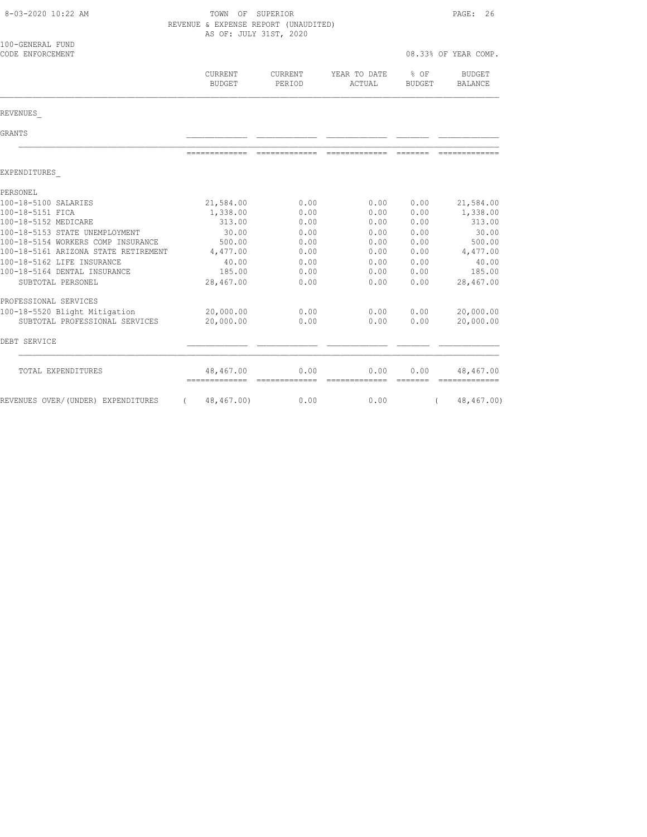| 8-03-2020 10:22 AM                   |                            | TOWN OF SUPERIOR<br>REVENUE & EXPENSE REPORT (UNAUDITED)<br>AS OF: JULY 31ST, 2020 |                        |                       |                            |  |
|--------------------------------------|----------------------------|------------------------------------------------------------------------------------|------------------------|-----------------------|----------------------------|--|
| 100-GENERAL FUND<br>CODE ENFORCEMENT |                            |                                                                                    |                        |                       | 08.33% OF YEAR COMP.       |  |
|                                      | CURRENT<br><b>BUDGET</b>   | CURRENT<br>PERIOD                                                                  | YEAR TO DATE<br>ACTUAL | % OF<br><b>BUDGET</b> | <b>BUDGET</b><br>BALANCE   |  |
| REVENUES                             |                            |                                                                                    |                        |                       |                            |  |
| GRANTS                               |                            |                                                                                    |                        |                       |                            |  |
|                                      | --------------             | --------------                                                                     | --------------         | --------              |                            |  |
| EXPENDITURES                         |                            |                                                                                    |                        |                       |                            |  |
| PERSONEL                             |                            |                                                                                    |                        |                       |                            |  |
| 100-18-5100 SALARIES                 | 21,584.00                  | 0.00                                                                               | 0.00                   | 0.00                  | 21,584.00                  |  |
| 100-18-5151 FICA                     | 1,338.00                   | 0.00                                                                               | 0.00                   | 0.00                  | 1,338.00                   |  |
| 100-18-5152 MEDICARE                 | 313.00                     | 0.00                                                                               | 0.00                   | 0.00                  | 313.00                     |  |
| 100-18-5153 STATE UNEMPLOYMENT       | 30.00                      | 0.00                                                                               | 0.00                   | 0.00                  | 30.00                      |  |
| 100-18-5154 WORKERS COMP INSURANCE   | 500.00                     | 0.00                                                                               | 0.00                   | 0.00                  | 500.00                     |  |
| 100-18-5161 ARIZONA STATE RETIREMENT | 4,477.00                   | 0.00                                                                               | 0.00                   | 0.00                  | 4,477.00                   |  |
| 100-18-5162 LIFE INSURANCE           | 40.00                      | 0.00                                                                               | 0.00                   | 0.00                  | 40.00                      |  |
| 100-18-5164 DENTAL INSURANCE         | 185.00                     | 0.00                                                                               | 0.00                   | 0.00                  | 185.00                     |  |
| SUBTOTAL PERSONEL                    | 28,467.00                  | 0.00                                                                               | 0.00                   | 0.00                  | 28,467.00                  |  |
| PROFESSIONAL SERVICES                |                            |                                                                                    |                        |                       |                            |  |
| 100-18-5520 Blight Mitigation        | 20,000.00                  | 0.00                                                                               | 0.00                   | 0.00                  | 20,000.00                  |  |
| SUBTOTAL PROFESSIONAL SERVICES       | 20,000.00                  | 0.00                                                                               | 0.00                   | 0.00                  | 20,000.00                  |  |
| DEBT SERVICE                         |                            |                                                                                    |                        |                       |                            |  |
| TOTAL EXPENDITURES                   | 48,467.00<br>============= | 0.00                                                                               | 0.00                   | 0.00<br>$---------$   | 48,467.00<br>------------- |  |
| REVENUES OVER/(UNDER) EXPENDITURES   | 48,467.00)<br>$\sqrt{2}$   | 0.00                                                                               | 0.00                   |                       | 48,467.00)<br>$\left($     |  |
|                                      |                            |                                                                                    |                        |                       |                            |  |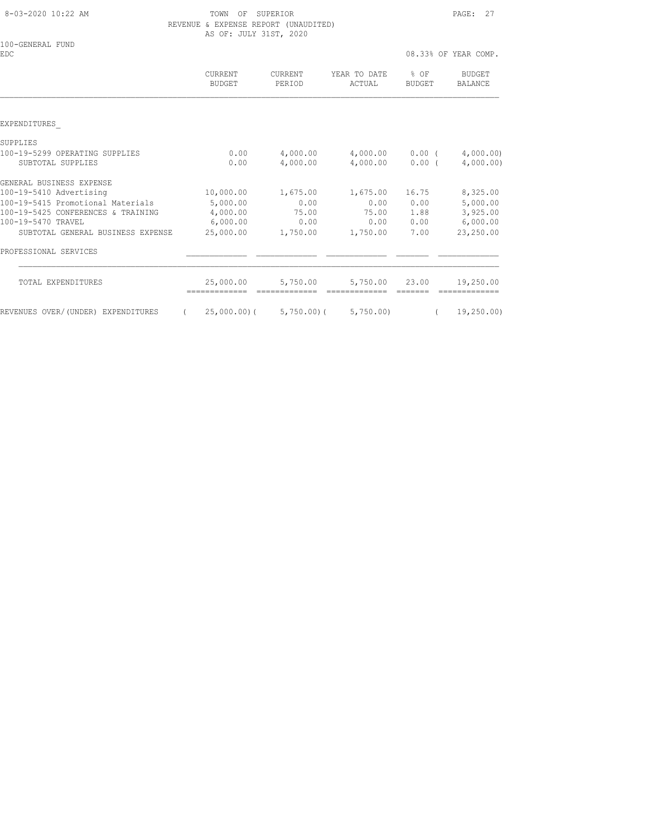8-03-2020 10:22 AM TOWN OF SUPERIOR PAGE: 27 REVENUE & EXPENSE REPORT (UNAUDITED) AS OF: JULY 31ST, 2020

| 100-GENERAL FUND<br><b>EDC</b>                      |                   |                      |                           |                          | 08.33% OF YEAR COMP.   |
|-----------------------------------------------------|-------------------|----------------------|---------------------------|--------------------------|------------------------|
|                                                     | CURRENT<br>BUDGET | CURRENT<br>PERIOD    | YEAR TO DATE<br>ACTUAL    | $8$ OF<br>BUDGET         | BUDGET<br>BALANCE      |
|                                                     |                   |                      |                           |                          |                        |
| EXPENDITURES                                        |                   |                      |                           |                          |                        |
| SUPPLIES                                            |                   |                      |                           |                          |                        |
| 100-19-5299 OPERATING SUPPLIES<br>SUBTOTAL SUPPLIES | 0.00<br>0.00      | 4,000.00<br>4,000.00 | 4,000.00                  | 4,000.00 0.00 (<br>0.00( | 4,000.00)<br>4,000.00) |
| GENERAL BUSINESS EXPENSE                            |                   |                      |                           |                          |                        |
| 100-19-5410 Advertising                             | 10,000.00         | 1,675.00             | 1,675.00                  | 16.75                    | 8,325.00               |
| 100-19-5415 Promotional Materials                   | 5,000.00          | 0.00                 | 0.00                      | 0.00                     | 5,000.00               |
| 100-19-5425 CONFERENCES & TRAINING                  | 4,000.00          | 75.00                |                           | 75.00 1.88               | 3,925.00               |
| 100-19-5470 TRAVEL                                  | 6,000.00          | 0.00                 | 0.00                      | 0.00                     | 6,000.00               |
| SUBTOTAL GENERAL BUSINESS EXPENSE                   | 25,000.00         | 1,750.00             | 1,750.00                  | 7.00                     | 23,250.00              |
| PROFESSIONAL SERVICES                               |                   |                      |                           |                          |                        |
| TOTAL EXPENDITURES                                  | 25,000.00         | 5,750.00             | 5,750.00                  | 23.00                    | 19,250.00              |
| REVENUES OVER/(UNDER) EXPENDITURES                  | 25,000.00)(       |                      | $5,750.00$ ( $5,750.00$ ) | $\sqrt{2}$               | 19,250.00)             |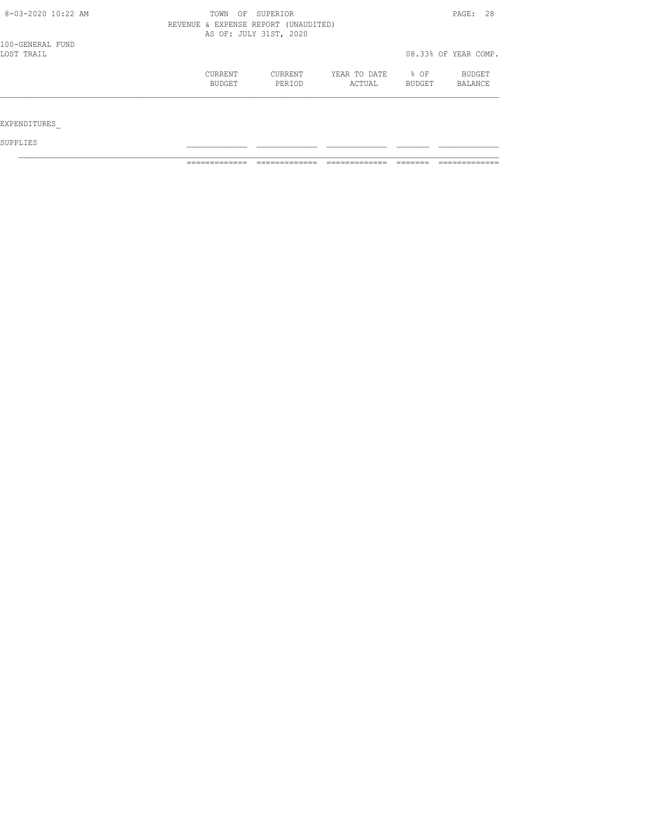| $8 - 03 - 2020$ 10:22 AM | OF SUPERIOR<br>TOWN | PAGE: 28                             |              |        |                      |
|--------------------------|---------------------|--------------------------------------|--------------|--------|----------------------|
|                          |                     | REVENUE & EXPENSE REPORT (UNAUDITED) |              |        |                      |
|                          |                     | AS OF: JULY 31ST, 2020               |              |        |                      |
| 100-GENERAL FUND         |                     |                                      |              |        |                      |
| LOST TRAIL               |                     |                                      |              |        | 08.33% OF YEAR COMP. |
|                          | CURRENT             | CURRENT                              | YEAR TO DATE | % OF   | BUDGET               |
|                          | <b>BUDGET</b>       | PERIOD                               | ACTUAL       | BUDGET | BALANCE              |
|                          |                     |                                      |              |        |                      |
|                          |                     |                                      |              |        |                      |
| EXPENDITURES             |                     |                                      |              |        |                      |
|                          |                     |                                      |              |        |                      |

SUPPLIES \_\_\_\_\_\_\_\_\_\_\_\_\_ \_\_\_\_\_\_\_\_\_\_\_\_\_ \_\_\_\_\_\_\_\_\_\_\_\_\_ \_\_\_\_\_\_\_ \_\_\_\_\_\_\_\_\_\_\_\_\_

============= ============= ============= ======= =============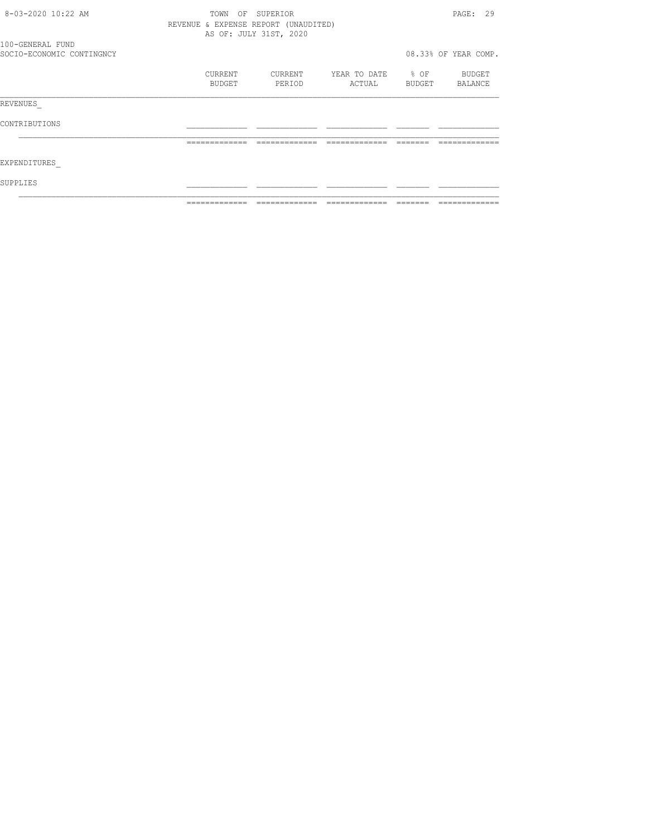| 8-03-2020 10:22 AM        | TOWN<br>OF                           | SUPERIOR               |                   |          | PAGE: 29             |
|---------------------------|--------------------------------------|------------------------|-------------------|----------|----------------------|
|                           | REVENUE & EXPENSE REPORT (UNAUDITED) |                        |                   |          |                      |
|                           |                                      | AS OF: JULY 31ST, 2020 |                   |          |                      |
| 100-GENERAL FUND          |                                      |                        |                   |          |                      |
| SOCIO-ECONOMIC CONTINGNCY |                                      |                        |                   |          | 08.33% OF YEAR COMP. |
|                           | CURRENT                              | CURRENT                | YEAR TO DATE % OF |          | BUDGET               |
|                           | BUDGET                               | PERIOD                 | ACTUAL            |          | BUDGET BALANCE       |
| REVENUES                  |                                      |                        |                   |          |                      |
| CONTRIBUTIONS             |                                      |                        |                   |          |                      |
|                           | -------------                        | -------------          | -------------     | -------- |                      |
| EXPENDITURES              |                                      |                        |                   |          |                      |
| SUPPLIES                  |                                      |                        |                   |          |                      |
|                           | -------------                        |                        |                   |          |                      |
|                           |                                      |                        |                   |          |                      |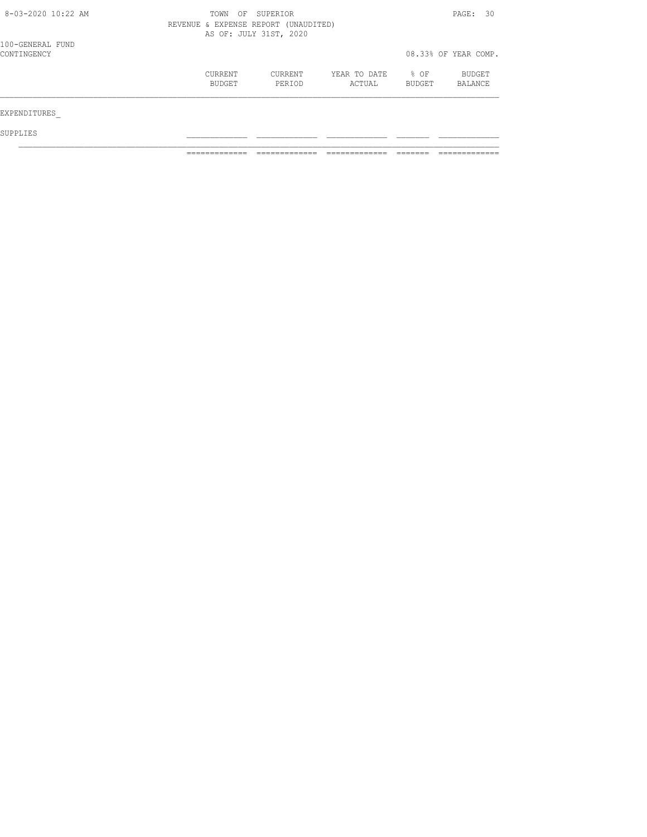| $8 - 03 - 2020$ 10:22 AM        | OF<br>TOWN        | SUPERIOR<br>REVENUE & EXPENSE REPORT (UNAUDITED)<br>AS OF: JULY 31ST, 2020 |                        |                |                      |  |
|---------------------------------|-------------------|----------------------------------------------------------------------------|------------------------|----------------|----------------------|--|
| 100-GENERAL FUND<br>CONTINGENCY |                   |                                                                            |                        |                | 08.33% OF YEAR COMP. |  |
|                                 | CURRENT<br>BUDGET | CURRENT<br>PERIOD                                                          | YEAR TO DATE<br>ACTUAL | % OF<br>BUDGET | BUDGET<br>BALANCE    |  |
| EXPENDITURES                    |                   |                                                                            |                        |                |                      |  |
| SUPPLIES                        |                   |                                                                            |                        |                |                      |  |

============= ============= ============= ======= =============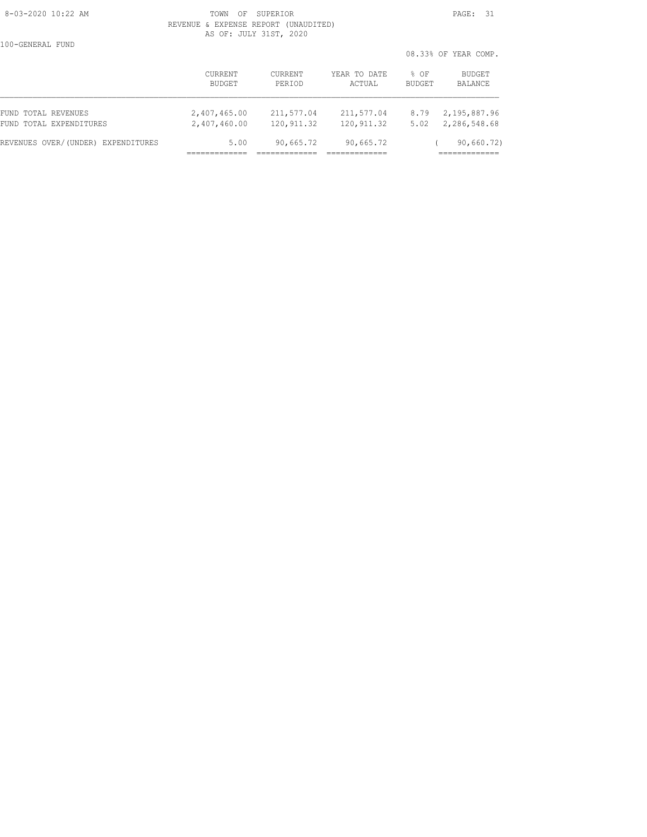#### 8-03-2020 10:22 AM **PAGE: 31**  REVENUE & EXPENSE REPORT (UNAUDITED) AS OF: JULY 31ST, 2020

100-GENERAL FUND

 08.33% OF YEAR COMP. CURRENT CURRENT YEAR TO DATE % OF BUDGET BUDGET PERIOD ACTUAL BUDGET BALANCE FUND TOTAL REVENUES 2,407,465.00 211,577.04 211,577.04 8.79 2,195,887.96 FUND TOTAL EXPENDITURES 2,407,460.00 120,911.32 120,911.32 5.02 2,286,548.68 REVENUES OVER/(UNDER) EXPENDITURES 5.00 90,665.72 90,665.72 ( 90,660.72) ============= ============= ============= =============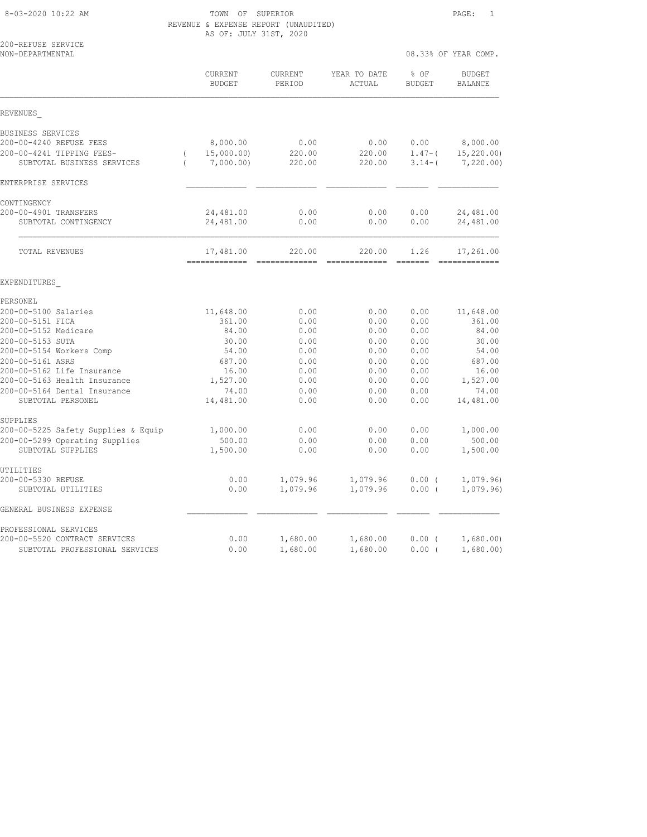8-03-2020 10:22 AM TOWN OF SUPERIOR PAGE: 1 REVENUE & EXPENSE REPORT (UNAUDITED) AS OF: JULY 31ST, 2020

|                                                         | IN VI. UUDI JIUI, LULU                          |                          |                          |                       |                                    |
|---------------------------------------------------------|-------------------------------------------------|--------------------------|--------------------------|-----------------------|------------------------------------|
| 200-REFUSE SERVICE<br>NON-DEPARTMENTAL                  |                                                 |                          |                          |                       | 08.33% OF YEAR COMP.               |
|                                                         | CURRENT<br><b>BUDGET</b>                        | <b>CURRENT</b><br>PERIOD | YEAR TO DATE<br>ACTUAL   | % OF<br><b>BUDGET</b> | <b>BUDGET</b><br>BALANCE           |
| REVENUES                                                |                                                 |                          |                          |                       |                                    |
| BUSINESS SERVICES<br>200-00-4240 REFUSE FEES            |                                                 | 0.00                     |                          | 0.00                  |                                    |
| 200-00-4241 TIPPING FEES-<br>SUBTOTAL BUSINESS SERVICES | 8,000.00<br>15,000.00)<br>7,000.00)<br>$\left($ | 220.00<br>220.00         | 0.00<br>220.00<br>220.00 | $1.47-$ (<br>$3.14-$  | 8,000.00<br>15, 220.00<br>7,220.00 |
| ENTERPRISE SERVICES                                     |                                                 |                          |                          |                       |                                    |
| CONTINGENCY                                             |                                                 |                          |                          |                       |                                    |
| 200-00-4901 TRANSFERS<br>SUBTOTAL CONTINGENCY           | 24,481.00<br>24,481.00                          | 0.00<br>0.00             | 0.00<br>0.00             | 0.00<br>0.00          | 24,481.00<br>24,481.00             |
| TOTAL REVENUES                                          | 17,481.00                                       | 220.00                   | 220.00                   | 1.26                  | 17,261.00                          |
| EXPENDITURES                                            |                                                 |                          |                          |                       |                                    |
| PERSONEL                                                |                                                 |                          |                          |                       |                                    |
| 200-00-5100 Salaries                                    | 11,648.00                                       | 0.00                     | 0.00                     | 0.00                  | 11,648.00                          |
| 200-00-5151 FICA                                        | 361.00                                          | 0.00                     | 0.00                     | 0.00                  | 361.00                             |
| 200-00-5152 Medicare                                    | 84.00                                           | 0.00                     | 0.00                     | 0.00                  | 84.00                              |
| 200-00-5153 SUTA<br>200-00-5154 Workers Comp            | 30.00<br>54.00                                  | 0.00<br>0.00             | 0.00<br>0.00             | 0.00<br>0.00          | 30.00<br>54.00                     |
| 200-00-5161 ASRS                                        | 687.00                                          | 0.00                     | 0.00                     | 0.00                  | 687.00                             |
| 200-00-5162 Life Insurance                              | 16.00                                           | 0.00                     | 0.00                     | 0.00                  | 16.00                              |
| 200-00-5163 Health Insurance                            | 1,527.00                                        | 0.00                     | 0.00                     | 0.00                  | 1,527.00                           |
| 200-00-5164 Dental Insurance                            | 74.00                                           | 0.00                     | 0.00                     | 0.00                  | 74.00                              |
| SUBTOTAL PERSONEL                                       | 14,481.00                                       | 0.00                     | 0.00                     | 0.00                  | 14,481.00                          |
| SUPPLIES                                                |                                                 |                          |                          |                       |                                    |
| 200-00-5225 Safety Supplies & Equip                     | 1,000.00                                        | 0.00                     | 0.00                     | 0.00                  | 1,000.00                           |
| 200-00-5299 Operating Supplies<br>SUBTOTAL SUPPLIES     | 500.00<br>1,500.00                              | 0.00<br>0.00             | 0.00<br>0.00             | 0.00<br>0.00          | 500.00<br>1,500.00                 |
| UTILITIES                                               |                                                 |                          |                          |                       |                                    |
| 200-00-5330 REFUSE<br>SUBTOTAL UTILITIES                | 0.00<br>0.00                                    | 1,079.96<br>1,079.96     | 1,079.96<br>1,079.96     | 0.00(<br>0.00(        | 1,079.96<br>1,079.96               |
| GENERAL BUSINESS EXPENSE                                |                                                 |                          |                          |                       |                                    |
| PROFESSIONAL SERVICES                                   |                                                 |                          |                          |                       |                                    |
| 200-00-5520 CONTRACT SERVICES                           | 0.00                                            | 1,680.00                 | 1,680.00                 | 0.00(                 | 1,680.00                           |
| SUBTOTAL PROFESSIONAL SERVICES                          | 0.00                                            | 1,680.00                 | 1,680.00                 | $0.00$ (              | 1,680.00)                          |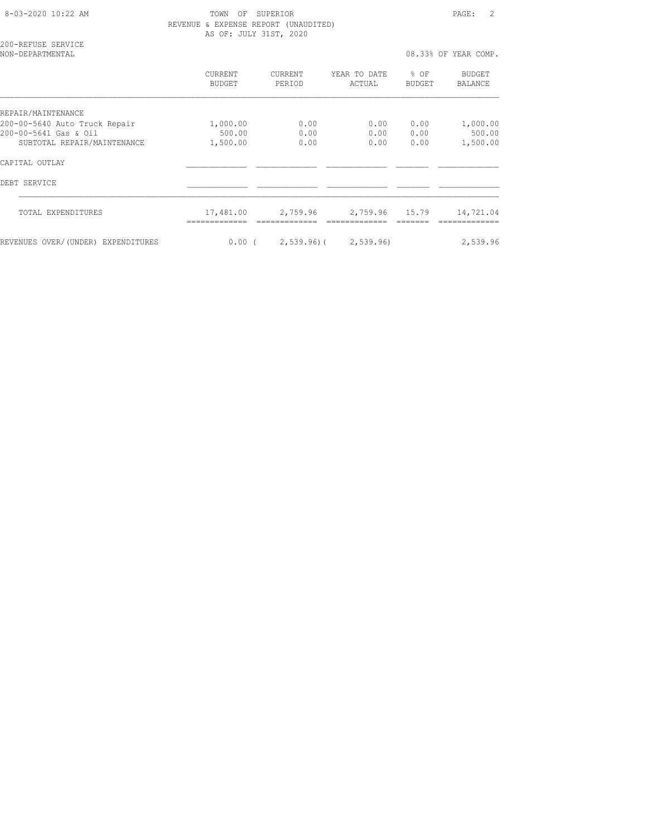8-03-2020 10:22 AM TOWN OF SUPERIOR PAGE: 2 REVENUE & EXPENSE REPORT (UNAUDITED) AS OF: JULY 31ST, 2020

200-REFUSE SERVICE

| NON-DEPARTMENTAL                   |                          |                          |                           | 08.33% OF YEAR COMP. |                          |
|------------------------------------|--------------------------|--------------------------|---------------------------|----------------------|--------------------------|
|                                    | CURRENT<br><b>BUDGET</b> | <b>CURRENT</b><br>PERIOD | YEAR TO DATE<br>ACTUAL    | $8$ OF<br>BUDGET     | <b>BUDGET</b><br>BALANCE |
| REPAIR/MAINTENANCE                 |                          |                          |                           |                      |                          |
| 200-00-5640 Auto Truck Repair      | 1,000.00                 | 0.00                     | 0.00                      | 0.00                 | 1,000.00                 |
| 200-00-5641 Gas & Oil              | 500.00                   | 0.00                     | 0.00                      | 0.00                 | 500.00                   |
| SUBTOTAL REPAIR/MAINTENANCE        | 1,500.00                 | 0.00                     | 0.00                      | 0.00                 | 1,500.00                 |
| CAPITAL OUTLAY                     |                          |                          |                           |                      |                          |
| DEBT SERVICE                       |                          |                          |                           |                      |                          |
| TOTAL EXPENDITURES                 | 17,481.00                | 2,759.96                 | 2,759.96                  | 15.79                | 14,721.04                |
| REVENUES OVER/(UNDER) EXPENDITURES | $0.00$ (                 |                          | $2,539.96$ ( $2,539.96$ ) |                      | 2,539.96                 |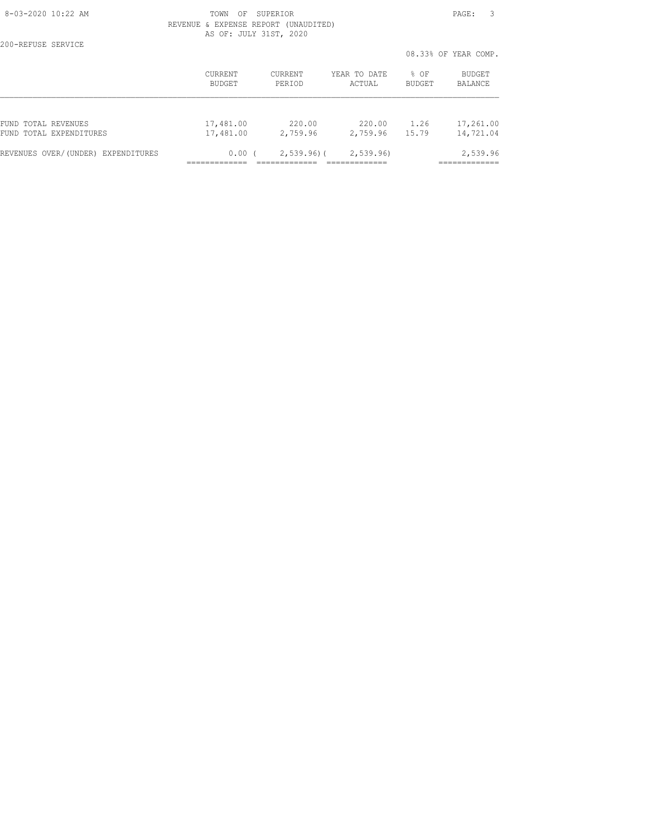200-REFUSE SERVICE

#### 8-03-2020 10:22 AM TOWN OF SUPERIOR PAGE: 3 REVENUE & EXPENSE REPORT (UNAUDITED) AS OF: JULY 31ST, 2020

08.33% OF YEAR COMP.

|                                    |           |                |              | VO.JJ& VI ILAK VUMF. |           |  |
|------------------------------------|-----------|----------------|--------------|----------------------|-----------|--|
|                                    | CURRENT   | <b>CURRENT</b> | YEAR TO DATE | $8$ OF               | BUDGET    |  |
|                                    | BUDGET    | PERTOD         | ACTUAL       | <b>BUDGET</b>        | BALANCE   |  |
| FUND TOTAL REVENUES                | 17,481.00 | 220.00         | 220.00       | 1.26                 | 17,261.00 |  |
| FUND TOTAL EXPENDITURES            | 17,481.00 | 2,759.96       | 2,759.96     | 15.79                | 14,721.04 |  |
| REVENUES OVER/(UNDER) EXPENDITURES | 0.00(     | $2,539.96$ ) ( | 2,539.96     |                      | 2,539.96  |  |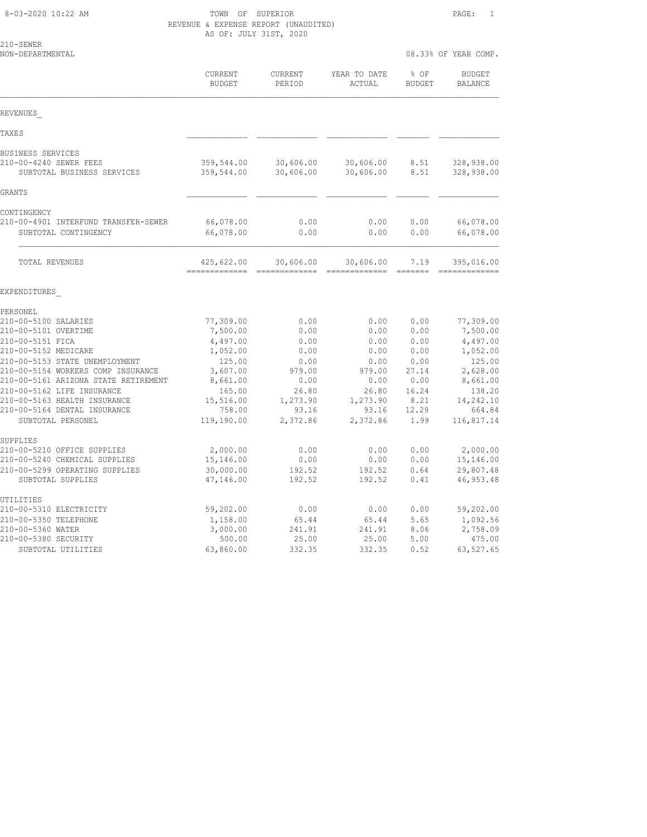# 8-03-2020 10:22 AM TOWN OF SUPERIOR PAGE: 1 REVENUE & EXPENSE REPORT (UNAUDITED)

|                                                                             | AS OF: JULY 31ST, 2020      |                        |                         |                       |                                 |  |  |
|-----------------------------------------------------------------------------|-----------------------------|------------------------|-------------------------|-----------------------|---------------------------------|--|--|
| 210-SEWER<br>NON-DEPARTMENTAL                                               |                             |                        |                         |                       | 08.33% OF YEAR COMP.            |  |  |
|                                                                             | CURRENT<br><b>BUDGET</b>    | CURRENT<br>PERIOD      | YEAR TO DATE<br>ACTUAL  | % OF<br><b>BUDGET</b> | <b>BUDGET</b><br><b>BALANCE</b> |  |  |
| REVENUES                                                                    |                             |                        |                         |                       |                                 |  |  |
| TAXES                                                                       |                             |                        |                         |                       |                                 |  |  |
| BUSINESS SERVICES<br>210-00-4240 SEWER FEES<br>SUBTOTAL BUSINESS SERVICES   | 359,544.00<br>359,544.00    | 30,606.00<br>30,606.00 | 30,606.00<br>30,606.00  | 8.51<br>8.51          | 328,938.00<br>328,938.00        |  |  |
| GRANTS                                                                      |                             |                        |                         |                       |                                 |  |  |
| CONTINGENCY<br>210-00-4901 INTERFUND TRANSFER-SEWER<br>SUBTOTAL CONTINGENCY | 66,078.00<br>66,078.00      | 0.00<br>0.00           | 0.00<br>0.00            | 0.00<br>0.00          | 66,078.00<br>66,078.00          |  |  |
| TOTAL REVENUES                                                              | 425,622.00<br>============= | 30,606.00              | 30,606.00<br>---------- | 7.19                  | 395,016.00<br>==========        |  |  |
| EXPENDITURES                                                                |                             |                        |                         |                       |                                 |  |  |
| PERSONEL                                                                    |                             |                        |                         |                       |                                 |  |  |
| 210-00-5100 SALARIES                                                        | 77,309.00                   | 0.00                   | 0.00                    | 0.00                  | 77,309.00                       |  |  |
| 210-00-5101 OVERTIME                                                        | 7,500.00                    | 0.00                   | 0.00                    | 0.00                  | 7,500.00                        |  |  |
| 210-00-5151 FICA                                                            | 4,497.00                    | 0.00                   | 0.00                    | 0.00                  | 4,497.00                        |  |  |
| 210-00-5152 MEDICARE                                                        | 1,052.00                    | 0.00                   | 0.00                    | 0.00                  | 1,052.00                        |  |  |
| 210-00-5153 STATE UNEMPLOYMENT<br>210-00-5154 WORKERS COMP INSURANCE        | 125.00<br>3,607.00          | 0.00<br>979.00         | 0.00<br>979.00          | 0.00<br>27.14         | 125.00<br>2,628.00              |  |  |
| 210-00-5161 ARIZONA STATE RETIREMENT                                        | 8,661.00                    | 0.00                   | 0.00                    | 0.00                  | 8,661.00                        |  |  |
| 210-00-5162 LIFE INSURANCE                                                  | 165.00                      | 26.80                  | 26.80                   | 16.24                 | 138.20                          |  |  |
| 210-00-5163 HEALTH INSURANCE                                                | 15,516.00                   | 1,273.90               | 1,273.90                | 8.21                  | 14,242.10                       |  |  |
| 210-00-5164 DENTAL INSURANCE                                                | 758.00                      | 93.16                  | 93.16                   | 12.29                 | 664.84                          |  |  |
| SUBTOTAL PERSONEL                                                           | 119,190.00                  | 2,372.86               | 2,372.86                | 1.99                  | 116,817.14                      |  |  |
| SUPPLIES                                                                    |                             |                        |                         |                       |                                 |  |  |
| 210-00-5210 OFFICE SUPPLIES                                                 | 2,000.00                    | 0.00                   | 0.00                    | 0.00                  | 2,000.00                        |  |  |
| 210-00-5240 CHEMICAL SUPPLIES<br>210-00-5299 OPERATING SUPPLIES             | 15,146.00<br>30,000.00      | 0.00                   | 0.00<br>192.52          | 0.00<br>0.64          | 15,146.00<br>29,807.48          |  |  |
| SUBTOTAL SUPPLIES                                                           | 47,146.00                   | 192.52<br>192.52       | 192.52                  | 0.41                  | 46, 953.48                      |  |  |
| UTILITIES                                                                   |                             |                        |                         |                       |                                 |  |  |
| 210-00-5310 ELECTRICITY                                                     | 59,202.00                   | 0.00                   | 0.00                    | 0.00                  | 59,202.00                       |  |  |
| 210-00-5350 TELEPHONE                                                       | 1,158.00                    | 65.44                  | 65.44                   | 5.65                  | 1,092.56                        |  |  |
| 210-00-5360 WATER<br>210-00-5380 SECURITY                                   | 3,000.00<br>500.00          | 241.91<br>25.00        | 241.91<br>25.00         | 8.06<br>5.00          | 2,758.09<br>475.00              |  |  |
|                                                                             |                             |                        |                         |                       |                                 |  |  |

SUBTOTAL UTILITIES 63,860.00 332.35 332.35 0.52 63,527.65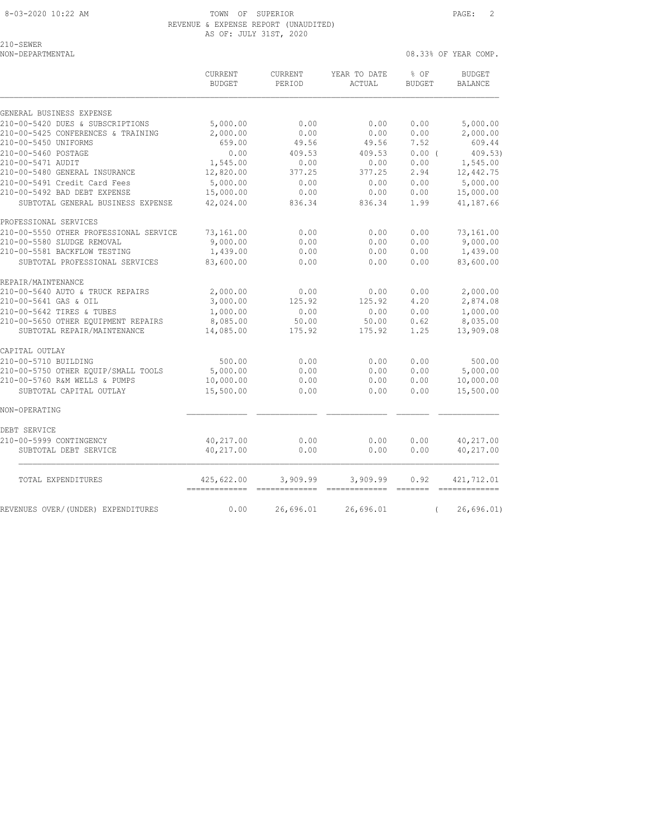## REVENUE & EXPENSE REPORT (UNAUDITED) AS OF: JULY 31ST, 2020

210-SEWER

NON-DEPARTMENTAL 08.33% OF YEAR COMP.

 CURRENT CURRENT YEAR TO DATE % OF BUDGET BUDGET PERIOD ACTUAL BUDGET BALANCE GENERAL BUSINESS EXPENSE 210-00-5420 DUES & SUBSCRIPTIONS 5,000.00 0.00 0.00 0.00 5,000.00 210-00-5425 CONFERENCES & TRAINING 2,000.00 0.00 0.00 0.00 2,000.00 210-00-5450 UNIFORMS 659.00 49.56 49.56 7.52 609.44 210-00-5460 POSTAGE 0.00 409.53 409.53 0.00 ( 409.53) 210-00-5471 AUDIT 1,545.00 0.00 0.00 0.00 1,545.00 210-00-5480 GENERAL INSURANCE 12,820.00 377.25 377.25 2.94 12,442.75 210-00-5491 Credit Card Fees 5,000.00 0.00 0.00 0.00 5,000.00 210-00-5492 BAD DEBT EXPENSE 15,000.00 0.00 0.00 0.00 15,000.00 SUBTOTAL GENERAL BUSINESS EXPENSE 42,024.00 836.34 836.34 1.99 41,187.66 PROFESSIONAL SERVICES 210-00-5550 OTHER PROFESSIONAL SERVICE 73,161.00 0.00 0.00 0.00 73,161.00 210-00-5580 SLUDGE REMOVAL 9,000.00 0.00 0.00 0.00 9,000.00 210-00-5581 BACKFLOW TESTING 1,439.00 0.00 0.00 0.00 1,439.00 SUBTOTAL PROFESSIONAL SERVICES 83,600.00 0.00 0.00 0.00 83,600.00 REPAIR/MAINTENANCE 210-00-5640 AUTO & TRUCK REPAIRS 2,000.00 0.00 0.00 0.00 2,000.00 210-00-5641 GAS & OIL 3,000.00 125.92 125.92 4.20 2,874.08 210-00-5642 TIRES & TUBES 1,000.00 0.00 0.00 0.00 1,000.00 210-00-5650 OTHER EQUIPMENT REPAIRS 8,085.00 50.00 50.00 0.62 8,035.00 SUBTOTAL REPAIR/MAINTENANCE 14,085.00 175.92 175.92 1.25 13,909.08 CAPITAL OUTLAY 210-00-5710 BUILDING 500.00 0.00 0.00 0.00 500.00 210-00-5750 OTHER EQUIP/SMALL TOOLS 5,000.00 0.00 0.00 0.00 5,000.00 210-00-5760 R&M WELLS & PUMPS 10,000.00 0.00 0.00 0.00 10,000.00 SUBTOTAL CAPITAL OUTLAY 15,500.00 0.00 0.00 0.00 15,500.00 NON-OPERATING \_\_\_\_\_\_\_\_\_\_\_\_\_ \_\_\_\_\_\_\_\_\_\_\_\_\_ \_\_\_\_\_\_\_\_\_\_\_\_\_ \_\_\_\_\_\_\_ \_\_\_\_\_\_\_\_\_\_\_\_\_ DEBT SERVICE 210-00-5999 CONTINGENCY 40,217.00 0.00 0.00 0.00 40,217.00 SUBTOTAL DEBT SERVICE 40,217.00 0.00 0.00 0.00 40,217.00 TOTAL EXPENDITURES 425,622.00 3,909.99 3,909.99 0.92 421,712.01 ============= ============= ============= ======= ============= REVENUES OVER/(UNDER) EXPENDITURES 0.00 26,696.01 26,696.01 ( 26,696.01)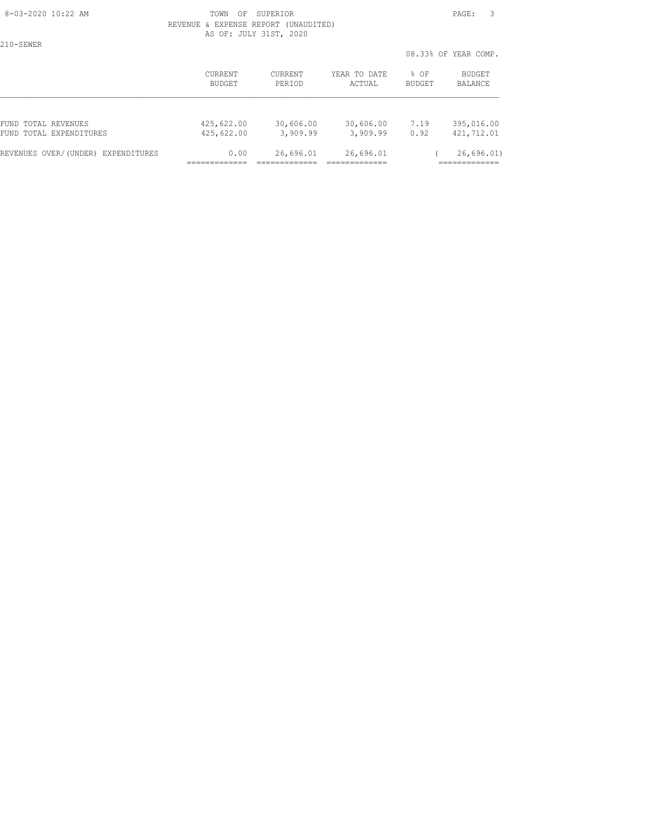210-SEWER

#### 8-03-2020 10:22 AM TOWN OF SUPERIOR PAGE: 3 REVENUE & EXPENSE REPORT (UNAUDITED) AS OF: JULY 31ST, 2020

|                                    |                |                |              | 08.33% OF YEAR COMP. |               |
|------------------------------------|----------------|----------------|--------------|----------------------|---------------|
|                                    | <b>CURRENT</b> | <b>CURRENT</b> | YEAR TO DATE | $8$ OF               | <b>BUDGET</b> |
|                                    | BUDGET         | PERIOD         | ACTUAL       | BUDGET               | BALANCE       |
| FUND TOTAL REVENUES                | 425,622.00     | 30,606.00      | 30,606.00    | 7.19                 | 395,016.00    |
| FUND TOTAL EXPENDITURES            | 425,622.00     | 3,909.99       | 3,909.99     | 0.92                 | 421,712.01    |
| REVENUES OVER/(UNDER) EXPENDITURES | 0.00           | 26,696.01      | 26,696.01    |                      | 26,696.01)    |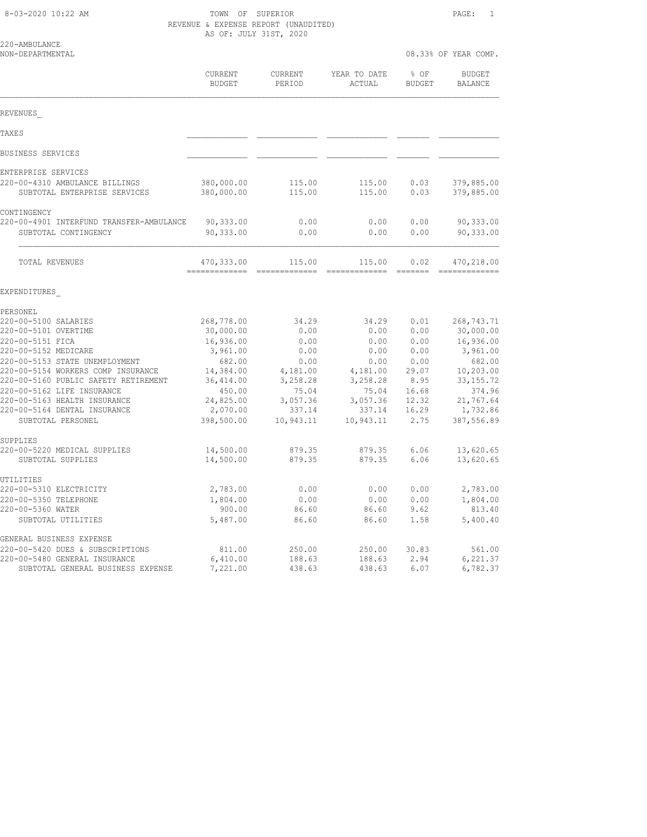8-03-2020 10:22 AM TOWN OF SUPERIOR PAGE: 1 REVENUE & EXPENSE REPORT (UNAUDITED) AS OF: JULY 31ST, 2020

| 220-AMBULANCE<br>NON-DEPARTMENTAL                                          |                          |                          |                        | 08.33% OF YEAR COMP.  |                          |
|----------------------------------------------------------------------------|--------------------------|--------------------------|------------------------|-----------------------|--------------------------|
|                                                                            |                          |                          |                        |                       |                          |
|                                                                            | CURRENT<br><b>BUDGET</b> | <b>CURRENT</b><br>PERIOD | YEAR TO DATE<br>ACTUAL | % OF<br><b>BUDGET</b> | <b>BUDGET</b><br>BALANCE |
| REVENUES                                                                   |                          |                          |                        |                       |                          |
| <b>TAXES</b>                                                               |                          |                          |                        |                       |                          |
| BUSINESS SERVICES                                                          |                          |                          |                        |                       |                          |
| ENTERPRISE SERVICES                                                        |                          |                          |                        |                       |                          |
| 220-00-4310 AMBULANCE BILLINGS<br>SUBTOTAL ENTERPRISE SERVICES             | 380,000.00<br>380,000.00 | 115.00<br>115.00         | 115.00<br>115.00       | 0.03<br>0.03          | 379,885.00<br>379,885.00 |
| CONTINGENCY                                                                |                          |                          |                        |                       |                          |
| 220-00-4901 INTERFUND TRANSFER-AMBULANCE<br>SUBTOTAL CONTINGENCY           | 90,333.00<br>90,333.00   | 0.00<br>0.00             | 0.00<br>0.00           | 0.00<br>0.00          | 90,333.00<br>90,333.00   |
| TOTAL REVENUES                                                             | 470,333.00               | 115.00                   | 115.00                 | 0.02                  | 470,218.00               |
| EXPENDITURES                                                               |                          |                          |                        |                       |                          |
| PERSONEL                                                                   |                          |                          |                        |                       |                          |
| 220-00-5100 SALARIES                                                       | 268,778.00               | 34.29                    | 34.29                  | 0.01                  | 268,743.71               |
| 220-00-5101 OVERTIME                                                       | 30,000.00                | 0.00                     | 0.00                   | 0.00                  | 30,000.00                |
| 220-00-5151 FICA                                                           | 16,936.00                | 0.00                     | 0.00                   | 0.00                  | 16,936.00                |
| 220-00-5152 MEDICARE                                                       | 3,961.00                 | 0.00                     | 0.00                   | 0.00                  | 3,961.00                 |
| 220-00-5153 STATE UNEMPLOYMENT                                             | 682.00                   | 0.00                     | 0.00                   | 0.00                  | 682.00                   |
| 220-00-5154 WORKERS COMP INSURANCE<br>220-00-5160 PUBLIC SAFETY RETIREMENT | 14,384.00<br>36, 414.00  | 4,181.00<br>3,258.28     | 4,181.00<br>3,258.28   | 29.07<br>8.95         | 10,203.00<br>33, 155. 72 |
| 220-00-5162 LIFE INSURANCE                                                 | 450.00                   | 75.04                    | 75.04                  | 16.68                 | 374.96                   |
| 220-00-5163 HEALTH INSURANCE                                               | 24,825.00                | 3,057.36                 | 3,057.36               | 12.32                 | 21,767.64                |
| 220-00-5164 DENTAL INSURANCE                                               | 2,070.00                 | 337.14                   | 337.14                 | 16.29                 | 1,732.86                 |
| SUBTOTAL PERSONEL                                                          | 398,500.00               | 10,943.11                | 10,943.11              | 2.75                  | 387,556.89               |
| SUPPLIES                                                                   |                          |                          |                        |                       |                          |
| 220-00-5220 MEDICAL SUPPLIES<br>SUBTOTAL SUPPLIES                          | 14,500.00<br>14,500.00   | 879.35<br>879.35         | 879.35<br>879.35       | 6.06<br>6.06          | 13,620.65<br>13,620.65   |
| UTILITIES                                                                  |                          |                          |                        |                       |                          |
| 220-00-5310 ELECTRICITY                                                    | 2,783.00                 | 0.00                     | 0.00                   | 0.00                  | 2,783.00                 |
| 220-00-5350 TELEPHONE                                                      | 1,804.00                 | 0.00                     | 0.00                   | 0.00                  | 1,804.00                 |
| 220-00-5360 WATER                                                          | 900.00                   | 86.60                    | 86.60                  | 9.62                  | 813.40                   |
| SUBTOTAL UTILITIES                                                         | 5,487.00                 | 86.60                    | 86.60                  | 1.58                  | 5,400.40                 |
| GENERAL BUSINESS EXPENSE                                                   |                          |                          |                        |                       |                          |
| 220-00-5420 DUES & SUBSCRIPTIONS                                           | 811.00                   | 250.00                   | 250.00                 | 30.83                 | 561.00                   |
| 220-00-5480 GENERAL INSURANCE                                              | 6,410.00                 | 188.63                   | 188.63                 | 2.94                  | 6,221.37                 |
| SUBTOTAL GENERAL BUSINESS EXPENSE                                          | 7,221.00                 | 438.63                   | 438.63                 | 6.07                  | 6,782.37                 |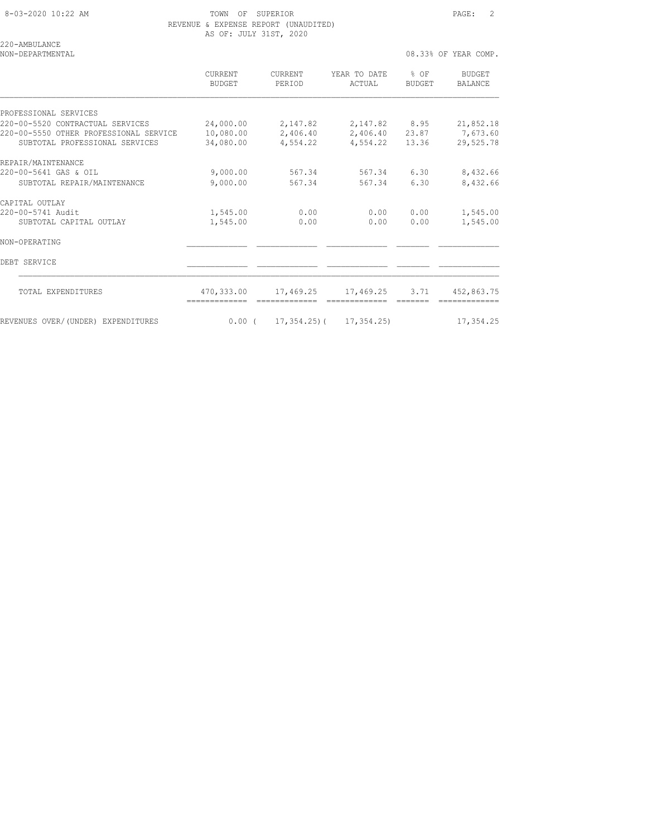8-03-2020 10:22 AM TOWN OF SUPERIOR PAGE: 2 REVENUE & EXPENSE REPORT (UNAUDITED) AS OF: JULY 31ST, 2020

220-AMBULANCE

NON-DEPARTMENTAL 2000 COMP. THE SERVICE OF STRAINING SERVICE OF STRAINING SERVICE OF STRAINING SERVICE OF STRAINING SERVICE OF STRAINING SERVICE OF STRAINING SERVICE OF STRAINING SERVICE OF STRAINING SERVICE OF STRAINING S

 CURRENT CURRENT YEAR TO DATE % OF BUDGET BUDGET PERIOD ACTUAL BUDGET BALANCE PROFESSIONAL SERVICES 220-00-5520 CONTRACTUAL SERVICES 24,000.00 2,147.82 2,147.82 8.95 21,852.18 220-00-5550 OTHER PROFESSIONAL SERVICE 10,080.00 2,406.40 2,406.40 23.87 7,673.60 SUBTOTAL PROFESSIONAL SERVICES 34,080.00 4,554.22 4,554.22 13.36 29,525.78 REPAIR/MAINTENANCE<br>220-00-5641 GAS & OIL 220-00-5641 GAS & OIL 9,000.00 567.34 567.34 6.30 8,432.66 SUBTOTAL REPAIR/MAINTENANCE 9,000.00 567.34 567.34 6.30 8,432.66 CAPITAL OUTLAY 220-00-5741 Audit 1,545.00 0.00 0.00 0.00 1,545.00 SUBTOTAL CAPITAL OUTLAY 1,545.00 0.00 0.00 0.00 1,545.00 NON-OPERATING \_\_\_\_\_\_\_\_\_\_\_\_\_ \_\_\_\_\_\_\_\_\_\_\_\_\_ \_\_\_\_\_\_\_\_\_\_\_\_\_ \_\_\_\_\_\_\_ \_\_\_\_\_\_\_\_\_\_\_\_\_ DEBT SERVICE \_\_\_\_\_\_\_\_\_\_\_\_\_ \_\_\_\_\_\_\_\_\_\_\_\_\_ \_\_\_\_\_\_\_\_\_\_\_\_\_ \_\_\_\_\_\_\_ \_\_\_\_\_\_\_\_\_\_\_\_\_  $\mathcal{L}_\text{max}$  TOTAL EXPENDITURES 470,333.00 17,469.25 17,469.25 3.71 452,863.75 ============= ============= ============= ======= ============= REVENUES OVER/(UNDER) EXPENDITURES 0.00 ( 17,354.25) 17,354.25) 17,354.25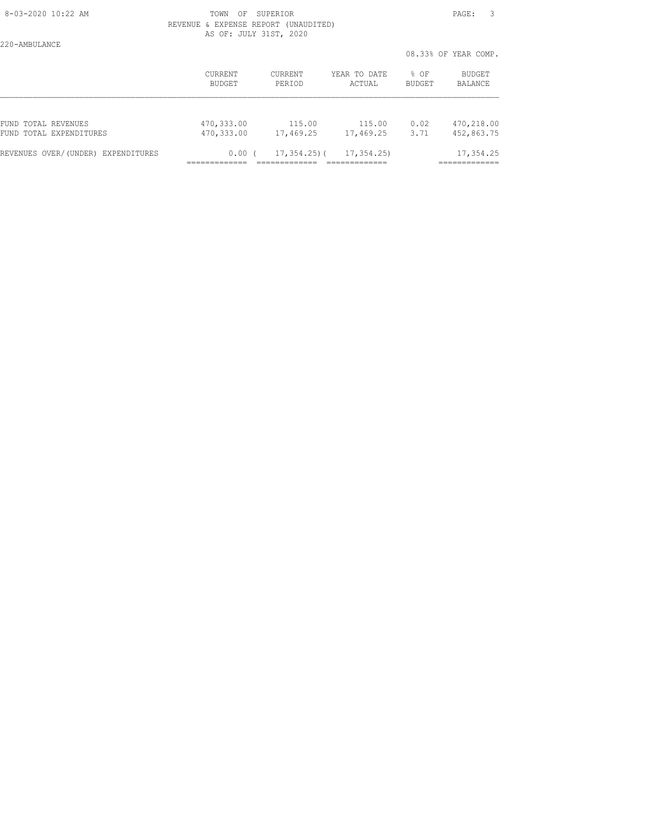220-AMBULANCE

#### 8-03-2020 10:22 AM TOWN OF SUPERIOR PAGE: 3 REVENUE & EXPENSE REPORT (UNAUDITED) AS OF: JULY 31ST, 2020

08.33% OF YEAR COMP.

|                                    |            |                   |              |        | 08.33% OF YEAR COMP. |
|------------------------------------|------------|-------------------|--------------|--------|----------------------|
|                                    | CURRENT    | <b>CURRENT</b>    | YEAR TO DATE | % OF   | BUDGET               |
|                                    | BUDGET     | PERIOD            | ACTUAL       | BUDGET | BALANCE              |
| FUND TOTAL REVENUES                | 470,333.00 | 115.00            | 115.00       | 0.02   | 470,218.00           |
| FUND TOTAL EXPENDITURES            | 470,333.00 | 17,469.25         | 17,469.25    | 3.71   | 452,863.75           |
| REVENUES OVER/(UNDER) EXPENDITURES | 0.00(      | $17, 354, 25$ ) ( | 17, 354, 25) |        | 17,354.25            |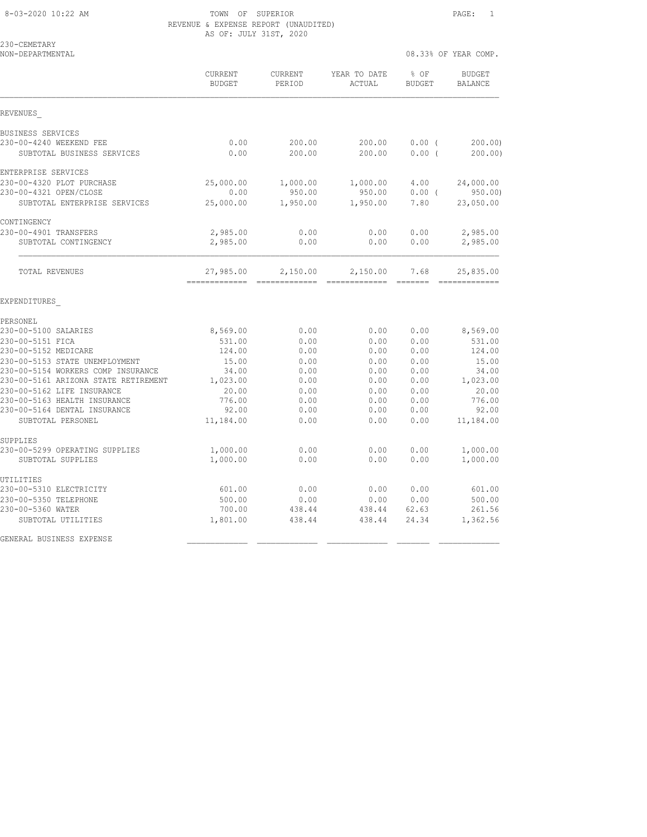#### 8-03-2020 10:22 AM TOWN OF SUPERIOR PAGE: 1 REVENUE & EXPENSE REPORT (UNAUDITED) AS OF: JULY 31ST, 2020

| 230-CEMETARY<br>NON-DEPARTMENTAL                                           |                      |                    |                        | 08.33% OF YEAR COMP. |                          |  |
|----------------------------------------------------------------------------|----------------------|--------------------|------------------------|----------------------|--------------------------|--|
|                                                                            | CURRENT<br>BUDGET    | CURRENT<br>PERIOD  | YEAR TO DATE<br>ACTUAL | % OF<br>BUDGET       | <b>BUDGET</b><br>BALANCE |  |
| REVENUES                                                                   |                      |                    |                        |                      |                          |  |
| BUSINESS SERVICES                                                          |                      |                    |                        |                      |                          |  |
| 230-00-4240 WEEKEND FEE<br>SUBTOTAL BUSINESS SERVICES                      | 0.00<br>0.00         | 200.00<br>200.00   | 200.00<br>200.00       | 0.00(<br>0.00(       | 200.00<br>200.00)        |  |
| ENTERPRISE SERVICES                                                        |                      |                    |                        |                      |                          |  |
| 230-00-4320 PLOT PURCHASE<br>230-00-4321 OPEN/CLOSE                        | 25,000.00<br>0.00    | 1,000.00<br>950.00 | 1,000.00<br>950.00     | 4.00<br>$0.00$ (     | 24,000.00<br>950.00      |  |
| SUBTOTAL ENTERPRISE SERVICES                                               | 25,000.00            | 1,950.00           | 1,950.00               | 7.80                 | 23,050.00                |  |
| CONTINGENCY                                                                |                      |                    |                        |                      |                          |  |
| 230-00-4901 TRANSFERS<br>SUBTOTAL CONTINGENCY                              | 2,985.00<br>2,985.00 | 0.00<br>0.00       | 0.00<br>0.00           | 0.00<br>0.00         | 2,985.00<br>2,985.00     |  |
| TOTAL REVENUES                                                             | 27,985.00            | 2,150.00           | 2,150.00               | 7.68                 | 25,835.00                |  |
| EXPENDITURES                                                               |                      |                    |                        |                      |                          |  |
| PERSONEL                                                                   |                      |                    |                        |                      |                          |  |
| 230-00-5100 SALARIES                                                       | 8,569.00             | 0.00               | 0.00                   | 0.00                 | 8,569.00                 |  |
| 230-00-5151 FICA                                                           | 531.00               | 0.00               | 0.00                   | 0.00                 | 531.00                   |  |
| 230-00-5152 MEDICARE                                                       | 124.00               | 0.00               | 0.00                   | 0.00                 | 124.00                   |  |
| 230-00-5153 STATE UNEMPLOYMENT                                             | 15.00                | 0.00               | 0.00                   | 0.00                 | 15.00                    |  |
| 230-00-5154 WORKERS COMP INSURANCE<br>230-00-5161 ARIZONA STATE RETIREMENT | 34.00<br>1,023.00    | 0.00<br>0.00       | 0.00<br>0.00           | 0.00<br>0.00         | 34.00<br>1,023.00        |  |
| 230-00-5162 LIFE INSURANCE                                                 | 20.00                | 0.00               | 0.00                   | 0.00                 | 20.00                    |  |
| 230-00-5163 HEALTH INSURANCE                                               | 776.00               | 0.00               | 0.00                   | 0.00                 | 776.00                   |  |
| 230-00-5164 DENTAL INSURANCE                                               | 92.00                | 0.00               | 0.00                   | 0.00                 | 92.00                    |  |
| SUBTOTAL PERSONEL                                                          | 11,184.00            | 0.00               | 0.00                   | 0.00                 | 11,184.00                |  |
| SUPPLIES                                                                   |                      |                    |                        |                      |                          |  |
| 230-00-5299 OPERATING SUPPLIES<br>SUBTOTAL SUPPLIES                        | 1,000.00<br>1,000.00 | 0.00<br>0.00       | 0.00<br>0.00           | 0.00<br>0.00         | 1,000.00<br>1,000.00     |  |
| UTILITIES                                                                  |                      |                    |                        |                      |                          |  |
| 230-00-5310 ELECTRICITY                                                    | 601.00               | 0.00               | 0.00                   | 0.00                 | 601.00                   |  |
| 230-00-5350 TELEPHONE                                                      | 500.00               | 0.00               | 0.00                   | 0.00                 | 500.00                   |  |
| 230-00-5360 WATER                                                          | 700.00               | 438.44             | 438.44                 | 62.63                | 261.56                   |  |
| SUBTOTAL UTILITIES                                                         | 1,801.00             | 438.44             | 438.44                 | 24.34                | 1,362.56                 |  |
| GENERAL BUSINESS EXPENSE                                                   |                      |                    |                        |                      |                          |  |
|                                                                            |                      |                    |                        |                      |                          |  |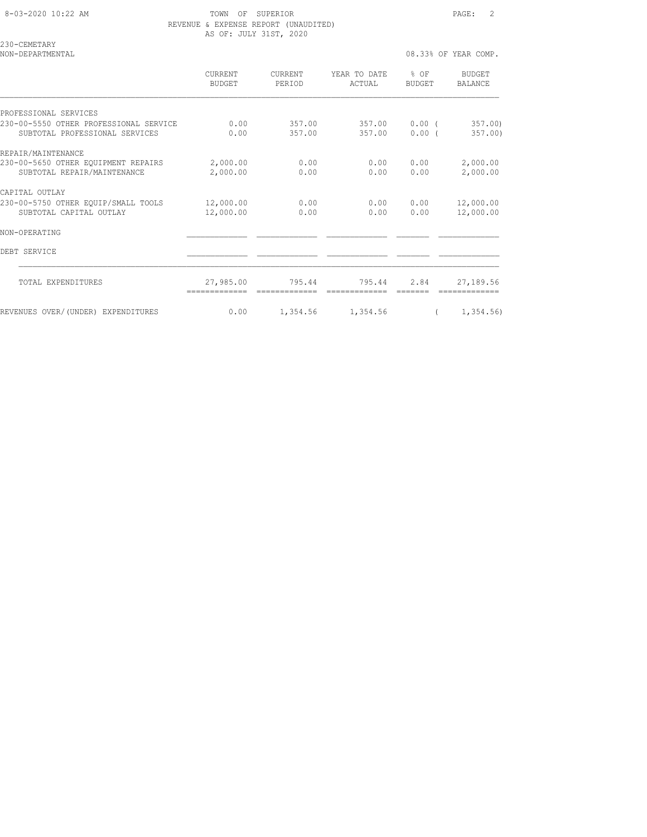| 8-03-2020 10:22 AM |  |
|--------------------|--|

TOWN OF SUPERIOR **Example 2** 2 REVENUE & EXPENSE REPORT (UNAUDITED) AS OF: JULY 31ST, 2020

|                                 |                   |                        |                         | 08.33% OF YEAR COMP.     |
|---------------------------------|-------------------|------------------------|-------------------------|--------------------------|
| <b>CURRENT</b><br><b>BUDGET</b> | CURRENT<br>PERIOD | YEAR TO DATE<br>ACTUAL | $8$ OF<br><b>BUDGET</b> | BUDGET<br><b>BALANCE</b> |
|                                 |                   |                        |                         |                          |
| 0.00<br>0.00                    | 357.00<br>357.00  | 357.00                 | $0.00$ (<br>$0.00$ (    | 357.00<br>357.00         |
|                                 |                   |                        |                         |                          |
| 2,000.00<br>2,000.00            | 0.00<br>0.00      | 0.00<br>0.00           | 0.00<br>0.00            | 2,000.00<br>2,000.00     |
|                                 |                   |                        |                         |                          |
| 12,000.00<br>12,000.00          | 0.00<br>0.00      | 0.00                   | 0.00<br>0.00            | 12,000.00<br>12,000.00   |
|                                 |                   |                        |                         |                          |
|                                 |                   |                        |                         |                          |
| 27,985.00                       | 795.44            | 795.44                 | 2.84                    | 27,189.56                |
|                                 |                   |                        | -------------           | 357.00<br>0.00           |

REVENUES OVER/(UNDER) EXPENDITURES 0.00 1,354.56 1,354.56 ( 1,354.56)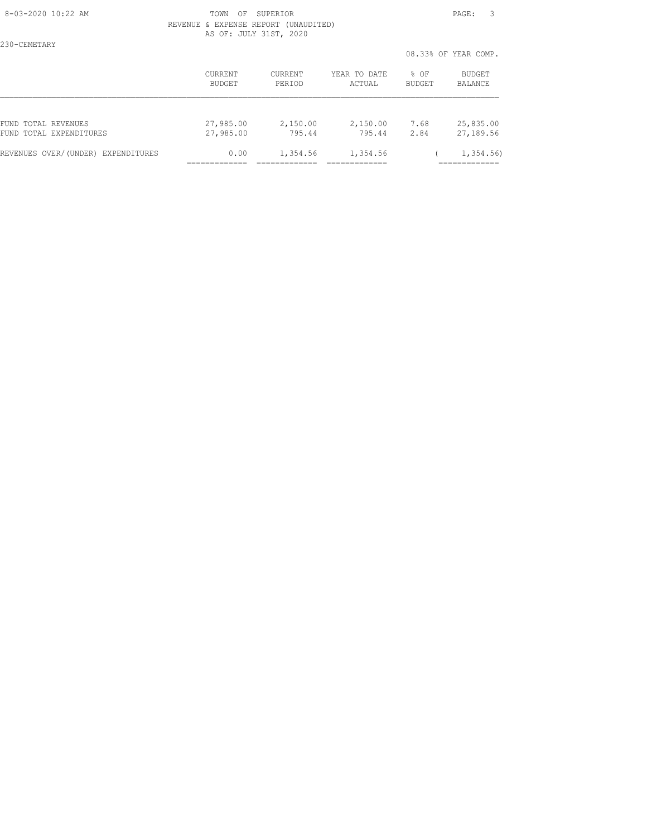# 8-03-2020 10:22 AM **PAGE: 3**  REVENUE & EXPENSE REPORT (UNAUDITED) AS OF: JULY 31ST, 2020

230-CEMETARY

 08.33% OF YEAR COMP. CURRENT CURRENT YEAR TO DATE % OF BUDGET BUDGET PERIOD ACTUAL BUDGET BALANCE FUND TOTAL REVENUES 27,985.00 2,150.00 2,150.00 7.68 25,835.00 FUND TOTAL EXPENDITURES 27,985.00 795.44 795.44 2.84 27,189.56 REVENUES OVER/(UNDER) EXPENDITURES 0.00 1,354.56 1,354.56 ( 1,354.56) ============= ============= ============= =============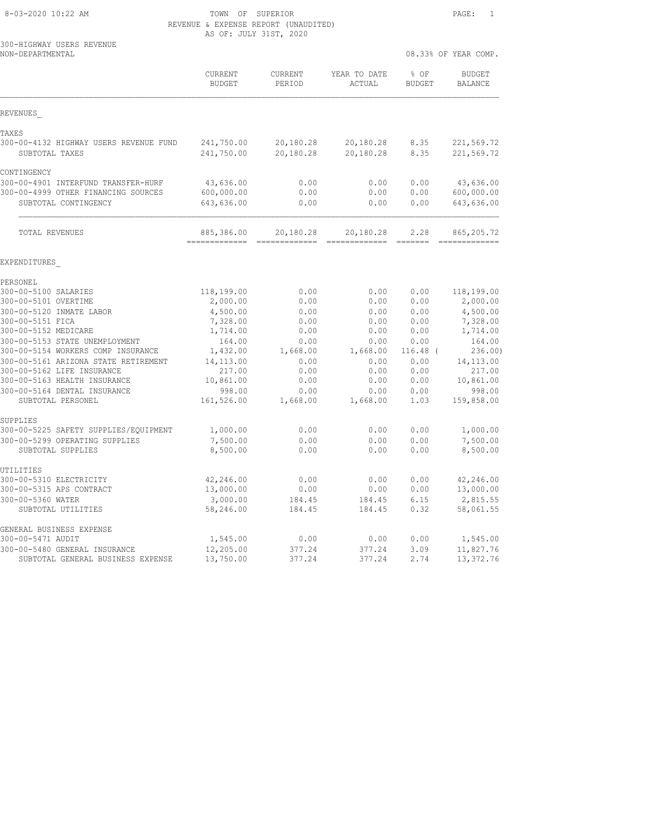| 8-03-2020 10:22 AM |  |
|--------------------|--|
|                    |  |

UTILITIES<br>300-00-5310 ELECTRICITY

GENERAL BUSINESS EXPENSE

TOWN OF SUPERIOR **PAGE:** 1

|                                               | REVENUE & EXPENSE REPORT (UNAUDITED)<br>AS OF: JULY 31ST, 2020 |                       |                                                                                                                                                                                                                                                                                                                                                                                                                                                                                                     |                       |                                 |  |
|-----------------------------------------------|----------------------------------------------------------------|-----------------------|-----------------------------------------------------------------------------------------------------------------------------------------------------------------------------------------------------------------------------------------------------------------------------------------------------------------------------------------------------------------------------------------------------------------------------------------------------------------------------------------------------|-----------------------|---------------------------------|--|
| 300-HIGHWAY USERS REVENUE<br>NON-DEPARTMENTAL |                                                                |                       |                                                                                                                                                                                                                                                                                                                                                                                                                                                                                                     |                       | 08.33% OF YEAR COMP.            |  |
|                                               | CURRENT<br><b>BUDGET</b>                                       | CURRENT<br>PERIOD     | YEAR TO DATE<br>ACTUAL                                                                                                                                                                                                                                                                                                                                                                                                                                                                              | % OF<br><b>BUDGET</b> | <b>BUDGET</b><br><b>BALANCE</b> |  |
| REVENUES                                      |                                                                |                       |                                                                                                                                                                                                                                                                                                                                                                                                                                                                                                     |                       |                                 |  |
| TAXES                                         |                                                                |                       |                                                                                                                                                                                                                                                                                                                                                                                                                                                                                                     |                       |                                 |  |
| 300-00-4132 HIGHWAY USERS REVENUE FUND        | 241,750.00                                                     | 20,180.28             | 20,180.28                                                                                                                                                                                                                                                                                                                                                                                                                                                                                           | 8.35                  | 221,569.72                      |  |
| SUBTOTAL TAXES                                | 241,750.00                                                     | 20,180.28             | 20,180.28                                                                                                                                                                                                                                                                                                                                                                                                                                                                                           | 8.35                  | 221,569.72                      |  |
| CONTINGENCY                                   |                                                                |                       |                                                                                                                                                                                                                                                                                                                                                                                                                                                                                                     |                       |                                 |  |
| 300-00-4901 INTERFUND TRANSFER-HURF           | 43,636.00                                                      | 0.00                  | 0.00                                                                                                                                                                                                                                                                                                                                                                                                                                                                                                | 0.00                  | 43,636.00                       |  |
| 300-00-4999 OTHER FINANCING SOURCES           | 600,000.00                                                     | 0.00                  | 0.00                                                                                                                                                                                                                                                                                                                                                                                                                                                                                                | 0.00                  | 600,000.00                      |  |
| SUBTOTAL CONTINGENCY                          | 643,636.00                                                     | 0.00                  | 0.00                                                                                                                                                                                                                                                                                                                                                                                                                                                                                                | 0.00                  | 643,636.00                      |  |
| TOTAL REVENUES                                | 885,386.00<br>=============                                    | 20,180.28<br>======== | 20,180.28<br>$\begin{array}{cccccccccc} \multicolumn{2}{c}{} & \multicolumn{2}{c}{} & \multicolumn{2}{c}{} & \multicolumn{2}{c}{} & \multicolumn{2}{c}{} & \multicolumn{2}{c}{} & \multicolumn{2}{c}{} & \multicolumn{2}{c}{} & \multicolumn{2}{c}{} & \multicolumn{2}{c}{} & \multicolumn{2}{c}{} & \multicolumn{2}{c}{} & \multicolumn{2}{c}{} & \multicolumn{2}{c}{} & \multicolumn{2}{c}{} & \multicolumn{2}{c}{} & \multicolumn{2}{c}{} & \multicolumn{2}{c}{} & \multicolumn{2}{c}{} & \mult$ | 2.28                  | 865, 205.72<br>========         |  |
| EXPENDITURES                                  |                                                                |                       |                                                                                                                                                                                                                                                                                                                                                                                                                                                                                                     |                       |                                 |  |
| PERSONEL                                      |                                                                |                       |                                                                                                                                                                                                                                                                                                                                                                                                                                                                                                     |                       |                                 |  |
| 300-00-5100 SALARIES                          | 118,199.00                                                     | 0.00                  | 0.00                                                                                                                                                                                                                                                                                                                                                                                                                                                                                                | 0.00                  | 118,199.00                      |  |
| 300-00-5101 OVERTIME                          | 2,000.00                                                       | 0.00                  | 0.00                                                                                                                                                                                                                                                                                                                                                                                                                                                                                                | 0.00                  | 2,000.00                        |  |
| 300-00-5120 INMATE LABOR                      | 4,500.00                                                       | 0.00                  | 0.00                                                                                                                                                                                                                                                                                                                                                                                                                                                                                                | 0.00                  | 4,500.00                        |  |
| 300-00-5151 FICA                              | 7,328.00                                                       | 0.00                  | 0.00                                                                                                                                                                                                                                                                                                                                                                                                                                                                                                | 0.00                  | 7,328.00                        |  |
| 300-00-5152 MEDICARE                          | 1,714.00                                                       | 0.00                  | 0.00                                                                                                                                                                                                                                                                                                                                                                                                                                                                                                | 0.00                  | 1,714.00                        |  |
| 300-00-5153 STATE UNEMPLOYMENT                | 164.00                                                         | 0.00                  | 0.00                                                                                                                                                                                                                                                                                                                                                                                                                                                                                                | 0.00                  | 164.00                          |  |
| 300-00-5154 WORKERS COMP INSURANCE            | 1,432.00                                                       | 1,668.00              | 1,668.00                                                                                                                                                                                                                                                                                                                                                                                                                                                                                            | $116.48$ (            | 236.00                          |  |
| 300-00-5161 ARIZONA STATE RETIREMENT          | 14, 113.00                                                     | 0.00                  | 0.00                                                                                                                                                                                                                                                                                                                                                                                                                                                                                                | 0.00                  | 14, 113.00                      |  |
| 300-00-5162 LIFE INSURANCE                    | 217.00                                                         | 0.00                  | 0.00                                                                                                                                                                                                                                                                                                                                                                                                                                                                                                | 0.00                  | 217.00                          |  |
| 300-00-5163 HEALTH INSURANCE                  | 10,861.00                                                      | 0.00                  | 0.00                                                                                                                                                                                                                                                                                                                                                                                                                                                                                                | 0.00                  | 10,861.00                       |  |
| 300-00-5164 DENTAL INSURANCE                  | 998.00                                                         | 0.00                  | 0.00                                                                                                                                                                                                                                                                                                                                                                                                                                                                                                | 0.00                  | 998.00                          |  |
| SUBTOTAL PERSONEL                             | 161,526.00                                                     | 1,668.00              | 1,668.00                                                                                                                                                                                                                                                                                                                                                                                                                                                                                            | 1.03                  | 159,858.00                      |  |
| SUPPLIES                                      |                                                                |                       |                                                                                                                                                                                                                                                                                                                                                                                                                                                                                                     |                       |                                 |  |
| 300-00-5225 SAFETY SUPPLIES/EQUIPMENT         | 1,000.00                                                       | 0.00                  | 0.00                                                                                                                                                                                                                                                                                                                                                                                                                                                                                                | 0.00                  | 1,000.00                        |  |
| 300-00-5299 OPERATING SUPPLIES                | 7,500.00                                                       | 0.00                  | 0.00                                                                                                                                                                                                                                                                                                                                                                                                                                                                                                | 0.00                  | 7,500.00                        |  |
| SUBTOTAL SUPPLIES                             | 8,500.00                                                       | 0.00                  | 0.00                                                                                                                                                                                                                                                                                                                                                                                                                                                                                                | 0.00                  | 8,500.00                        |  |

300-00-5310 ELECTRICITY 42,246.00 0.00 0.00 0.00 42,246.00 300-00-5315 APS CONTRACT 13,000.00 0.00 0.00 0.00 13,000.00 300-00-5360 WATER 3,000.00 184.45 184.45 6.15 2,815.55 SUBTOTAL UTILITIES 58,246.00 184.45 184.45 0.32 58,061.55

300-00-5471 AUDIT 1,545.00 0.00 0.00 0.00 1,545.00 300-00-5480 GENERAL INSURANCE 12,205.00 377.24 377.24 3.09 11,827.76 SUBTOTAL GENERAL BUSINESS EXPENSE 13,750.00 377.24 377.24 2.74 13,372.76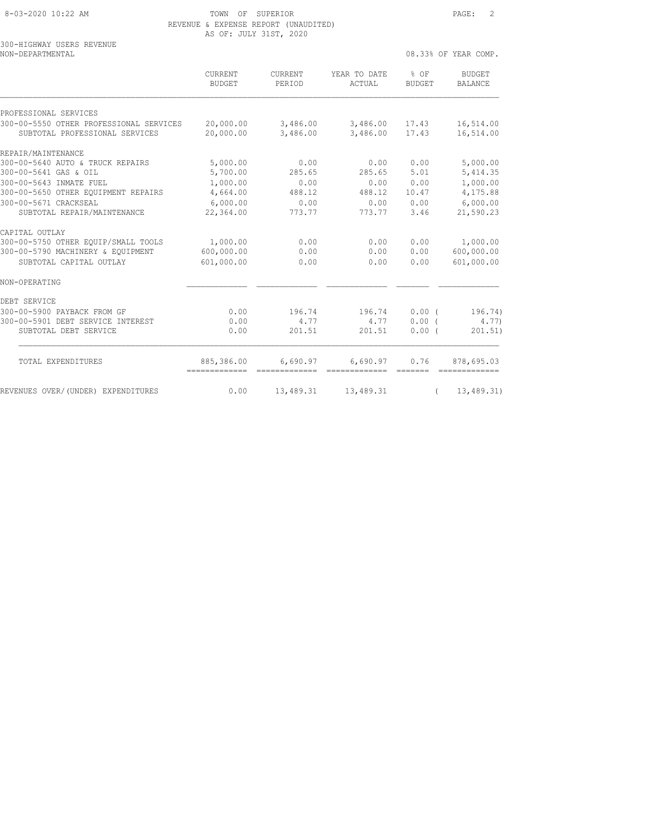300-HIGHWAY USERS REVENUE

#### 8-03-2020 10:22 AM TOWN OF SUPERIOR PAGE: 2 REVENUE & EXPENSE REPORT (UNAUDITED) AS OF: JULY 31ST, 2020

| NON-DEPARTMENTAL                                                          |                                               |                      |                            |                                                                                                                                                                                                                                                                                                                                                                                                                                                                                              | 08.33% OF YEAR COMP.                                                                                                                                                                                                                                                                                                                                                                                                                                                                                 |  |
|---------------------------------------------------------------------------|-----------------------------------------------|----------------------|----------------------------|----------------------------------------------------------------------------------------------------------------------------------------------------------------------------------------------------------------------------------------------------------------------------------------------------------------------------------------------------------------------------------------------------------------------------------------------------------------------------------------------|------------------------------------------------------------------------------------------------------------------------------------------------------------------------------------------------------------------------------------------------------------------------------------------------------------------------------------------------------------------------------------------------------------------------------------------------------------------------------------------------------|--|
|                                                                           | CURRENT<br><b>BUDGET</b>                      | CURRENT<br>PERIOD    | YEAR TO DATE<br>ACTUAL     | $8$ OF<br><b>BUDGET</b>                                                                                                                                                                                                                                                                                                                                                                                                                                                                      | BUDGET<br><b>BALANCE</b>                                                                                                                                                                                                                                                                                                                                                                                                                                                                             |  |
| PROFESSIONAL SERVICES                                                     |                                               |                      |                            |                                                                                                                                                                                                                                                                                                                                                                                                                                                                                              |                                                                                                                                                                                                                                                                                                                                                                                                                                                                                                      |  |
| 300-00-5550 OTHER PROFESSIONAL SERVICES<br>SUBTOTAL PROFESSIONAL SERVICES | 20,000.00<br>20,000.00                        | 3,486.00<br>3,486.00 | 3,486.00 17.43<br>3,486.00 | 17.43                                                                                                                                                                                                                                                                                                                                                                                                                                                                                        | 16,514.00<br>16,514.00                                                                                                                                                                                                                                                                                                                                                                                                                                                                               |  |
| REPAIR/MAINTENANCE                                                        |                                               |                      |                            |                                                                                                                                                                                                                                                                                                                                                                                                                                                                                              |                                                                                                                                                                                                                                                                                                                                                                                                                                                                                                      |  |
| 300-00-5640 AUTO & TRUCK REPAIRS                                          | 5,000.00                                      | 0.00                 | 0.00                       | 0.00                                                                                                                                                                                                                                                                                                                                                                                                                                                                                         | 5,000.00                                                                                                                                                                                                                                                                                                                                                                                                                                                                                             |  |
| 300-00-5641 GAS & OIL                                                     | 5,700.00                                      | 285.65               | 285.65                     | 5.01                                                                                                                                                                                                                                                                                                                                                                                                                                                                                         | 5, 414.35                                                                                                                                                                                                                                                                                                                                                                                                                                                                                            |  |
| 300-00-5643 INMATE FUEL                                                   | 1,000.00                                      | 0.00                 | 0.00                       | 0.00                                                                                                                                                                                                                                                                                                                                                                                                                                                                                         | 1,000.00                                                                                                                                                                                                                                                                                                                                                                                                                                                                                             |  |
| 300-00-5650 OTHER EQUIPMENT REPAIRS                                       | 4,664.00                                      | 488.12               | 488.12                     | 10.47                                                                                                                                                                                                                                                                                                                                                                                                                                                                                        | 4,175.88                                                                                                                                                                                                                                                                                                                                                                                                                                                                                             |  |
| 300-00-5671 CRACKSEAL                                                     | 6,000.00                                      | 0.00                 | 0.00                       | 0.00                                                                                                                                                                                                                                                                                                                                                                                                                                                                                         | 6,000.00                                                                                                                                                                                                                                                                                                                                                                                                                                                                                             |  |
| SUBTOTAL REPAIR/MAINTENANCE                                               | 22,364.00                                     | 773.77               | 773.77                     | 3.46                                                                                                                                                                                                                                                                                                                                                                                                                                                                                         | 21,590.23                                                                                                                                                                                                                                                                                                                                                                                                                                                                                            |  |
| CAPITAL OUTLAY                                                            |                                               |                      |                            |                                                                                                                                                                                                                                                                                                                                                                                                                                                                                              |                                                                                                                                                                                                                                                                                                                                                                                                                                                                                                      |  |
| 300-00-5750 OTHER EQUIP/SMALL TOOLS                                       | 1,000.00                                      | 0.00                 | 0.00                       | 0.00                                                                                                                                                                                                                                                                                                                                                                                                                                                                                         | 1,000.00                                                                                                                                                                                                                                                                                                                                                                                                                                                                                             |  |
| 300-00-5790 MACHINERY & EQUIPMENT                                         | 600,000.00                                    | 0.00                 | 0.00                       | 0.00                                                                                                                                                                                                                                                                                                                                                                                                                                                                                         | 600,000.00                                                                                                                                                                                                                                                                                                                                                                                                                                                                                           |  |
| SUBTOTAL CAPITAL OUTLAY                                                   | 601,000.00                                    | 0.00                 | 0.00                       | 0.00                                                                                                                                                                                                                                                                                                                                                                                                                                                                                         | 601,000.00                                                                                                                                                                                                                                                                                                                                                                                                                                                                                           |  |
| NON-OPERATING                                                             |                                               |                      |                            |                                                                                                                                                                                                                                                                                                                                                                                                                                                                                              |                                                                                                                                                                                                                                                                                                                                                                                                                                                                                                      |  |
| DEBT SERVICE                                                              |                                               |                      |                            |                                                                                                                                                                                                                                                                                                                                                                                                                                                                                              |                                                                                                                                                                                                                                                                                                                                                                                                                                                                                                      |  |
| 300-00-5900 PAYBACK FROM GF                                               | 0.00                                          | 196.74               | 196.74                     | 0.00(                                                                                                                                                                                                                                                                                                                                                                                                                                                                                        | 196.74)                                                                                                                                                                                                                                                                                                                                                                                                                                                                                              |  |
| 300-00-5901 DEBT SERVICE INTEREST                                         | 0.00                                          | 4.77                 | 4.77                       | 0.00(                                                                                                                                                                                                                                                                                                                                                                                                                                                                                        | 4.77)                                                                                                                                                                                                                                                                                                                                                                                                                                                                                                |  |
| SUBTOTAL DEBT SERVICE                                                     | 0.00                                          | 201.51               | 201.51                     | 0.00(                                                                                                                                                                                                                                                                                                                                                                                                                                                                                        | 201.51)                                                                                                                                                                                                                                                                                                                                                                                                                                                                                              |  |
| TOTAL EXPENDITURES                                                        | 885,386.00<br>=============================== | 6,690.97             | 6,690.97<br>-------------  | 0.76<br>$\begin{array}{cccccc} \multicolumn{2}{c}{} & \multicolumn{2}{c}{} & \multicolumn{2}{c}{} & \multicolumn{2}{c}{} & \multicolumn{2}{c}{} & \multicolumn{2}{c}{} & \multicolumn{2}{c}{} & \multicolumn{2}{c}{} & \multicolumn{2}{c}{} & \multicolumn{2}{c}{} & \multicolumn{2}{c}{} & \multicolumn{2}{c}{} & \multicolumn{2}{c}{} & \multicolumn{2}{c}{} & \multicolumn{2}{c}{} & \multicolumn{2}{c}{} & \multicolumn{2}{c}{} & \multicolumn{2}{c}{} & \multicolumn{2}{c}{} & \multic$ | 878,695.03<br>$\begin{array}{cccccccccc} \multicolumn{2}{c}{} & \multicolumn{2}{c}{} & \multicolumn{2}{c}{} & \multicolumn{2}{c}{} & \multicolumn{2}{c}{} & \multicolumn{2}{c}{} & \multicolumn{2}{c}{} & \multicolumn{2}{c}{} & \multicolumn{2}{c}{} & \multicolumn{2}{c}{} & \multicolumn{2}{c}{} & \multicolumn{2}{c}{} & \multicolumn{2}{c}{} & \multicolumn{2}{c}{} & \multicolumn{2}{c}{} & \multicolumn{2}{c}{} & \multicolumn{2}{c}{} & \multicolumn{2}{c}{} & \multicolumn{2}{c}{} & \mult$ |  |
| REVENUES OVER/(UNDER) EXPENDITURES                                        | 0.00                                          | 13,489.31            | 13,489.31                  | $\sqrt{2}$                                                                                                                                                                                                                                                                                                                                                                                                                                                                                   | 13,489.31)                                                                                                                                                                                                                                                                                                                                                                                                                                                                                           |  |
|                                                                           |                                               |                      |                            |                                                                                                                                                                                                                                                                                                                                                                                                                                                                                              |                                                                                                                                                                                                                                                                                                                                                                                                                                                                                                      |  |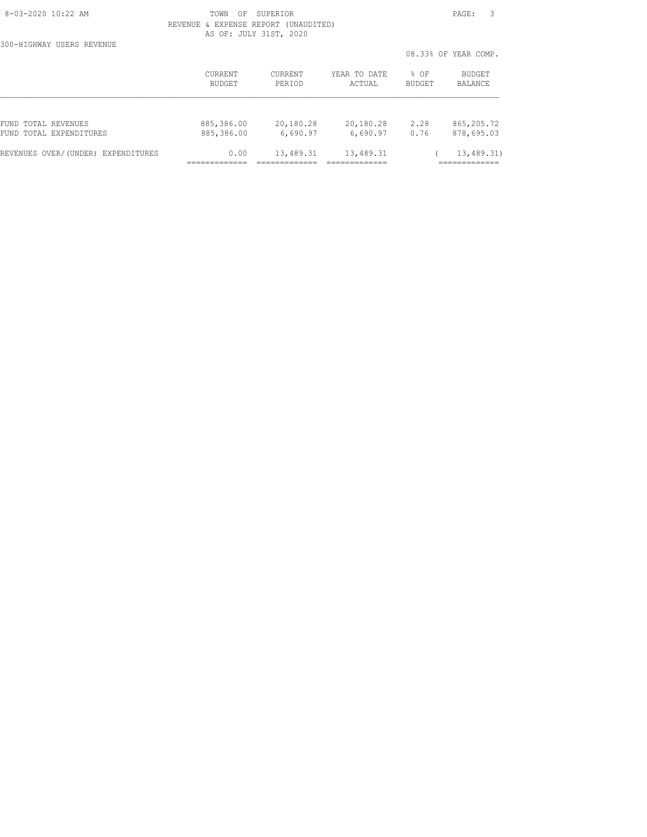300-HIGHWAY USERS REVENUE

 8-03-2020 10:22 AM TOWN OF SUPERIOR PAGE: 3 REVENUE & EXPENSE REPORT (UNAUDITED) AS OF: JULY 31ST, 2020

|                                    |                |                |              | 08.33% OF YEAR COMP. |             |  |
|------------------------------------|----------------|----------------|--------------|----------------------|-------------|--|
|                                    | <b>CURRENT</b> | <b>CURRENT</b> | YEAR TO DATE | $8$ OF               | BUDGET      |  |
|                                    | <b>BUDGET</b>  | PERIOD         | ACTUAL       | <b>BUDGET</b>        | BALANCE     |  |
| FUND TOTAL REVENUES                | 885,386.00     | 20,180.28      | 20,180.28    | 2.28                 | 865, 205.72 |  |
| FUND TOTAL EXPENDITURES            | 885,386.00     | 6,690.97       | 6,690.97     | 0.76                 | 878,695.03  |  |
| REVENUES OVER/(UNDER) EXPENDITURES | 0.00           | 13,489.31      | 13,489.31    |                      | 13, 489.31) |  |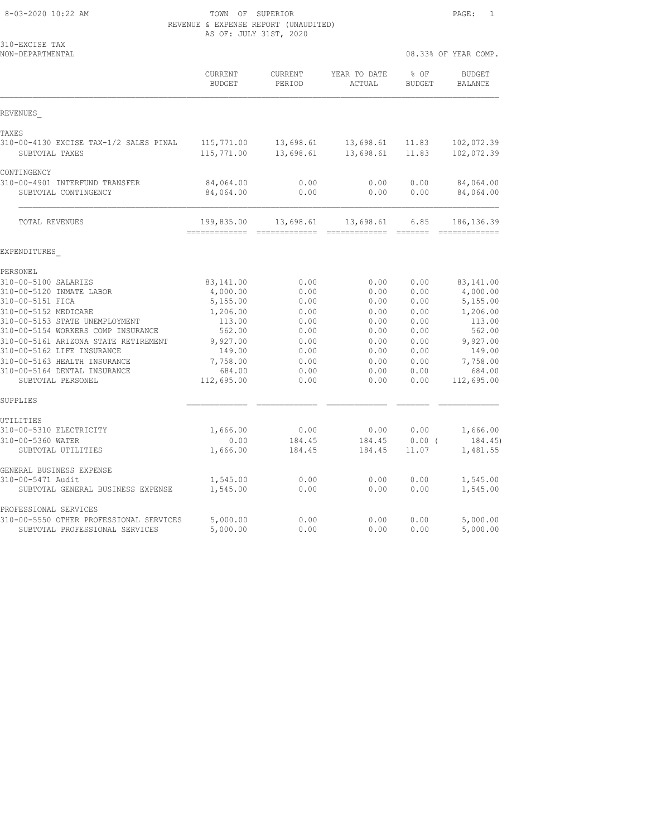| 8-03-2020 10:22 AM |  |
|--------------------|--|
|                    |  |

# TOWN OF SUPERIOR **Example 20:22 AM TOWN OF SUPERIOR**  $\qquad 1$  REVENUE & EXPENSE REPORT (UNAUDITED) AS OF: JULY 31ST, 2020

| 310-EXCISE TAX<br>NON-DEPARTMENTAL                                                                                                                                                                                                                                                                                                                      |                                                                                                                             |                                                                                      |                                                                                      | 08.33% OF YEAR COMP.                                                                 |                                                                                                                              |
|---------------------------------------------------------------------------------------------------------------------------------------------------------------------------------------------------------------------------------------------------------------------------------------------------------------------------------------------------------|-----------------------------------------------------------------------------------------------------------------------------|--------------------------------------------------------------------------------------|--------------------------------------------------------------------------------------|--------------------------------------------------------------------------------------|------------------------------------------------------------------------------------------------------------------------------|
|                                                                                                                                                                                                                                                                                                                                                         | CURRENT<br><b>BUDGET</b>                                                                                                    | CURRENT<br>PERIOD                                                                    | YEAR TO DATE<br>ACTUAL                                                               | % OF<br><b>BUDGET</b>                                                                | <b>BUDGET</b><br><b>BALANCE</b>                                                                                              |
| REVENUES                                                                                                                                                                                                                                                                                                                                                |                                                                                                                             |                                                                                      |                                                                                      |                                                                                      |                                                                                                                              |
| TAXES<br>310-00-4130 EXCISE TAX-1/2 SALES PINAL<br>SUBTOTAL TAXES                                                                                                                                                                                                                                                                                       | 115,771.00<br>115,771.00                                                                                                    | 13,698.61<br>13,698.61                                                               | 13,698.61<br>13,698.61                                                               | 11.83<br>11.83                                                                       | 102,072.39<br>102,072.39                                                                                                     |
| CONTINGENCY<br>310-00-4901 INTERFUND TRANSFER<br>SUBTOTAL CONTINGENCY                                                                                                                                                                                                                                                                                   | 84,064.00<br>84,064.00                                                                                                      | 0.00<br>0.00                                                                         | 0.00<br>0.00                                                                         | 0.00<br>0.00                                                                         | 84,064.00<br>84,064.00                                                                                                       |
| TOTAL REVENUES                                                                                                                                                                                                                                                                                                                                          | 199,835.00<br>=============                                                                                                 | 13,698.61<br>-------------                                                           | 13,698.61<br>=============                                                           | 6.85<br>=======                                                                      | 186, 136.39<br>=============                                                                                                 |
| EXPENDITURES                                                                                                                                                                                                                                                                                                                                            |                                                                                                                             |                                                                                      |                                                                                      |                                                                                      |                                                                                                                              |
| PERSONEL<br>310-00-5100 SALARIES<br>310-00-5120 INMATE LABOR<br>310-00-5151 FICA<br>310-00-5152 MEDICARE<br>310-00-5153 STATE UNEMPLOYMENT<br>310-00-5154 WORKERS COMP INSURANCE<br>310-00-5161 ARIZONA STATE RETIREMENT<br>310-00-5162 LIFE INSURANCE<br>310-00-5163 HEALTH INSURANCE<br>310-00-5164 DENTAL INSURANCE<br>SUBTOTAL PERSONEL<br>SUPPLIES | 83,141.00<br>4,000.00<br>5,155.00<br>1,206.00<br>113.00<br>562.00<br>9,927.00<br>149.00<br>7,758.00<br>684.00<br>112,695.00 | 0.00<br>0.00<br>0.00<br>0.00<br>0.00<br>0.00<br>0.00<br>0.00<br>0.00<br>0.00<br>0.00 | 0.00<br>0.00<br>0.00<br>0.00<br>0.00<br>0.00<br>0.00<br>0.00<br>0.00<br>0.00<br>0.00 | 0.00<br>0.00<br>0.00<br>0.00<br>0.00<br>0.00<br>0.00<br>0.00<br>0.00<br>0.00<br>0.00 | 83, 141.00<br>4,000.00<br>5,155.00<br>1,206.00<br>113.00<br>562.00<br>9,927.00<br>149.00<br>7,758.00<br>684.00<br>112,695.00 |
| UTILITIES<br>310-00-5310 ELECTRICITY<br>310-00-5360 WATER<br>SUBTOTAL UTILITIES                                                                                                                                                                                                                                                                         | 1,666.00<br>0.00<br>1,666.00                                                                                                | 0.00<br>184.45<br>184.45                                                             | 0.00<br>184.45<br>184.45                                                             | 0.00<br>0.00(<br>11.07                                                               | 1,666.00<br>184.45)<br>1,481.55                                                                                              |
| GENERAL BUSINESS EXPENSE<br>310-00-5471 Audit<br>SUBTOTAL GENERAL BUSINESS EXPENSE                                                                                                                                                                                                                                                                      | 1,545.00<br>1,545.00                                                                                                        | 0.00<br>0.00                                                                         | 0.00<br>0.00                                                                         | 0.00<br>0.00                                                                         | 1,545.00<br>1,545.00                                                                                                         |
| PROFESSIONAL SERVICES<br>310-00-5550 OTHER PROFESSIONAL SERVICES                                                                                                                                                                                                                                                                                        | 5,000.00                                                                                                                    | 0.00                                                                                 | 0.00                                                                                 | 0.00                                                                                 | 5,000.00                                                                                                                     |

SUBTOTAL PROFESSIONAL SERVICES 5,000.00 0.00 0.00 0.00 5,000.00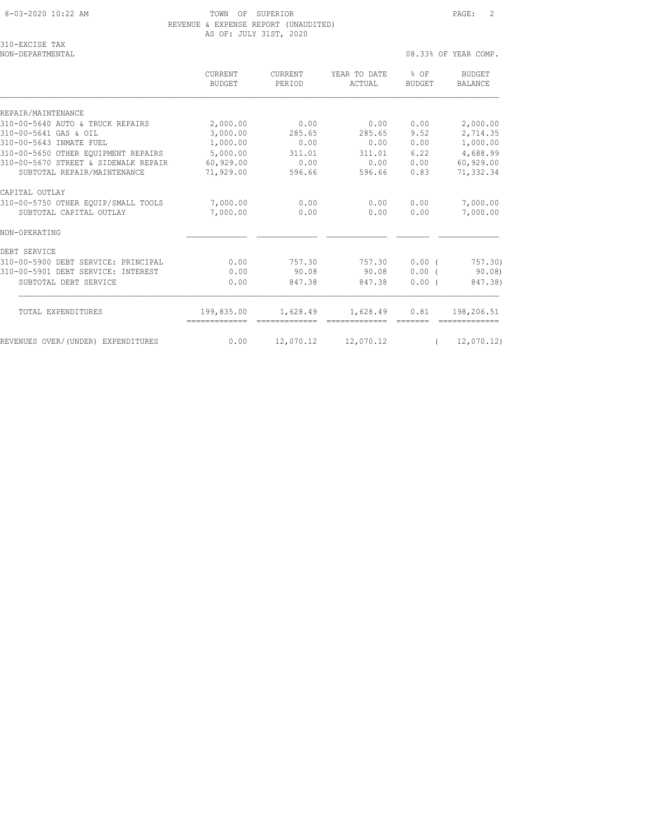## 8-03-2020 10:22 AM TOWN OF SUPERIOR PAGE: 2 REVENUE & EXPENSE REPORT (UNAUDITED) AS OF: JULY 31ST, 2020

| 310-EXCISE TAX    |  |
|-------------------|--|
| NON-DEPARTMENTAI. |  |

08.33% OF YEAR COMP.

|                                       | CURRENT<br><b>BUDGET</b> | <b>CURRENT</b><br>PERIOD | YEAR TO DATE<br>ACTUAL | % OF<br><b>BUDGET</b> | <b>BUDGET</b><br><b>BALANCE</b> |
|---------------------------------------|--------------------------|--------------------------|------------------------|-----------------------|---------------------------------|
| REPAIR/MAINTENANCE                    |                          |                          |                        |                       |                                 |
| 310-00-5640 AUTO & TRUCK REPAIRS      | 2,000.00                 | 0.00                     | 0.00                   | 0.00                  | 2,000.00                        |
| 310-00-5641 GAS & OIL                 | 3,000.00                 | 285.65                   | 285.65                 | 9.52                  | 2,714.35                        |
| 310-00-5643 INMATE FUEL               | 1,000.00                 | 0.00                     | 0.00                   | 0.00                  | 1,000.00                        |
| 310-00-5650 OTHER EOUIPMENT REPAIRS   | 5,000.00                 | 311.01                   | 311.01                 | 6.22                  | 4,688.99                        |
| 310-00-5670 STREET & SIDEWALK REPAIR  | 60,929.00                | 0.00                     | 0.00                   | 0.00                  | 60,929.00                       |
| SUBTOTAL REPAIR/MAINTENANCE           | 71,929.00                | 596.66                   | 596.66                 | 0.83                  | 71,332.34                       |
| CAPITAL OUTLAY                        |                          |                          |                        |                       |                                 |
| 310-00-5750 OTHER EQUIP/SMALL TOOLS   | 7,000.00                 | 0.00                     | 0.00                   | 0.00                  | 7,000.00                        |
| SUBTOTAL CAPITAL OUTLAY               | 7,000.00                 | 0.00                     | 0.00                   | 0.00                  | 7,000.00                        |
| NON-OPERATING                         |                          |                          |                        |                       |                                 |
| DEBT SERVICE                          |                          |                          |                        |                       |                                 |
| 310-00-5900 DEBT SERVICE: PRINCIPAL   | 0.00                     | 757.30                   | 757.30                 | $0.00$ (              | 757.30)                         |
| 310-00-5901 DEBT SERVICE: INTEREST    | 0.00                     | 90.08                    | 90.08                  | $0.00$ (              | 90.08                           |
| SUBTOTAL DEBT SERVICE                 | 0.00                     | 847.38                   | 847.38                 | 0.00(                 | 847.38)                         |
|                                       |                          |                          |                        |                       |                                 |
| TOTAL EXPENDITURES                    | 199,835.00               | 1,628.49                 | 1,628.49               | 0.81                  | 198,206.51                      |
| REVENUES OVER/(UNDER)<br>EXPENDITURES | 0.00                     | 12,070.12                | 12,070.12              |                       | 12,070.12                       |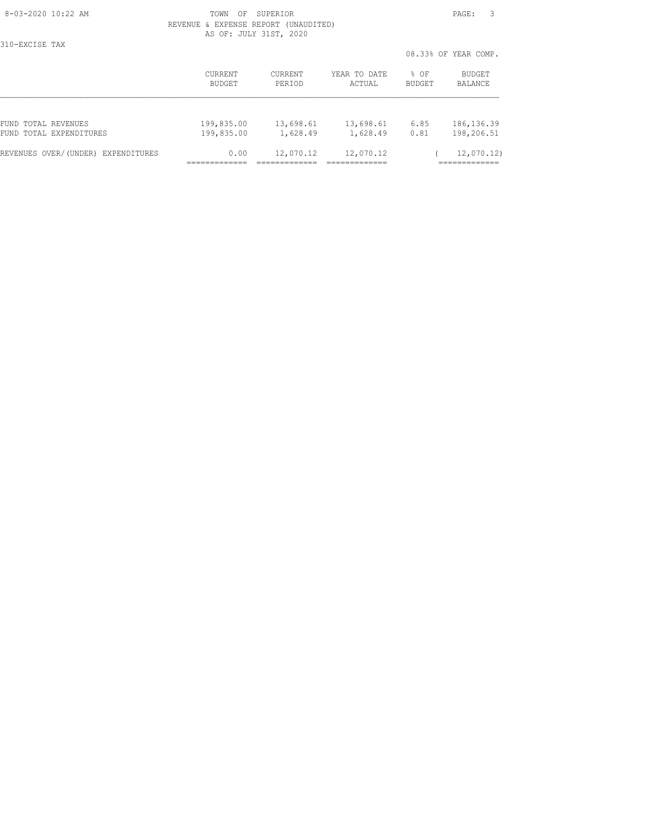310-EXCISE TAX

#### 8-03-2020 10:22 AM TOWN OF SUPERIOR PAGE: 3 REVENUE & EXPENSE REPORT (UNAUDITED) AS OF: JULY 31ST, 2020

|                                    |                |                |              |        | 08.33% OF YEAR COMP. |
|------------------------------------|----------------|----------------|--------------|--------|----------------------|
|                                    | <b>CURRENT</b> | <b>CURRENT</b> | YEAR TO DATE | $8$ OF | <b>BUDGET</b>        |
|                                    | BUDGET         | PERIOD         | ACTUAL       | BUDGET | BALANCE              |
| FUND TOTAL REVENUES                | 199,835.00     | 13,698.61      | 13,698.61    | 6.85   | 186, 136.39          |
| FUND TOTAL EXPENDITURES            | 199,835.00     | 1,628.49       | 1,628.49     | 0.81   | 198,206.51           |
| REVENUES OVER/(UNDER) EXPENDITURES | 0.00           | 12,070.12      | 12,070.12    |        | 12,070.12)           |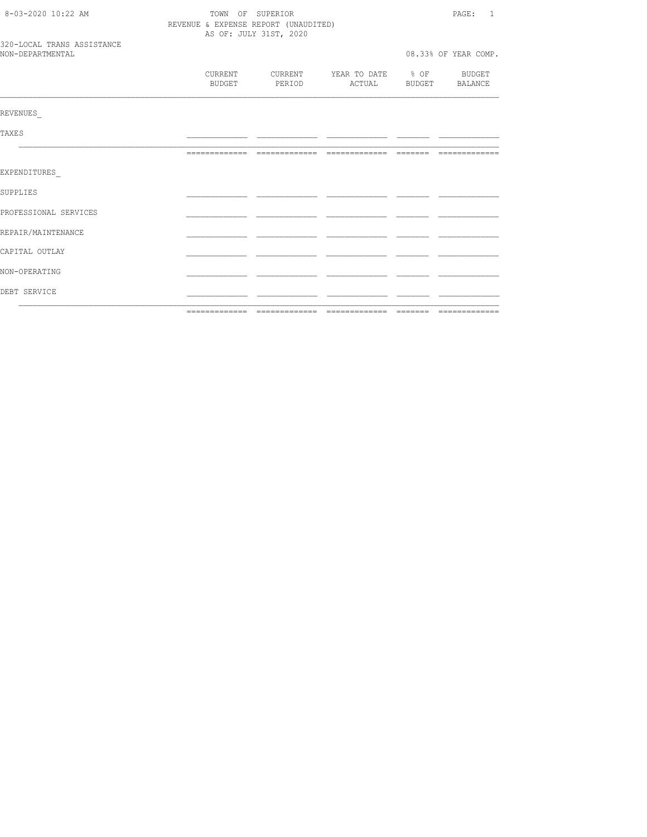| DEBT SERVICE                                   |                                                                |                   |                        |  |                               |
|------------------------------------------------|----------------------------------------------------------------|-------------------|------------------------|--|-------------------------------|
| NON-OPERATING                                  |                                                                |                   |                        |  |                               |
| CAPITAL OUTLAY                                 |                                                                |                   |                        |  |                               |
| REPAIR/MAINTENANCE                             |                                                                |                   |                        |  |                               |
| PROFESSIONAL SERVICES                          |                                                                |                   |                        |  |                               |
| SUPPLIES                                       |                                                                |                   |                        |  |                               |
| EXPENDITURES                                   |                                                                |                   |                        |  |                               |
|                                                |                                                                |                   |                        |  |                               |
| TAXE S                                         |                                                                |                   |                        |  |                               |
| REVENUES                                       |                                                                |                   |                        |  |                               |
|                                                | CURRENT<br>BUDGET                                              | CURRENT<br>PERIOD | YEAR TO DATE<br>ACTUAL |  | % OF BUDGET<br>BUDGET BALANCE |
| 320-LOCAL TRANS ASSISTANCE<br>NON-DEPARTMENTAL |                                                                |                   |                        |  | 08.33% OF YEAR COMP.          |
|                                                | REVENUE & EXPENSE REPORT (UNAUDITED)<br>AS OF: JULY 31ST, 2020 |                   |                        |  |                               |
| 8-03-2020 10:22 AM                             |                                                                | TOWN OF SUPERIOR  |                        |  | PAGE: 1                       |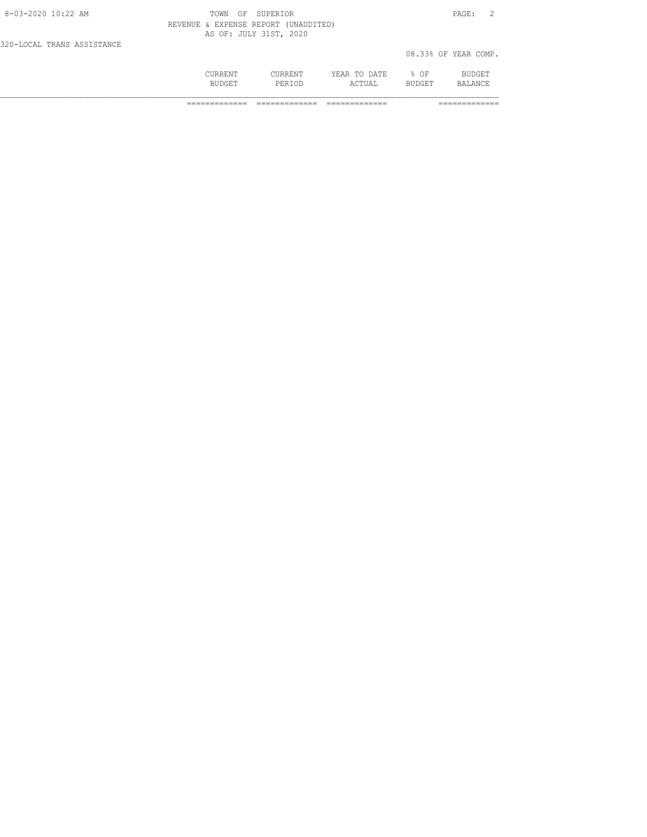|                            | CURRENT<br><b>BUDGET</b>             | <b>CURRENT</b><br>PERTOD | YEAR TO DATE<br>ACTUAL | % OF<br><b>BUDGET</b> | BUDGET<br>BALANCE.   |  |
|----------------------------|--------------------------------------|--------------------------|------------------------|-----------------------|----------------------|--|
| 320-LOCAL TRANS ASSISTANCE |                                      |                          |                        |                       | 08.33% OF YEAR COMP. |  |
|                            | REVENUE & EXPENSE REPORT (UNAUDITED) | AS OF: JULY 31ST, 2020   |                        |                       |                      |  |
| 8-03-2020 10:22 AM         | TOWN<br>OF                           | SUPERTOR                 |                        |                       | PAGE:                |  |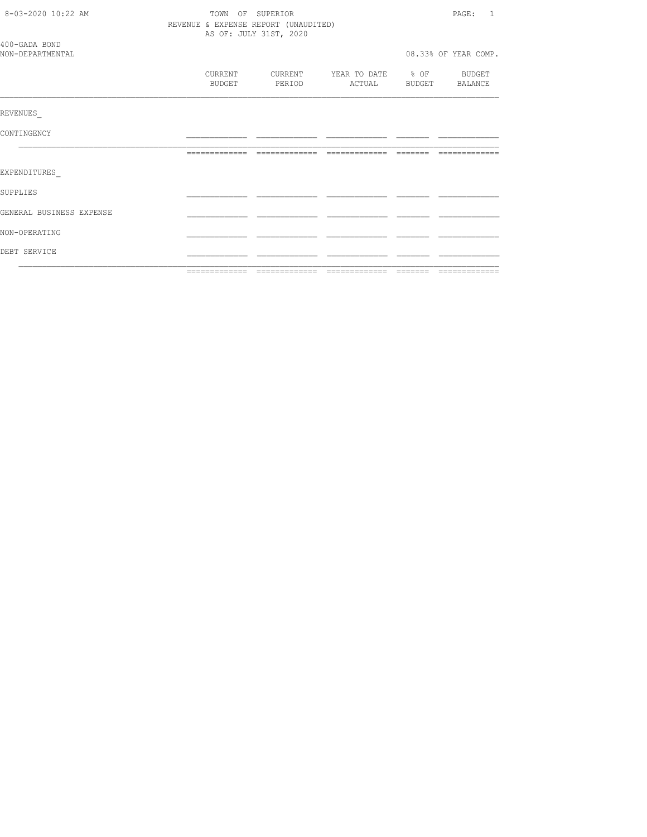| 8-03-2020 10:22 AM                |                                      | TOWN OF SUPERIOR         |                          | PAGE: 1               |
|-----------------------------------|--------------------------------------|--------------------------|--------------------------|-----------------------|
|                                   | REVENUE & EXPENSE REPORT (UNAUDITED) | AS OF: JULY 31ST, 2020   |                          |                       |
| 400-GADA BOND<br>NON-DEPARTMENTAL |                                      |                          |                          | 08.33% OF YEAR COMP.  |
|                                   | CURRENT<br>BUDGET                    | CURRENT<br><b>PERIOD</b> | YEAR TO DATE % OF BUDGET | ACTUAL BUDGET BALANCE |
| REVENUES                          |                                      |                          |                          |                       |
| CONTINGENCY                       |                                      |                          |                          |                       |
|                                   |                                      |                          |                          |                       |
| EXPENDITURES                      |                                      |                          |                          |                       |
| SUPPLIES                          |                                      |                          |                          |                       |
| GENERAL BUSINESS EXPENSE          |                                      |                          |                          |                       |
| NON-OPERATING                     |                                      |                          |                          |                       |
| DEBT SERVICE                      |                                      |                          |                          |                       |
|                                   | =============                        |                          |                          |                       |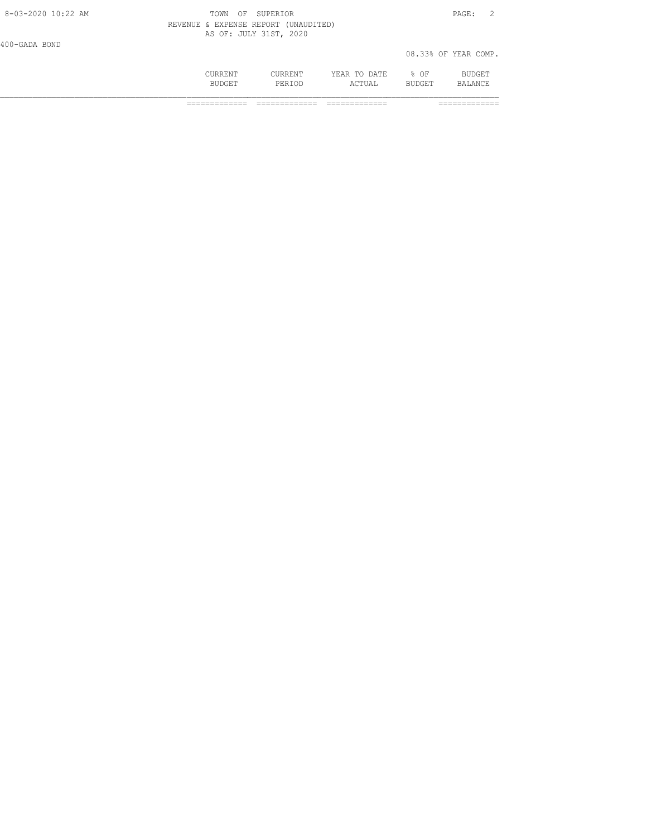|                    | CURRENT<br><b>BUDGET</b>             | CURRENT<br>PERTOD      | YEAR TO DATE<br>ACTUAL | $8$ OF<br><b>BUDGET</b> | BUDGET<br>BALANCE    |  |
|--------------------|--------------------------------------|------------------------|------------------------|-------------------------|----------------------|--|
| 400-GADA BOND      |                                      |                        |                        |                         | 08.33% OF YEAR COMP. |  |
|                    | REVENUE & EXPENSE REPORT (UNAUDITED) | AS OF: JULY 31ST, 2020 |                        |                         |                      |  |
| 8-03-2020 10:22 AM | TOWN<br>OF                           | SUPERIOR               |                        |                         | PAGE:                |  |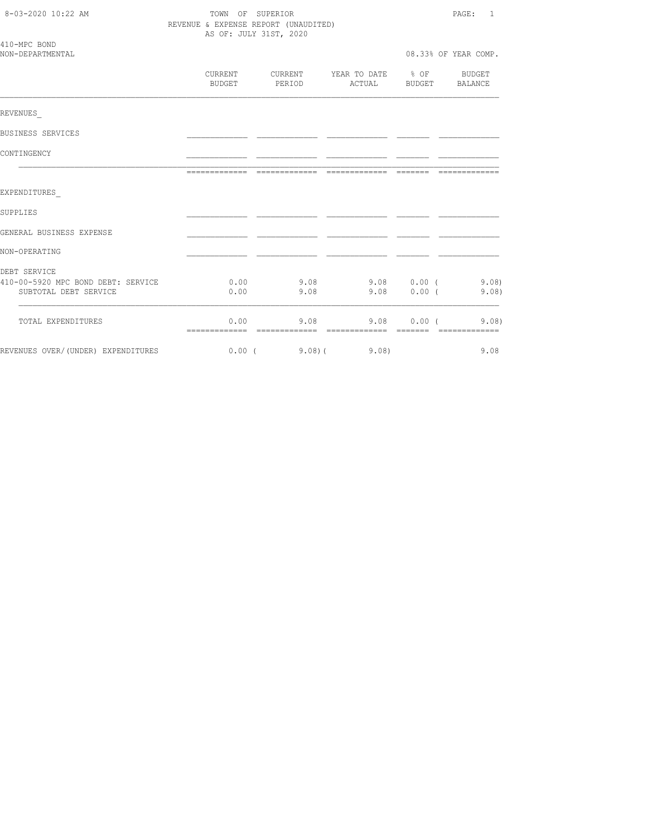| 8-03-2020 10:22 AM                                          | TOWN OF SUPERIOR<br>REVENUE & EXPENSE REPORT (UNAUDITED)<br>AS OF: JULY 31ST, 2020 |                          |                                         |               | PAGE: 1               |  |
|-------------------------------------------------------------|------------------------------------------------------------------------------------|--------------------------|-----------------------------------------|---------------|-----------------------|--|
| 410-MPC BOND<br>NON-DEPARTMENTAL                            |                                                                                    |                          |                                         |               | 08.33% OF YEAR COMP.  |  |
|                                                             | CURRENT<br>BUDGET                                                                  | <b>CURRENT</b><br>PERIOD | YEAR TO DATE % OF BUDGET                |               | ACTUAL BUDGET BALANCE |  |
| REVENUES                                                    |                                                                                    |                          |                                         |               |                       |  |
| BUSINESS SERVICES                                           |                                                                                    |                          |                                         |               |                       |  |
| CONTINGENCY                                                 |                                                                                    |                          |                                         |               |                       |  |
|                                                             |                                                                                    |                          |                                         |               | --------------        |  |
| EXPENDITURES                                                |                                                                                    |                          |                                         |               |                       |  |
| SUPPLIES                                                    |                                                                                    |                          |                                         |               |                       |  |
| GENERAL BUSINESS EXPENSE                                    |                                                                                    |                          |                                         |               |                       |  |
| NON-OPERATING                                               |                                                                                    |                          |                                         |               |                       |  |
| DEBT SERVICE                                                |                                                                                    |                          |                                         |               |                       |  |
| 410-00-5920 MPC BOND DEBT: SERVICE<br>SUBTOTAL DEBT SERVICE | 0.00<br>0.00                                                                       | 9.08                     | $9.08$ $9.08$ $0.00$ ( $9.08$ )<br>9.08 |               | $0.00$ ( 9.08)        |  |
| TOTAL EXPENDITURES                                          | 0.00                                                                               | 9.08                     |                                         | $9.08$ 0.00 ( | 9.08)                 |  |
| REVENUES OVER/(UNDER) EXPENDITURES                          |                                                                                    |                          | $0.00$ ( $9.08$ ) ( $9.08$ )            |               | 9.08                  |  |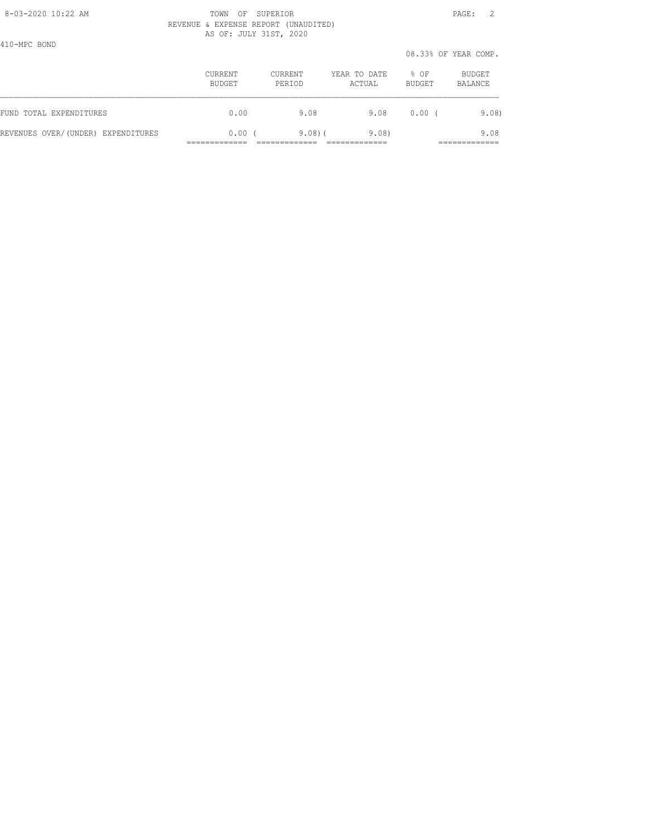# 8-03-2020 10:22 AM **PAGE: 2** TOWN OF SUPERIOR **PAGE: 2**  REVENUE & EXPENSE REPORT (UNAUDITED) AS OF: JULY 31ST, 2020

410-MPC BOND

 08.33% OF YEAR COMP. CURRENT CURRENT YEAR TO DATE % OF BUDGET BUDGET PERIOD ACTUAL BUDGET BALANCE FUND TOTAL EXPENDITURES 0.00 9.08 9.08 0.00 ( 9.08) REVENUES OVER/(UNDER) EXPENDITURES 0.00 ( 9.08)( 9.08) 9.08 ============= ============= ============= =============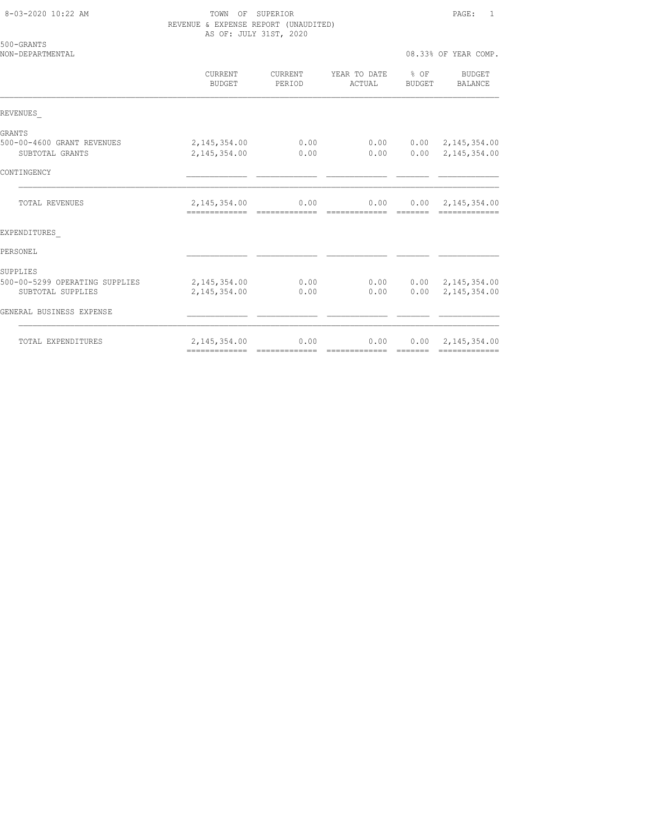| 8-03-2020 10:22 AM |  |
|--------------------|--|

TOWN OF SUPERIOR **Example 20:22 AM TOWN OF SUPERIOR**  $\qquad 1$  REVENUE & EXPENSE REPORT (UNAUDITED) AS OF: JULY 31ST, 2020

| 500-GRANTS<br>NON-DEPARTMENTAL                                  |                                                |                          |                        |                | 08.33% OF YEAR COMP.                                      |
|-----------------------------------------------------------------|------------------------------------------------|--------------------------|------------------------|----------------|-----------------------------------------------------------|
|                                                                 | CURRENT<br>BUDGET                              | <b>CURRENT</b><br>PERIOD | YEAR TO DATE<br>ACTUAL | % OF<br>BUDGET | BUDGET<br>BALANCE                                         |
| REVENUES                                                        |                                                |                          |                        |                |                                                           |
| GRANTS<br>500-00-4600 GRANT REVENUES<br>SUBTOTAL GRANTS         | 2, 145, 354.00<br>2, 145, 354.00               | 0.00<br>0.00             | 0.00<br>0.00           |                | $0.00 \quad 2,145,354.00$<br>$0.00 \quad 2,145,354.00$    |
| CONTINGENCY                                                     |                                                |                          |                        |                |                                                           |
| TOTAL REVENUES                                                  | 2, 145, 354.00                                 | 0.00                     | 0.00<br>=============  |                | $0.00 \quad 2,145,354.00$                                 |
| EXPENDITURES                                                    |                                                |                          |                        |                |                                                           |
| PERSONEL.                                                       |                                                |                          |                        |                |                                                           |
| SUPPLIES<br>500-00-5299 OPERATING SUPPLIES<br>SUBTOTAL SUPPLIES | 2, 145, 354.00<br>2,145,354.00                 | 0.00<br>0.00             | 0.00                   |                | $0.00$ $0.00$ $2,145,354.00$<br>$0.00 \quad 2,145,354.00$ |
| GENERAL BUSINESS EXPENSE                                        |                                                |                          |                        |                |                                                           |
| TOTAL EXPENDITURES                                              | 2, 145, 354.00<br>-------------- ------------- | 0.00                     | 0.00<br>=============  | --------       | $0.00 \quad 2,145,354.00$                                 |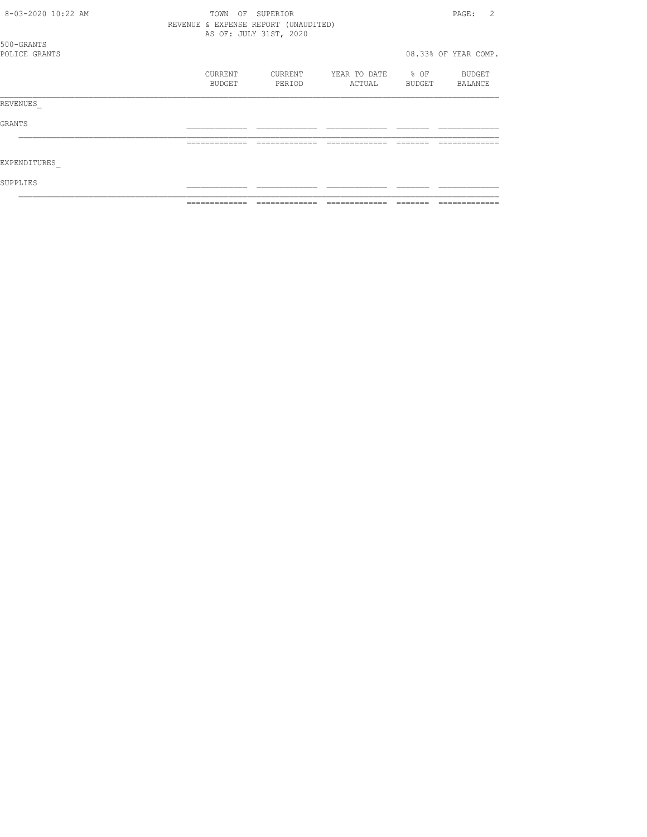| 8-03-2020 10:22 AM          | OF<br>TOWN                           | SUPERIOR               |                        |                | 2<br>PAGE:           |
|-----------------------------|--------------------------------------|------------------------|------------------------|----------------|----------------------|
|                             | REVENUE & EXPENSE REPORT (UNAUDITED) | AS OF: JULY 31ST, 2020 |                        |                |                      |
| 500-GRANTS<br>POLICE GRANTS |                                      |                        |                        |                | 08.33% OF YEAR COMP. |
|                             | CURRENT<br>BUDGET                    | CURRENT<br>PERIOD      | YEAR TO DATE<br>ACTUAL | % OF<br>BUDGET | BUDGET<br>BALANCE    |
| REVENUES                    |                                      |                        |                        |                |                      |
| GRANTS                      |                                      |                        |                        |                |                      |
|                             |                                      |                        |                        |                |                      |
| EXPENDITURES                |                                      |                        |                        |                |                      |
| SUPPLIES                    |                                      |                        |                        |                |                      |
|                             |                                      |                        |                        |                |                      |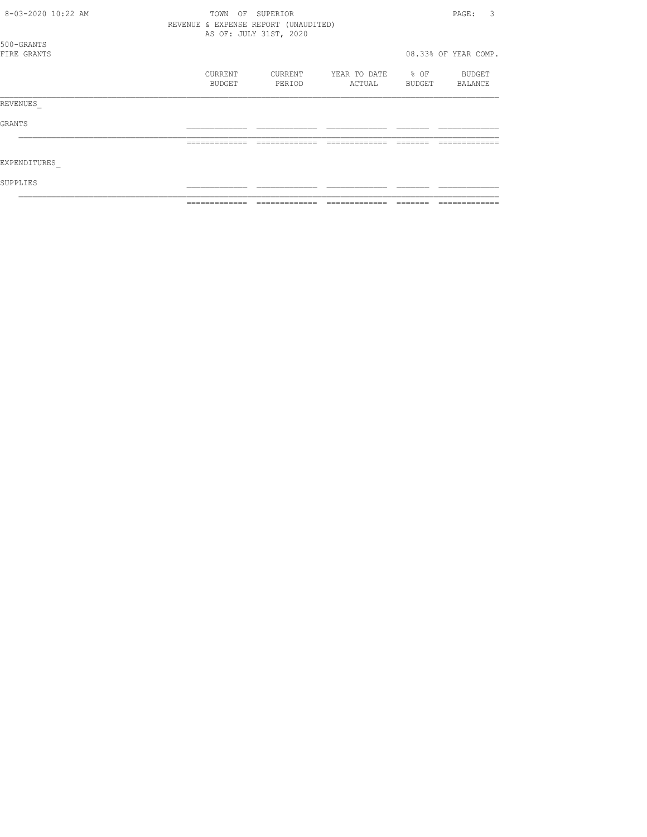| 8-03-2020 10:22 AM        | OF<br>TOWN                           | SUPERIOR               |                        |                | 3<br>PAGE:           |
|---------------------------|--------------------------------------|------------------------|------------------------|----------------|----------------------|
|                           | REVENUE & EXPENSE REPORT (UNAUDITED) | AS OF: JULY 31ST, 2020 |                        |                |                      |
| 500-GRANTS<br>FIRE GRANTS |                                      |                        |                        |                | 08.33% OF YEAR COMP. |
|                           | CURRENT<br>BUDGET                    | CURRENT<br>PERIOD      | YEAR TO DATE<br>ACTUAL | % OF<br>BUDGET | BUDGET<br>BALANCE    |
| REVENUES                  |                                      |                        |                        |                |                      |
| GRANTS                    |                                      |                        |                        |                |                      |
|                           |                                      |                        |                        |                |                      |
| EXPENDITURES              |                                      |                        |                        |                |                      |
| SUPPLIES                  |                                      |                        |                        |                |                      |
|                           |                                      |                        |                        |                |                      |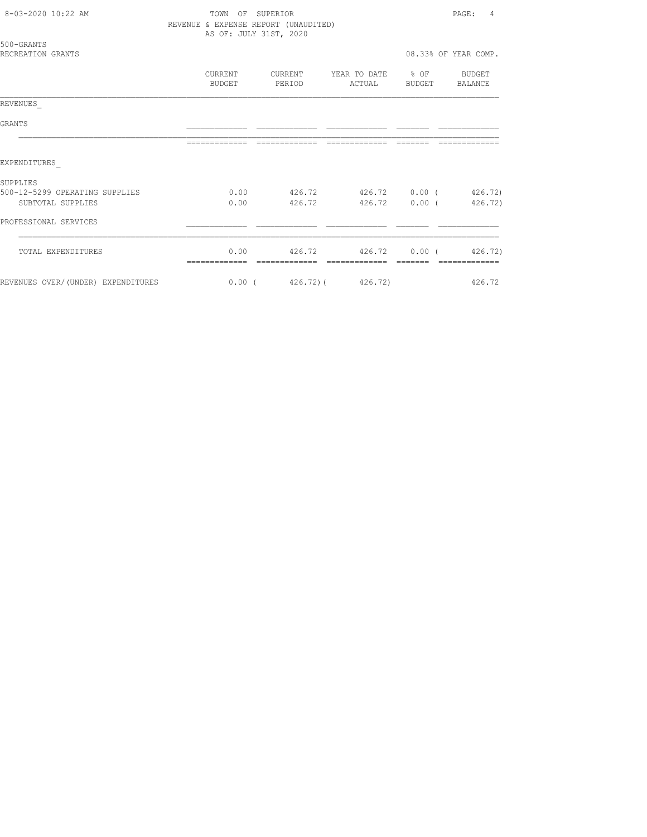| 8-03-2020 10:22 AM                 | TOWN OF SUPERIOR<br>REVENUE & EXPENSE REPORT (UNAUDITED) | AS OF: JULY 31ST, 2020                             |                |               | PAGE: 4              |
|------------------------------------|----------------------------------------------------------|----------------------------------------------------|----------------|---------------|----------------------|
| 500-GRANTS<br>RECREATION GRANTS    |                                                          |                                                    |                |               | 08.33% OF YEAR COMP. |
|                                    | BUDGET                                                   | CURRENT CURRENT YEAR TO DATE % OF BUDGET<br>PERIOD |                | ACTUAL BUDGET | BALANCE              |
| REVENUES                           |                                                          |                                                    |                |               |                      |
| GRANTS                             |                                                          |                                                    |                |               |                      |
|                                    | --------------                                           | --------------                                     | -------------- | --------      |                      |
| EXPENDITURES                       |                                                          |                                                    |                |               |                      |
| SUPPLIES                           |                                                          |                                                    |                |               |                      |
| 500-12-5299 OPERATING SUPPLIES     |                                                          | $0.00$ $426.72$ $426.72$ $0.00$ ( $426.72$ )       |                |               |                      |
| SUBTOTAL SUPPLIES                  |                                                          | $0.00$ $426.72$ $426.72$ $0.00$ ( $426.72$ )       |                |               |                      |
| PROFESSIONAL SERVICES              |                                                          |                                                    |                |               |                      |
| TOTAL EXPENDITURES                 | --------------                                           | $0.00$ $426.72$ $426.72$ $0.00$ ( $426.72$ )       |                |               |                      |
| REVENUES OVER/(UNDER) EXPENDITURES |                                                          | $0.00$ ( $426.72$ ) ( $426.72$ )                   |                |               | 426.72               |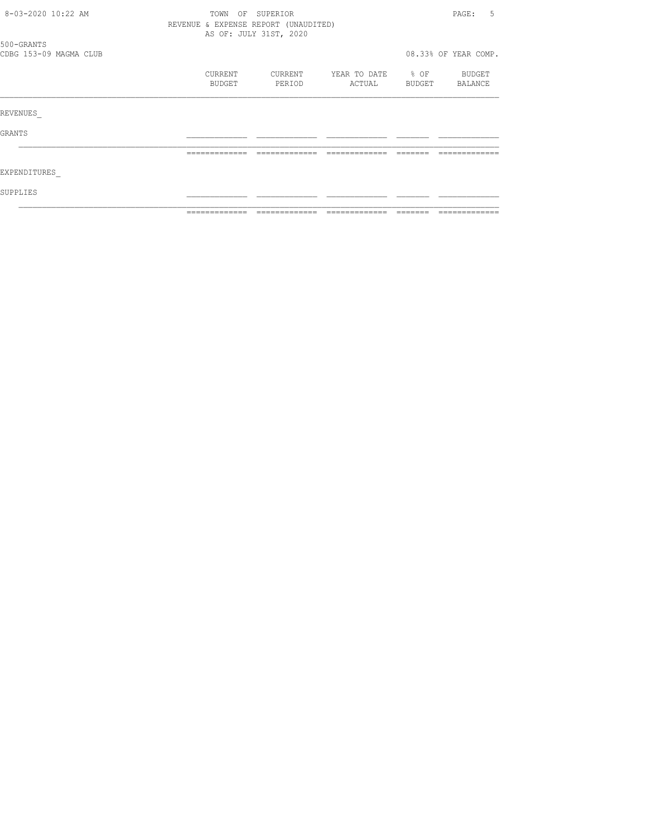| 8-03-2020 10:22 AM     | TOWN<br>OF                           | SUPERIOR               |                   |               | -5<br>PAGE:          |
|------------------------|--------------------------------------|------------------------|-------------------|---------------|----------------------|
|                        | REVENUE & EXPENSE REPORT (UNAUDITED) |                        |                   |               |                      |
|                        |                                      | AS OF: JULY 31ST, 2020 |                   |               |                      |
| 500-GRANTS             |                                      |                        |                   |               |                      |
| CDBG 153-09 MAGMA CLUB |                                      |                        |                   |               | 08.33% OF YEAR COMP. |
|                        | CURRENT                              | CURRENT                | YEAR TO DATE % OF |               | BUDGET               |
|                        | BUDGET                               | PERIOD                 | ACTUAL            | <b>BUDGET</b> | BALANCE              |
|                        |                                      |                        |                   |               |                      |
| REVENUES               |                                      |                        |                   |               |                      |
| GRANTS                 |                                      |                        |                   |               |                      |
|                        |                                      |                        |                   |               |                      |
|                        | =============                        | -------------          | -------------     |               |                      |
| EXPENDITURES           |                                      |                        |                   |               |                      |
| SUPPLIES               |                                      |                        |                   |               |                      |
|                        |                                      |                        |                   |               |                      |
|                        |                                      |                        |                   |               |                      |
|                        |                                      |                        |                   |               |                      |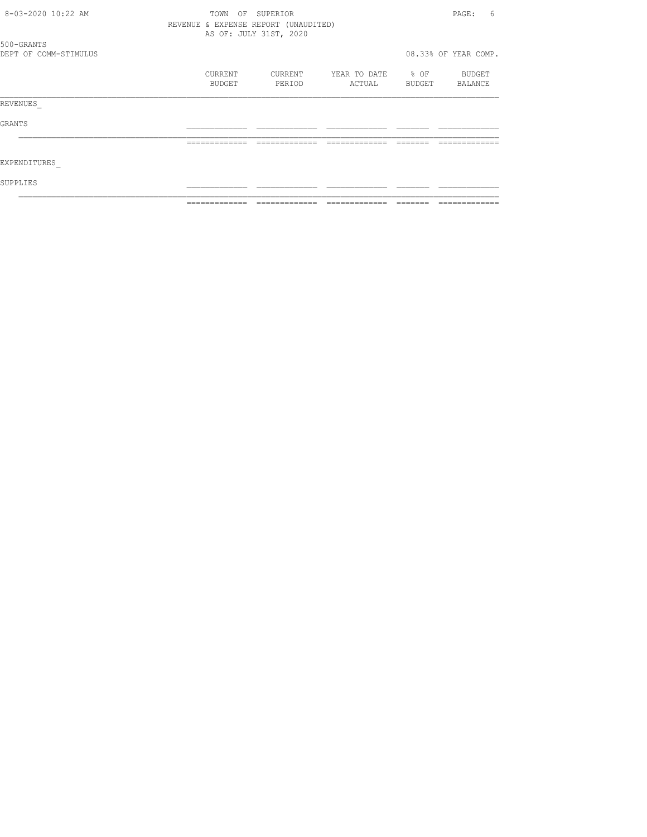| 8-03-2020 10:22 AM    | TOWN<br>OF                           | SUPERIOR               |              |                  | PAGE:<br>6           |
|-----------------------|--------------------------------------|------------------------|--------------|------------------|----------------------|
|                       | REVENUE & EXPENSE REPORT (UNAUDITED) |                        |              |                  |                      |
|                       |                                      | AS OF: JULY 31ST, 2020 |              |                  |                      |
| 500-GRANTS            |                                      |                        |              |                  |                      |
| DEPT OF COMM-STIMULUS |                                      |                        |              |                  | 08.33% OF YEAR COMP. |
|                       | CURRENT                              | CURRENT                | YEAR TO DATE | $\textdegree$ OF | BUDGET               |
|                       | BUDGET                               | PERIOD                 | ACTUAL       | BUDGET           | BALANCE              |
| REVENUES              |                                      |                        |              |                  |                      |
| GRANTS                |                                      |                        |              |                  |                      |
|                       |                                      |                        |              |                  |                      |
| EXPENDITURES          |                                      |                        |              |                  |                      |
| SUPPLIES              |                                      |                        |              |                  |                      |
|                       |                                      |                        |              |                  |                      |
|                       |                                      |                        |              |                  |                      |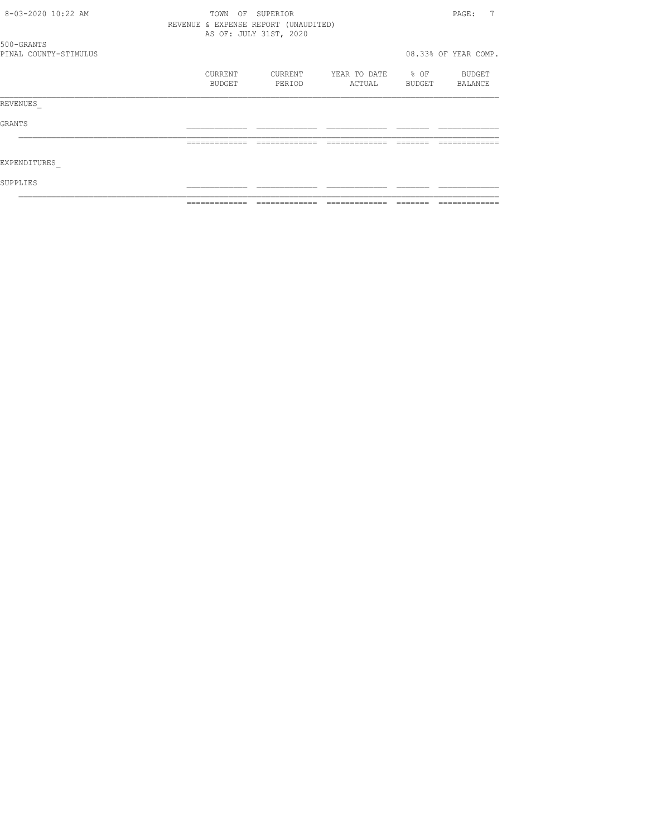| 8-03-2020 10:22 AM                  | TOWN<br>OF                           | SUPERIOR               |                             |        | 7<br>PAGE:           |
|-------------------------------------|--------------------------------------|------------------------|-----------------------------|--------|----------------------|
|                                     | REVENUE & EXPENSE REPORT (UNAUDITED) |                        |                             |        |                      |
|                                     |                                      | AS OF: JULY 31ST, 2020 |                             |        |                      |
| 500-GRANTS<br>PINAL COUNTY-STIMULUS |                                      |                        |                             |        | 08.33% OF YEAR COMP. |
|                                     | <b>CURRENT</b><br>BUDGET             | CURRENT<br>PERIOD      | YEAR TO DATE % OF<br>ACTUAL | BUDGET | BUDGET<br>BALANCE    |
|                                     |                                      |                        |                             |        |                      |
| REVENUES                            |                                      |                        |                             |        |                      |
| GRANTS                              |                                      |                        |                             |        |                      |
|                                     |                                      |                        |                             |        |                      |
| EXPENDITURES                        |                                      |                        |                             |        |                      |
| SUPPLIES                            |                                      |                        |                             |        |                      |
|                                     |                                      |                        |                             |        |                      |
|                                     |                                      |                        |                             |        |                      |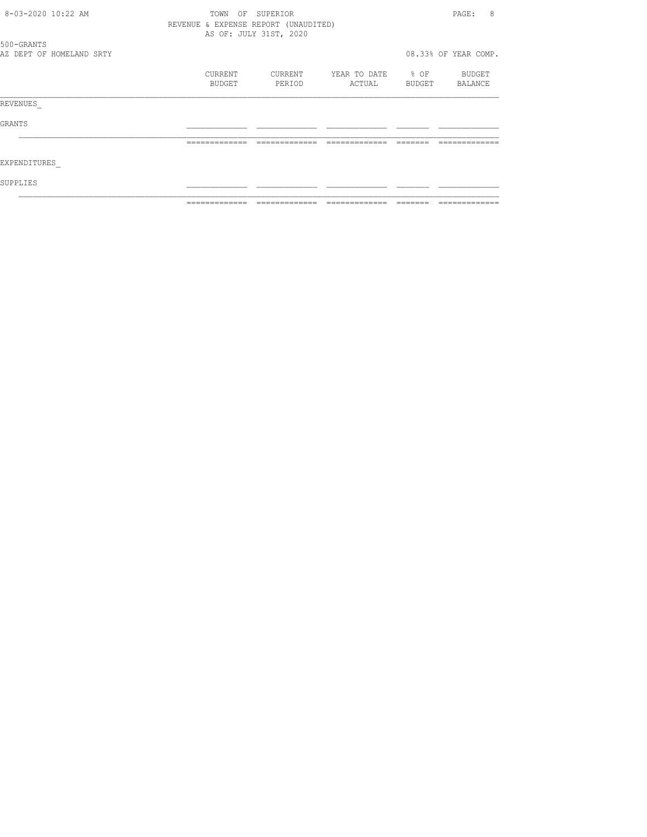| 8-03-2020 10:22 AM |                          | TOWN                                 | SUPERIOR<br>OF         |              |                  | 8<br>PAGE:           |
|--------------------|--------------------------|--------------------------------------|------------------------|--------------|------------------|----------------------|
|                    |                          | REVENUE & EXPENSE REPORT (UNAUDITED) |                        |              |                  |                      |
|                    |                          |                                      | AS OF: JULY 31ST, 2020 |              |                  |                      |
| 500-GRANTS         |                          |                                      |                        |              |                  |                      |
|                    | AZ DEPT OF HOMELAND SRTY |                                      |                        |              |                  | 08.33% OF YEAR COMP. |
|                    |                          | CURRENT                              | CURRENT                | YEAR TO DATE | $\frac{1}{2}$ OF | BUDGET               |
|                    |                          | BUDGET                               | PERIOD                 | ACTUAL       | BUDGET           | BALANCE              |
| REVENUES           |                          |                                      |                        |              |                  |                      |
| GRANTS             |                          |                                      |                        |              |                  |                      |
|                    |                          |                                      |                        |              |                  |                      |
| EXPENDITURES       |                          |                                      |                        |              |                  |                      |
| SUPPLIES           |                          |                                      |                        |              |                  |                      |
|                    |                          |                                      |                        |              |                  |                      |
|                    |                          |                                      |                        |              |                  |                      |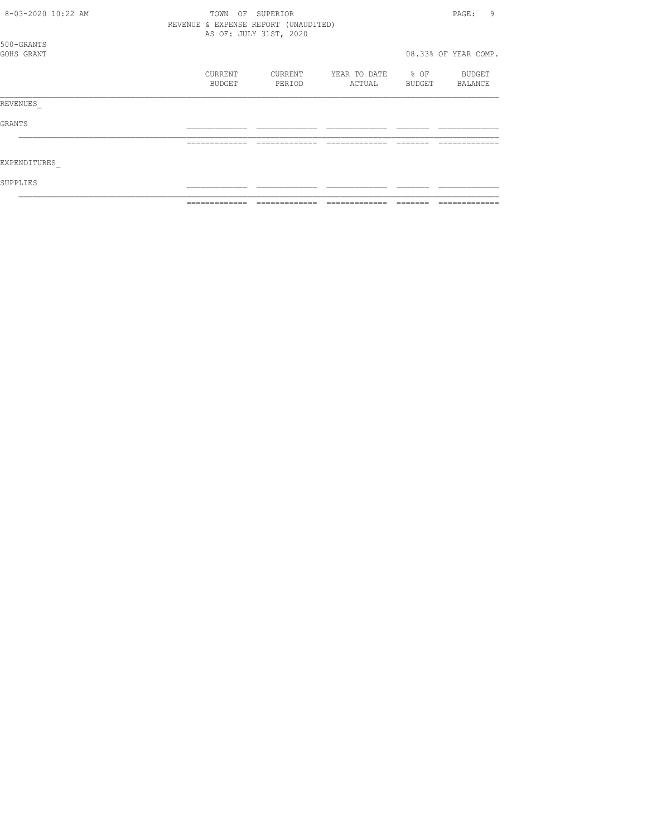| 8-03-2020 10:22 AM       | TOWN<br>OF<br>REVENUE & EXPENSE REPORT (UNAUDITED) | SUPERIOR               |                        |                            | 9<br>PAGE:           |
|--------------------------|----------------------------------------------------|------------------------|------------------------|----------------------------|----------------------|
|                          |                                                    | AS OF: JULY 31ST, 2020 |                        |                            |                      |
| 500-GRANTS<br>GOHS GRANT |                                                    |                        |                        |                            | 08.33% OF YEAR COMP. |
|                          | CURRENT<br>BUDGET                                  | CURRENT<br>PERIOD      | YEAR TO DATE<br>ACTUAL | $\textdegree$ OF<br>BUDGET | BUDGET<br>BALANCE    |
| REVENUES                 |                                                    |                        |                        |                            |                      |
| GRANTS                   |                                                    |                        |                        |                            |                      |
|                          | -------------                                      |                        |                        |                            |                      |
| EXPENDITURES             |                                                    |                        |                        |                            |                      |
| SUPPLIES                 |                                                    |                        |                        |                            |                      |
|                          |                                                    |                        |                        |                            |                      |
|                          |                                                    |                        |                        |                            |                      |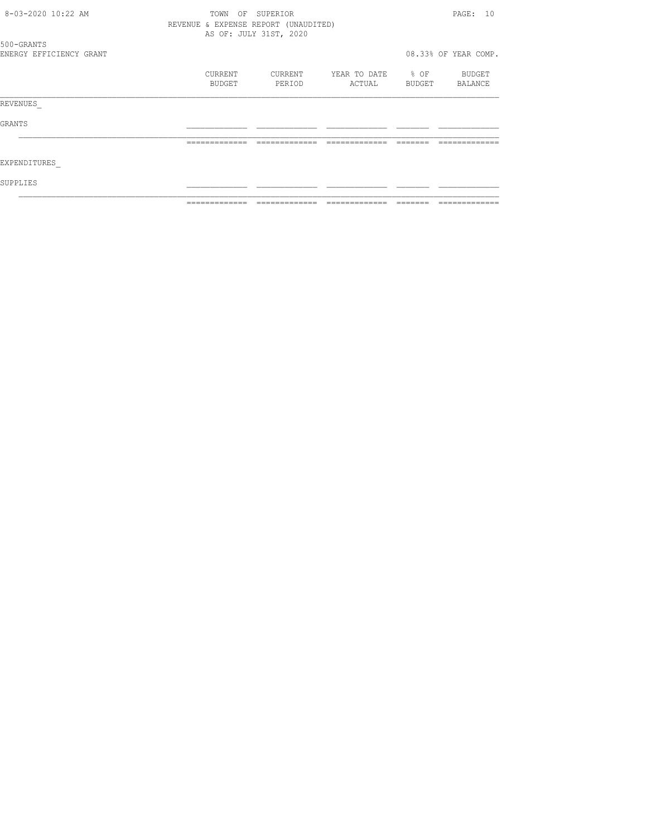| 8-03-2020 10:22 AM      | ΟF<br>TOWN                           | SUPERIOR               |              |        | PAGE: 10             |
|-------------------------|--------------------------------------|------------------------|--------------|--------|----------------------|
|                         | REVENUE & EXPENSE REPORT (UNAUDITED) | AS OF: JULY 31ST, 2020 |              |        |                      |
| 500-GRANTS              |                                      |                        |              |        |                      |
| ENERGY EFFICIENCY GRANT |                                      |                        |              |        | 08.33% OF YEAR COMP. |
|                         | CURRENT                              | CURRENT                | YEAR TO DATE | % OF   | BUDGET               |
|                         | BUDGET                               | PERIOD                 | ACTUAL       | BUDGET | BALANCE              |
| REVENUES                |                                      |                        |              |        |                      |
| GRANTS                  |                                      |                        |              |        |                      |
|                         |                                      |                        |              |        |                      |
| EXPENDITURES            |                                      |                        |              |        |                      |
| SUPPLIES                |                                      |                        |              |        |                      |
|                         |                                      |                        |              |        |                      |
|                         |                                      |                        |              |        |                      |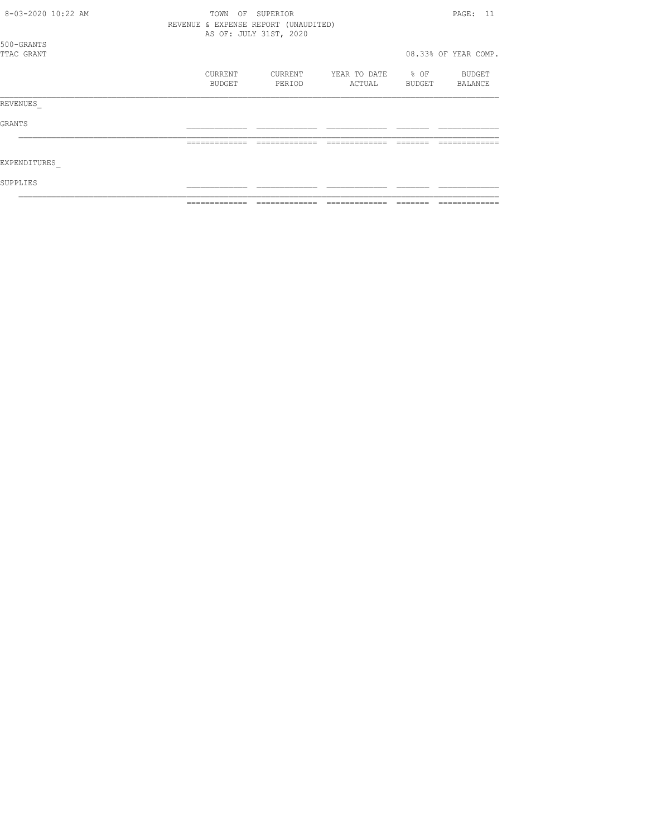| 8-03-2020 10:22 AM       | OF<br>TOWN        | SUPERIOR                                                       |                        |                     | PAGE: 11             |
|--------------------------|-------------------|----------------------------------------------------------------|------------------------|---------------------|----------------------|
|                          |                   | REVENUE & EXPENSE REPORT (UNAUDITED)<br>AS OF: JULY 31ST, 2020 |                        |                     |                      |
| 500-GRANTS<br>TTAC GRANT |                   |                                                                |                        |                     | 08.33% OF YEAR COMP. |
|                          | CURRENT<br>BUDGET | CURRENT<br>PERIOD                                              | YEAR TO DATE<br>ACTUAL | $\div$ OF<br>BUDGET | BUDGET<br>BALANCE    |
| REVENUES                 |                   |                                                                |                        |                     |                      |
| GRANTS                   |                   |                                                                |                        |                     |                      |
|                          | =========         |                                                                |                        |                     |                      |
| EXPENDITURES             |                   |                                                                |                        |                     |                      |
| SUPPLIES                 |                   |                                                                |                        |                     |                      |
|                          |                   |                                                                |                        |                     |                      |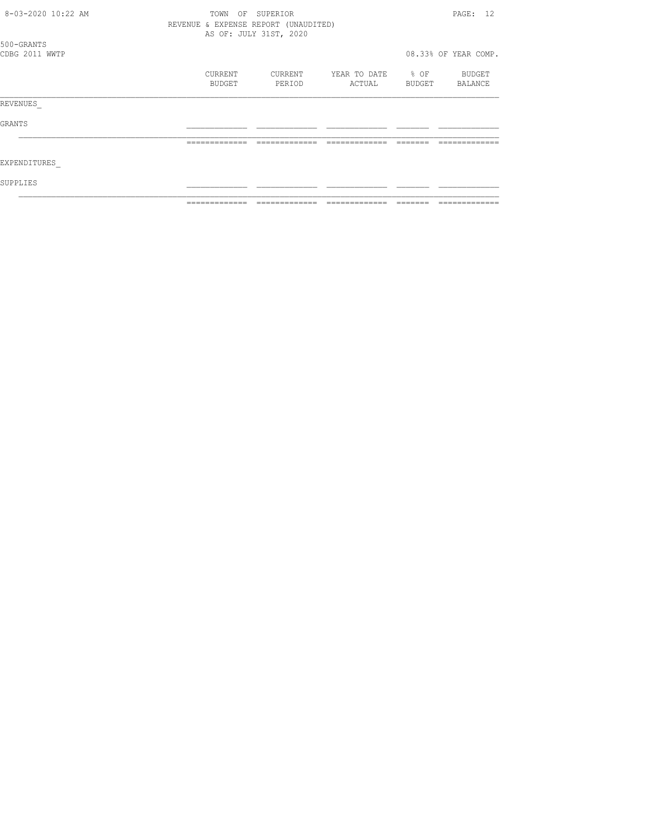| 8-03-2020 10:22 AM | TOWN<br>OF                           | SUPERIOR               |              |           | PAGE: 12             |
|--------------------|--------------------------------------|------------------------|--------------|-----------|----------------------|
|                    | REVENUE & EXPENSE REPORT (UNAUDITED) | AS OF: JULY 31ST, 2020 |              |           |                      |
| 500-GRANTS         |                                      |                        |              |           |                      |
| CDBG 2011 WWTP     |                                      |                        |              |           | 08.33% OF YEAR COMP. |
|                    | CURRENT                              | CURRENT                | YEAR TO DATE | $\div$ OF | BUDGET               |
|                    | BUDGET                               | PERIOD                 | ACTUAL       | BUDGET    | BALANCE              |
| REVENUES           |                                      |                        |              |           |                      |
| GRANTS             |                                      |                        |              |           |                      |
|                    |                                      |                        |              |           |                      |
| EXPENDITURES       |                                      |                        |              |           |                      |
| SUPPLIES           |                                      |                        |              |           |                      |
|                    |                                      |                        |              |           |                      |
|                    |                                      |                        |              |           |                      |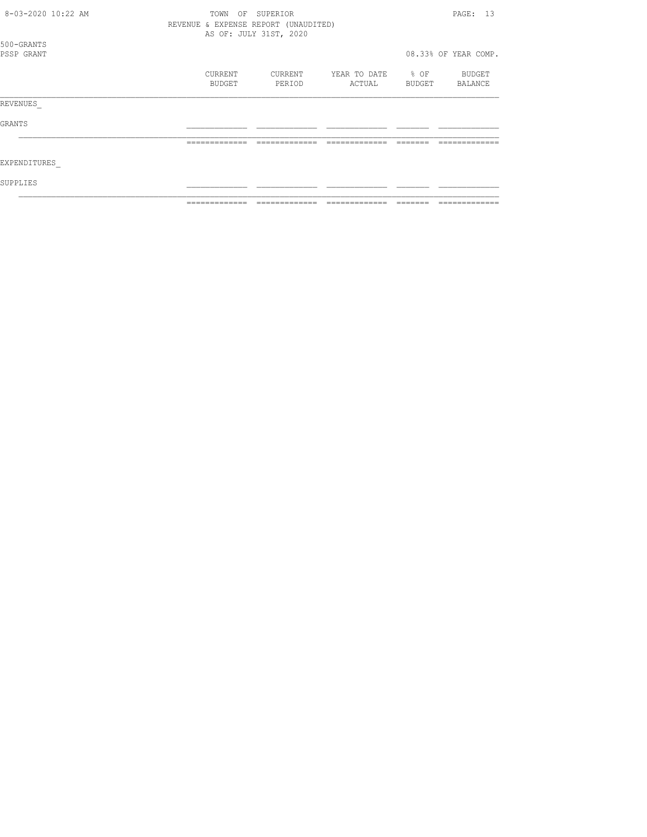| 8-03-2020 10:22 AM       | SUPERIOR<br>TOWN<br>OF<br>REVENUE & EXPENSE REPORT (UNAUDITED)<br>AS OF: JULY 31ST, 2020 |                   |                        |                |                      |  |
|--------------------------|------------------------------------------------------------------------------------------|-------------------|------------------------|----------------|----------------------|--|
| 500-GRANTS<br>PSSP GRANT |                                                                                          |                   |                        |                | 08.33% OF YEAR COMP. |  |
|                          | <b>CURRENT</b><br>BUDGET                                                                 | CURRENT<br>PERIOD | YEAR TO DATE<br>ACTUAL | % OF<br>BUDGET | BUDGET<br>BALANCE    |  |
| REVENUES                 |                                                                                          |                   |                        |                |                      |  |
| GRANTS                   |                                                                                          |                   |                        |                |                      |  |
|                          | =============                                                                            |                   |                        |                |                      |  |
| EXPENDITURES             |                                                                                          |                   |                        |                |                      |  |
| SUPPLIES                 |                                                                                          |                   |                        |                |                      |  |
|                          |                                                                                          |                   |                        |                |                      |  |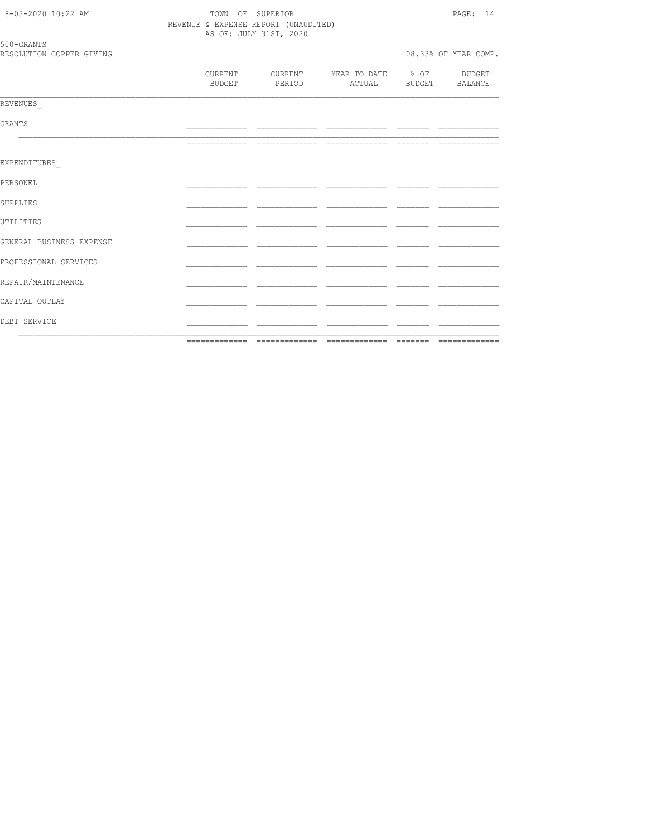| DEBT SERVICE             |                                      |                        |                                    |  |                      |  |
|--------------------------|--------------------------------------|------------------------|------------------------------------|--|----------------------|--|
| CAPITAL OUTLAY           |                                      |                        |                                    |  |                      |  |
| REPAIR/MAINTENANCE       |                                      |                        |                                    |  |                      |  |
| PROFESSIONAL SERVICES    |                                      |                        |                                    |  |                      |  |
| GENERAL BUSINESS EXPENSE |                                      |                        |                                    |  |                      |  |
| UTILITIES                |                                      |                        |                                    |  |                      |  |
| SUPPLIES                 |                                      |                        |                                    |  |                      |  |
| PERSONEL                 |                                      |                        |                                    |  |                      |  |
| EXPENDITURES             |                                      |                        |                                    |  |                      |  |
|                          |                                      |                        |                                    |  |                      |  |
| GRANTS                   |                                      |                        |                                    |  |                      |  |
| REVENUES                 |                                      |                        |                                    |  |                      |  |
|                          | CURRENT<br>BUDGET                    | CURRENT<br>PERIOD      | YEAR TO DATE % OF BUDGET<br>ACTUAL |  | BUDGET BALANCE       |  |
| RESOLUTION COPPER GIVING |                                      |                        |                                    |  | 08.33% OF YEAR COMP. |  |
| 500-GRANTS               |                                      | AS OF: JULY 31ST, 2020 |                                    |  |                      |  |
|                          | REVENUE & EXPENSE REPORT (UNAUDITED) | PAGE: 14               |                                    |  |                      |  |
| 8-03-2020 10:22 AM       | TOWN OF SUPERIOR                     |                        |                                    |  |                      |  |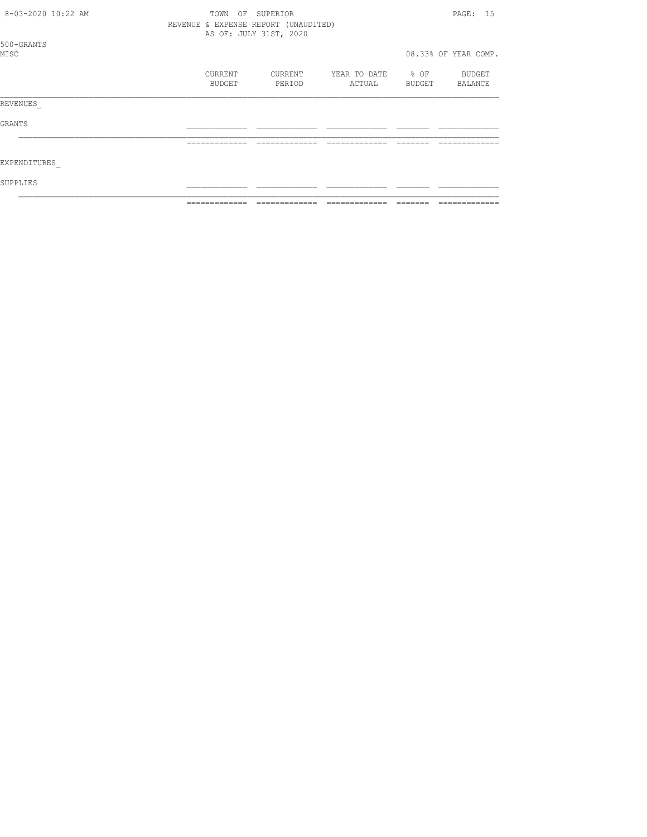| 8-03-2020 10:22 AM | OF<br>TOWN                           | SUPERIOR               |                        |                     | PAGE: 15             |
|--------------------|--------------------------------------|------------------------|------------------------|---------------------|----------------------|
|                    | REVENUE & EXPENSE REPORT (UNAUDITED) | AS OF: JULY 31ST, 2020 |                        |                     |                      |
| 500-GRANTS<br>MISC |                                      |                        |                        |                     | 08.33% OF YEAR COMP. |
|                    | CURRENT<br>BUDGET                    | CURRENT<br>PERIOD      | YEAR TO DATE<br>ACTUAL | $\div$ OF<br>BUDGET | BUDGET<br>BALANCE    |
| REVENUES           |                                      |                        |                        |                     |                      |
| GRANTS             |                                      |                        |                        |                     |                      |
|                    | =============                        |                        |                        |                     |                      |
| EXPENDITURES       |                                      |                        |                        |                     |                      |
| SUPPLIES           |                                      |                        |                        |                     |                      |
|                    |                                      |                        |                        |                     |                      |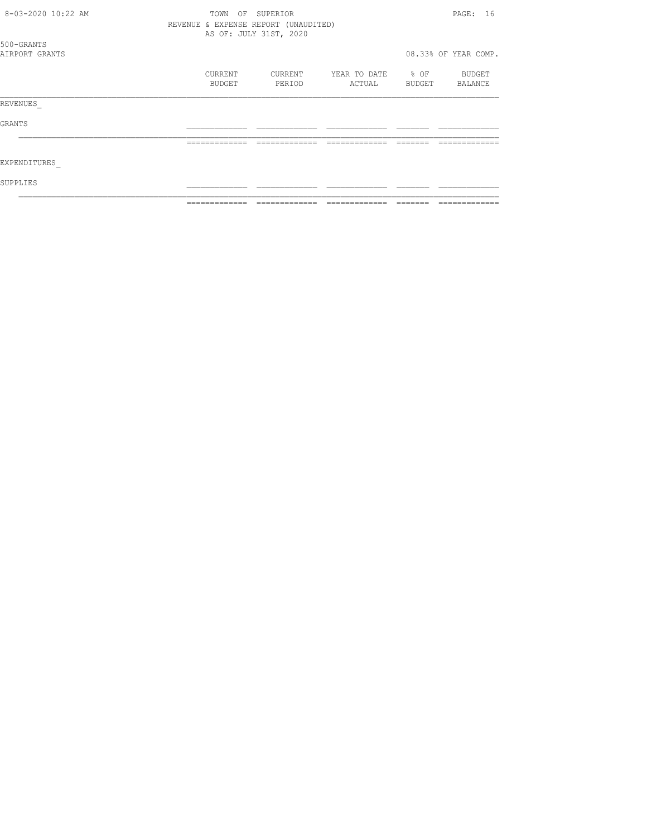| 8-03-2020 10:22 AM           | TOWN<br>OF SUPERIOR                  |                        |                        |                            |                      |  |
|------------------------------|--------------------------------------|------------------------|------------------------|----------------------------|----------------------|--|
|                              | REVENUE & EXPENSE REPORT (UNAUDITED) | AS OF: JULY 31ST, 2020 |                        |                            |                      |  |
| 500-GRANTS<br>AIRPORT GRANTS |                                      |                        |                        |                            | 08.33% OF YEAR COMP. |  |
|                              | CURRENT<br>BUDGET                    | CURRENT<br>PERIOD      | YEAR TO DATE<br>ACTUAL | $\frac{1}{2}$ OF<br>BUDGET | BUDGET<br>BALANCE    |  |
| REVENUES                     |                                      |                        |                        |                            |                      |  |
| GRANTS                       |                                      |                        |                        |                            |                      |  |
|                              | -------------                        |                        |                        |                            |                      |  |
| EXPENDITURES                 |                                      |                        |                        |                            |                      |  |
| SUPPLIES                     |                                      |                        |                        |                            |                      |  |
|                              |                                      |                        |                        |                            |                      |  |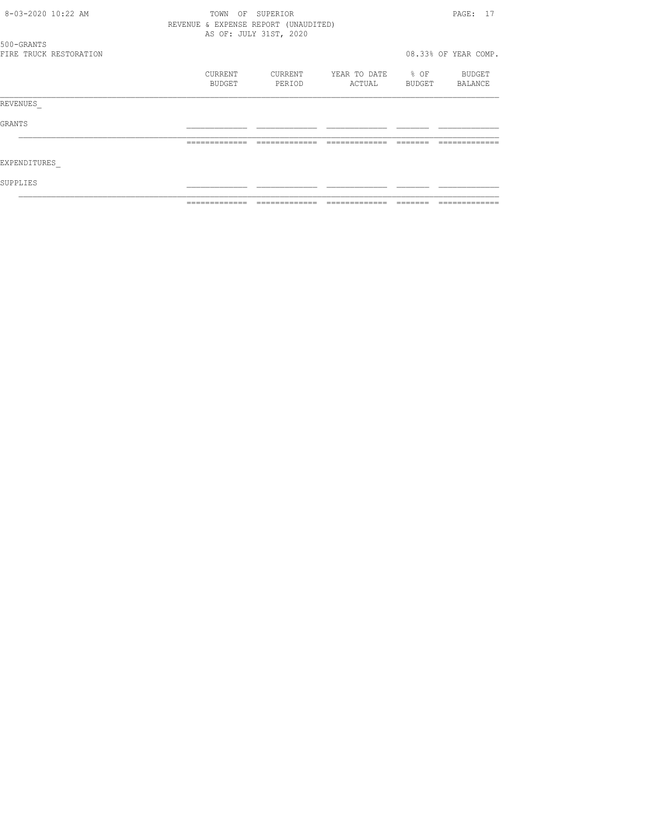|              | 8-03-2020 10:22 AM<br>SUPERIOR<br>TOWN<br>ΟF |         |        |                                      |                   |        | PAGE: 17             |  |  |
|--------------|----------------------------------------------|---------|--------|--------------------------------------|-------------------|--------|----------------------|--|--|
|              |                                              |         |        | REVENUE & EXPENSE REPORT (UNAUDITED) |                   |        |                      |  |  |
|              |                                              |         |        | AS OF: JULY 31ST, 2020               |                   |        |                      |  |  |
| 500-GRANTS   |                                              |         |        |                                      |                   |        |                      |  |  |
|              | FIRE TRUCK RESTORATION                       |         |        |                                      |                   |        | 08.33% OF YEAR COMP. |  |  |
|              |                                              | CURRENT |        | CURRENT                              | YEAR TO DATE % OF |        | BUDGET               |  |  |
|              |                                              |         | BUDGET | PERIOD                               | ACTUAL            | BUDGET | BALANCE              |  |  |
| REVENUES     |                                              |         |        |                                      |                   |        |                      |  |  |
| GRANTS       |                                              |         |        |                                      |                   |        |                      |  |  |
|              |                                              |         |        |                                      |                   |        |                      |  |  |
|              |                                              |         |        |                                      |                   |        |                      |  |  |
| EXPENDITURES |                                              |         |        |                                      |                   |        |                      |  |  |
| SUPPLIES     |                                              |         |        |                                      |                   |        |                      |  |  |
|              |                                              |         |        |                                      |                   |        |                      |  |  |
|              |                                              |         |        |                                      |                   |        |                      |  |  |
|              |                                              |         |        |                                      |                   |        |                      |  |  |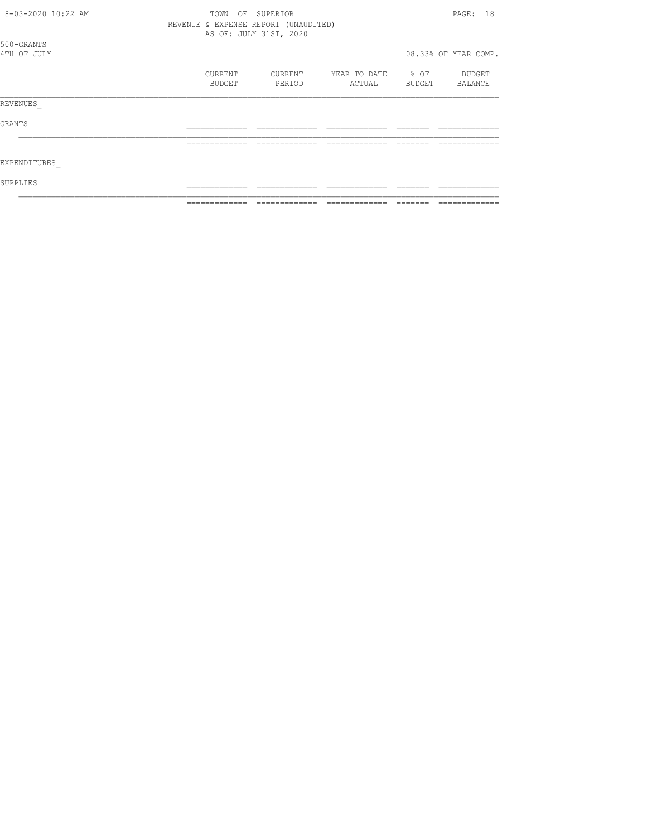| 8-03-2020 10:22 AM        | ΟF<br>TOWN                           | SUPERIOR               |                        |                     | PAGE: 18             |
|---------------------------|--------------------------------------|------------------------|------------------------|---------------------|----------------------|
|                           | REVENUE & EXPENSE REPORT (UNAUDITED) | AS OF: JULY 31ST, 2020 |                        |                     |                      |
| 500-GRANTS<br>4TH OF JULY |                                      |                        |                        |                     | 08.33% OF YEAR COMP. |
|                           | CURRENT<br>BUDGET                    | CURRENT<br>PERIOD      | YEAR TO DATE<br>ACTUAL | $\div$ OF<br>BUDGET | BUDGET<br>BALANCE    |
| REVENUES                  |                                      |                        |                        |                     |                      |
| GRANTS                    |                                      |                        |                        |                     |                      |
|                           |                                      |                        |                        |                     |                      |
| EXPENDITURES              |                                      |                        |                        |                     |                      |
| SUPPLIES                  |                                      |                        |                        |                     |                      |
|                           |                                      |                        |                        |                     |                      |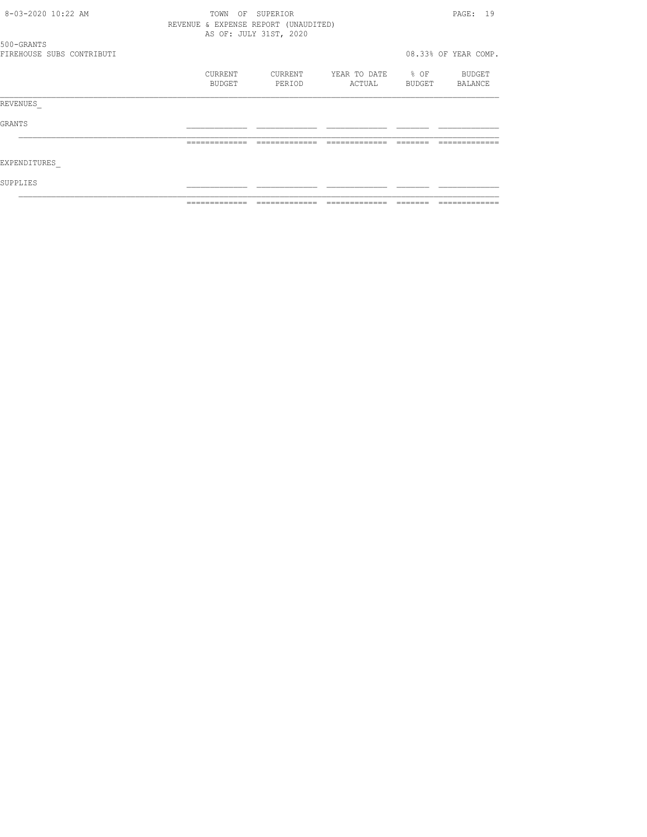| 8-03-2020 10:22 AM        | TOWN<br>OF                           | SUPERIOR               |                             |        | PAGE: 19             |
|---------------------------|--------------------------------------|------------------------|-----------------------------|--------|----------------------|
|                           | REVENUE & EXPENSE REPORT (UNAUDITED) | AS OF: JULY 31ST, 2020 |                             |        |                      |
| 500-GRANTS                |                                      |                        |                             |        |                      |
| FIREHOUSE SUBS CONTRIBUTI |                                      |                        |                             |        | 08.33% OF YEAR COMP. |
|                           | CURRENT<br>BUDGET                    | CURRENT<br>PERIOD      | YEAR TO DATE % OF<br>ACTUAL | BUDGET | BUDGET               |
|                           |                                      |                        |                             |        | BALANCE              |
| REVENUES                  |                                      |                        |                             |        |                      |
| GRANTS                    |                                      |                        |                             |        |                      |
|                           |                                      |                        |                             |        |                      |
| EXPENDITURES              |                                      |                        |                             |        |                      |
| SUPPLIES.                 |                                      |                        |                             |        |                      |
|                           |                                      |                        |                             |        |                      |
|                           |                                      |                        |                             |        |                      |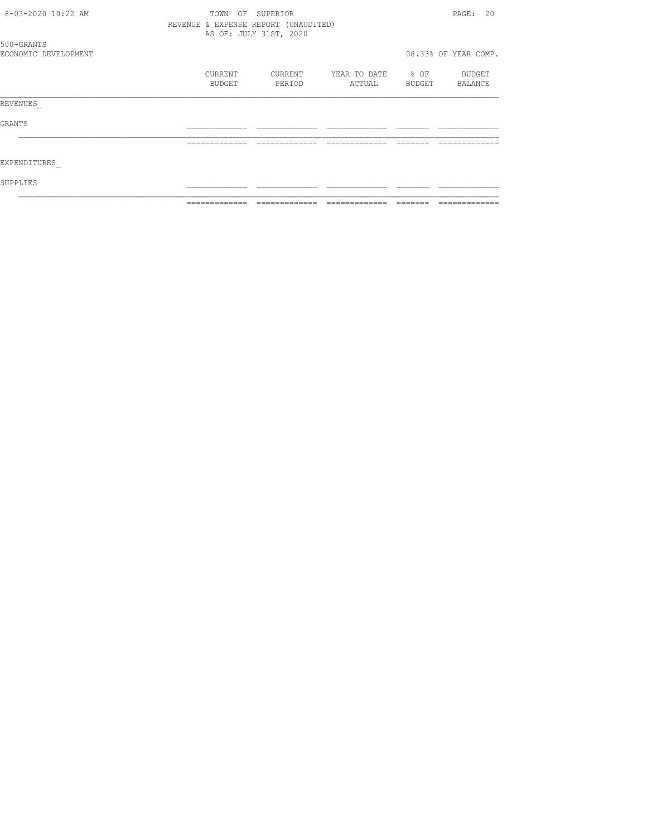| 8-03-2020 10:22 AM   | TOWN<br>OF                           | SUPERIOR               |                   |        | PAGE: 20             |
|----------------------|--------------------------------------|------------------------|-------------------|--------|----------------------|
|                      | REVENUE & EXPENSE REPORT (UNAUDITED) |                        |                   |        |                      |
|                      |                                      | AS OF: JULY 31ST, 2020 |                   |        |                      |
| 500-GRANTS           |                                      |                        |                   |        |                      |
| ECONOMIC DEVELOPMENT |                                      |                        |                   |        | 08.33% OF YEAR COMP. |
|                      | CURRENT                              | CURRENT                | YEAR TO DATE % OF |        | BUDGET               |
|                      | BUDGET                               | PERIOD                 | ACTUAL            | BUDGET | BALANCE              |
| REVENUES             |                                      |                        |                   |        |                      |
| GRANTS               |                                      |                        |                   |        |                      |
|                      |                                      |                        |                   |        |                      |
| EXPENDITURES         |                                      |                        |                   |        |                      |
| SUPPLIES             |                                      |                        |                   |        |                      |
|                      |                                      |                        |                   |        |                      |
|                      |                                      |                        |                   |        |                      |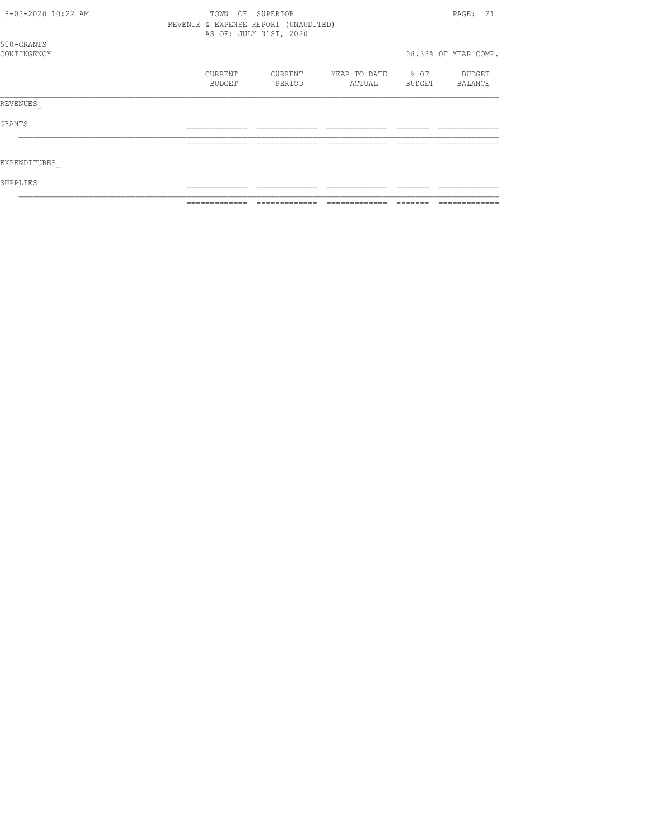| 8-03-2020 10:22 AM        | OF<br>TOWN<br>REVENUE & EXPENSE REPORT (UNAUDITED) | SUPERIOR               |                        |                | PAGE: 21             |
|---------------------------|----------------------------------------------------|------------------------|------------------------|----------------|----------------------|
|                           |                                                    | AS OF: JULY 31ST, 2020 |                        |                |                      |
| 500-GRANTS<br>CONTINGENCY |                                                    |                        |                        |                | 08.33% OF YEAR COMP. |
|                           | CURRENT<br>BUDGET                                  | CURRENT<br>PERIOD      | YEAR TO DATE<br>ACTUAL | % OF<br>BUDGET | BUDGET<br>BALANCE    |
| REVENUES                  |                                                    |                        |                        |                |                      |
| GRANTS                    |                                                    |                        |                        |                |                      |
|                           | =============                                      |                        |                        |                |                      |
| EXPENDITURES              |                                                    |                        |                        |                |                      |
| SUPPLIES                  |                                                    |                        |                        |                |                      |
|                           |                                                    |                        |                        |                |                      |
|                           |                                                    |                        |                        |                |                      |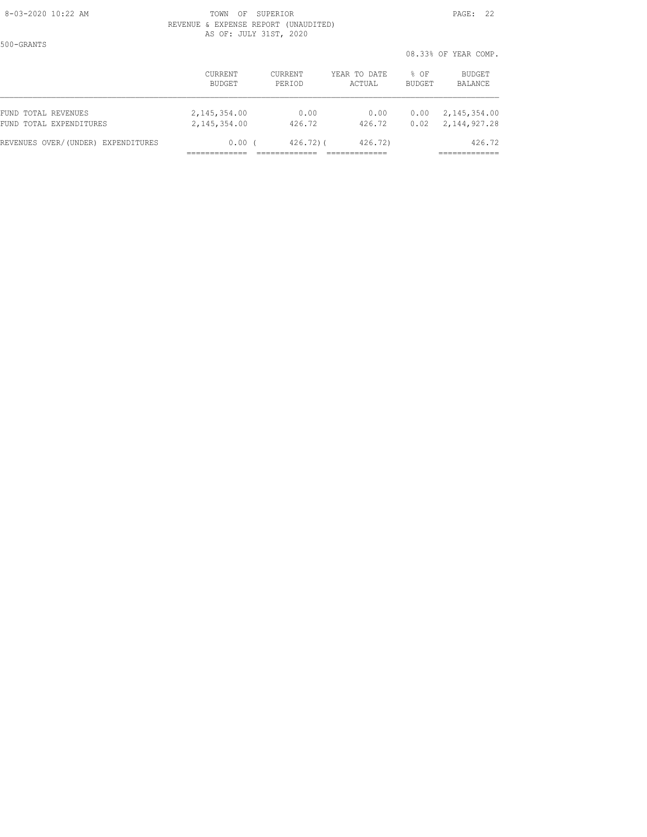## 8-03-2020 10:22 AM TOWN OF SUPERIOR PAGE: 22 REVENUE & EXPENSE REPORT (UNAUDITED) AS OF: JULY 31ST, 2020

500-GRANTS

08.33% OF YEAR COMP.

|                                    | <b>CURRENT</b><br>BUDGET | CURRENT<br>PERIOD | YEAR TO DATE<br>ACTUAL | $8$ OF<br><b>BUDGET</b> | BUDGET<br>BALANCE |
|------------------------------------|--------------------------|-------------------|------------------------|-------------------------|-------------------|
| FUND TOTAL REVENUES                | 2,145,354.00             | 0.00              | 0.00                   | 0.00                    | 2,145,354.00      |
| FUND TOTAL EXPENDITURES            | 2,145,354.00             | 426.72            | 426.72                 | 0.02                    | 2, 144, 927. 28   |
| REVENUES OVER/(UNDER) EXPENDITURES | 0.00                     | $426.72$ ) (      | 426.72)                |                         | 426.72            |
|                                    |                          |                   |                        |                         |                   |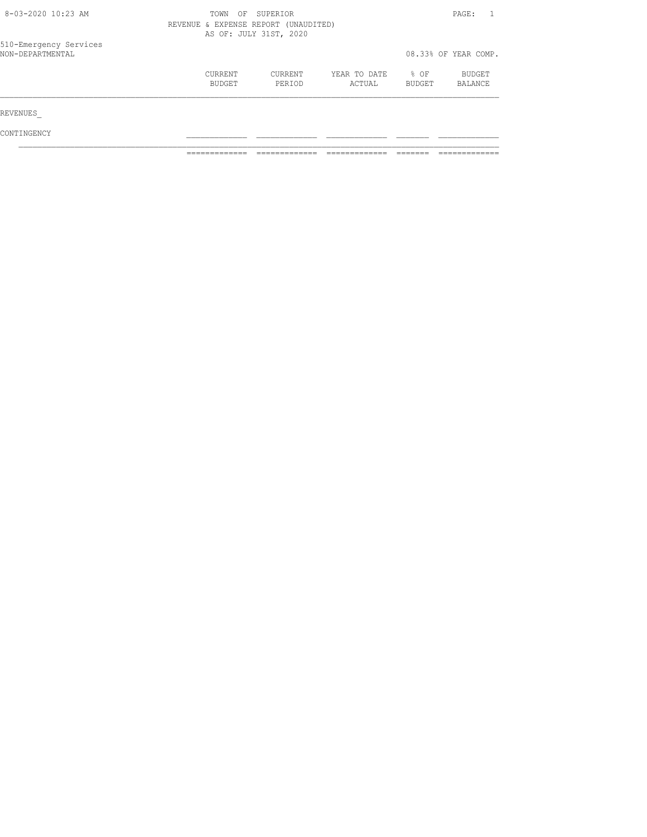| 8-03-2020 10:23 AM                         | OF<br>SUPERIOR<br>TOWN<br>REVENUE & EXPENSE REPORT (UNAUDITED)<br>AS OF: JULY 31ST, 2020 |                   |                        |                  |                      |
|--------------------------------------------|------------------------------------------------------------------------------------------|-------------------|------------------------|------------------|----------------------|
| 510-Emergency Services<br>NON-DEPARTMENTAL |                                                                                          |                   |                        |                  | 08.33% OF YEAR COMP. |
|                                            | CURRENT<br>BUDGET                                                                        | CURRENT<br>PERIOD | YEAR TO DATE<br>ACTUAL | $8$ OF<br>BUDGET | BUDGET<br>BALANCE    |
| REVENUES                                   |                                                                                          |                   |                        |                  |                      |
| CONTINGENCY                                |                                                                                          |                   |                        |                  |                      |

============= ============= ============= ======= =============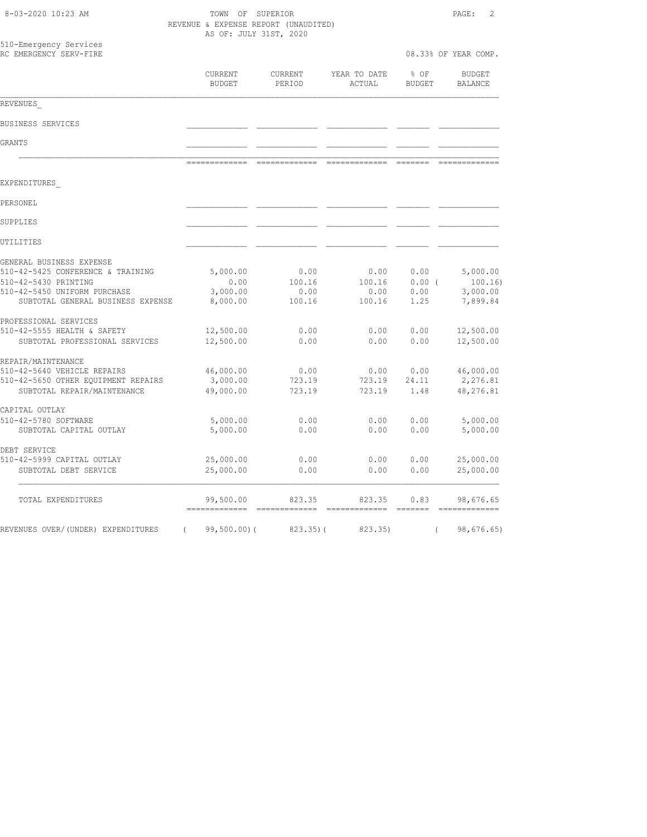| 8-03-2020 10:23 AM                                                                                                                                         | TOWN OF SUPERIOR<br>REVENUE & EXPENSE REPORT (UNAUDITED)<br>AS OF: JULY 31ST, 2020 |                                                                                                                                                                                                                                                                                                                                                                                                                                                                                                  |                                                                                                                                                                                                                                                                                                                                                                                                                                                                                                  |                                                                                                                                                                                                                                                                                                                                                                                                                                                                                                                                                                        |                                                                                                                                                                                                                                                                                                                                                                                                                                                                                                     |
|------------------------------------------------------------------------------------------------------------------------------------------------------------|------------------------------------------------------------------------------------|--------------------------------------------------------------------------------------------------------------------------------------------------------------------------------------------------------------------------------------------------------------------------------------------------------------------------------------------------------------------------------------------------------------------------------------------------------------------------------------------------|--------------------------------------------------------------------------------------------------------------------------------------------------------------------------------------------------------------------------------------------------------------------------------------------------------------------------------------------------------------------------------------------------------------------------------------------------------------------------------------------------|------------------------------------------------------------------------------------------------------------------------------------------------------------------------------------------------------------------------------------------------------------------------------------------------------------------------------------------------------------------------------------------------------------------------------------------------------------------------------------------------------------------------------------------------------------------------|-----------------------------------------------------------------------------------------------------------------------------------------------------------------------------------------------------------------------------------------------------------------------------------------------------------------------------------------------------------------------------------------------------------------------------------------------------------------------------------------------------|
| 510-Emergency Services<br>RC EMERGENCY SERV-FIRE                                                                                                           |                                                                                    |                                                                                                                                                                                                                                                                                                                                                                                                                                                                                                  |                                                                                                                                                                                                                                                                                                                                                                                                                                                                                                  |                                                                                                                                                                                                                                                                                                                                                                                                                                                                                                                                                                        | 08.33% OF YEAR COMP.                                                                                                                                                                                                                                                                                                                                                                                                                                                                                |
|                                                                                                                                                            | CURRENT<br>BUDGET                                                                  | CURRENT<br>PERIOD                                                                                                                                                                                                                                                                                                                                                                                                                                                                                | YEAR TO DATE<br>ACTUAL                                                                                                                                                                                                                                                                                                                                                                                                                                                                           | % OF<br><b>BUDGET</b>                                                                                                                                                                                                                                                                                                                                                                                                                                                                                                                                                  | <b>BUDGET</b><br>BALANCE                                                                                                                                                                                                                                                                                                                                                                                                                                                                            |
| REVENUES                                                                                                                                                   |                                                                                    |                                                                                                                                                                                                                                                                                                                                                                                                                                                                                                  |                                                                                                                                                                                                                                                                                                                                                                                                                                                                                                  |                                                                                                                                                                                                                                                                                                                                                                                                                                                                                                                                                                        |                                                                                                                                                                                                                                                                                                                                                                                                                                                                                                     |
| BUSINESS SERVICES                                                                                                                                          |                                                                                    |                                                                                                                                                                                                                                                                                                                                                                                                                                                                                                  |                                                                                                                                                                                                                                                                                                                                                                                                                                                                                                  |                                                                                                                                                                                                                                                                                                                                                                                                                                                                                                                                                                        |                                                                                                                                                                                                                                                                                                                                                                                                                                                                                                     |
| GRANTS                                                                                                                                                     |                                                                                    |                                                                                                                                                                                                                                                                                                                                                                                                                                                                                                  |                                                                                                                                                                                                                                                                                                                                                                                                                                                                                                  |                                                                                                                                                                                                                                                                                                                                                                                                                                                                                                                                                                        |                                                                                                                                                                                                                                                                                                                                                                                                                                                                                                     |
|                                                                                                                                                            | =============                                                                      | seesseessees                                                                                                                                                                                                                                                                                                                                                                                                                                                                                     | =============                                                                                                                                                                                                                                                                                                                                                                                                                                                                                    |                                                                                                                                                                                                                                                                                                                                                                                                                                                                                                                                                                        | =============                                                                                                                                                                                                                                                                                                                                                                                                                                                                                       |
| EXPENDITURES                                                                                                                                               |                                                                                    |                                                                                                                                                                                                                                                                                                                                                                                                                                                                                                  |                                                                                                                                                                                                                                                                                                                                                                                                                                                                                                  |                                                                                                                                                                                                                                                                                                                                                                                                                                                                                                                                                                        |                                                                                                                                                                                                                                                                                                                                                                                                                                                                                                     |
| PERSONEL                                                                                                                                                   |                                                                                    |                                                                                                                                                                                                                                                                                                                                                                                                                                                                                                  |                                                                                                                                                                                                                                                                                                                                                                                                                                                                                                  |                                                                                                                                                                                                                                                                                                                                                                                                                                                                                                                                                                        |                                                                                                                                                                                                                                                                                                                                                                                                                                                                                                     |
| SUPPLIES                                                                                                                                                   |                                                                                    |                                                                                                                                                                                                                                                                                                                                                                                                                                                                                                  |                                                                                                                                                                                                                                                                                                                                                                                                                                                                                                  |                                                                                                                                                                                                                                                                                                                                                                                                                                                                                                                                                                        |                                                                                                                                                                                                                                                                                                                                                                                                                                                                                                     |
| UTILITIES                                                                                                                                                  |                                                                                    |                                                                                                                                                                                                                                                                                                                                                                                                                                                                                                  |                                                                                                                                                                                                                                                                                                                                                                                                                                                                                                  |                                                                                                                                                                                                                                                                                                                                                                                                                                                                                                                                                                        |                                                                                                                                                                                                                                                                                                                                                                                                                                                                                                     |
| GENERAL BUSINESS EXPENSE<br>510-42-5425 CONFERENCE & TRAINING<br>510-42-5430 PRINTING<br>510-42-5450 UNIFORM PURCHASE<br>SUBTOTAL GENERAL BUSINESS EXPENSE | 5,000.00<br>0.00<br>3,000.00<br>8,000.00                                           | 0.00<br>100.16<br>0.00<br>100.16                                                                                                                                                                                                                                                                                                                                                                                                                                                                 | 0.00<br>100.16<br>0.00<br>100.16                                                                                                                                                                                                                                                                                                                                                                                                                                                                 | 0.00<br>0.00(<br>0.00<br>1.25                                                                                                                                                                                                                                                                                                                                                                                                                                                                                                                                          | 5,000.00<br>100.16)<br>3,000.00<br>7,899.84                                                                                                                                                                                                                                                                                                                                                                                                                                                         |
| PROFESSIONAL SERVICES<br>510-42-5555 HEALTH & SAFETY<br>SUBTOTAL PROFESSIONAL SERVICES                                                                     | 12,500.00<br>12,500.00                                                             | 0.00<br>0.00                                                                                                                                                                                                                                                                                                                                                                                                                                                                                     | 0.00<br>0.00                                                                                                                                                                                                                                                                                                                                                                                                                                                                                     | 0.00<br>0.00                                                                                                                                                                                                                                                                                                                                                                                                                                                                                                                                                           | 12,500.00<br>12,500.00                                                                                                                                                                                                                                                                                                                                                                                                                                                                              |
| REPAIR/MAINTENANCE<br>510-42-5640 VEHICLE REPAIRS<br>510-42-5650 OTHER EQUIPMENT REPAIRS<br>SUBTOTAL REPAIR/MAINTENANCE                                    | 46,000.00<br>3,000.00<br>49,000.00                                                 | 0.00<br>723.19<br>723.19                                                                                                                                                                                                                                                                                                                                                                                                                                                                         | 0.00<br>723.19<br>723.19                                                                                                                                                                                                                                                                                                                                                                                                                                                                         | 0.00<br>24.11<br>1.48                                                                                                                                                                                                                                                                                                                                                                                                                                                                                                                                                  | 46,000.00<br>2,276.81<br>48,276.81                                                                                                                                                                                                                                                                                                                                                                                                                                                                  |
| CAPITAL OUTLAY<br>510-42-5780 SOFTWARE<br>SUBTOTAL CAPITAL OUTLAY                                                                                          | 5,000.00<br>5,000.00                                                               | 0.00<br>0.00                                                                                                                                                                                                                                                                                                                                                                                                                                                                                     | 0.00<br>0.00                                                                                                                                                                                                                                                                                                                                                                                                                                                                                     | 0.00<br>0.00                                                                                                                                                                                                                                                                                                                                                                                                                                                                                                                                                           | 5,000.00<br>5,000.00                                                                                                                                                                                                                                                                                                                                                                                                                                                                                |
| DEBT SERVICE<br>510-42-5999 CAPITAL OUTLAY<br>SUBTOTAL DEBT SERVICE                                                                                        | 25,000.00<br>25,000.00                                                             | 0.00<br>0.00                                                                                                                                                                                                                                                                                                                                                                                                                                                                                     | 0.00<br>0.00                                                                                                                                                                                                                                                                                                                                                                                                                                                                                     | 0.00<br>0.00                                                                                                                                                                                                                                                                                                                                                                                                                                                                                                                                                           | 25,000.00<br>25,000.00                                                                                                                                                                                                                                                                                                                                                                                                                                                                              |
| TOTAL EXPENDITURES                                                                                                                                         | 99,500.00<br>=============                                                         | 823.35<br>$\begin{array}{cccccccccc} \multicolumn{2}{c}{} & \multicolumn{2}{c}{} & \multicolumn{2}{c}{} & \multicolumn{2}{c}{} & \multicolumn{2}{c}{} & \multicolumn{2}{c}{} & \multicolumn{2}{c}{} & \multicolumn{2}{c}{} & \multicolumn{2}{c}{} & \multicolumn{2}{c}{} & \multicolumn{2}{c}{} & \multicolumn{2}{c}{} & \multicolumn{2}{c}{} & \multicolumn{2}{c}{} & \multicolumn{2}{c}{} & \multicolumn{2}{c}{} & \multicolumn{2}{c}{} & \multicolumn{2}{c}{} & \multicolumn{2}{c}{} & \mult$ | 823.35<br>$\begin{array}{cccccccccc} \multicolumn{2}{c}{} & \multicolumn{2}{c}{} & \multicolumn{2}{c}{} & \multicolumn{2}{c}{} & \multicolumn{2}{c}{} & \multicolumn{2}{c}{} & \multicolumn{2}{c}{} & \multicolumn{2}{c}{} & \multicolumn{2}{c}{} & \multicolumn{2}{c}{} & \multicolumn{2}{c}{} & \multicolumn{2}{c}{} & \multicolumn{2}{c}{} & \multicolumn{2}{c}{} & \multicolumn{2}{c}{} & \multicolumn{2}{c}{} & \multicolumn{2}{c}{} & \multicolumn{2}{c}{} & \multicolumn{2}{c}{} & \mult$ | 0.83<br>$\begin{tabular}{ll} \multicolumn{3}{l}{{\color{red}\boldsymbol{z}}}= \multicolumn{3}{l}{\color{blue}\boldsymbol{z}}=\multicolumn{3}{l}{\color{blue}\boldsymbol{z}}=\multicolumn{3}{l}{\color{blue}\boldsymbol{z}}=\multicolumn{3}{l}{\color{blue}\boldsymbol{z}}=\multicolumn{3}{l}{\color{blue}\boldsymbol{z}}=\multicolumn{3}{l}{\color{blue}\boldsymbol{z}}=\multicolumn{3}{l}{\color{blue}\boldsymbol{z}}=\multicolumn{3}{l}{\color{blue}\boldsymbol{z}}=\multicolumn{3}{l}{\color{blue}\boldsymbol{z}}=\multicolumn{3}{l}{\color{blue}\boldsymbol{z}}=\$ | 98,676.65<br>$\begin{array}{cccccccccc} \multicolumn{2}{c}{} & \multicolumn{2}{c}{} & \multicolumn{2}{c}{} & \multicolumn{2}{c}{} & \multicolumn{2}{c}{} & \multicolumn{2}{c}{} & \multicolumn{2}{c}{} & \multicolumn{2}{c}{} & \multicolumn{2}{c}{} & \multicolumn{2}{c}{} & \multicolumn{2}{c}{} & \multicolumn{2}{c}{} & \multicolumn{2}{c}{} & \multicolumn{2}{c}{} & \multicolumn{2}{c}{} & \multicolumn{2}{c}{} & \multicolumn{2}{c}{} & \multicolumn{2}{c}{} & \multicolumn{2}{c}{} & \mult$ |
| REVENUES OVER/(UNDER) EXPENDITURES                                                                                                                         | $99,500.00)$ (<br>$\left($                                                         | $823.35$ ) (                                                                                                                                                                                                                                                                                                                                                                                                                                                                                     | 823.35)                                                                                                                                                                                                                                                                                                                                                                                                                                                                                          | $\left($                                                                                                                                                                                                                                                                                                                                                                                                                                                                                                                                                               | 98,676.65)                                                                                                                                                                                                                                                                                                                                                                                                                                                                                          |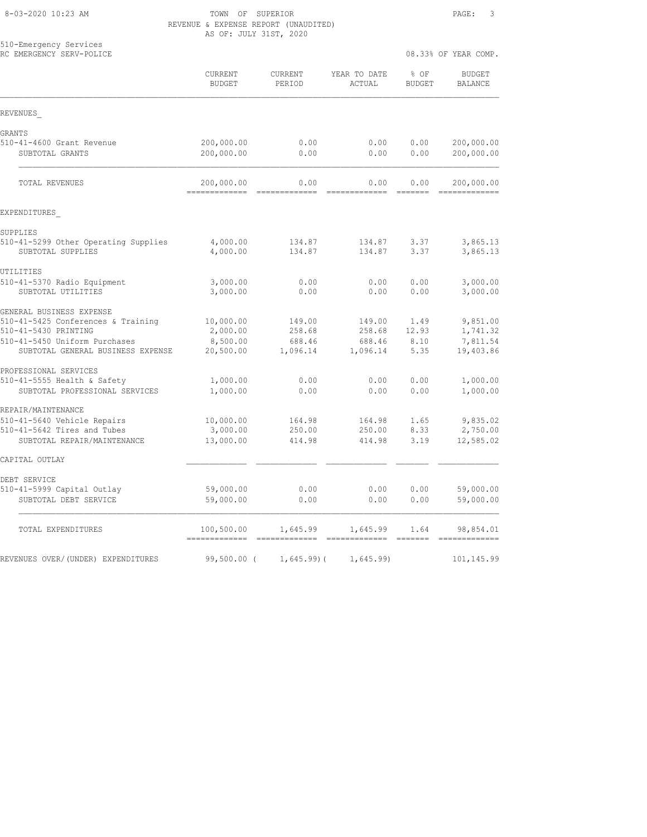8-03-2020 10:23 AM TOWN OF SUPERIOR PAGE: 3 REVENUE & EXPENSE REPORT (UNAUDITED) AS OF: JULY 31ST, 2020

|                                                            |                          | VI. UUDI JIUI, ZUZU |                        |                       |                          |
|------------------------------------------------------------|--------------------------|---------------------|------------------------|-----------------------|--------------------------|
| 510-Emergency Services<br>RC EMERGENCY SERV-POLICE         |                          |                     |                        |                       | 08.33% OF YEAR COMP.     |
|                                                            | CURRENT<br><b>BUDGET</b> | CURRENT<br>PERIOD   | YEAR TO DATE<br>ACTUAL | % OF<br><b>BUDGET</b> | <b>BUDGET</b><br>BALANCE |
| REVENUES                                                   |                          |                     |                        |                       |                          |
| GRANTS                                                     |                          |                     |                        |                       |                          |
| 510-41-4600 Grant Revenue                                  | 200,000.00               | 0.00                | 0.00                   | 0.00                  | 200,000.00               |
| SUBTOTAL GRANTS                                            | 200,000.00               | 0.00                | 0.00                   | 0.00                  | 200,000.00               |
| TOTAL REVENUES                                             | 200,000.00               | 0.00<br>---------   | 0.00                   | 0.00<br>--------      | 200,000.00               |
| EXPENDITURES                                               |                          |                     |                        |                       |                          |
| SUPPLIES                                                   |                          |                     |                        |                       |                          |
| 510-41-5299 Other Operating Supplies<br>SUBTOTAL SUPPLIES  | 4,000.00<br>4,000.00     | 134.87<br>134.87    | 134.87<br>134.87       | 3.37<br>3.37          | 3,865.13<br>3,865.13     |
| UTILITIES                                                  |                          |                     |                        |                       |                          |
| 510-41-5370 Radio Equipment                                | 3,000.00                 | 0.00                | 0.00                   | 0.00                  | 3,000.00                 |
| SUBTOTAL UTILITIES                                         | 3,000.00                 | 0.00                | 0.00                   | 0.00                  | 3,000.00                 |
| GENERAL BUSINESS EXPENSE                                   |                          |                     |                        |                       |                          |
| 510-41-5425 Conferences & Training<br>510-41-5430 PRINTING | 10,000.00<br>2,000.00    | 149.00<br>258.68    | 149.00<br>258.68       | 1.49<br>12.93         | 9,851.00<br>1,741.32     |
| 510-41-5450 Uniform Purchases                              | 8,500.00                 | 688.46              | 688.46                 | 8.10                  | 7,811.54                 |
| SUBTOTAL GENERAL BUSINESS EXPENSE                          | 20,500.00                | 1,096.14            | 1,096.14               | 5.35                  | 19,403.86                |
| PROFESSIONAL SERVICES                                      |                          |                     |                        |                       |                          |
| 510-41-5555 Health & Safety                                | 1,000.00                 | 0.00                | 0.00                   | 0.00                  | 1,000.00                 |
| SUBTOTAL PROFESSIONAL SERVICES                             | 1,000.00                 | 0.00                | 0.00                   | 0.00                  | 1,000.00                 |
| REPAIR/MAINTENANCE                                         |                          |                     |                        |                       |                          |
| 510-41-5640 Vehicle Repairs<br>510-41-5642 Tires and Tubes | 10,000.00<br>3,000.00    | 164.98<br>250.00    | 164.98<br>250.00       | 1.65<br>8.33          | 9,835.02<br>2,750.00     |
| SUBTOTAL REPAIR/MAINTENANCE                                | 13,000.00                | 414.98              | 414.98                 | 3.19                  | 12,585.02                |
| CAPITAL OUTLAY                                             |                          |                     |                        |                       |                          |
| DEBT SERVICE                                               |                          |                     |                        |                       |                          |
| 510-41-5999 Capital Outlay                                 | 59,000.00                | 0.00                | 0.00                   | 0.00                  | 59,000.00                |
| SUBTOTAL DEBT SERVICE                                      | 59,000.00                | 0.00                | 0.00                   | 0.00                  | 59,000.00                |
| TOTAL EXPENDITURES                                         | 100,500.00               | 1,645.99            | 1,645.99               | 1.64                  | 98,854.01                |
| REVENUES OVER/(UNDER) EXPENDITURES                         | $99,500.00$ (            | $1,645.99$ ) (      | 1,645.99               |                       | 101,145.99               |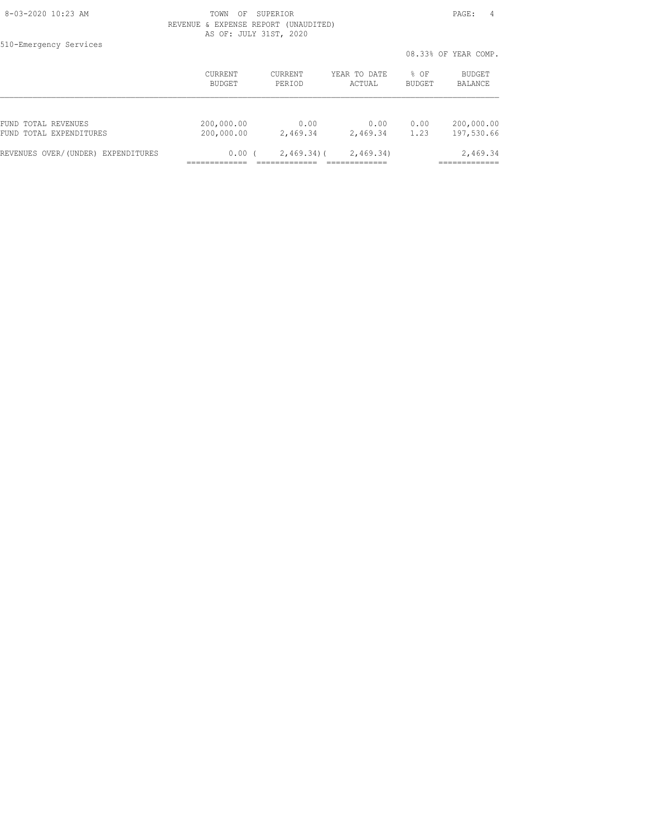8-03-2020 10:23 AM TOWN OF SUPERIOR PAGE: 4 REVENUE & EXPENSE REPORT (UNAUDITED) AS OF: JULY 31ST, 2020

510-Emergency Services

|                                    |            |                |              |               | 08.33% OF YEAR COMP. |
|------------------------------------|------------|----------------|--------------|---------------|----------------------|
|                                    | CURRENT    | <b>CURRENT</b> | YEAR TO DATE | % OF          | BUDGET               |
|                                    | BUDGET     | PERIOD         | ACTUAL       | <b>BUDGET</b> | BALANCE              |
| FUND TOTAL REVENUES                | 200,000.00 | 0.00           | 0.00         | 0.00          | 200,000.00           |
| FUND TOTAL EXPENDITURES            | 200,000.00 | 2,469.34       | 2,469.34     | 1.23          | 197,530.66           |
| REVENUES OVER/(UNDER) EXPENDITURES | 0.00(      | $2,469.34$ ) ( | 2,469.34)    |               | 2,469.34             |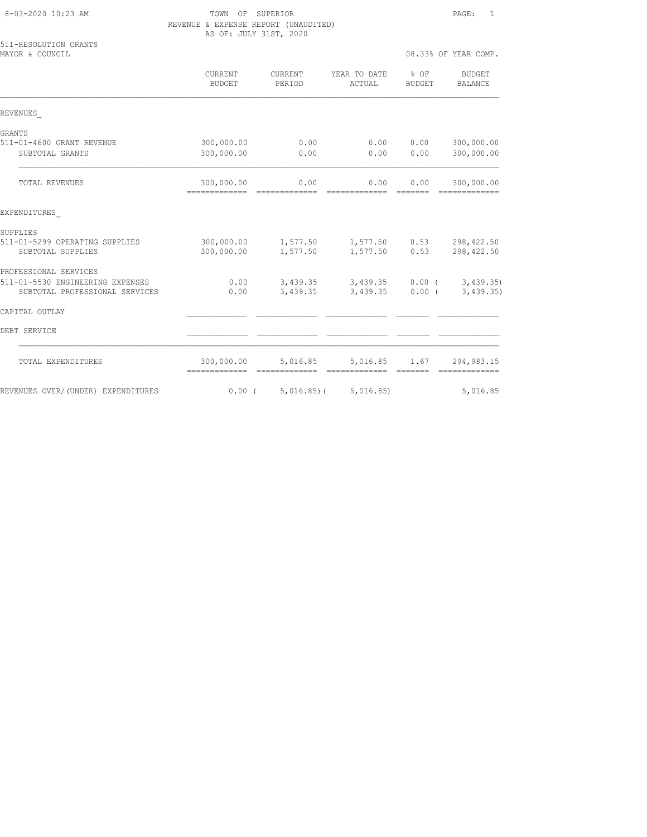| 8-03-2020 10:23 AM |  |  |
|--------------------|--|--|
|--------------------|--|--|

TOWN OF SUPERIOR **PAGE:** 1 REVENUE & EXPENSE REPORT (UNAUDITED) AS OF: JULY 31ST, 2020

| 511-RESOLUTION GRANTS<br>MAYOR & COUNCIL                           |                                              |                   |                               |                                                                                                                                                                                                                                                                                                                                                                                                                                                                                              | 08.33% OF YEAR COMP.         |
|--------------------------------------------------------------------|----------------------------------------------|-------------------|-------------------------------|----------------------------------------------------------------------------------------------------------------------------------------------------------------------------------------------------------------------------------------------------------------------------------------------------------------------------------------------------------------------------------------------------------------------------------------------------------------------------------------------|------------------------------|
|                                                                    | CURRENT<br><b>BUDGET</b>                     | CURRENT<br>PERIOD | YEAR TO DATE<br>ACTUAL        | % OF<br><b>BUDGET</b>                                                                                                                                                                                                                                                                                                                                                                                                                                                                        | BUDGET<br>BALANCE            |
| REVENUES                                                           |                                              |                   |                               |                                                                                                                                                                                                                                                                                                                                                                                                                                                                                              |                              |
| GRANTS                                                             |                                              |                   |                               |                                                                                                                                                                                                                                                                                                                                                                                                                                                                                              |                              |
| 511-01-4600 GRANT REVENUE<br>SUBTOTAL GRANTS                       | 300,000.00<br>300,000.00                     | 0.00<br>0.00      | 0.00<br>0.00                  | 0.00<br>0.00                                                                                                                                                                                                                                                                                                                                                                                                                                                                                 | 300,000.00<br>300,000.00     |
|                                                                    |                                              |                   |                               |                                                                                                                                                                                                                                                                                                                                                                                                                                                                                              |                              |
| TOTAL REVENUES                                                     | 300,000.00<br>-------------- --------------  | 0.00              | 0.00<br>=============         | 0.00<br>=======                                                                                                                                                                                                                                                                                                                                                                                                                                                                              | 300,000.00<br>-------------- |
| EXPENDITURES                                                       |                                              |                   |                               |                                                                                                                                                                                                                                                                                                                                                                                                                                                                                              |                              |
| SUPPLIES                                                           |                                              |                   |                               |                                                                                                                                                                                                                                                                                                                                                                                                                                                                                              |                              |
| 511-01-5299 OPERATING SUPPLIES<br>SUBTOTAL SUPPLIES                | 300,000.00<br>300,000.00                     | 1,577.50          | 1,577.50 1,577.50<br>1,577.50 | 0.53<br>0.53                                                                                                                                                                                                                                                                                                                                                                                                                                                                                 | 298,422.50<br>298, 422.50    |
| PROFESSIONAL SERVICES                                              |                                              |                   |                               |                                                                                                                                                                                                                                                                                                                                                                                                                                                                                              |                              |
| 511-01-5530 ENGINEERING EXPENSES<br>SUBTOTAL PROFESSIONAL SERVICES | 0.00<br>0.00                                 | 3,439.35          | 3,439.35 3,439.35<br>3,439.35 | $0.00$ (<br>0.00(                                                                                                                                                                                                                                                                                                                                                                                                                                                                            | 3,439.35<br>3,439.35         |
| CAPITAL OUTLAY                                                     |                                              |                   |                               |                                                                                                                                                                                                                                                                                                                                                                                                                                                                                              |                              |
| DEBT SERVICE                                                       |                                              |                   |                               |                                                                                                                                                                                                                                                                                                                                                                                                                                                                                              |                              |
| TOTAL EXPENDITURES                                                 | 300,000.00<br>============================== | 5,016.85          | 5,016.85<br>=============     | 1.67<br>$\begin{array}{cccccc} \multicolumn{2}{c}{} & \multicolumn{2}{c}{} & \multicolumn{2}{c}{} & \multicolumn{2}{c}{} & \multicolumn{2}{c}{} & \multicolumn{2}{c}{} & \multicolumn{2}{c}{} & \multicolumn{2}{c}{} & \multicolumn{2}{c}{} & \multicolumn{2}{c}{} & \multicolumn{2}{c}{} & \multicolumn{2}{c}{} & \multicolumn{2}{c}{} & \multicolumn{2}{c}{} & \multicolumn{2}{c}{} & \multicolumn{2}{c}{} & \multicolumn{2}{c}{} & \multicolumn{2}{c}{} & \multicolumn{2}{c}{} & \multic$ | 294,983.15<br>=============  |
| REVENUES OVER/(UNDER) EXPENDITURES                                 | $0.00$ (                                     | $5,016.85$ (      | 5,016.85                      |                                                                                                                                                                                                                                                                                                                                                                                                                                                                                              | 5,016.85                     |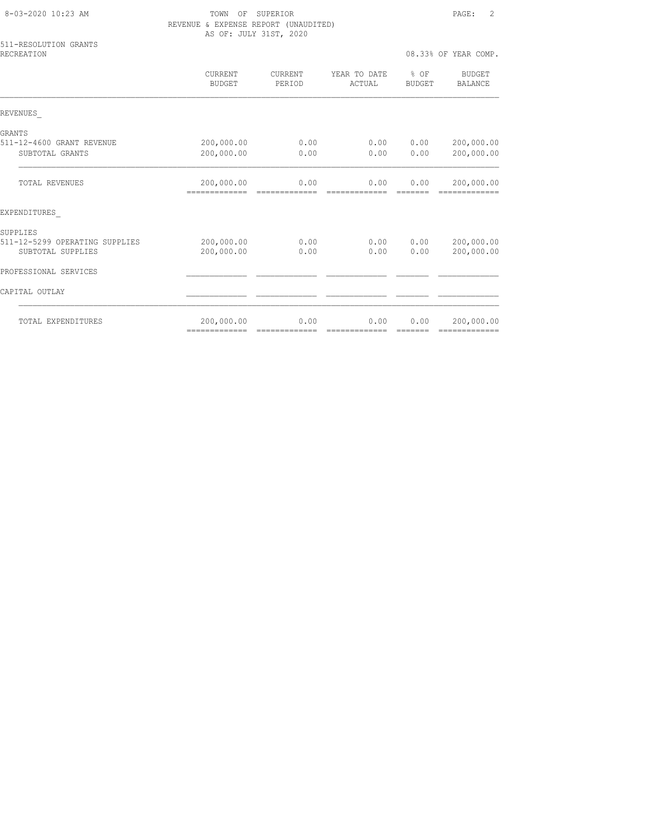| 8-03-2020 10:23 AM                  | SUPERIOR<br>TOWN<br>ΟF<br>REVENUE & EXPENSE REPORT (UNAUDITED)<br>AS OF: JULY 31ST, 2020 | $\mathcal{L}$<br>PAGE: |                        |                                 |                             |
|-------------------------------------|------------------------------------------------------------------------------------------|------------------------|------------------------|---------------------------------|-----------------------------|
| 511-RESOLUTION GRANTS<br>RECREATION |                                                                                          |                        |                        |                                 |                             |
|                                     | CURRENT<br><b>BUDGET</b>                                                                 | CURRENT<br>PERIOD      | YEAR TO DATE<br>ACTUAL | $8$ OF<br><b>BUDGET</b>         | BUDGET<br>BALANCE           |
| REVENUES                            |                                                                                          |                        |                        |                                 |                             |
| GRANTS                              |                                                                                          |                        |                        |                                 |                             |
| 511-12-4600 GRANT REVENUE           | 200,000.00                                                                               | 0.00                   | 0.00                   | 0.00                            | 200,000.00                  |
| SUBTOTAL GRANTS                     | 200,000.00                                                                               | 0.00                   | 0.00                   | 0.00                            | 200,000.00                  |
| TOTAL REVENUES                      | 200,000.00<br>-------------                                                              | 0.00<br>essessessesse  | 0.00<br>=============  | 0.00<br>$=$ $=$ $=$ $=$ $=$ $=$ | 200,000.00<br>============= |
| EXPENDITURES                        |                                                                                          |                        |                        |                                 |                             |
| SUPPLIES                            |                                                                                          |                        |                        |                                 |                             |
| 511-12-5299 OPERATING SUPPLIES      | 200,000.00                                                                               | 0.00                   | 0.00                   | 0.00                            | 200,000.00                  |
| SUBTOTAL SUPPLIES                   | 200,000.00                                                                               | 0.00                   | 0.00                   | 0.00                            | 200,000.00                  |
| PROFESSIONAL SERVICES               |                                                                                          |                        |                        |                                 |                             |
| CAPITAL OUTLAY                      |                                                                                          |                        |                        |                                 |                             |
| TOTAL EXPENDITURES                  | 200,000.00                                                                               | 0.00                   | 0.00                   | 0.00                            | 200,000.00                  |

============= ============= ============= ======= =============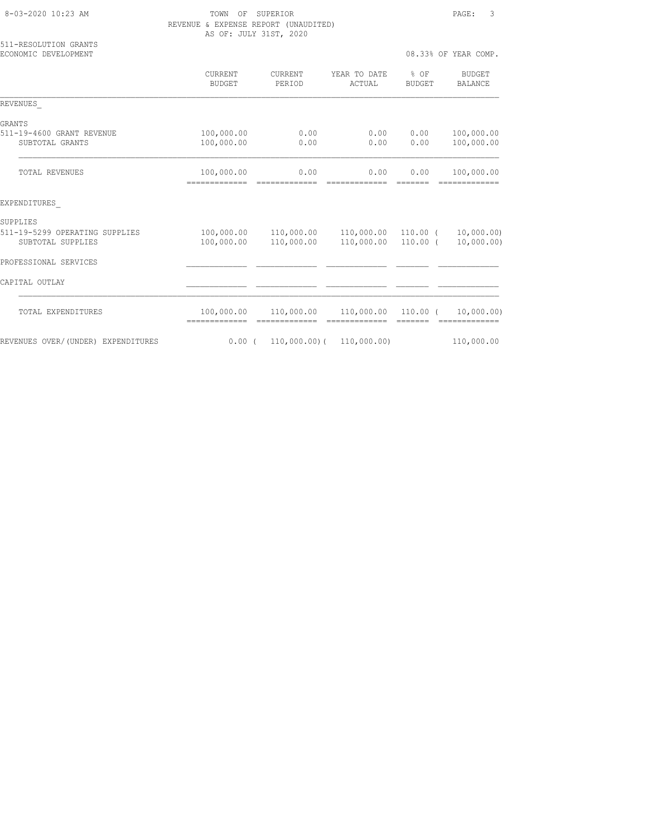TOWN OF SUPERIOR **Example 20:23** PAGE: 3 REVENUE & EXPENSE REPORT (UNAUDITED) AS OF: JULY 31ST, 2020

| 511-RESOLUTION GRANTS<br>ECONOMIC DEVELOPMENT       |                           |                          |                                   |                         | 08.33% OF YEAR COMP.                                                                                                                                                                                                                                                                                                                                                                                                                                                                                 |
|-----------------------------------------------------|---------------------------|--------------------------|-----------------------------------|-------------------------|------------------------------------------------------------------------------------------------------------------------------------------------------------------------------------------------------------------------------------------------------------------------------------------------------------------------------------------------------------------------------------------------------------------------------------------------------------------------------------------------------|
|                                                     | CURRENT<br><b>BUDGET</b>  | <b>CURRENT</b><br>PERIOD | YEAR TO DATE<br>ACTUAL            | $8$ OF<br><b>BUDGET</b> | BUDGET<br>BALANCE                                                                                                                                                                                                                                                                                                                                                                                                                                                                                    |
| REVENUES                                            |                           |                          |                                   |                         |                                                                                                                                                                                                                                                                                                                                                                                                                                                                                                      |
| GRANTS                                              |                           |                          |                                   |                         |                                                                                                                                                                                                                                                                                                                                                                                                                                                                                                      |
| 511-19-4600 GRANT REVENUE<br>SUBTOTAL GRANTS        | 100,000.00<br>100,000.00  | 0.00<br>0.00             | 0.00<br>0.00                      | 0.00<br>0.00            | 100,000.00<br>100,000.00                                                                                                                                                                                                                                                                                                                                                                                                                                                                             |
| TOTAL REVENUES                                      | 100,000.00                | 0.00                     | 0.00                              | 0.00                    | 100,000.00                                                                                                                                                                                                                                                                                                                                                                                                                                                                                           |
| EXPENDITURES                                        |                           |                          |                                   |                         |                                                                                                                                                                                                                                                                                                                                                                                                                                                                                                      |
| SUPPLIES                                            |                           |                          |                                   |                         |                                                                                                                                                                                                                                                                                                                                                                                                                                                                                                      |
| 511-19-5299 OPERATING SUPPLIES<br>SUBTOTAL SUPPLIES | 100,000.00<br>100,000.00  | 110,000.00<br>110,000.00 | 110,000.00 110.00 (<br>110,000.00 | $110.00$ (              | 10,000.00)<br>10,000.00)                                                                                                                                                                                                                                                                                                                                                                                                                                                                             |
| PROFESSIONAL SERVICES                               |                           |                          |                                   |                         |                                                                                                                                                                                                                                                                                                                                                                                                                                                                                                      |
| CAPITAL OUTLAY                                      |                           |                          |                                   |                         |                                                                                                                                                                                                                                                                                                                                                                                                                                                                                                      |
| TOTAL EXPENDITURES                                  | 100,000.00<br>$=$ $=$ $=$ | 110,000.00               | 110,000.00 110.00 (               |                         | 10,000.00)<br>$\begin{array}{cccccccccc} \multicolumn{2}{c}{} & \multicolumn{2}{c}{} & \multicolumn{2}{c}{} & \multicolumn{2}{c}{} & \multicolumn{2}{c}{} & \multicolumn{2}{c}{} & \multicolumn{2}{c}{} & \multicolumn{2}{c}{} & \multicolumn{2}{c}{} & \multicolumn{2}{c}{} & \multicolumn{2}{c}{} & \multicolumn{2}{c}{} & \multicolumn{2}{c}{} & \multicolumn{2}{c}{} & \multicolumn{2}{c}{} & \multicolumn{2}{c}{} & \multicolumn{2}{c}{} & \multicolumn{2}{c}{} & \multicolumn{2}{c}{} & \mult$ |
| REVENUES OVER/(UNDER) EXPENDITURES                  | 0.00(                     | $110,000.00)$ (          | 110,000.00)                       |                         | 110,000.00                                                                                                                                                                                                                                                                                                                                                                                                                                                                                           |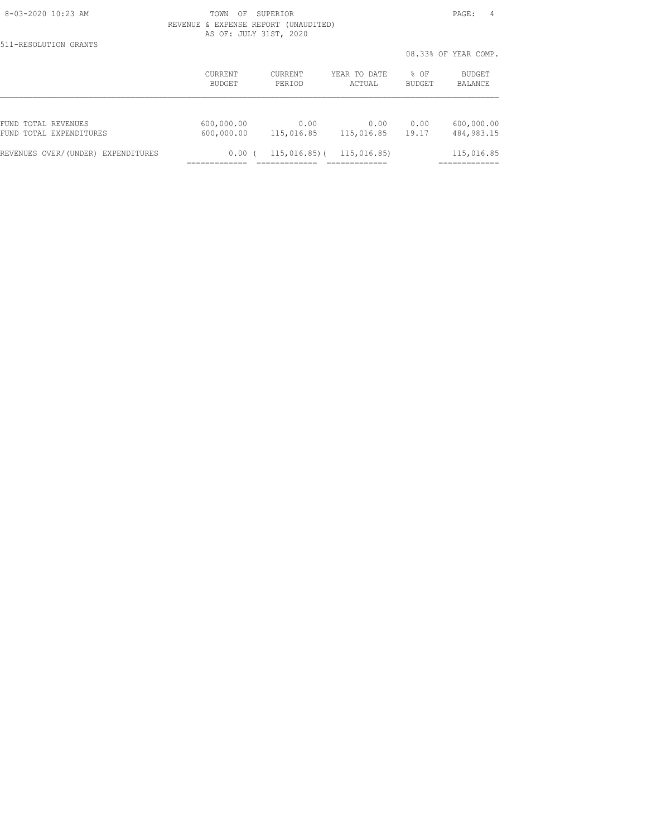511-RESOLUTION GRANTS

 8-03-2020 10:23 AM TOWN OF SUPERIOR PAGE: 4 REVENUE & EXPENSE REPORT (UNAUDITED) AS OF: JULY 31ST, 2020

|                                    |                |                |              |               | 08.33% OF YEAR COMP. |
|------------------------------------|----------------|----------------|--------------|---------------|----------------------|
|                                    | <b>CURRENT</b> | <b>CURRENT</b> | YEAR TO DATE | $%$ $OF$      | BUDGET               |
|                                    | BUDGET         | PERIOD         | ACTUAL       | <b>BUDGET</b> | BALANCE              |
| FUND TOTAL REVENUES                | 600,000.00     | 0.00           | 0.00         | 0.00          | 600,000.00           |
| FUND TOTAL EXPENDITURES            | 600,000.00     | 115,016.85     | 115,016.85   | 19.17         | 484, 983. 15         |
| REVENUES OVER/(UNDER) EXPENDITURES | 0.00           | $115,016.85$ ( | 115,016.85)  |               | 115,016.85           |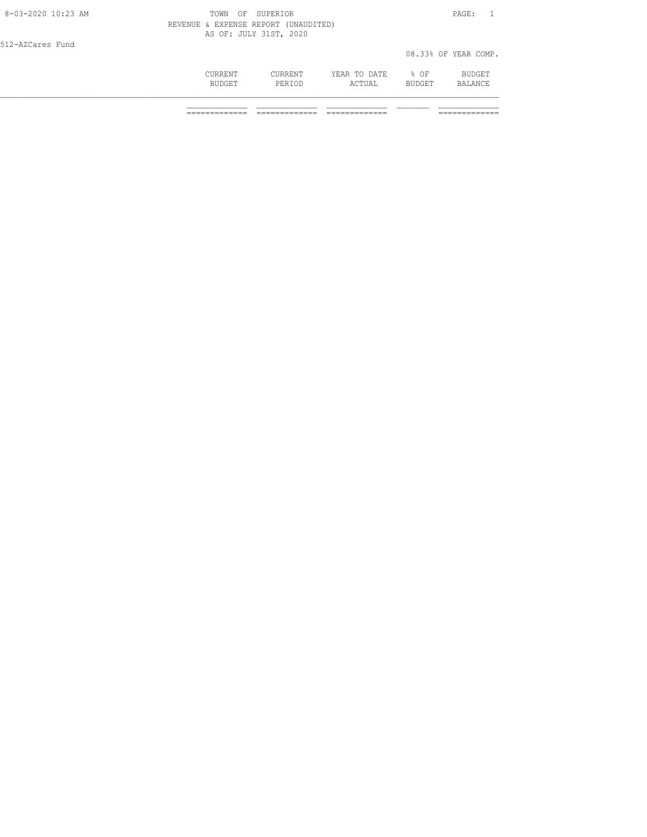| 8-03-2020 10:23 AM | TOWN OF SUPERIOR |                                      |              |        | PAGE:                |
|--------------------|------------------|--------------------------------------|--------------|--------|----------------------|
|                    |                  | REVENUE & EXPENSE REPORT (UNAUDITED) |              |        |                      |
|                    |                  | AS OF: JULY 31ST, 2020               |              |        |                      |
| 512-AZCares Fund   |                  |                                      |              |        |                      |
|                    |                  |                                      |              |        | 08.33% OF YEAR COMP. |
|                    | CURRENT          | CURRENT                              | YEAR TO DATE | % OF   | BUDGET               |
|                    | BUDGET           | PERIOD                               | ACTUAL       | BUDGET | BALANCE              |
|                    |                  |                                      |              |        |                      |
|                    |                  |                                      |              |        |                      |

============= ============= ============= =============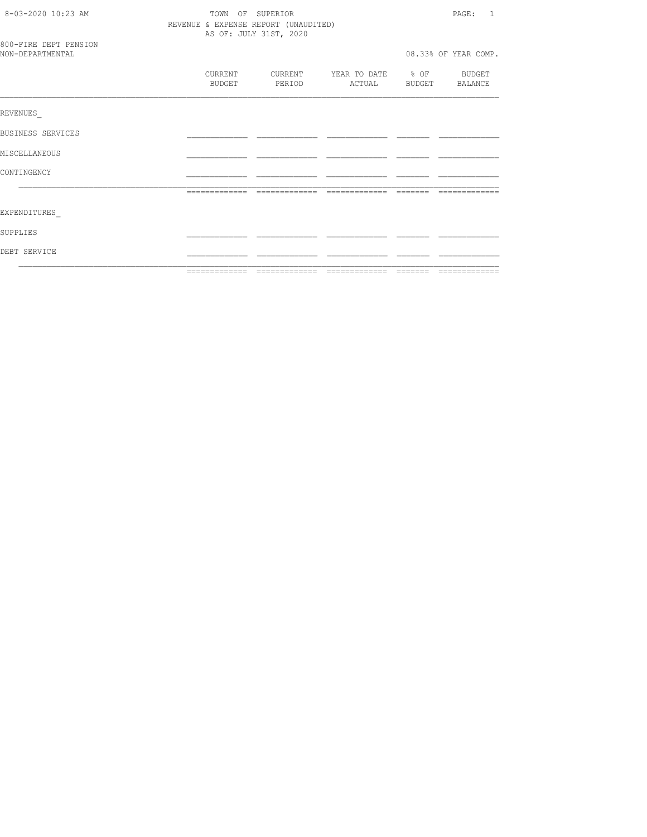| 8-03-2020 10:23 AM<br>TOWN OF SUPERIOR<br>REVENUE & EXPENSE REPORT (UNAUDITED)<br>AS OF: JULY 31ST, 2020 |  |                   |                                            |  |  | PAGE:<br>$\overline{1}$ |
|----------------------------------------------------------------------------------------------------------|--|-------------------|--------------------------------------------|--|--|-------------------------|
| 800-FIRE DEPT PENSION<br>NON-DEPARTMENTAL                                                                |  |                   |                                            |  |  | 08.33% OF YEAR COMP.    |
|                                                                                                          |  | CURRENT<br>BUDGET | CURRENT YEAR TO DATE % OF BUDGET<br>PERIOD |  |  | ACTUAL BUDGET BALANCE   |
| REVENUES                                                                                                 |  |                   |                                            |  |  |                         |
| BUSINESS SERVICES                                                                                        |  |                   |                                            |  |  |                         |
| MISCELLANEOUS                                                                                            |  |                   |                                            |  |  |                         |
| CONTINGENCY                                                                                              |  |                   |                                            |  |  |                         |
|                                                                                                          |  |                   |                                            |  |  | --------------          |
| EXPENDITURES                                                                                             |  |                   |                                            |  |  |                         |
| SUPPLIES                                                                                                 |  |                   |                                            |  |  |                         |
| DEBT SERVICE                                                                                             |  |                   |                                            |  |  |                         |
|                                                                                                          |  |                   |                                            |  |  |                         |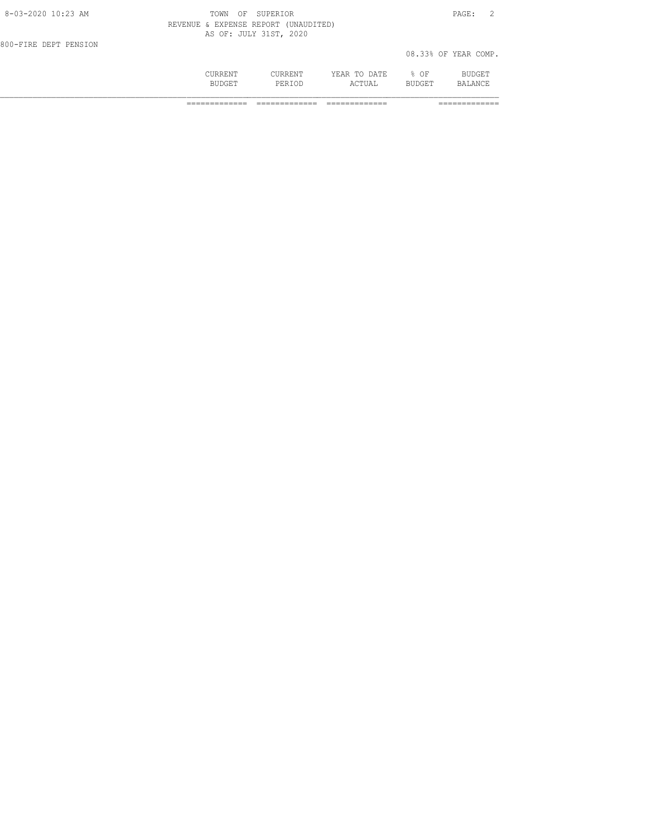|                       | CURRENT<br><b>BUDGET</b>             | <b>CURRENT</b><br>PERTOD | YEAR TO DATE<br>ACTUAL | $8$ OF<br><b>BUDGET</b> | BUDGET<br>BALANCE    |  |
|-----------------------|--------------------------------------|--------------------------|------------------------|-------------------------|----------------------|--|
| 800-FIRE DEPT PENSION |                                      |                          |                        |                         | 08.33% OF YEAR COMP. |  |
|                       | REVENUE & EXPENSE REPORT (UNAUDITED) | AS OF: JULY 31ST, 2020   |                        |                         |                      |  |
| 8-03-2020 10:23 AM    | TOWN<br>OF                           | SUPERIOR                 |                        |                         | PAGE:                |  |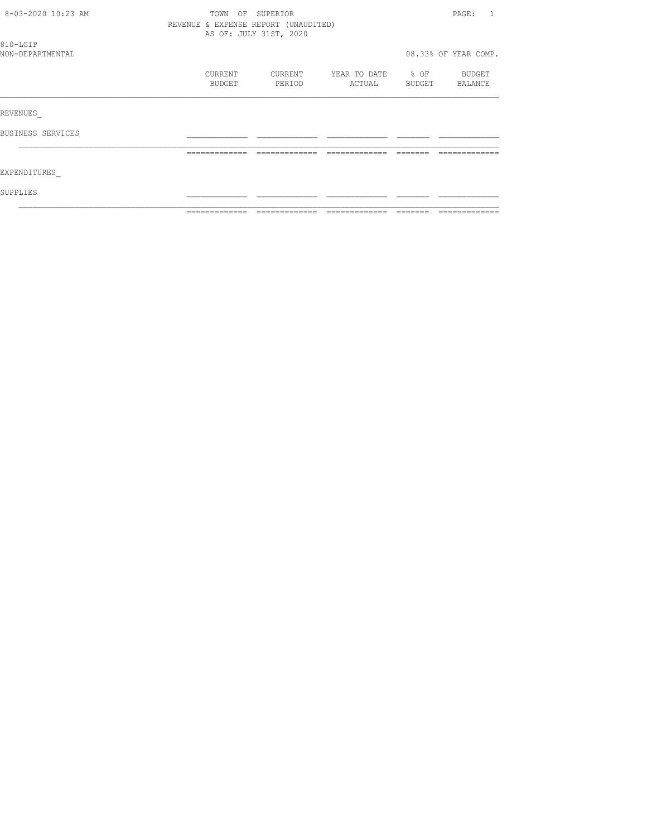| 8-03-2020 10:23 AM |                                      | TOWN OF SUPERIOR       |               |                  | PAGE:<br>$\overline{1}$ |
|--------------------|--------------------------------------|------------------------|---------------|------------------|-------------------------|
|                    | REVENUE & EXPENSE REPORT (UNAUDITED) |                        |               |                  |                         |
|                    |                                      | AS OF: JULY 31ST, 2020 |               |                  |                         |
| 810-LGIP           |                                      |                        |               |                  |                         |
| NON-DEPARTMENTAL   |                                      |                        |               |                  | 08.33% OF YEAR COMP.    |
|                    | CURRENT                              | CURRENT                | YEAR TO DATE  | $\frac{1}{2}$ OF | BUDGET                  |
|                    | BUDGET                               | PERIOD                 | ACTUAL        | BUDGET           | BALANCE                 |
|                    |                                      |                        |               |                  |                         |
| REVENUES           |                                      |                        |               |                  |                         |
| BUSINESS SERVICES  |                                      |                        |               |                  |                         |
|                    | -------------                        | -------------          | ------------- | -------          |                         |
| EXPENDITURES       |                                      |                        |               |                  |                         |
|                    |                                      |                        |               |                  |                         |
| SUPPLIES           |                                      |                        |               |                  |                         |
|                    |                                      |                        |               |                  |                         |
|                    |                                      |                        |               |                  |                         |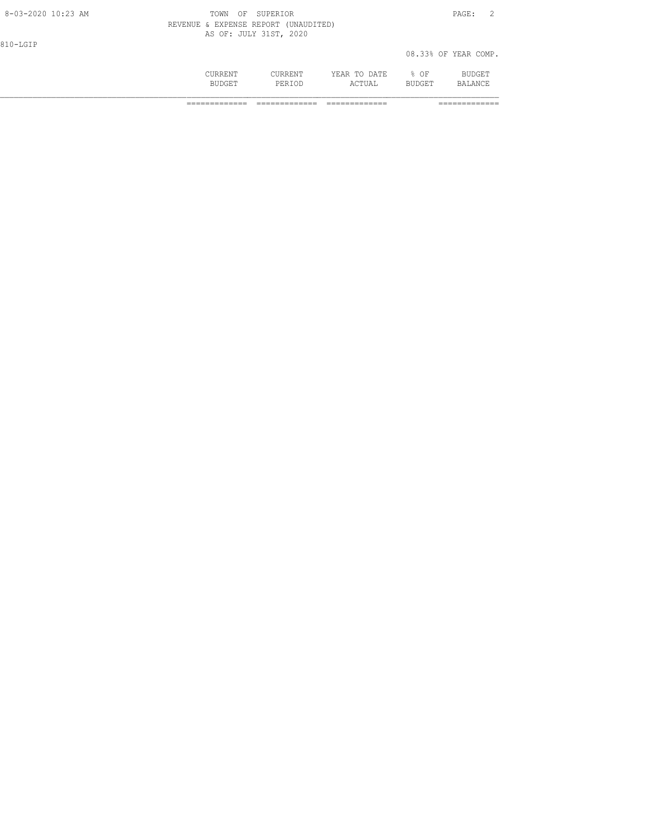|                    | CURRENT<br><b>BUDGET</b>             | CURRENT<br>PERTOD      | YEAR TO DATE<br>ACTUAL | 8 OF<br><b>BUDGET</b> | BUDGET<br>BALANCE    |  |
|--------------------|--------------------------------------|------------------------|------------------------|-----------------------|----------------------|--|
| 810-LGIP           |                                      |                        |                        |                       | 08.33% OF YEAR COMP. |  |
|                    | REVENUE & EXPENSE REPORT (UNAUDITED) | AS OF: JULY 31ST, 2020 |                        |                       |                      |  |
| 8-03-2020 10:23 AM | TOWN                                 | OF SUPERIOR            |                        |                       | PAGE:                |  |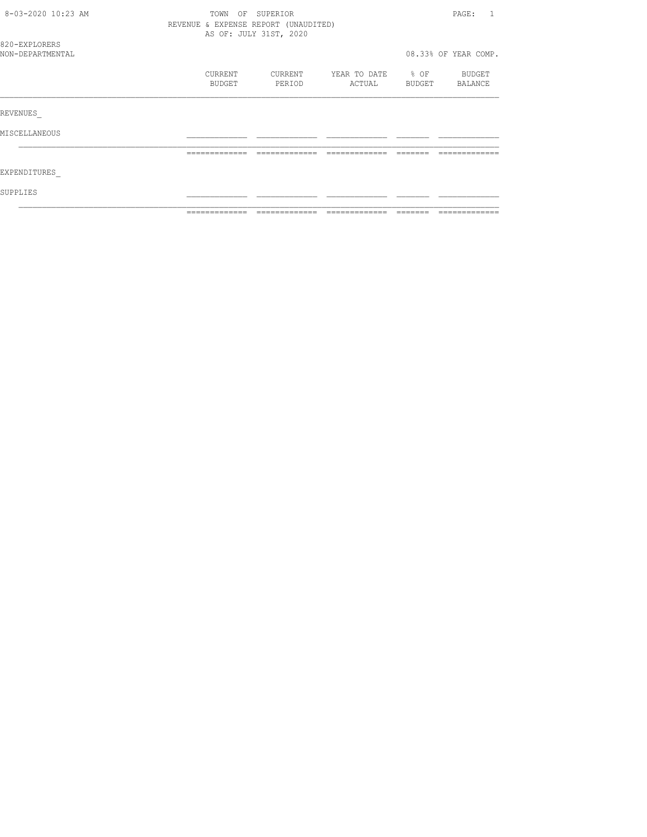| 8-03-2020 10:23 AM | TOWN                                 | OF SUPERIOR            |               |                  | PAGE:<br>$\mathbf{1}$ |
|--------------------|--------------------------------------|------------------------|---------------|------------------|-----------------------|
|                    | REVENUE & EXPENSE REPORT (UNAUDITED) |                        |               |                  |                       |
|                    |                                      | AS OF: JULY 31ST, 2020 |               |                  |                       |
| 820-EXPLORERS      |                                      |                        |               |                  |                       |
| NON-DEPARTMENTAL   |                                      |                        |               |                  | 08.33% OF YEAR COMP.  |
|                    | CURRENT                              | CURRENT                | YEAR TO DATE  | $\frac{1}{2}$ OF | BUDGET                |
|                    | BUDGET                               | PERIOD                 | ACTUAL        | BUDGET           | BALANCE               |
| REVENUES           |                                      |                        |               |                  |                       |
|                    |                                      |                        |               |                  |                       |
| MISCELLANEOUS      |                                      |                        |               |                  |                       |
|                    | -------------                        | -------------          | ------------- |                  |                       |
| EXPENDITURES       |                                      |                        |               |                  |                       |
| SUPPLIES           |                                      |                        |               |                  |                       |
|                    |                                      |                        |               |                  |                       |
|                    | =============                        |                        |               |                  |                       |
|                    |                                      |                        |               |                  |                       |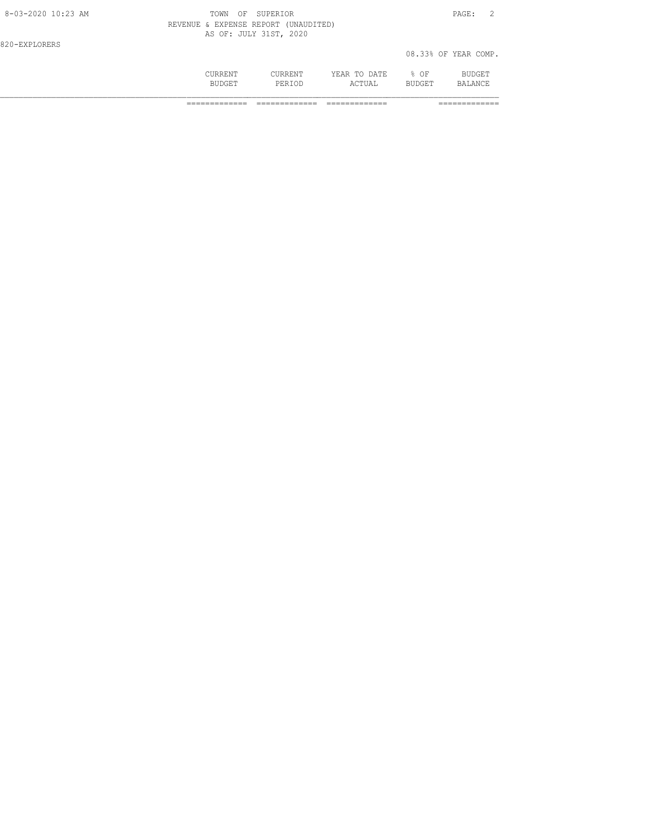|                    | CURRENT<br><b>BUDGET</b>             | CURRENT<br>PERTOD      | YEAR TO DATE<br>ACTUAL | $8$ OF<br><b>BUDGET</b> | BUDGET<br>BALANCE    |
|--------------------|--------------------------------------|------------------------|------------------------|-------------------------|----------------------|
| 820-EXPLORERS      |                                      |                        |                        |                         | 08.33% OF YEAR COMP. |
|                    | REVENUE & EXPENSE REPORT (UNAUDITED) | AS OF: JULY 31ST, 2020 |                        |                         |                      |
| 8-03-2020 10:23 AM | <b>TOWN</b><br>ΟF                    | SUPERIOR               |                        |                         | PAGE:                |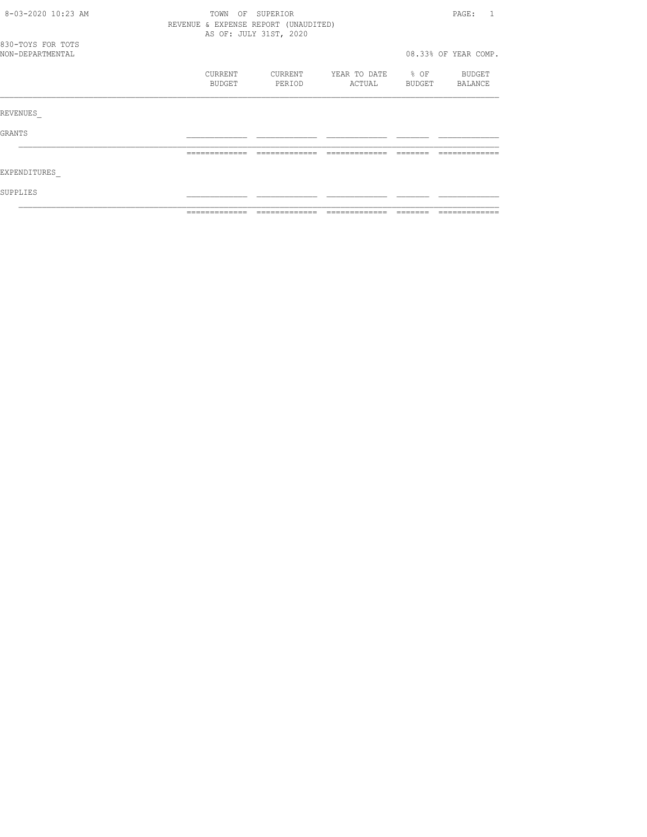| 8-03-2020 10:23 AM                    | OF SUPERIOR<br>TOWN                  |                        |                        |                            |                      |
|---------------------------------------|--------------------------------------|------------------------|------------------------|----------------------------|----------------------|
|                                       | REVENUE & EXPENSE REPORT (UNAUDITED) | AS OF: JULY 31ST, 2020 |                        |                            |                      |
| 830-TOYS FOR TOTS<br>NON-DEPARTMENTAL |                                      |                        |                        |                            | 08.33% OF YEAR COMP. |
|                                       | CURRENT<br>BUDGET                    | CURRENT<br>PERIOD      | YEAR TO DATE<br>ACTUAL | $\frac{1}{2}$ OF<br>BUDGET | BUDGET<br>BALANCE    |
| REVENUES                              |                                      |                        |                        |                            |                      |
| GRANTS                                |                                      |                        |                        |                            |                      |
|                                       |                                      |                        |                        |                            |                      |
| EXPENDITURES                          |                                      |                        |                        |                            |                      |
| SUPPLIES                              |                                      |                        |                        |                            |                      |
|                                       |                                      |                        |                        |                            |                      |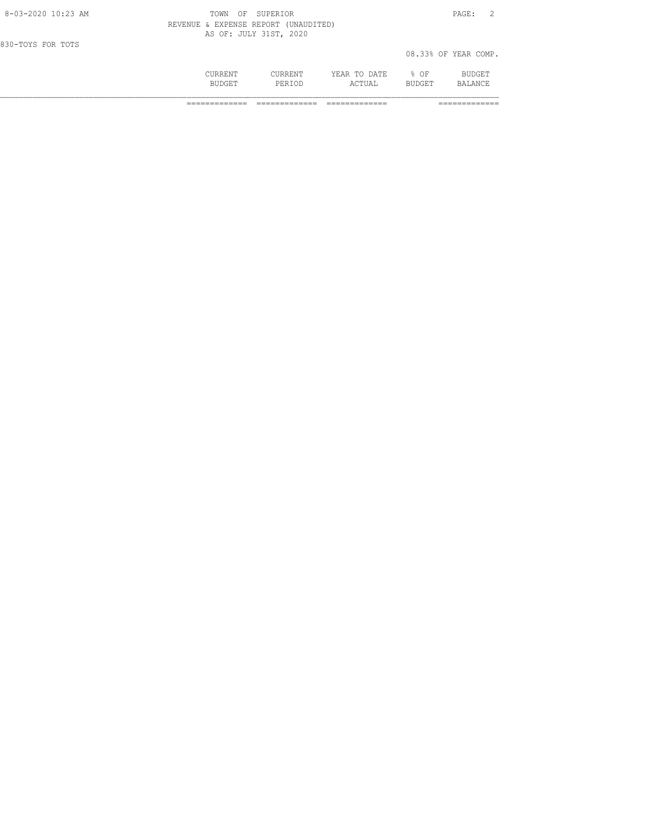|                    | CURRENT<br><b>BUDGET</b>             | CURRENT<br>PERTOD      | YEAR TO DATE<br>ACTUAL | % OF<br><b>BUDGET</b> | BUDGET<br>BALANCE    |
|--------------------|--------------------------------------|------------------------|------------------------|-----------------------|----------------------|
| 830-TOYS FOR TOTS  |                                      |                        |                        |                       | 08.33% OF YEAR COMP. |
|                    | REVENUE & EXPENSE REPORT (UNAUDITED) | AS OF: JULY 31ST, 2020 |                        |                       |                      |
| 8-03-2020 10:23 AM | OF<br>TOWN                           | SUPERTOR               |                        |                       | PAGE:                |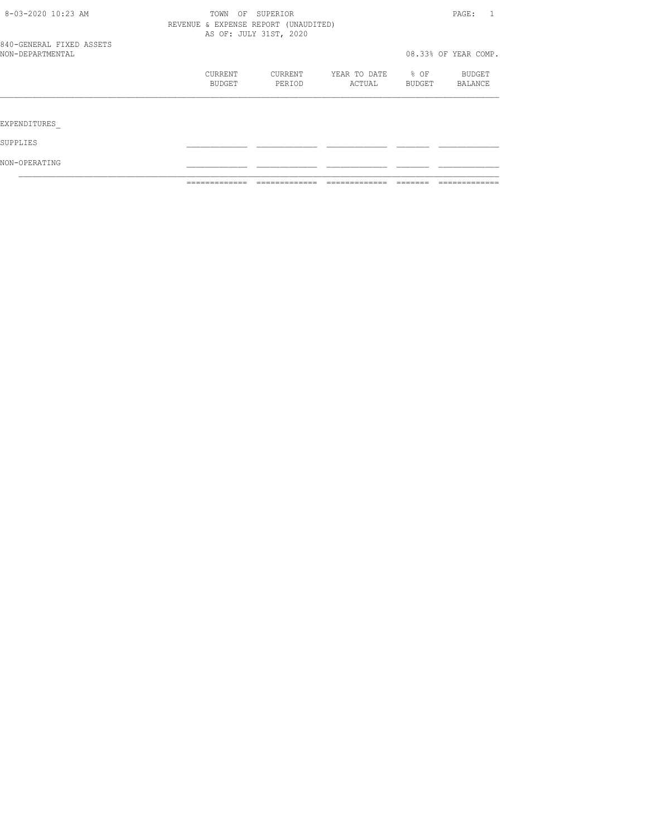|                                              | ____________      |                                                                |                        |                |                          |
|----------------------------------------------|-------------------|----------------------------------------------------------------|------------------------|----------------|--------------------------|
| NON-OPERATING                                |                   |                                                                |                        |                |                          |
| SUPPLIES                                     |                   |                                                                |                        |                |                          |
| EXPENDITURES                                 |                   |                                                                |                        |                |                          |
|                                              |                   |                                                                |                        |                |                          |
|                                              | CURRENT<br>BUDGET | CURRENT<br>PERIOD                                              | YEAR TO DATE<br>ACTUAL | % OF<br>BUDGET | <b>BUDGET</b><br>BALANCE |
| 840-GENERAL FIXED ASSETS<br>NON-DEPARTMENTAL |                   |                                                                |                        |                | 08.33% OF YEAR COMP.     |
|                                              |                   | REVENUE & EXPENSE REPORT (UNAUDITED)<br>AS OF: JULY 31ST, 2020 |                        |                |                          |
| 8-03-2020 10:23 AM                           | TOWN              | OF<br>SUPERIOR                                                 |                        |                | PAGE:                    |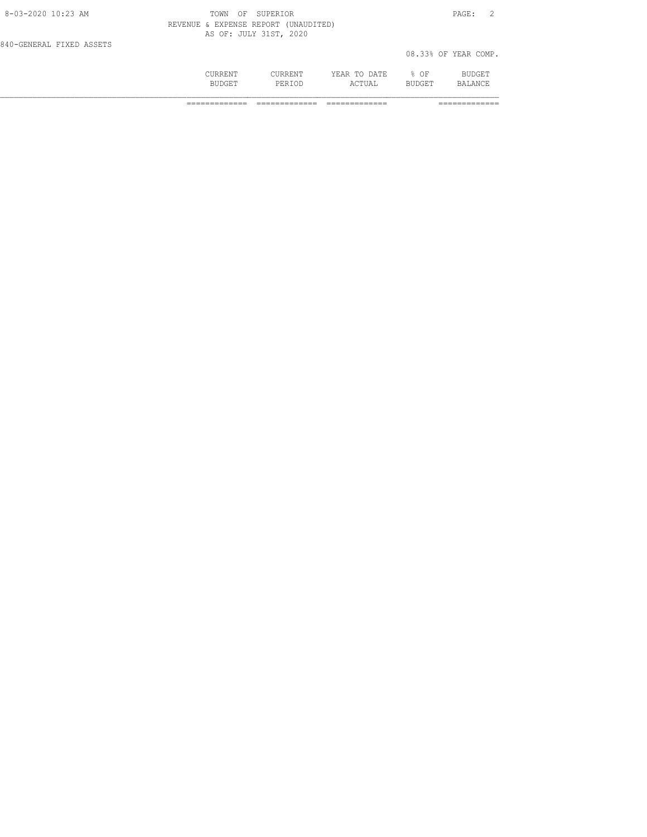|                          | CURRENT<br><b>BUDGET</b>             | <b>CURRENT</b><br>PERTOD | YEAR TO DATE<br>ACTUAL | % OF<br><b>BUDGET</b> | BUDGET<br>BALANCE    |
|--------------------------|--------------------------------------|--------------------------|------------------------|-----------------------|----------------------|
| 840-GENERAL FIXED ASSETS |                                      |                          |                        |                       | 08.33% OF YEAR COMP. |
|                          | REVENUE & EXPENSE REPORT (UNAUDITED) | AS OF: JULY 31ST, 2020   |                        |                       |                      |
| 8-03-2020 10:23 AM       | TOWN<br>OF.                          | SUPERTOR                 |                        |                       | PAGE:                |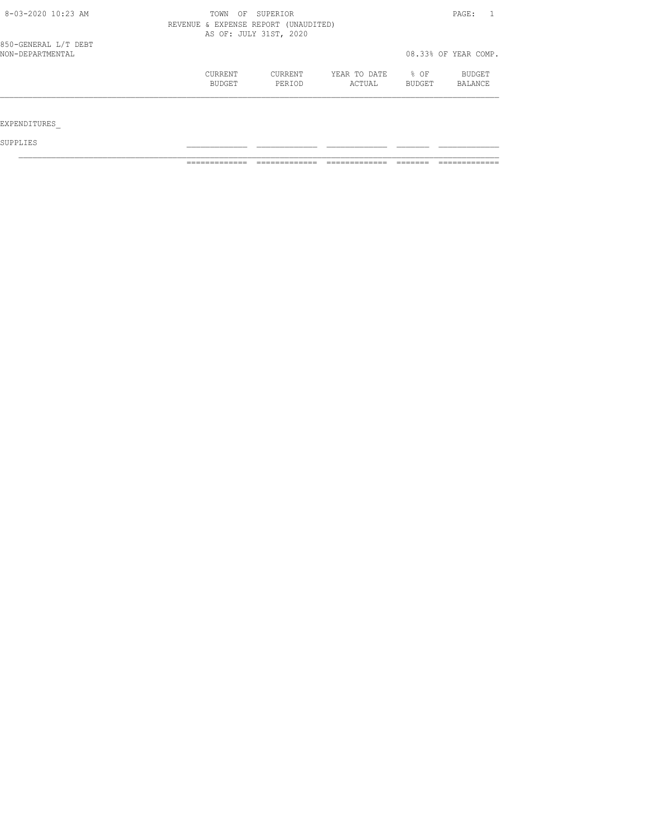| $8 - 03 - 2020$ 10:23 AM                 | OF<br>TOWN                                                     | PAGE:             |                        |                  |                      |  |  |
|------------------------------------------|----------------------------------------------------------------|-------------------|------------------------|------------------|----------------------|--|--|
|                                          | REVENUE & EXPENSE REPORT (UNAUDITED)<br>AS OF: JULY 31ST, 2020 |                   |                        |                  |                      |  |  |
|                                          |                                                                |                   |                        |                  |                      |  |  |
| 850-GENERAL L/T DEBT<br>NON-DEPARTMENTAL |                                                                |                   |                        |                  | 08.33% OF YEAR COMP. |  |  |
|                                          | <b>CURRENT</b><br>BUDGET                                       | CURRENT<br>PERIOD | YEAR TO DATE<br>ACTUAL | $8$ OF<br>BUDGET | BUDGET<br>BALANCE    |  |  |
| EXPENDITURES                             |                                                                |                   |                        |                  |                      |  |  |

SUPPLIES \_\_\_\_\_\_\_\_\_\_\_\_\_ \_\_\_\_\_\_\_\_\_\_\_\_\_ \_\_\_\_\_\_\_\_\_\_\_\_\_ \_\_\_\_\_\_\_ \_\_\_\_\_\_\_\_\_\_\_\_\_

============= ============= ============= ======= =============